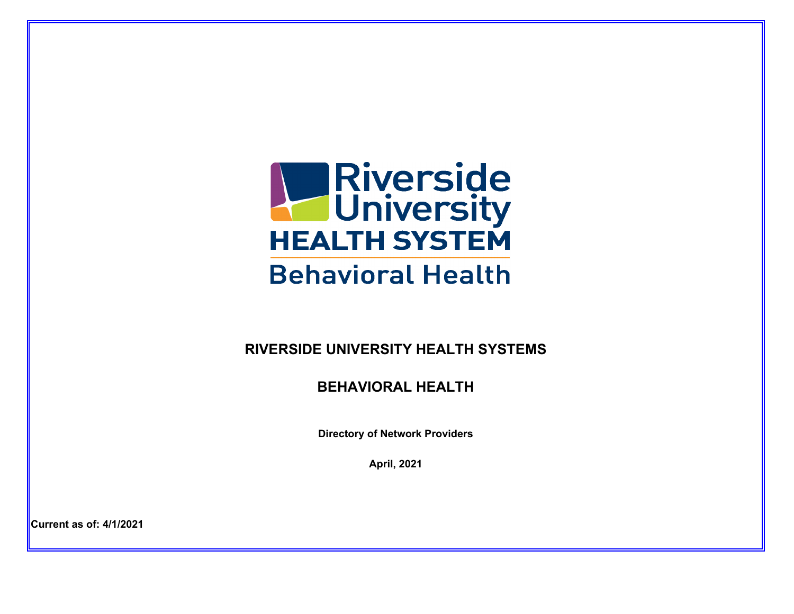

# **RIVERSIDE UNIVERSITY HEALTH SYSTEMS**

# **BEHAVIORAL HEALTH**

**Directory of Network Providers**

**April, 2021**

**Current as of: 4/1/2021**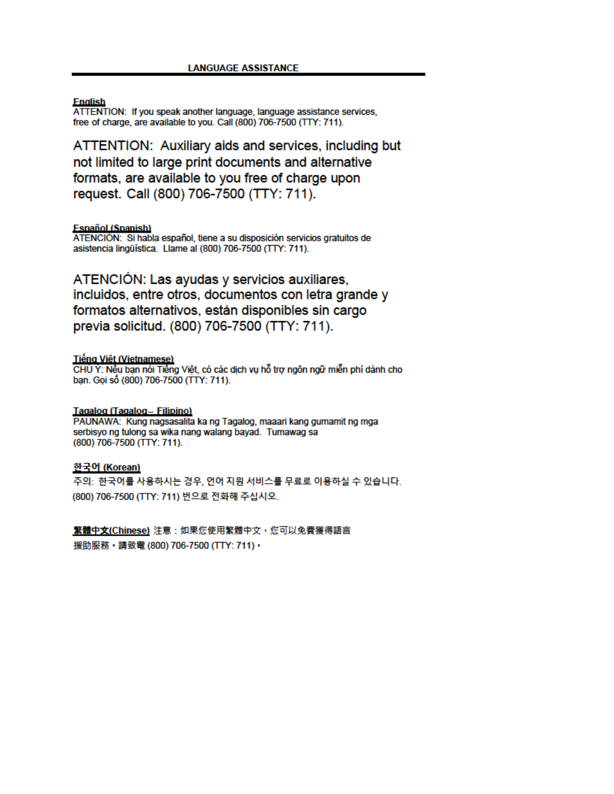### **Fnalish**

ATTENTION: If you speak another language, language assistance services, free of charge, are available to you. Call (800) 706-7500 (TTY: 711).

ATTENTION: Auxiliary aids and services, including but not limited to large print documents and alternative formats, are available to you free of charge upon request. Call (800) 706-7500 (TTY: 711).

### **Español (Spanish)**

ATENCIÓN: Si habla español, tiene a su disposición servicios gratuitos de asistencia lingüística. Llame al (800) 706-7500 (TTY: 711).

ATENCIÓN: Las ayudas y servicios auxiliares, incluidos, entre otros, documentos con letra grande y formatos alternativos, están disponibles sin cargo previa solicitud. (800) 706-7500 (TTY: 711).

### **Tiếna Việt (Vietnamese)**

CHỦ Ý: Nếu bạn nói Tiếng Việt, có các dịch vụ hỗ trợ ngôn ngữ miễn phí dành cho bạn. Gọi số (800) 706-7500 (TTY: 711).

### Tagalog (Tagalog - Filipino)

PAUNAWA: Kung nagsasalita ka ng Tagalog, maaari kang gumamit ng mga serbisyo ng tulong sa wika nang walang bayad. Tumawag sa (800) 706-7500 (TTY: 711).

### <u>한국어 (Korean)</u>

주의: 한국어를 사용하시는 경우, 언어 지원 서비스를 무료로 이용하실 수 있습니다. (800) 706-7500 (TTY: 711) 번으로 전화해 주십시오.

# <mark>繁體中文(Chinese)</mark> 注意:如果您使用繁體中文,您可以免費獲得語言

援助服務·請致電 (800) 706-7500 (TTY: 711) ·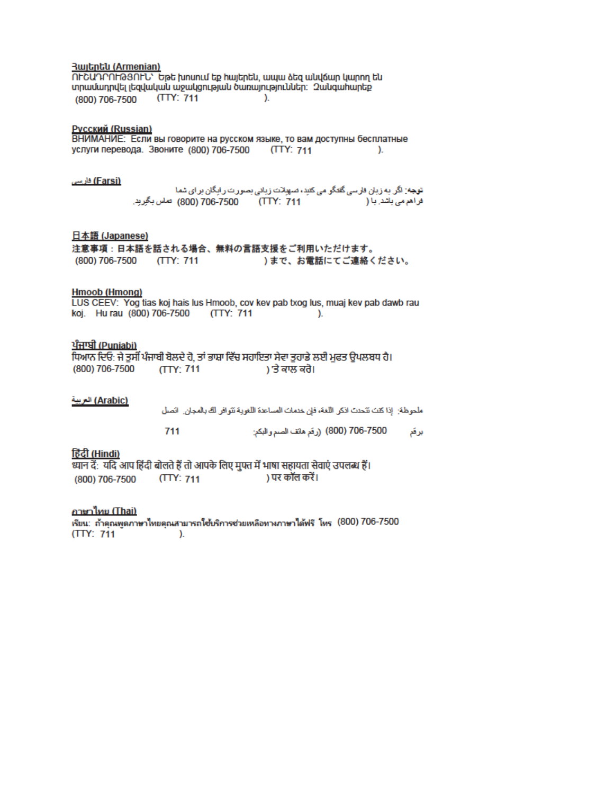### **RuitEntlu (Armenian)**

**OLCUJ POLOGIL DISPONSITY** by talenting the huight of the mand the product of the United States of the United Sta տրամադրվել լեզվական աջակցության ծառայություններ։ Ձանգահարեք (800) 706-7500 (TTY: 711  $\lambda$ 

### **Русский (Russian)**

ВНИМАНИЕ: Если вы говорите на русском языке, то вам доступны бесплатные услуги перевода. Звоните (800) 706-7500 (TTY: 711  $\mathcal{L}$ 

### (Farsi) فارسی

توجه: اگر به زبان فارسی گفتگو می کنند، صهرلات زبانی بصورت رایگان برای شما . TTY: 711) 706-7500 (800) ماس بگريد. فراهم می باشد. با (

### 日本語 (Japanese)

注意事項:日本語を話される場合、無料の言語支援をご利用いただけます。 (800) 706-7500 (TTY: 711 )まで、お電話にてご連絡ください。

### **Hmoob (Hmong)**

LUS CEEV: Yog tias koj hais lus Hmoob, cov kev pab txog lus, muaj kev pab dawb rau koj. Hu rau (800) 706-7500 (TTY: 711  $\mathcal{L}$ 

### <u>ਪੰਜਾਬੀ (Puniabi)</u>

ਧਿਆਨ ਦਿਓ: ਜੇ ਤਸੀਂ ਪੰਜਾਬੀ ਬੋਲਦੇ ਹੋ, ਤਾਂ ਭਾਸ਼ਾ ਵਿੱਚ ਸਹਾਇਤਾ ਸੇਵਾ ਤਹਾਡੇ ਲਈ ਮਫਤ ਉਪਲਬਧ ਹੈ। (800) 706-7500 (TTY: 711 ) 'ਤੇ ਕਾਲ ਕਰੋ।

### (Arabic) العربية

ملحوظة: إذا كنت تتحدث اذكر اللغة، فإن خدمات المساعدة اللغوية تتوافر لك بالمجان. اتصل

706-7500 (800) (رقم هاتف الصم والبكم: 711 يرقم

### हिंदी (Hindi)

ध्यान दें: यदि आप हिंदी बोलते हैं तो आपके लिए मुफ्त में भाषा सहायता सेवाएं उपलब्ध हैं। ) पर कॉल करें। (800) 706-7500  $(TTY: 711$ 

### <u>ภาษาไทย (Thai)</u>

เรียน: ถ้าคุณพูดภาษาไทยคุณสามารถใช้บริการช่วยเหลือทางภาษาได้ฟรี โทร (800) 706-7500  $(TTY: 711$  $\lambda$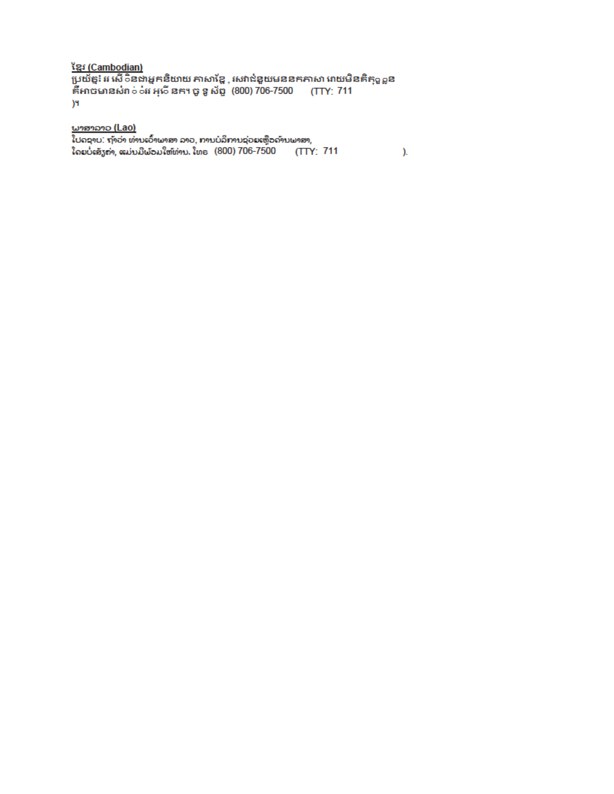ใຊะ (Cambodian) -<u>w-rounnoonany</u><br>ប្រយ័ត្ន៖ រេ សើទិនជាអ្នកនិយាយ ភាសាខ្លែ , សេវាជំនួយមននកភាសា រោយមិនគិតុទួ*ន*<br>គឺអាចមានសំវាត់តំរេ អុចើ នក។ ចូ ទូ ស័ព្ទ (800) 706-7500 (TTY: 711  $)$ ٩

<u>ພາສາລາວ (Lao)</u><br>ໂປດຊາບ: ຖ້າວ່າ ທ່ານເວົ້າພາສາ ລາວ, ການບໍລິການຊ່ວຍເຫຼືອດຳນພາສາ, ໂດຍບໍ່ເສັງຄ່າ, ແມ່ນມີພັວມໃຫ້ທ່ານ. ໂທຣ (800) 706-7500 (TTY: 711

 $\mathcal{L}$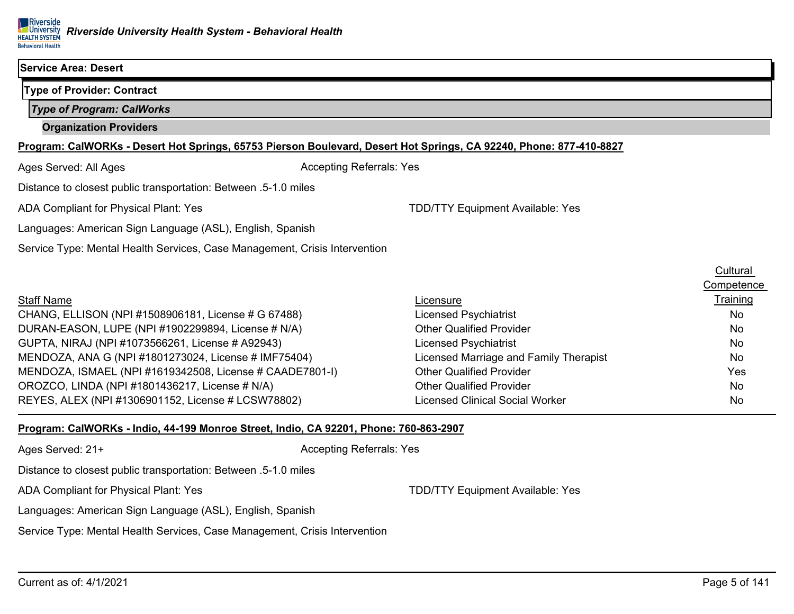### **Service Area: Desert**

# **Type of Provider: Contract**

*Type of Program: CalWorks*

## **Organization Providers**

### **Program: CalWORKs - Desert Hot Springs, 65753 Pierson Boulevard, Desert Hot Springs, CA 92240, Phone: 877-410-8827**

| Ages Served: All Ages                                                      | <b>Accepting Referrals: Yes</b>         |
|----------------------------------------------------------------------------|-----------------------------------------|
| Distance to closest public transportation: Between .5-1.0 miles            |                                         |
| ADA Compliant for Physical Plant: Yes                                      | <b>TDD/TTY Equipment Available: Yes</b> |
| Languages: American Sign Language (ASL), English, Spanish                  |                                         |
| Service Type: Mental Health Services, Case Management, Crisis Intervention |                                         |
|                                                                            |                                         |

| Competence<br>Training<br><b>Staff Name</b><br>Licensure                                              |  |
|-------------------------------------------------------------------------------------------------------|--|
|                                                                                                       |  |
|                                                                                                       |  |
| CHANG, ELLISON (NPI #1508906181, License # G 67488)<br><b>Licensed Psychiatrist</b><br><b>No</b>      |  |
| DURAN-EASON, LUPE (NPI #1902299894, License # N/A)<br><b>Other Qualified Provider</b><br>No           |  |
| GUPTA, NIRAJ (NPI #1073566261, License # A92943)<br><b>No</b><br><b>Licensed Psychiatrist</b>         |  |
| MENDOZA, ANA G (NPI #1801273024, License # IMF75404)<br>Licensed Marriage and Family Therapist<br>No. |  |
| MENDOZA, ISMAEL (NPI #1619342508, License # CAADE7801-I)<br>Yes<br><b>Other Qualified Provider</b>    |  |
| OROZCO, LINDA (NPI #1801436217, License # N/A)<br>N <sub>o</sub><br><b>Other Qualified Provider</b>   |  |
| REYES, ALEX (NPI #1306901152, License # LCSW78802)<br>No.<br><b>Licensed Clinical Social Worker</b>   |  |

## **Program: CalWORKs - Indio, 44-199 Monroe Street, Indio, CA 92201, Phone: 760-863-2907**

Ages Served: 21+ Accepting Referrals: Yes

Distance to closest public transportation: Between .5-1.0 miles

Languages: American Sign Language (ASL), English, Spanish

Service Type: Mental Health Services, Case Management, Crisis Intervention

**Cultural** 

ADA Compliant for Physical Plant: Yes TDD/TTY Equipment Available: Yes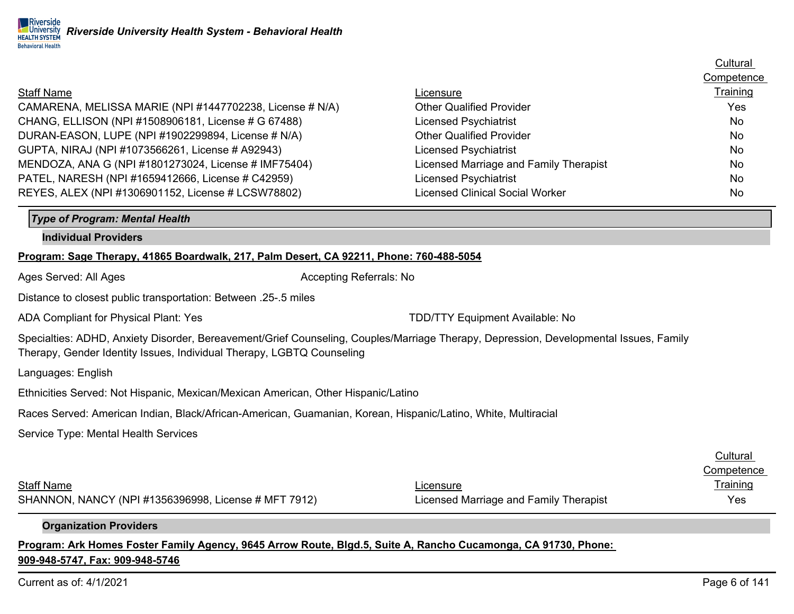|                                                          |                                        | Competence |
|----------------------------------------------------------|----------------------------------------|------------|
| <b>Staff Name</b>                                        | Licensure                              | Training   |
| CAMARENA, MELISSA MARIE (NPI #1447702238, License # N/A) | <b>Other Qualified Provider</b>        | Yes        |
| CHANG, ELLISON (NPI #1508906181, License # G 67488)      | <b>Licensed Psychiatrist</b>           | <b>No</b>  |
| DURAN-EASON, LUPE (NPI #1902299894, License # N/A)       | <b>Other Qualified Provider</b>        | <b>No</b>  |
| GUPTA, NIRAJ (NPI #1073566261, License # A92943)         | <b>Licensed Psychiatrist</b>           | No.        |
| MENDOZA, ANA G (NPI #1801273024, License # IMF75404)     | Licensed Marriage and Family Therapist | No         |
| PATEL, NARESH (NPI #1659412666, License # C42959)        | <b>Licensed Psychiatrist</b>           | <b>No</b>  |
| REYES, ALEX (NPI #1306901152, License # LCSW78802)       | <b>Licensed Clinical Social Worker</b> | No.        |
|                                                          |                                        |            |
| <b>Type of Program: Mental Health</b>                    |                                        |            |
|                                                          |                                        |            |

# **Individual Providers**

# **Program: Sage Therapy, 41865 Boardwalk, 217, Palm Desert, CA 92211, Phone: 760-488-5054**

Ages Served: All Ages Accepting Referrals: No

Distance to closest public transportation: Between .25-.5 miles

ADA Compliant for Physical Plant: Yes TEER TO AND ADA Compliant Available: No

Specialties: ADHD, Anxiety Disorder, Bereavement/Grief Counseling, Couples/Marriage Therapy, Depression, Developmental Issues, Family Therapy, Gender Identity Issues, Individual Therapy, LGBTQ Counseling

Languages: English

Ethnicities Served: Not Hispanic, Mexican/Mexican American, Other Hispanic/Latino

Races Served: American Indian, Black/African-American, Guamanian, Korean, Hispanic/Latino, White, Multiracial

Service Type: Mental Health Services

|                                                      |                                        | <b>Cultural</b>   |
|------------------------------------------------------|----------------------------------------|-------------------|
|                                                      |                                        | <b>Competence</b> |
| <b>Staff Name</b>                                    | Licensure                              | <u>Training</u>   |
| SHANNON, NANCY (NPI #1356396998, License # MFT 7912) | Licensed Marriage and Family Therapist | Yes               |

# **Organization Providers**

**Program: Ark Homes Foster Family Agency, 9645 Arrow Route, Blgd.5, Suite A, Rancho Cucamonga, CA 91730, Phone:** 

### **909-948-5747, Fax: 909-948-5746**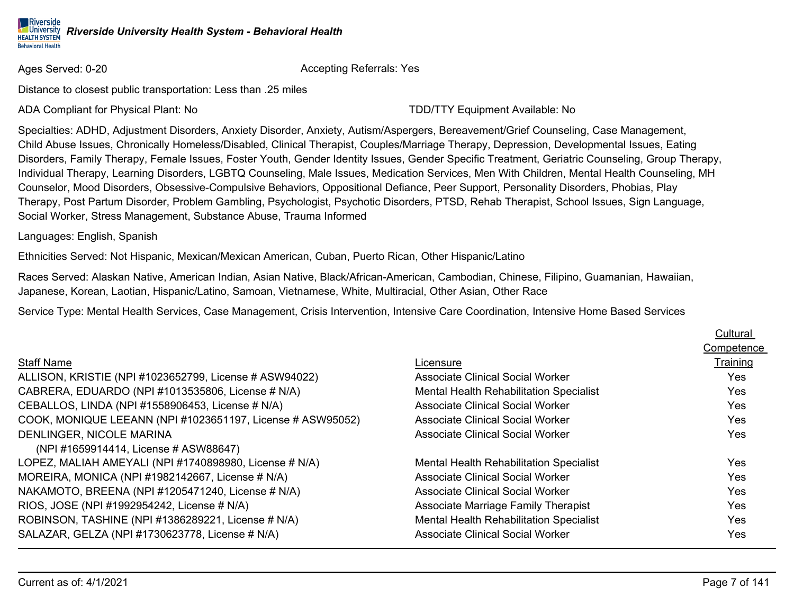# Ages Served: 0-20 **Accepting Referrals: Yes** Accepting Referrals: Yes

Distance to closest public transportation: Less than .25 miles

ADA Compliant for Physical Plant: No TDD/TTY Equipment Available: No

Specialties: ADHD, Adjustment Disorders, Anxiety Disorder, Anxiety, Autism/Aspergers, Bereavement/Grief Counseling, Case Management, Child Abuse Issues, Chronically Homeless/Disabled, Clinical Therapist, Couples/Marriage Therapy, Depression, Developmental Issues, Eating Disorders, Family Therapy, Female Issues, Foster Youth, Gender Identity Issues, Gender Specific Treatment, Geriatric Counseling, Group Therapy, Individual Therapy, Learning Disorders, LGBTQ Counseling, Male Issues, Medication Services, Men With Children, Mental Health Counseling, MH Counselor, Mood Disorders, Obsessive-Compulsive Behaviors, Oppositional Defiance, Peer Support, Personality Disorders, Phobias, Play Therapy, Post Partum Disorder, Problem Gambling, Psychologist, Psychotic Disorders, PTSD, Rehab Therapist, School Issues, Sign Language, Social Worker, Stress Management, Substance Abuse, Trauma Informed

Languages: English, Spanish

Ethnicities Served: Not Hispanic, Mexican/Mexican American, Cuban, Puerto Rican, Other Hispanic/Latino

Races Served: Alaskan Native, American Indian, Asian Native, Black/African-American, Cambodian, Chinese, Filipino, Guamanian, Hawaiian, Japanese, Korean, Laotian, Hispanic/Latino, Samoan, Vietnamese, White, Multiracial, Other Asian, Other Race

Service Type: Mental Health Services, Case Management, Crisis Intervention, Intensive Care Coordination, Intensive Home Based Services

|                                                            |                                         | Cultural   |
|------------------------------------------------------------|-----------------------------------------|------------|
|                                                            |                                         | Competence |
| <b>Staff Name</b>                                          | Licensure                               | Training   |
| ALLISON, KRISTIE (NPI #1023652799, License # ASW94022)     | <b>Associate Clinical Social Worker</b> | Yes        |
| CABRERA, EDUARDO (NPI #1013535806, License # N/A)          | Mental Health Rehabilitation Specialist | Yes        |
| CEBALLOS, LINDA (NPI #1558906453, License # N/A)           | <b>Associate Clinical Social Worker</b> | Yes        |
| COOK, MONIQUE LEEANN (NPI #1023651197, License # ASW95052) | Associate Clinical Social Worker        | Yes        |
| DENLINGER, NICOLE MARINA                                   | <b>Associate Clinical Social Worker</b> | Yes        |
| (NPI#1659914414, License # ASW88647)                       |                                         |            |
| LOPEZ, MALIAH AMEYALI (NPI #1740898980, License # N/A)     | Mental Health Rehabilitation Specialist | Yes.       |
| MOREIRA, MONICA (NPI#1982142667, License # N/A)            | Associate Clinical Social Worker        | Yes.       |
| NAKAMOTO, BREENA (NPI #1205471240, License # N/A)          | <b>Associate Clinical Social Worker</b> | Yes        |
| RIOS, JOSE (NPI #1992954242, License # N/A)                | Associate Marriage Family Therapist     | Yes        |
| ROBINSON, TASHINE (NPI #1386289221, License # N/A)         | Mental Health Rehabilitation Specialist | Yes        |
| SALAZAR, GELZA (NPI #1730623778, License # N/A)            | Associate Clinical Social Worker        | Yes        |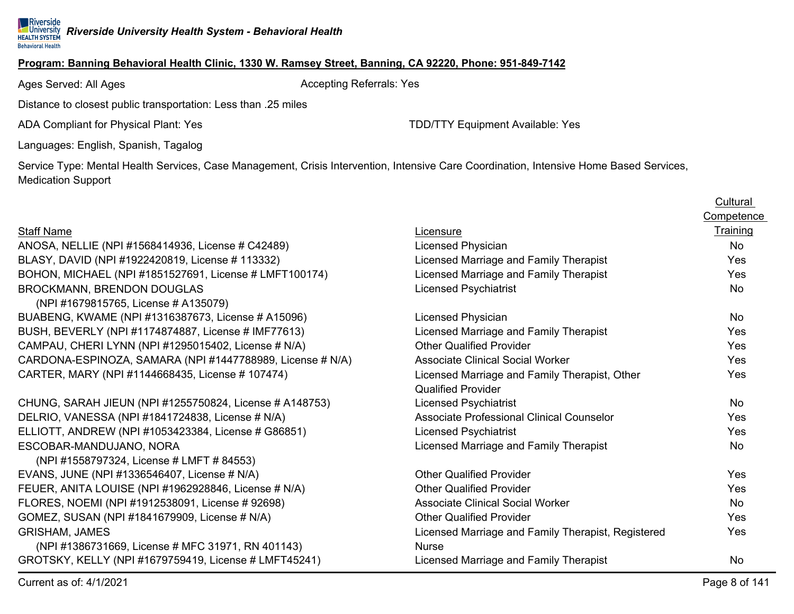## **Program: Banning Behavioral Health Clinic, 1330 W. Ramsey Street, Banning, CA 92220, Phone: 951-849-7142**

Ages Served: All Ages **Accepting Referrals: Yes** Accepting Referrals: Yes

Distance to closest public transportation: Less than .25 miles

ADA Compliant for Physical Plant: Yes TDD/TTY Equipment Available: Yes

Languages: English, Spanish, Tagalog

Service Type: Mental Health Services, Case Management, Crisis Intervention, Intensive Care Coordination, Intensive Home Based Services, Medication Support

| Staff Name |
|------------|
|            |

| <b>Staff Name</b>                                         | Licensure                                          | Training   |
|-----------------------------------------------------------|----------------------------------------------------|------------|
| ANOSA, NELLIE (NPI #1568414936, License # C42489)         | Licensed Physician                                 | <b>No</b>  |
| BLASY, DAVID (NPI #1922420819, License # 113332)          | Licensed Marriage and Family Therapist             | <b>Yes</b> |
| BOHON, MICHAEL (NPI #1851527691, License # LMFT100174)    | Licensed Marriage and Family Therapist             | Yes        |
| <b>BROCKMANN, BRENDON DOUGLAS</b>                         | <b>Licensed Psychiatrist</b>                       | No         |
| (NPI #1679815765, License # A135079)                      |                                                    |            |
| BUABENG, KWAME (NPI #1316387673, License # A15096)        | Licensed Physician                                 | <b>No</b>  |
| BUSH, BEVERLY (NPI #1174874887, License # IMF77613)       | Licensed Marriage and Family Therapist             | Yes        |
| CAMPAU, CHERI LYNN (NPI #1295015402, License # N/A)       | <b>Other Qualified Provider</b>                    | Yes        |
| CARDONA-ESPINOZA, SAMARA (NPI #1447788989, License # N/A) | <b>Associate Clinical Social Worker</b>            | Yes        |
| CARTER, MARY (NPI #1144668435, License # 107474)          | Licensed Marriage and Family Therapist, Other      | Yes        |
|                                                           | <b>Qualified Provider</b>                          |            |
| CHUNG, SARAH JIEUN (NPI #1255750824, License # A148753)   | <b>Licensed Psychiatrist</b>                       | <b>No</b>  |
| DELRIO, VANESSA (NPI #1841724838, License # N/A)          | Associate Professional Clinical Counselor          | Yes        |
| ELLIOTT, ANDREW (NPI #1053423384, License # G86851)       | <b>Licensed Psychiatrist</b>                       | Yes        |
| ESCOBAR-MANDUJANO, NORA                                   | Licensed Marriage and Family Therapist             | <b>No</b>  |
| (NPI #1558797324, License # LMFT # 84553)                 |                                                    |            |
| EVANS, JUNE (NPI #1336546407, License # N/A)              | <b>Other Qualified Provider</b>                    | Yes        |
| FEUER, ANITA LOUISE (NPI #1962928846, License # N/A)      | <b>Other Qualified Provider</b>                    | Yes        |
| FLORES, NOEMI (NPI #1912538091, License # 92698)          | <b>Associate Clinical Social Worker</b>            | No         |
| GOMEZ, SUSAN (NPI #1841679909, License # N/A)             | <b>Other Qualified Provider</b>                    | Yes        |
| <b>GRISHAM, JAMES</b>                                     | Licensed Marriage and Family Therapist, Registered | Yes        |
| (NPI#1386731669, License # MFC 31971, RN 401143)          | <b>Nurse</b>                                       |            |
| GROTSKY, KELLY (NPI #1679759419, License # LMFT45241)     | Licensed Marriage and Family Therapist             | No         |

**Cultural Competence**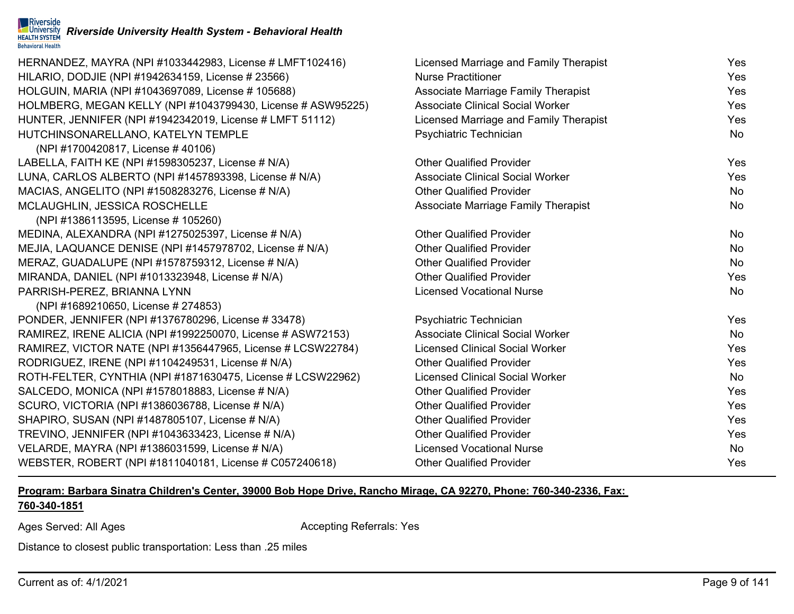| HERNANDEZ, MAYRA (NPI #1033442983, License # LMFT102416)    | Licensed Marriage and Family Therapist     | Yes       |
|-------------------------------------------------------------|--------------------------------------------|-----------|
| HILARIO, DODJIE (NPI #1942634159, License # 23566)          | <b>Nurse Practitioner</b>                  | Yes       |
| HOLGUIN, MARIA (NPI #1043697089, License # 105688)          | <b>Associate Marriage Family Therapist</b> | Yes       |
| HOLMBERG, MEGAN KELLY (NPI #1043799430, License # ASW95225) | <b>Associate Clinical Social Worker</b>    | Yes       |
| HUNTER, JENNIFER (NPI #1942342019, License # LMFT 51112)    | Licensed Marriage and Family Therapist     | Yes       |
| HUTCHINSONARELLANO, KATELYN TEMPLE                          | Psychiatric Technician                     | No.       |
| (NPI #1700420817, License #40106)                           |                                            |           |
| LABELLA, FAITH KE (NPI #1598305237, License # N/A)          | <b>Other Qualified Provider</b>            | Yes       |
| LUNA, CARLOS ALBERTO (NPI #1457893398, License # N/A)       | <b>Associate Clinical Social Worker</b>    | Yes       |
| MACIAS, ANGELITO (NPI #1508283276, License # N/A)           | <b>Other Qualified Provider</b>            | <b>No</b> |
| MCLAUGHLIN, JESSICA ROSCHELLE                               | <b>Associate Marriage Family Therapist</b> | No.       |
| (NPI #1386113595, License # 105260)                         |                                            |           |
| MEDINA, ALEXANDRA (NPI #1275025397, License # N/A)          | <b>Other Qualified Provider</b>            | No        |
| MEJIA, LAQUANCE DENISE (NPI #1457978702, License # N/A)     | <b>Other Qualified Provider</b>            | No        |
| MERAZ, GUADALUPE (NPI #1578759312, License # N/A)           | <b>Other Qualified Provider</b>            | <b>No</b> |
| MIRANDA, DANIEL (NPI #1013323948, License # N/A)            | <b>Other Qualified Provider</b>            | Yes       |
| PARRISH-PEREZ, BRIANNA LYNN                                 | <b>Licensed Vocational Nurse</b>           | No.       |
| (NPI#1689210650, License # 274853)                          |                                            |           |
| PONDER, JENNIFER (NPI #1376780296, License #33478)          | Psychiatric Technician                     | Yes       |
| RAMIREZ, IRENE ALICIA (NPI #1992250070, License # ASW72153) | <b>Associate Clinical Social Worker</b>    | No        |
| RAMIREZ, VICTOR NATE (NPI #1356447965, License # LCSW22784) | <b>Licensed Clinical Social Worker</b>     | Yes       |
| RODRIGUEZ, IRENE (NPI #1104249531, License # N/A)           | <b>Other Qualified Provider</b>            | Yes       |
| ROTH-FELTER, CYNTHIA (NPI #1871630475, License # LCSW22962) | <b>Licensed Clinical Social Worker</b>     | <b>No</b> |
| SALCEDO, MONICA (NPI #1578018883, License # N/A)            | <b>Other Qualified Provider</b>            | Yes       |
| SCURO, VICTORIA (NPI #1386036788, License # N/A)            | <b>Other Qualified Provider</b>            | Yes       |
| SHAPIRO, SUSAN (NPI #1487805107, License # N/A)             | <b>Other Qualified Provider</b>            | Yes       |
| TREVINO, JENNIFER (NPI #1043633423, License # N/A)          | <b>Other Qualified Provider</b>            | Yes       |
| VELARDE, MAYRA (NPI #1386031599, License # N/A)             | <b>Licensed Vocational Nurse</b>           | No        |
| WEBSTER, ROBERT (NPI #1811040181, License # C057240618)     | <b>Other Qualified Provider</b>            | Yes       |

# **Program: Barbara Sinatra Children's Center, 39000 Bob Hope Drive, Rancho Mirage, CA 92270, Phone: 760-340-2336, Fax:**

# **760-340-1851**

Ages Served: All Ages **Accepting Referrals: Yes** Accepting Referrals: Yes

Distance to closest public transportation: Less than .25 miles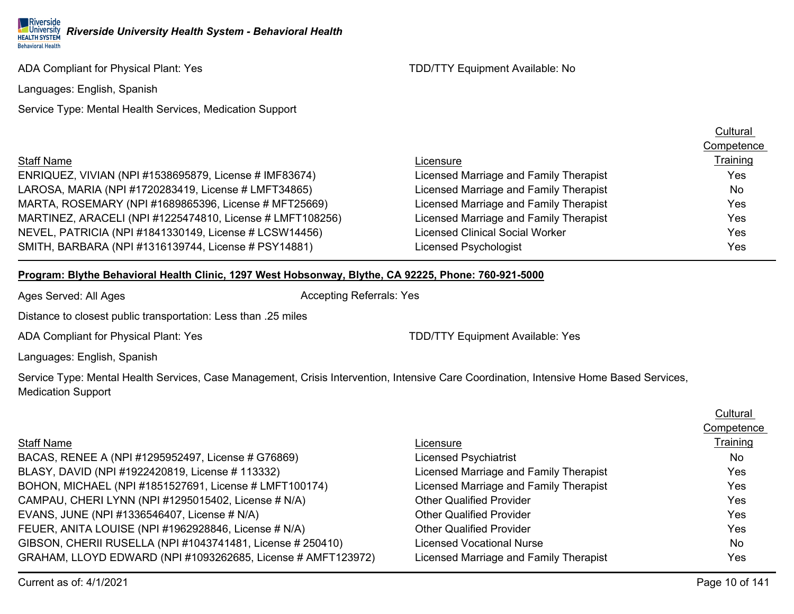ADA Compliant for Physical Plant: Yes TDD/TTY Equipment Available: No

Languages: English, Spanish

Service Type: Mental Health Services, Medication Support

|                                        | Cultural   |
|----------------------------------------|------------|
|                                        | Competence |
| Licensure                              | Training   |
| Licensed Marriage and Family Therapist | Yes        |
| Licensed Marriage and Family Therapist | No.        |
| Licensed Marriage and Family Therapist | Yes        |
| Licensed Marriage and Family Therapist | Yes        |
| <b>Licensed Clinical Social Worker</b> | Yes        |
| <b>Licensed Psychologist</b>           | Yes        |
|                                        |            |

# **Program: Blythe Behavioral Health Clinic, 1297 West Hobsonway, Blythe, CA 92225, Phone: 760-921-5000**

| Ages Served: All Ages | <b>Accepting Referrals: Yes</b> |
|-----------------------|---------------------------------|
|                       |                                 |

Distance to closest public transportation: Less than .25 miles

ADA Compliant for Physical Plant: Yes TDD/TTY Equipment Available: Yes

Languages: English, Spanish

Service Type: Mental Health Services, Case Management, Crisis Intervention, Intensive Care Coordination, Intensive Home Based Services, Medication Support

|                                                              |                                        | Competence |
|--------------------------------------------------------------|----------------------------------------|------------|
| <b>Staff Name</b>                                            | Licensure                              | Training   |
| BACAS, RENEE A (NPI #1295952497, License # G76869)           | <b>Licensed Psychiatrist</b>           | <b>No</b>  |
| BLASY, DAVID (NPI #1922420819, License # 113332)             | Licensed Marriage and Family Therapist | Yes        |
| BOHON, MICHAEL (NPI #1851527691, License # LMFT100174)       | Licensed Marriage and Family Therapist | <b>Yes</b> |
| CAMPAU, CHERI LYNN (NPI #1295015402, License # N/A)          | <b>Other Qualified Provider</b>        | <b>Yes</b> |
| EVANS, JUNE (NPI #1336546407, License # N/A)                 | <b>Other Qualified Provider</b>        | <b>Yes</b> |
| FEUER, ANITA LOUISE (NPI #1962928846, License # N/A)         | <b>Other Qualified Provider</b>        | Yes        |
| GIBSON, CHERII RUSELLA (NPI #1043741481, License # 250410)   | <b>Licensed Vocational Nurse</b>       | <b>No</b>  |
| GRAHAM, LLOYD EDWARD (NPI #1093262685, License # AMFT123972) | Licensed Marriage and Family Therapist | Yes        |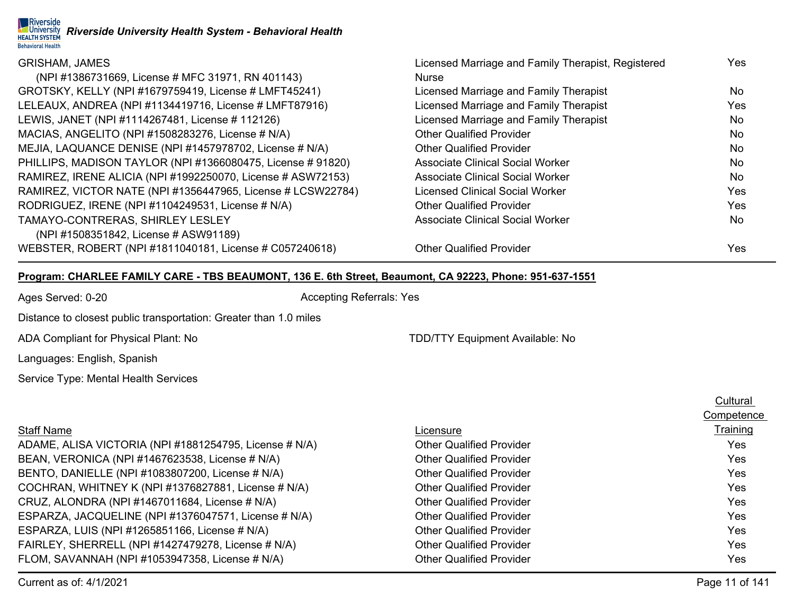# GRISHAM, JAMES

| (NPI#1386731669, License # MFC 31971, RN 401143)            | <b>Nurse</b>                            |      |
|-------------------------------------------------------------|-----------------------------------------|------|
| GROTSKY, KELLY (NPI #1679759419, License # LMFT45241)       | Licensed Marriage and Family Therapist  | No.  |
| LELEAUX, ANDREA (NPI #1134419716, License # LMFT87916)      | Licensed Marriage and Family Therapist  | Yes. |
| LEWIS, JANET (NPI #1114267481, License # 112126)            | Licensed Marriage and Family Therapist  | No   |
| MACIAS, ANGELITO (NPI #1508283276, License # N/A)           | <b>Other Qualified Provider</b>         | No.  |
| MEJIA, LAQUANCE DENISE (NPI #1457978702, License # N/A)     | <b>Other Qualified Provider</b>         | No   |
| PHILLIPS, MADISON TAYLOR (NPI #1366080475, License # 91820) | <b>Associate Clinical Social Worker</b> | No.  |
| RAMIREZ, IRENE ALICIA (NPI #1992250070, License # ASW72153) | <b>Associate Clinical Social Worker</b> | No.  |
| RAMIREZ, VICTOR NATE (NPI #1356447965, License # LCSW22784) | <b>Licensed Clinical Social Worker</b>  | Yes  |
| RODRIGUEZ, IRENE (NPI #1104249531, License # N/A)           | <b>Other Qualified Provider</b>         | Yes. |
| TAMAYO-CONTRERAS, SHIRLEY LESLEY                            | <b>Associate Clinical Social Worker</b> | No.  |
| (NPI #1508351842, License # ASW91189)                       |                                         |      |
| WEBSTER, ROBERT (NPI #1811040181, License # C057240618)     | <b>Other Qualified Provider</b>         | Yes  |
|                                                             |                                         |      |

Licensed Marriage and Family Therapist, Registered Yes

# **Program: CHARLEE FAMILY CARE - TBS BEAUMONT, 136 E. 6th Street, Beaumont, CA 92223, Phone: 951-637-1551**

Ages Served: 0-20 **Accepting Referrals: Yes** Accepting Referrals: Yes

Distance to closest public transportation: Greater than 1.0 miles

ADA Compliant for Physical Plant: No TDD/TTY Equipment Available: No

Languages: English, Spanish

Service Type: Mental Health Services

# Staff Name Licensure Training ADAME, ALISA VICTORIA (NPI #1881254795, License # N/A) Other Qualified Provider Veston ALISA VICTORIA (NPI #1881254795, License # N/A) BEAN, VERONICA (NPI #1467623538, License # N/A) Cher Qualified Provider The Context of the Ves BENTO, DANIELLE (NPI #1083807200, License # N/A) Cher Qualified Provider Veston Data Controller Veston Data Controller COCHRAN, WHITNEY K (NPI #1376827881, License # N/A) Other Qualified Provider Ves CRUZ, ALONDRA (NPI #1467011684, License # N/A) Cher Qualified Provider CHUZ, ALONDRA (NPI #1467011684, License # N/A) ESPARZA, JACQUELINE (NPI #1376047571, License # N/A) Other Qualified Provider Ves ESPARZA, LUIS (NPI #1265851166, License # N/A) Cher Qualified Provider Cualified Provider Ves FAIRLEY, SHERRELL (NPI #1427479278, License # N/A) Other Qualified Provider Vest Communication of the Vest Vest FLOM, SAVANNAH (NPI #1053947358, License # N/A) Other Qualified Provider Yes

Current as of: 4/1/2021 Page 11 of 141

**Cultural Competence**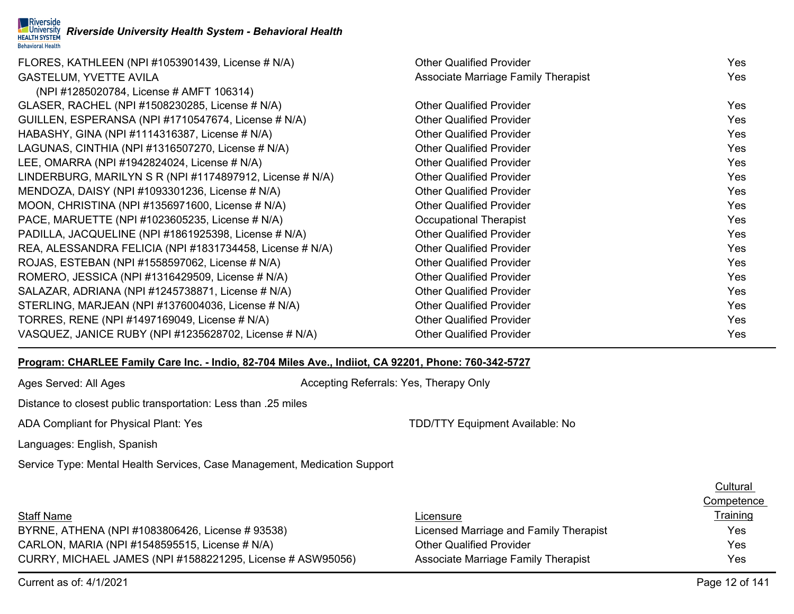| FLORES, KATHLEEN (NPI #1053901439, License # N/A)        | <b>Other Qualified Provider</b>     | Yes        |
|----------------------------------------------------------|-------------------------------------|------------|
| <b>GASTELUM, YVETTE AVILA</b>                            | Associate Marriage Family Therapist | Yes        |
| (NPI #1285020784, License # AMFT 106314)                 |                                     |            |
| GLASER, RACHEL (NPI #1508230285, License # N/A)          | <b>Other Qualified Provider</b>     | Yes        |
| GUILLEN, ESPERANSA (NPI #1710547674, License # N/A)      | <b>Other Qualified Provider</b>     | Yes        |
| HABASHY, GINA (NPI #1114316387, License # N/A)           | <b>Other Qualified Provider</b>     | Yes        |
| LAGUNAS, CINTHIA (NPI #1316507270, License # N/A)        | <b>Other Qualified Provider</b>     | Yes        |
| LEE, OMARRA (NPI #1942824024, License # N/A)             | <b>Other Qualified Provider</b>     | Yes        |
| LINDERBURG, MARILYN S R (NPI #1174897912, License # N/A) | <b>Other Qualified Provider</b>     | Yes        |
| MENDOZA, DAISY (NPI #1093301236, License # N/A)          | <b>Other Qualified Provider</b>     | Yes        |
| MOON, CHRISTINA (NPI #1356971600, License # N/A)         | <b>Other Qualified Provider</b>     | Yes        |
| PACE, MARUETTE (NPI #1023605235, License # N/A)          | Occupational Therapist              | Yes        |
| PADILLA, JACQUELINE (NPI #1861925398, License # N/A)     | <b>Other Qualified Provider</b>     | Yes        |
| REA, ALESSANDRA FELICIA (NPI #1831734458, License # N/A) | <b>Other Qualified Provider</b>     | <b>Yes</b> |
| ROJAS, ESTEBAN (NPI #1558597062, License # N/A)          | <b>Other Qualified Provider</b>     | Yes        |
| ROMERO, JESSICA (NPI #1316429509, License # N/A)         | <b>Other Qualified Provider</b>     | Yes        |
| SALAZAR, ADRIANA (NPI #1245738871, License # N/A)        | <b>Other Qualified Provider</b>     | Yes        |
| STERLING, MARJEAN (NPI #1376004036, License # N/A)       | <b>Other Qualified Provider</b>     | Yes        |
| TORRES, RENE (NPI #1497169049, License # N/A)            | <b>Other Qualified Provider</b>     | Yes        |
| VASQUEZ, JANICE RUBY (NPI #1235628702, License # N/A)    | <b>Other Qualified Provider</b>     | Yes        |

**Program: CHARLEE Family Care Inc. - Indio, 82-704 Miles Ave., Indiiot, CA 92201, Phone: 760-342-5727**

Ages Served: All Ages Accepting Referrals: Yes, Therapy Only

Distance to closest public transportation: Less than .25 miles

ADA Compliant for Physical Plant: Yes TDD/TTY Equipment Available: No

Languages: English, Spanish

Service Type: Mental Health Services, Case Management, Medication Support

|                                                            |                                        | <b>OUTTNULLUD</b> |
|------------------------------------------------------------|----------------------------------------|-------------------|
| <b>Staff Name</b>                                          | Licensure                              | <u>Training</u>   |
| BYRNE, ATHENA (NPI #1083806426, License # 93538)           | Licensed Marriage and Family Therapist | Yes               |
| CARLON, MARIA (NPI #1548595515, License # N/A)             | <b>Other Qualified Provider</b>        | Yes               |
| CURRY, MICHAEL JAMES (NPI #1588221295, License # ASW95056) | Associate Marriage Family Therapist    | Yes               |

Current as of: 4/1/2021 Page 12 of 141

**Cultural** Competence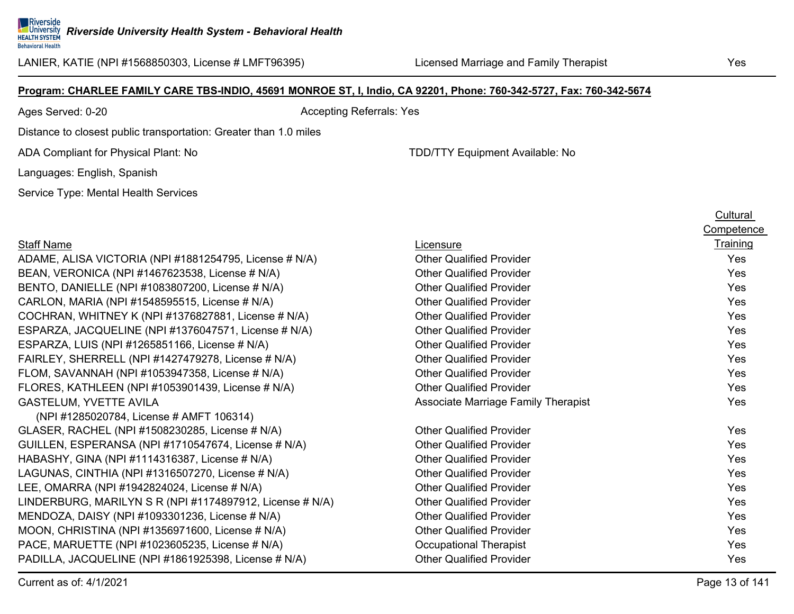# **Program: CHARLEE FAMILY CARE TBS-INDIO, 45691 MONROE ST, I, Indio, CA 92201, Phone: 760-342-5727, Fax: 760-342-5674**

Ages Served: 0-20 **Accepting Referrals: Yes** Accepting Referrals: Yes

Distance to closest public transportation: Greater than 1.0 miles

ADA Compliant for Physical Plant: No TOD/TTY Equipment Available: No

Languages: English, Spanish

Service Type: Mental Health Services

|                                                          |                                            | <b>Cultural</b> |
|----------------------------------------------------------|--------------------------------------------|-----------------|
|                                                          |                                            | Competence      |
| <b>Staff Name</b>                                        | Licensure                                  | Training        |
| ADAME, ALISA VICTORIA (NPI #1881254795, License # N/A)   | <b>Other Qualified Provider</b>            | Yes             |
| BEAN, VERONICA (NPI #1467623538, License # N/A)          | <b>Other Qualified Provider</b>            | Yes             |
| BENTO, DANIELLE (NPI #1083807200, License # N/A)         | <b>Other Qualified Provider</b>            | Yes             |
| CARLON, MARIA (NPI #1548595515, License # N/A)           | <b>Other Qualified Provider</b>            | Yes             |
| COCHRAN, WHITNEY K (NPI #1376827881, License # N/A)      | <b>Other Qualified Provider</b>            | Yes             |
| ESPARZA, JACQUELINE (NPI #1376047571, License # N/A)     | <b>Other Qualified Provider</b>            | Yes             |
| ESPARZA, LUIS (NPI #1265851166, License # N/A)           | <b>Other Qualified Provider</b>            | Yes             |
| FAIRLEY, SHERRELL (NPI #1427479278, License # N/A)       | <b>Other Qualified Provider</b>            | Yes             |
| FLOM, SAVANNAH (NPI #1053947358, License # N/A)          | <b>Other Qualified Provider</b>            | Yes             |
| FLORES, KATHLEEN (NPI #1053901439, License # N/A)        | <b>Other Qualified Provider</b>            | Yes             |
| <b>GASTELUM, YVETTE AVILA</b>                            | <b>Associate Marriage Family Therapist</b> | Yes             |
| (NPI #1285020784, License # AMFT 106314)                 |                                            |                 |
| GLASER, RACHEL (NPI #1508230285, License # N/A)          | <b>Other Qualified Provider</b>            | Yes             |
| GUILLEN, ESPERANSA (NPI #1710547674, License # N/A)      | <b>Other Qualified Provider</b>            | Yes             |
| HABASHY, GINA (NPI #1114316387, License # N/A)           | <b>Other Qualified Provider</b>            | <b>Yes</b>      |
| LAGUNAS, CINTHIA (NPI #1316507270, License # N/A)        | <b>Other Qualified Provider</b>            | <b>Yes</b>      |
| LEE, OMARRA (NPI #1942824024, License # N/A)             | <b>Other Qualified Provider</b>            | Yes             |
| LINDERBURG, MARILYN S R (NPI #1174897912, License # N/A) | <b>Other Qualified Provider</b>            | <b>Yes</b>      |
| MENDOZA, DAISY (NPI #1093301236, License # N/A)          | <b>Other Qualified Provider</b>            | <b>Yes</b>      |
| MOON, CHRISTINA (NPI #1356971600, License # N/A)         | <b>Other Qualified Provider</b>            | <b>Yes</b>      |
| PACE, MARUETTE (NPI #1023605235, License # N/A)          | <b>Occupational Therapist</b>              | Yes             |
| PADILLA, JACQUELINE (NPI #1861925398, License # N/A)     | <b>Other Qualified Provider</b>            | Yes             |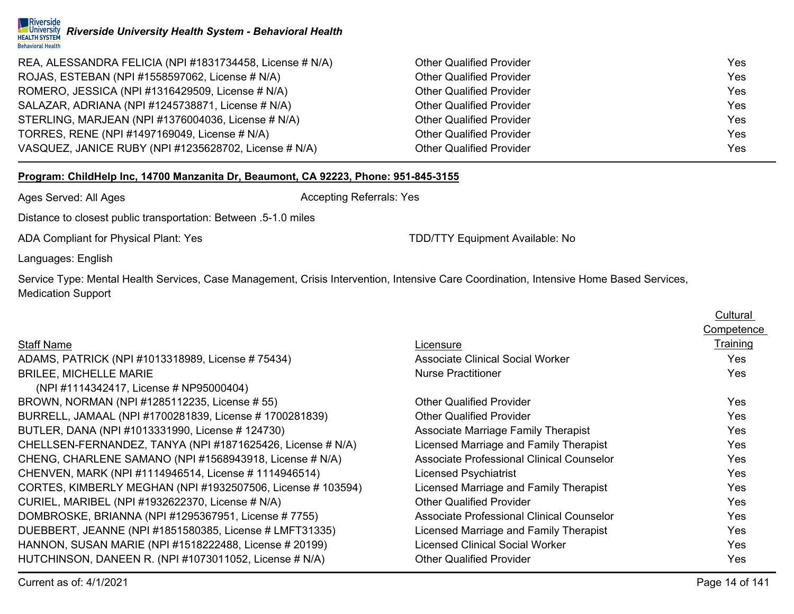

| REA, ALESSANDRA FELICIA (NPI #1831734458, License # N/A) | <b>Other Qualified Provider</b> | Yes        |
|----------------------------------------------------------|---------------------------------|------------|
| ROJAS, ESTEBAN (NPI #1558597062, License # N/A)          | <b>Other Qualified Provider</b> | Yes        |
| ROMERO, JESSICA (NPI #1316429509, License # N/A)         | <b>Other Qualified Provider</b> | Yes        |
| SALAZAR, ADRIANA (NPI #1245738871, License # N/A)        | <b>Other Qualified Provider</b> | <b>Yes</b> |
| STERLING, MARJEAN (NPI #1376004036, License # N/A)       | <b>Other Qualified Provider</b> | <b>Yes</b> |
| TORRES, RENE (NPI #1497169049, License # N/A)            | <b>Other Qualified Provider</b> | <b>Yes</b> |
| VASQUEZ, JANICE RUBY (NPI #1235628702, License # N/A)    | <b>Other Qualified Provider</b> | <b>Yes</b> |

### **Program: ChildHelp Inc, 14700 Manzanita Dr, Beaumont, CA 92223, Phone: 951-845-3155**

Ages Served: All Ages **Accepting Referrals: Yes** Accepting Referrals: Yes

Distance to closest public transportation: Between .5-1.0 miles

ADA Compliant for Physical Plant: Yes TDD/TTY Equipment Available: No

Languages: English

Service Type: Mental Health Services, Case Management, Crisis Intervention, Intensive Care Coordination, Intensive Home Based Services, Medication Support

|                                                             |                                           | <b>Cultural</b> |
|-------------------------------------------------------------|-------------------------------------------|-----------------|
|                                                             |                                           | Competence      |
| <b>Staff Name</b>                                           | Licensure                                 | Training        |
| ADAMS, PATRICK (NPI #1013318989, License # 75434)           | Associate Clinical Social Worker          | <b>Yes</b>      |
| <b>BRILEE, MICHELLE MARIE</b>                               | <b>Nurse Practitioner</b>                 | <b>Yes</b>      |
| (NPI #1114342417, License # NP95000404)                     |                                           |                 |
| BROWN, NORMAN (NPI #1285112235, License # 55)               | <b>Other Qualified Provider</b>           | <b>Yes</b>      |
| BURRELL, JAMAAL (NPI #1700281839, License # 1700281839)     | <b>Other Qualified Provider</b>           | <b>Yes</b>      |
| BUTLER, DANA (NPI #1013331990, License # 124730)            | Associate Marriage Family Therapist       | Yes             |
| CHELLSEN-FERNANDEZ, TANYA (NPI #1871625426, License # N/A)  | Licensed Marriage and Family Therapist    | Yes             |
| CHENG, CHARLENE SAMANO (NPI #1568943918, License # N/A)     | Associate Professional Clinical Counselor | Yes             |
| CHENVEN, MARK (NPI #1114946514, License #1114946514)        | <b>Licensed Psychiatrist</b>              | Yes             |
| CORTES, KIMBERLY MEGHAN (NPI #1932507506, License # 103594) | Licensed Marriage and Family Therapist    | Yes             |
| CURIEL, MARIBEL (NPI #1932622370, License # N/A)            | <b>Other Qualified Provider</b>           | Yes             |
| DOMBROSKE, BRIANNA (NPI#1295367951, License #7755)          | Associate Professional Clinical Counselor | Yes             |
| DUEBBERT, JEANNE (NPI #1851580385, License # LMFT31335)     | Licensed Marriage and Family Therapist    | Yes             |
| HANNON, SUSAN MARIE (NPI #1518222488, License # 20199)      | <b>Licensed Clinical Social Worker</b>    | Yes             |
| HUTCHINSON, DANEEN R. (NPI #1073011052, License # N/A)      | <b>Other Qualified Provider</b>           | Yes             |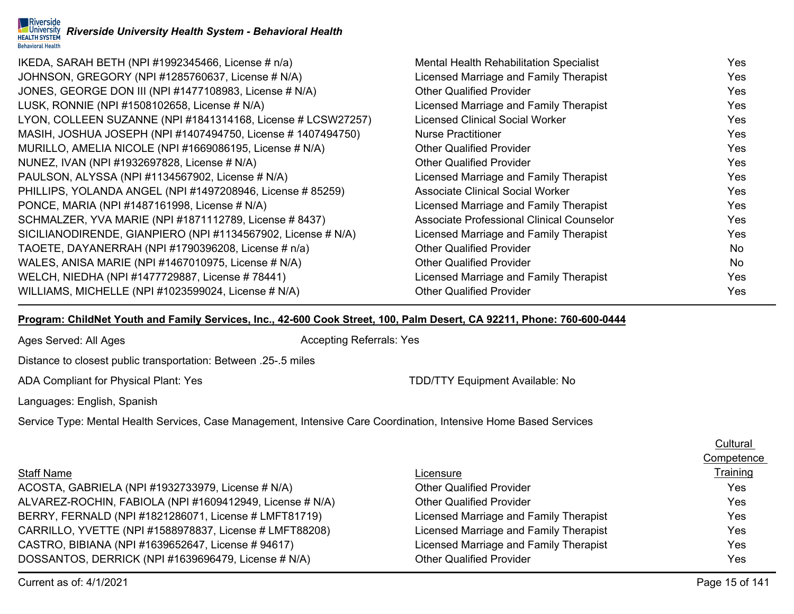

| IKEDA, SARAH BETH (NPI #1992345466, License # n/a)           | Mental Health Rehabilitation Specialist   | Yes: |
|--------------------------------------------------------------|-------------------------------------------|------|
| JOHNSON, GREGORY (NPI #1285760637, License # N/A)            | Licensed Marriage and Family Therapist    | Yes: |
| JONES, GEORGE DON III (NPI #1477108983, License # N/A)       | <b>Other Qualified Provider</b>           | Yes: |
| LUSK, RONNIE (NPI #1508102658, License # N/A)                | Licensed Marriage and Family Therapist    | Yes: |
| LYON, COLLEEN SUZANNE (NPI #1841314168, License # LCSW27257) | <b>Licensed Clinical Social Worker</b>    | Yes. |
| MASIH, JOSHUA JOSEPH (NPI #1407494750, License #1407494750)  | <b>Nurse Practitioner</b>                 | Yes  |
| MURILLO, AMELIA NICOLE (NPI #1669086195, License # N/A)      | <b>Other Qualified Provider</b>           | Yes  |
| NUNEZ, IVAN (NPI #1932697828, License # N/A)                 | <b>Other Qualified Provider</b>           | Yes  |
| PAULSON, ALYSSA (NPI #1134567902, License # N/A)             | Licensed Marriage and Family Therapist    | Yes. |
| PHILLIPS, YOLANDA ANGEL (NPI #1497208946, License # 85259)   | Associate Clinical Social Worker          | Yes  |
| PONCE, MARIA (NPI #1487161998, License # N/A)                | Licensed Marriage and Family Therapist    | Yes  |
| SCHMALZER, YVA MARIE (NPI #1871112789, License # 8437)       | Associate Professional Clinical Counselor | Yes  |
| SICILIANODIRENDE, GIANPIERO (NPI#1134567902, License # N/A)  | Licensed Marriage and Family Therapist    | Yes  |
| TAOETE, DAYANERRAH (NPI #1790396208, License # n/a)          | <b>Other Qualified Provider</b>           | No.  |
| WALES, ANISA MARIE (NPI #1467010975, License # N/A)          | <b>Other Qualified Provider</b>           | No.  |
| WELCH, NIEDHA (NPI #1477729887, License #78441)              | Licensed Marriage and Family Therapist    | Yes. |
| WILLIAMS, MICHELLE (NPI #1023599024, License # N/A)          | <b>Other Qualified Provider</b>           | Yes. |

# **Program: ChildNet Youth and Family Services, Inc., 42-600 Cook Street, 100, Palm Desert, CA 92211, Phone: 760-600-0444**

Ages Served: All Ages **Accepting Referrals: Yes** Accepting Referrals: Yes

Distance to closest public transportation: Between .25-.5 miles

ADA Compliant for Physical Plant: Yes TDD/TTY Equipment Available: No

Languages: English, Spanish

Service Type: Mental Health Services, Case Management, Intensive Care Coordination, Intensive Home Based Services

|                                                          |                                        | Cultural        |
|----------------------------------------------------------|----------------------------------------|-----------------|
|                                                          |                                        | Competence      |
| <b>Staff Name</b>                                        | Licensure                              | <b>Training</b> |
| ACOSTA, GABRIELA (NPI #1932733979, License # N/A)        | <b>Other Qualified Provider</b>        | Yes             |
| ALVAREZ-ROCHIN, FABIOLA (NPI #1609412949, License # N/A) | <b>Other Qualified Provider</b>        | Yes             |
| BERRY, FERNALD (NPI #1821286071, License # LMFT81719)    | Licensed Marriage and Family Therapist | Yes             |
| CARRILLO, YVETTE (NPI #1588978837, License # LMFT88208)  | Licensed Marriage and Family Therapist | Yes             |
| CASTRO, BIBIANA (NPI #1639652647, License # 94617)       | Licensed Marriage and Family Therapist | Yes             |
| DOSSANTOS, DERRICK (NPI #1639696479, License # N/A)      | <b>Other Qualified Provider</b>        | Yes             |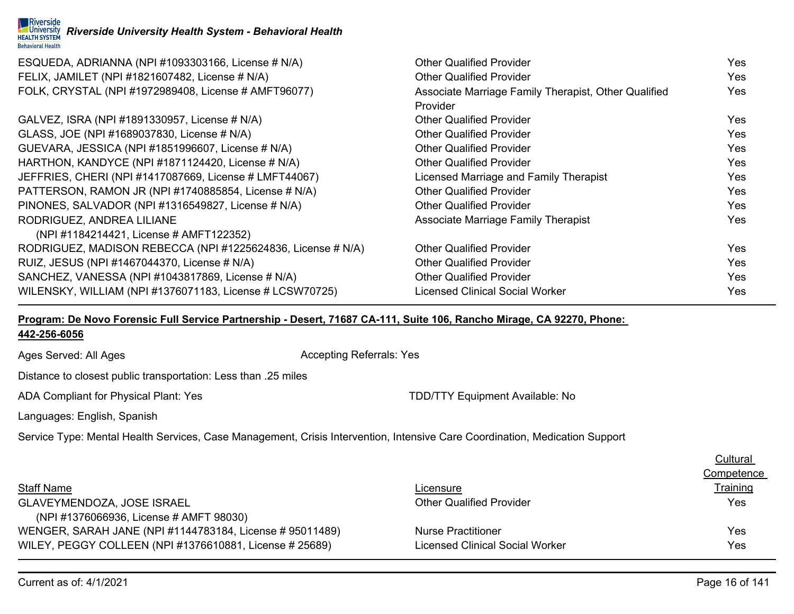| ESQUEDA, ADRIANNA (NPI #1093303166, License # N/A)          | <b>Other Qualified Provider</b>                      | Yes  |
|-------------------------------------------------------------|------------------------------------------------------|------|
| FELIX, JAMILET (NPI #1821607482, License # N/A)             | <b>Other Qualified Provider</b>                      | Yes  |
| FOLK, CRYSTAL (NPI #1972989408, License # AMFT96077)        | Associate Marriage Family Therapist, Other Qualified | Yes  |
|                                                             | <b>Provider</b>                                      |      |
| GALVEZ, ISRA (NPI #1891330957, License # N/A)               | <b>Other Qualified Provider</b>                      | Yes  |
| GLASS, JOE (NPI #1689037830, License # N/A)                 | <b>Other Qualified Provider</b>                      | Yes. |
| GUEVARA, JESSICA (NPI #1851996607, License # N/A)           | <b>Other Qualified Provider</b>                      | Yes  |
| HARTHON, KANDYCE (NPI #1871124420, License # N/A)           | <b>Other Qualified Provider</b>                      | Yes  |
| JEFFRIES, CHERI (NPI #1417087669, License # LMFT44067)      | Licensed Marriage and Family Therapist               | Yes  |
| PATTERSON, RAMON JR (NPI #1740885854, License # N/A)        | <b>Other Qualified Provider</b>                      | Yes. |
| PINONES, SALVADOR (NPI #1316549827, License # N/A)          | <b>Other Qualified Provider</b>                      | Yes  |
| RODRIGUEZ, ANDREA LILIANE                                   | Associate Marriage Family Therapist                  | Yes  |
| (NPI #1184214421, License # AMFT122352)                     |                                                      |      |
| RODRIGUEZ, MADISON REBECCA (NPI #1225624836, License # N/A) | <b>Other Qualified Provider</b>                      | Yes  |
| RUIZ, JESUS (NPI #1467044370, License # N/A)                | <b>Other Qualified Provider</b>                      | Yes. |
| SANCHEZ, VANESSA (NPI #1043817869, License # N/A)           | <b>Other Qualified Provider</b>                      | Yes  |
| WILENSKY, WILLIAM (NPI #1376071183, License # LCSW70725)    | Licensed Clinical Social Worker                      | Yes  |

# **Program: De Novo Forensic Full Service Partnership - Desert, 71687 CA-111, Suite 106, Rancho Mirage, CA 92270, Phone: 442-256-6056**

Ages Served: All Ages **Accepting Referrals: Yes** Accepting Referrals: Yes

Distance to closest public transportation: Less than .25 miles

ADA Compliant for Physical Plant: Yes TDD/TTY Equipment Available: No

Languages: English, Spanish

Service Type: Mental Health Services, Case Management, Crisis Intervention, Intensive Care Coordination, Medication Support

|                                                          |                                        | <u>Cultural</u> |
|----------------------------------------------------------|----------------------------------------|-----------------|
|                                                          |                                        | Competence      |
| <b>Staff Name</b>                                        | Licensure                              | <u>Training</u> |
| <b>GLAVEYMENDOZA, JOSE ISRAEL</b>                        | <b>Other Qualified Provider</b>        | Yes             |
| (NPI #1376066936, License # AMFT 98030)                  |                                        |                 |
| WENGER, SARAH JANE (NPI #1144783184, License # 95011489) | Nurse Practitioner                     | Yes             |
| WILEY, PEGGY COLLEEN (NPI #1376610881, License # 25689)  | <b>Licensed Clinical Social Worker</b> | Yes             |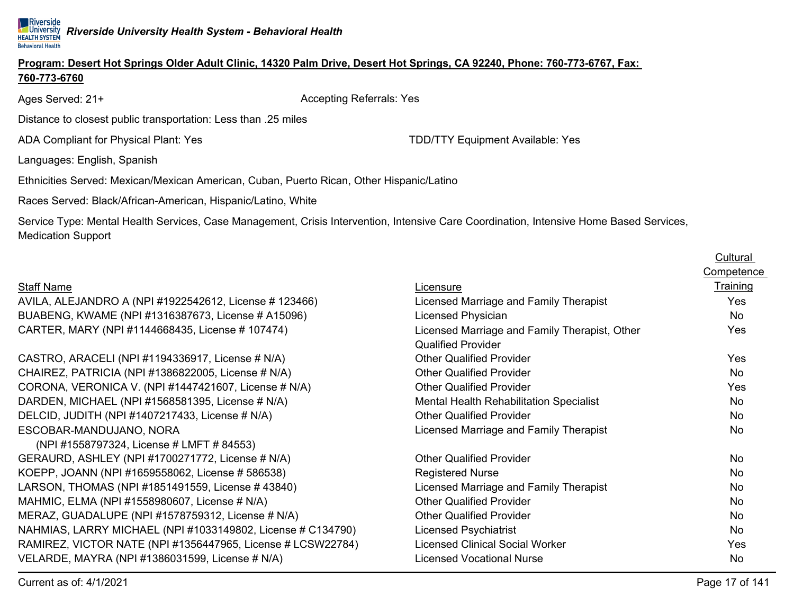**Riverside Riverside University Health System - Behavioral Health**<br>HEALTH SYSTEM RIVerside University Health System - Behavioral Health **Behavioral Health** 

# **Program: Desert Hot Springs Older Adult Clinic, 14320 Palm Drive, Desert Hot Springs, CA 92240, Phone: 760-773-6767, Fax: 760-773-6760**

Ages Served: 21+ Accepting Referrals: Yes

Distance to closest public transportation: Less than .25 miles

ADA Compliant for Physical Plant: Yes TDD/TTY Equipment Available: Yes

Languages: English, Spanish

Ethnicities Served: Mexican/Mexican American, Cuban, Puerto Rican, Other Hispanic/Latino

Races Served: Black/African-American, Hispanic/Latino, White

Service Type: Mental Health Services, Case Management, Crisis Intervention, Intensive Care Coordination, Intensive Home Based Services, Medication Support

|                                                             |                                               | Cultural          |
|-------------------------------------------------------------|-----------------------------------------------|-------------------|
|                                                             |                                               | <u>Competence</u> |
| <b>Staff Name</b>                                           | Licensure                                     | Training          |
| AVILA, ALEJANDRO A (NPI #1922542612, License # 123466)      | Licensed Marriage and Family Therapist        | Yes               |
| BUABENG, KWAME (NPI #1316387673, License # A15096)          | Licensed Physician                            | No.               |
| CARTER, MARY (NPI #1144668435, License # 107474)            | Licensed Marriage and Family Therapist, Other | Yes               |
|                                                             | <b>Qualified Provider</b>                     |                   |
| CASTRO, ARACELI (NPI #1194336917, License # N/A)            | <b>Other Qualified Provider</b>               | Yes               |
| CHAIREZ, PATRICIA (NPI #1386822005, License # N/A)          | <b>Other Qualified Provider</b>               | No.               |
| CORONA, VERONICA V. (NPI #1447421607, License # N/A)        | <b>Other Qualified Provider</b>               | <b>Yes</b>        |
| DARDEN, MICHAEL (NPI #1568581395, License # N/A)            | Mental Health Rehabilitation Specialist       | No.               |
| DELCID, JUDITH (NPI #1407217433, License # N/A)             | <b>Other Qualified Provider</b>               | No.               |
| ESCOBAR-MANDUJANO, NORA                                     | Licensed Marriage and Family Therapist        | No.               |
| (NPI #1558797324, License # LMFT # 84553)                   |                                               |                   |
| GERAURD, ASHLEY (NPI #1700271772, License # N/A)            | <b>Other Qualified Provider</b>               | <b>No</b>         |
| KOEPP, JOANN (NPI #1659558062, License # 586538)            | <b>Registered Nurse</b>                       | No.               |
| LARSON, THOMAS (NPI #1851491559, License #43840)            | Licensed Marriage and Family Therapist        | <b>No</b>         |
| MAHMIC, ELMA (NPI #1558980607, License # N/A)               | <b>Other Qualified Provider</b>               | <b>No</b>         |
| MERAZ, GUADALUPE (NPI #1578759312, License # N/A)           | <b>Other Qualified Provider</b>               | No.               |
| NAHMIAS, LARRY MICHAEL (NPI #1033149802, License # C134790) | <b>Licensed Psychiatrist</b>                  | No.               |
| RAMIREZ, VICTOR NATE (NPI #1356447965, License # LCSW22784) | <b>Licensed Clinical Social Worker</b>        | Yes               |
| VELARDE, MAYRA (NPI #1386031599, License # N/A)             | <b>Licensed Vocational Nurse</b>              | <b>No</b>         |
|                                                             |                                               |                   |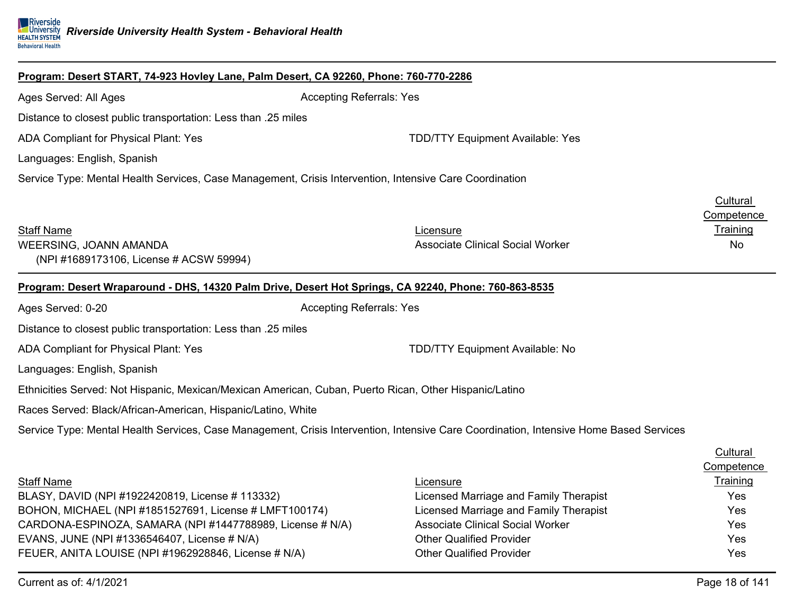| Program: Desert START, 74-923 Hovley Lane, Palm Desert, CA 92260, Phone: 760-770-2286                   |                                                                                                                                        |                                          |
|---------------------------------------------------------------------------------------------------------|----------------------------------------------------------------------------------------------------------------------------------------|------------------------------------------|
| Ages Served: All Ages                                                                                   | <b>Accepting Referrals: Yes</b>                                                                                                        |                                          |
| Distance to closest public transportation: Less than .25 miles                                          |                                                                                                                                        |                                          |
| ADA Compliant for Physical Plant: Yes                                                                   | <b>TDD/TTY Equipment Available: Yes</b>                                                                                                |                                          |
| Languages: English, Spanish                                                                             |                                                                                                                                        |                                          |
| Service Type: Mental Health Services, Case Management, Crisis Intervention, Intensive Care Coordination |                                                                                                                                        |                                          |
| <b>Staff Name</b><br>WEERSING, JOANN AMANDA<br>(NPI #1689173106, License # ACSW 59994)                  | Licensure<br><b>Associate Clinical Social Worker</b>                                                                                   | Cultural<br>Competence<br>Training<br>No |
| Program: Desert Wraparound - DHS, 14320 Palm Drive, Desert Hot Springs, CA 92240, Phone: 760-863-8535   |                                                                                                                                        |                                          |
| Ages Served: 0-20                                                                                       | <b>Accepting Referrals: Yes</b>                                                                                                        |                                          |
| Distance to closest public transportation: Less than .25 miles                                          |                                                                                                                                        |                                          |
| ADA Compliant for Physical Plant: Yes                                                                   | <b>TDD/TTY Equipment Available: No</b>                                                                                                 |                                          |
| Languages: English, Spanish                                                                             |                                                                                                                                        |                                          |
| Ethnicities Served: Not Hispanic, Mexican/Mexican American, Cuban, Puerto Rican, Other Hispanic/Latino  |                                                                                                                                        |                                          |
| Races Served: Black/African-American, Hispanic/Latino, White                                            |                                                                                                                                        |                                          |
|                                                                                                         | Service Type: Mental Health Services, Case Management, Crisis Intervention, Intensive Care Coordination, Intensive Home Based Services |                                          |
|                                                                                                         |                                                                                                                                        | Cultural<br>Competence                   |
| <b>Staff Name</b>                                                                                       | Licensure                                                                                                                              | Training                                 |
| BLASY, DAVID (NPI #1922420819, License # 113332)                                                        | Licensed Marriage and Family Therapist                                                                                                 | Yes                                      |
| BOHON, MICHAEL (NPI #1851527691, License # LMFT100174)                                                  | Licensed Marriage and Family Therapist                                                                                                 | Yes                                      |
| CARDONA-ESPINOZA, SAMARA (NPI #1447788989, License # N/A)                                               | <b>Associate Clinical Social Worker</b>                                                                                                | Yes                                      |
| EVANS, JUNE (NPI #1336546407, License # N/A)                                                            | <b>Other Qualified Provider</b>                                                                                                        | Yes                                      |
| FEUER, ANITA LOUISE (NPI #1962928846, License # N/A)                                                    | <b>Other Qualified Provider</b>                                                                                                        | Yes                                      |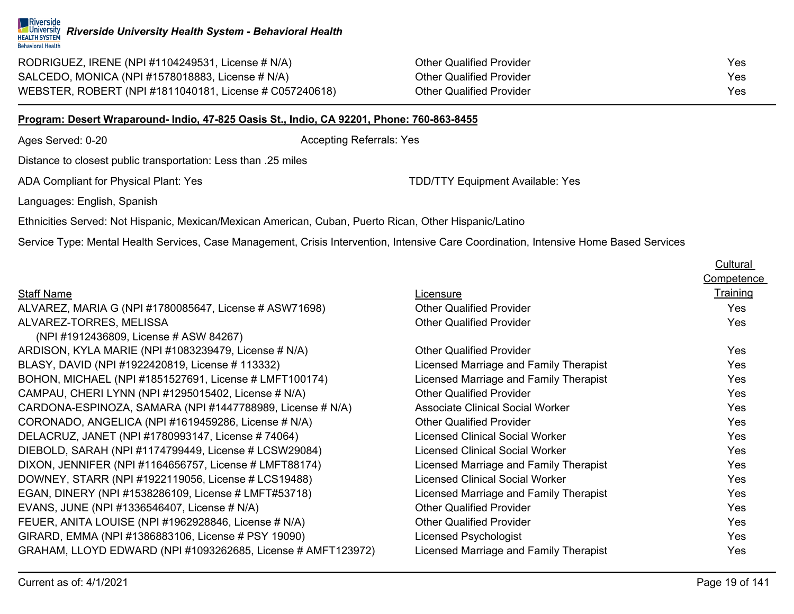

| RODRIGUEZ, IRENE (NPI #1104249531, License # N/A)       | <b>Other Qualified Provider</b> | Yes        |
|---------------------------------------------------------|---------------------------------|------------|
| SALCEDO, MONICA (NPI #1578018883, License # N/A)        | <b>Other Qualified Provider</b> | Yes        |
| WEBSTER, ROBERT (NPI #1811040181, License # C057240618) | <b>Other Qualified Provider</b> | <b>Yes</b> |

### **Program: Desert Wraparound- Indio, 47-825 Oasis St., Indio, CA 92201, Phone: 760-863-8455**

Ages Served: 0-20 **Accepting Referrals: Yes** Accepting Referrals: Yes

Distance to closest public transportation: Less than .25 miles

ADA Compliant for Physical Plant: Yes TDD/TTY Equipment Available: Yes

Languages: English, Spanish

Ethnicities Served: Not Hispanic, Mexican/Mexican American, Cuban, Puerto Rican, Other Hispanic/Latino

Service Type: Mental Health Services, Case Management, Crisis Intervention, Intensive Care Coordination, Intensive Home Based Services

|                                                              |                                         | <b>Cultural</b>   |
|--------------------------------------------------------------|-----------------------------------------|-------------------|
|                                                              |                                         | <b>Competence</b> |
| <b>Staff Name</b>                                            | Licensure                               | <b>Training</b>   |
| ALVAREZ, MARIA G (NPI #1780085647, License # ASW71698)       | <b>Other Qualified Provider</b>         | Yes               |
| ALVAREZ-TORRES, MELISSA                                      | <b>Other Qualified Provider</b>         | Yes               |
| (NPI #1912436809, License # ASW 84267)                       |                                         |                   |
| ARDISON, KYLA MARIE (NPI #1083239479, License # N/A)         | <b>Other Qualified Provider</b>         | Yes               |
| BLASY, DAVID (NPI #1922420819, License # 113332)             | Licensed Marriage and Family Therapist  | Yes               |
| BOHON, MICHAEL (NPI #1851527691, License # LMFT100174)       | Licensed Marriage and Family Therapist  | Yes               |
| CAMPAU, CHERI LYNN (NPI #1295015402, License # N/A)          | <b>Other Qualified Provider</b>         | Yes               |
| CARDONA-ESPINOZA, SAMARA (NPI #1447788989, License # N/A)    | <b>Associate Clinical Social Worker</b> | Yes               |
| CORONADO, ANGELICA (NPI #1619459286, License # N/A)          | <b>Other Qualified Provider</b>         | Yes               |
| DELACRUZ, JANET (NPI #1780993147, License # 74064)           | Licensed Clinical Social Worker         | Yes               |
| DIEBOLD, SARAH (NPI #1174799449, License # LCSW29084)        | <b>Licensed Clinical Social Worker</b>  | Yes               |
| DIXON, JENNIFER (NPI #1164656757, License # LMFT88174)       | Licensed Marriage and Family Therapist  | Yes               |
| DOWNEY, STARR (NPI #1922119056, License # LCS19488)          | <b>Licensed Clinical Social Worker</b>  | Yes               |
| EGAN, DINERY (NPI #1538286109, License # LMFT#53718)         | Licensed Marriage and Family Therapist  | Yes               |
| EVANS, JUNE (NPI #1336546407, License # N/A)                 | <b>Other Qualified Provider</b>         | Yes               |
| FEUER, ANITA LOUISE (NPI #1962928846, License # N/A)         | <b>Other Qualified Provider</b>         | Yes               |
| GIRARD, EMMA (NPI #1386883106, License # PSY 19090)          | Licensed Psychologist                   | <b>Yes</b>        |
| GRAHAM, LLOYD EDWARD (NPI #1093262685, License # AMFT123972) | Licensed Marriage and Family Therapist  | Yes               |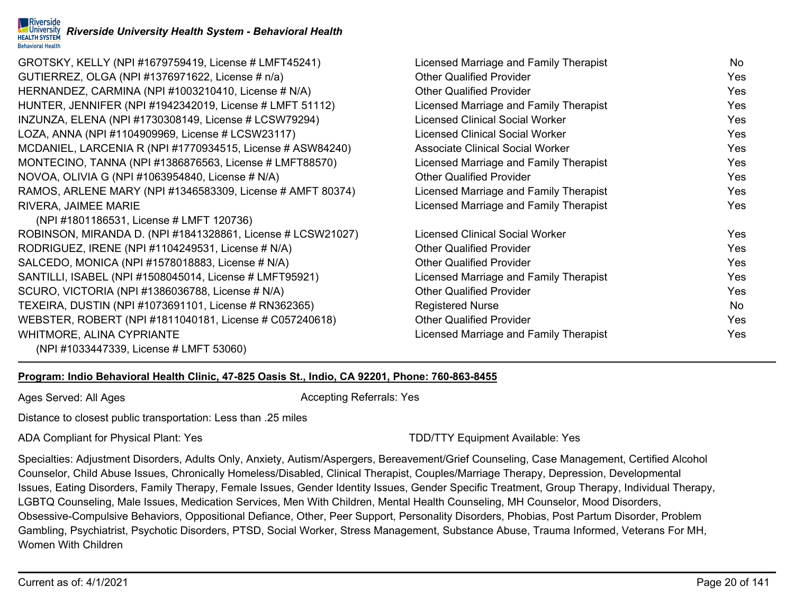GROTSKY, KELLY (NPI #1679759419, License # LMFT45241) Licensed Marriage and Family Therapist No GUTIERREZ, OLGA (NPI #1376971622, License # n/a) Cher Qualified Provider Cualified Provider Yes HERNANDEZ, CARMINA (NPI #1003210410, License # N/A) Other Qualified Provider Ves HUNTER, JENNIFER (NPI #1942342019, License # LMFT 51112) Licensed Marriage and Family Therapist Yes INZUNZA, ELENA (NPI #1730308149, License # LCSW79294) Licensed Clinical Social Worker Yes LOZA, ANNA (NPI #1104909969, License # LCSW23117) Licensed Clinical Social Worker Yes MCDANIEL, LARCENIA R (NPI #1770934515, License # ASW84240) Associate Clinical Social Worker Yes MONTECINO, TANNA (NPI #1386876563, License # LMFT88570) Licensed Marriage and Family Therapist Yes NOVOA, OLIVIA G (NPI #1063954840, License # N/A)  $\rule{1em}{0.15mm}$  Other Qualified Provider  $\rule{1.15mm}{0.15mm}$  Yes RAMOS, ARLENE MARY (NPI #1346583309, License # AMFT 80374) Licensed Marriage and Family Therapist Theory Thess RIVERA, JAIMEE MARIE (NPI #1801186531, License # LMFT 120736) Licensed Marriage and Family Therapist Yes ROBINSON, MIRANDA D. (NPI #1841328861, License # LCSW21027) Licensed Clinical Social Worker Yes RODRIGUEZ, IRENE (NPI #1104249531, License # N/A) Cher Qualified Provider CONSIGUEZ, IRENE (NPI #1104249531, License # N/A) SALCEDO, MONICA (NPI #1578018883, License # N/A) Other Qualified Provider Yes SANTILLI, ISABEL (NPI #1508045014, License # LMFT95921) Licensed Marriage and Family Therapist Yes SCURO, VICTORIA (NPI #1386036788, License # N/A) Cher Qualified Provider Veston, NICTORIA (NPI #1386036788, License # N/A) TEXEIRA, DUSTIN (NPI #1073691101, License # RN362365) Registered Nurse No WEBSTER, ROBERT (NPI #1811040181, License # C057240618) Other Qualified Provider Ves WHITMORE, ALINA CYPRIANTE (NPI #1033447339, License # LMFT 53060) Licensed Marriage and Family Therapist Yes

# **Program: Indio Behavioral Health Clinic, 47-825 Oasis St., Indio, CA 92201, Phone: 760-863-8455**

Ages Served: All Ages Accepting Referrals: Yes

Distance to closest public transportation: Less than .25 miles

ADA Compliant for Physical Plant: Yes TDD/TTY Equipment Available: Yes

Specialties: Adjustment Disorders, Adults Only, Anxiety, Autism/Aspergers, Bereavement/Grief Counseling, Case Management, Certified Alcohol Counselor, Child Abuse Issues, Chronically Homeless/Disabled, Clinical Therapist, Couples/Marriage Therapy, Depression, Developmental Issues, Eating Disorders, Family Therapy, Female Issues, Gender Identity Issues, Gender Specific Treatment, Group Therapy, Individual Therapy, LGBTQ Counseling, Male Issues, Medication Services, Men With Children, Mental Health Counseling, MH Counselor, Mood Disorders, Obsessive-Compulsive Behaviors, Oppositional Defiance, Other, Peer Support, Personality Disorders, Phobias, Post Partum Disorder, Problem Gambling, Psychiatrist, Psychotic Disorders, PTSD, Social Worker, Stress Management, Substance Abuse, Trauma Informed, Veterans For MH, Women With Children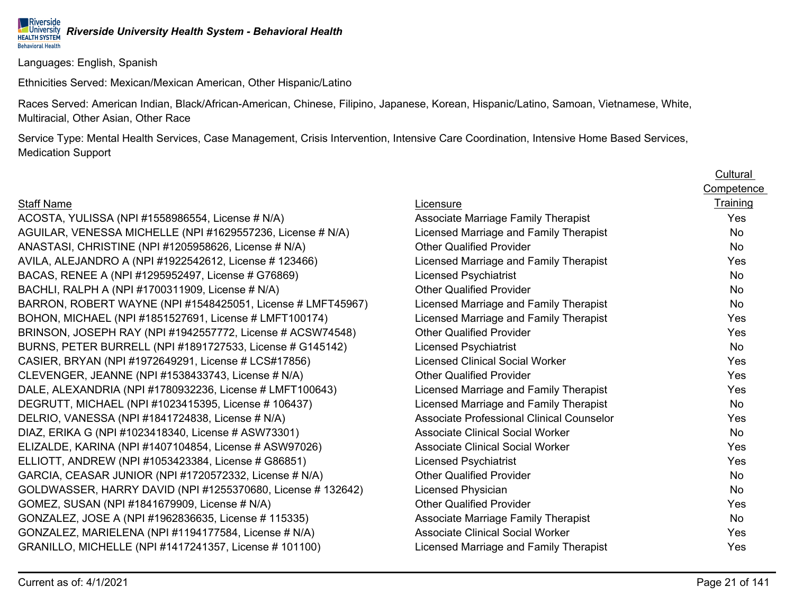Languages: English, Spanish

Ethnicities Served: Mexican/Mexican American, Other Hispanic/Latino

Races Served: American Indian, Black/African-American, Chinese, Filipino, Japanese, Korean, Hispanic/Latino, Samoan, Vietnamese, White, Multiracial, Other Asian, Other Race

Service Type: Mental Health Services, Case Management, Crisis Intervention, Intensive Care Coordination, Intensive Home Based Services, Medication Support

# Staff Name

ACOSTA, YULISSA (NPI #1558986554, License # N/A) AGUILAR, VENESSA MICHELLE (NPI #1629557236, License # N/A) ANASTASI, CHRISTINE (NPI  $\#1205958626$ , License  $\# N/A$ ) AVILA, ALEJANDRO A (NPI #1922542612, License # 123466) BACAS, RENEE A (NPI #1295952497, License # G76869) BACHLI, RALPH A (NPI #1700311909, License # N/A) BARRON, ROBERT WAYNE (NPI #1548425051, License # LMFT45967) BOHON, MICHAEL (NPI #1851527691, License # LMFT100174) BRINSON, JOSEPH RAY (NPI #1942557772, License # ACSW74548) BURNS, PETER BURRELL (NPI #1891727533, License # G145142) CASIER, BRYAN (NPI #1972649291, License # LCS#17856) CLEVENGER, JEANNE (NPI #1538433743, License #  $N/A$ ) DALE, ALEXANDRIA (NPI #1780932236, License # LMFT100643) DEGRUTT, MICHAEL (NPI #1023415395, License # 106437) DELRIO, VANESSA (NPI #1841724838, License # N/A) DIAZ, ERIKA G (NPI #1023418340, License # ASW73301) ELIZALDE, KARINA (NPI #1407104854, License # ASW97026) ELLIOTT, ANDREW (NPI #1053423384, License # G86851) GARCIA, CEASAR JUNIOR (NPI  $#1720572332$ , License  $# N/A$ ) GOLDWASSER, HARRY DAVID (NPI #1255370680, License # 132642) GOMEZ, SUSAN (NPI  $#1841679909$ , License  $# N/A$ ) GONZALEZ, JOSE A (NPI #1962836635, License # 115335) GONZALEZ, MARIELENA (NPI #1194177584, License # N/A) GRANILLO, MICHELLE (NPI #1417241357, License # 101100)

|                                            | <b>Competence</b> |
|--------------------------------------------|-------------------|
| Licensure                                  | Training          |
| <b>Associate Marriage Family Therapist</b> | Yes               |
| Licensed Marriage and Family Therapist     | <b>No</b>         |
| <b>Other Qualified Provider</b>            | N <sub>0</sub>    |
| Licensed Marriage and Family Therapist     | Yes               |
| <b>Licensed Psychiatrist</b>               | <b>No</b>         |
| <b>Other Qualified Provider</b>            | <b>No</b>         |
| Licensed Marriage and Family Therapist     | <b>No</b>         |
| Licensed Marriage and Family Therapist     | Yes               |
| <b>Other Qualified Provider</b>            | Yes               |
| <b>Licensed Psychiatrist</b>               | <b>No</b>         |
| <b>Licensed Clinical Social Worker</b>     | Yes               |
| <b>Other Qualified Provider</b>            | Yes               |
| Licensed Marriage and Family Therapist     | Yes               |
| Licensed Marriage and Family Therapist     | <b>No</b>         |
| Associate Professional Clinical Counselor  | Yes               |
| <b>Associate Clinical Social Worker</b>    | <b>No</b>         |
| <b>Associate Clinical Social Worker</b>    | Yes               |
| <b>Licensed Psychiatrist</b>               | Yes               |
| <b>Other Qualified Provider</b>            | <b>No</b>         |
| Licensed Physician                         | <b>No</b>         |
| <b>Other Qualified Provider</b>            | Yes               |
| <b>Associate Marriage Family Therapist</b> | <b>No</b>         |
| <b>Associate Clinical Social Worker</b>    | Yes               |
| Licensed Marriage and Family Therapist     | Yes               |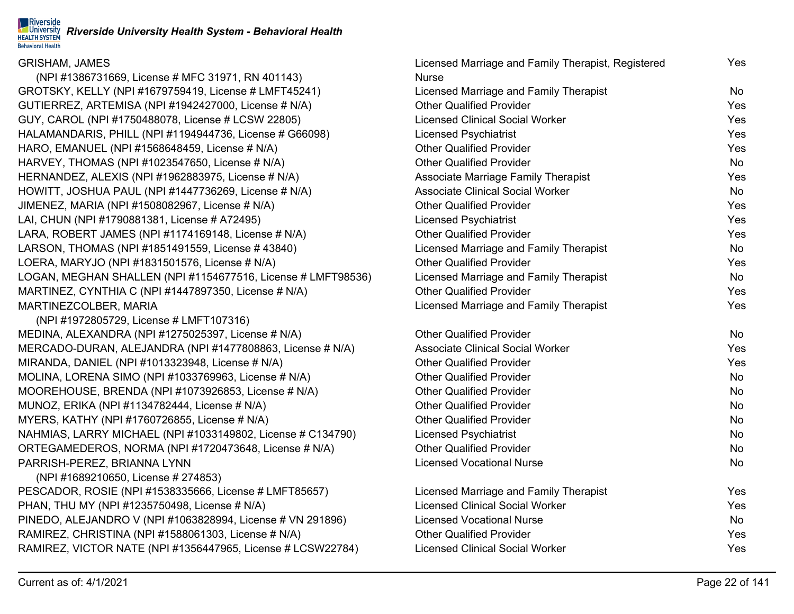## GRISHAM, JAMES

(NPI #1386731669, License # MFC 31971, RN 401143) GROTSKY, KELLY (NPI #1679759419, License # LMFT45241) GUTIERREZ, ARTEMISA (NPI #1942427000, License # N/A) GUY, CAROL (NPI #1750488078, License # LCSW 22805) HALAMANDARIS, PHILL (NPI #1194944736, License # G66098) HARO, EMANUEL (NPI  $#1568648459$ , License  $# N/A$ ) HARVEY, THOMAS (NPI  $#1023547650$ , License  $#N/A$ ) HERNANDEZ, ALEXIS (NPI #1962883975, License #  $N/A$ ) HOWITT, JOSHUA PAUL (NPI #1447736269, License # N/A) JIMENEZ, MARIA (NPI #1508082967, License # N/A) LAI, CHUN (NPI #1790881381, License # A72495) LARA, ROBERT JAMES (NPI  $\#1174169148$ , License  $\# N/A$ ) LARSON, THOMAS (NPI #1851491559, License # 43840) LOERA, MARYJO (NPI #1831501576, License # N/A) LOGAN, MEGHAN SHALLEN (NPI #1154677516, License # LMFT98536) MARTINEZ, CYNTHIA C (NPI  $#1447897350$ , License  $# N/A$ ) MARTINEZCOLBER, MARIA

(NPI #1972805729, License # LMFT107316) MEDINA, ALEXANDRA (NPI  $#1275025397$ , License  $# N/A$ ) MERCADO-DURAN, ALEJANDRA (NPI #1477808863, License # N/A) MIRANDA, DANIEL (NPI #1013323948, License #  $N/A$ ) MOLINA, LORENA SIMO (NPI  $#1033769963$ , License  $#N/A$ ) MOOREHOUSE, BRENDA (NPI #1073926853, License # N/A) MUNOZ, ERIKA (NPI #1134782444, License # N/A) MYERS, KATHY (NPI #1760726855, License # N/A) NAHMIAS, LARRY MICHAEL (NPI #1033149802, License # C134790) ORTEGAMEDEROS, NORMA (NPI #1720473648, License # N/A) PARRISH-PEREZ, BRIANNA LYNN

(NPI #1689210650, License # 274853) PESCADOR, ROSIE (NPI #1538335666, License # LMFT85657) PHAN, THU MY (NPI  $\#1235750498$ , License  $\# N/A$ ) PINEDO, ALEJANDRO V (NPI #1063828994, License # VN 291896) RAMIREZ, CHRISTINA (NPI #1588061303, License # N/A) RAMIREZ, VICTOR NATE (NPI #1356447965, License # LCSW22784)

| Licensed Marriage and Family Therapist, Registered | <b>Yes</b> |
|----------------------------------------------------|------------|
| <b>Nurse</b>                                       |            |
| Licensed Marriage and Family Therapist             | <b>No</b>  |
| <b>Other Qualified Provider</b>                    | <b>Yes</b> |
| <b>Licensed Clinical Social Worker</b>             | Yes        |
| <b>Licensed Psychiatrist</b>                       | Yes        |
| <b>Other Qualified Provider</b>                    | Yes        |
| <b>Other Qualified Provider</b>                    | <b>No</b>  |
| <b>Associate Marriage Family Therapist</b>         | Yes        |
| <b>Associate Clinical Social Worker</b>            | <b>No</b>  |
| <b>Other Qualified Provider</b>                    | Yes        |
| <b>Licensed Psychiatrist</b>                       | Yes        |
| <b>Other Qualified Provider</b>                    | Yes        |
| Licensed Marriage and Family Therapist             | <b>No</b>  |
| <b>Other Qualified Provider</b>                    | Yes        |
| Licensed Marriage and Family Therapist             | <b>No</b>  |
| <b>Other Qualified Provider</b>                    | Yes        |
| Licensed Marriage and Family Therapist             | Yes        |
| <b>Other Qualified Provider</b>                    | <b>No</b>  |
| <b>Associate Clinical Social Worker</b>            | Yes        |
| <b>Other Qualified Provider</b>                    | Yes        |
| <b>Other Qualified Provider</b>                    | <b>No</b>  |
| <b>Other Qualified Provider</b>                    | <b>No</b>  |
| <b>Other Qualified Provider</b>                    | <b>No</b>  |
| <b>Other Qualified Provider</b>                    | <b>No</b>  |
| <b>Licensed Psychiatrist</b>                       | <b>No</b>  |
| <b>Other Qualified Provider</b>                    | <b>No</b>  |
| <b>Licensed Vocational Nurse</b>                   | <b>No</b>  |
| Licensed Marriage and Family Therapist             | Yes        |
| <b>Licensed Clinical Social Worker</b>             | Yes        |
| <b>Licensed Vocational Nurse</b>                   | <b>No</b>  |
| <b>Other Qualified Provider</b>                    | Yes        |
| <b>Licensed Clinical Social Worker</b>             | Yes        |
|                                                    |            |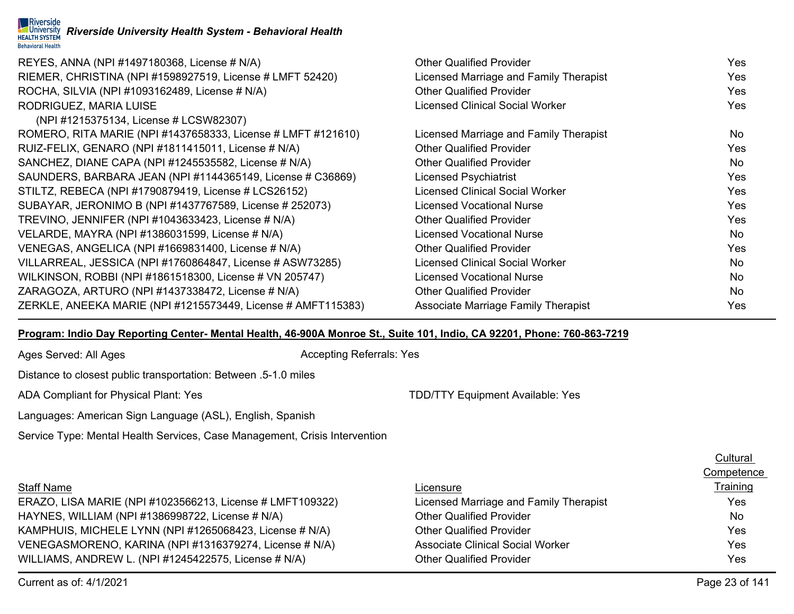|                          | Riverside<br>Huniversity Riverside University Health System - Behavioral Health |  |
|--------------------------|---------------------------------------------------------------------------------|--|
| <b>Behavioral Health</b> |                                                                                 |  |

| REYES, ANNA (NPI #1497180368, License # N/A)                 | <b>Other Qualified Provider</b>        | <b>Yes</b> |
|--------------------------------------------------------------|----------------------------------------|------------|
| RIEMER, CHRISTINA (NPI #1598927519, License # LMFT 52420)    | Licensed Marriage and Family Therapist | <b>Yes</b> |
| ROCHA, SILVIA (NPI #1093162489, License # N/A)               | <b>Other Qualified Provider</b>        | Yes        |
| RODRIGUEZ, MARIA LUISE                                       | <b>Licensed Clinical Social Worker</b> | Yes        |
| (NPI #1215375134, License # LCSW82307)                       |                                        |            |
| ROMERO, RITA MARIE (NPI #1437658333, License # LMFT #121610) | Licensed Marriage and Family Therapist | No         |
| RUIZ-FELIX, GENARO (NPI #1811415011, License # N/A)          | <b>Other Qualified Provider</b>        | Yes        |
| SANCHEZ, DIANE CAPA (NPI #1245535582, License # N/A)         | <b>Other Qualified Provider</b>        | No.        |
| SAUNDERS, BARBARA JEAN (NPI #1144365149, License # C36869)   | <b>Licensed Psychiatrist</b>           | Yes        |
| STILTZ, REBECA (NPI #1790879419, License # LCS26152)         | <b>Licensed Clinical Social Worker</b> | Yes        |
| SUBAYAR, JERONIMO B (NPI #1437767589, License # 252073)      | Licensed Vocational Nurse              | Yes        |
| TREVINO, JENNIFER (NPI #1043633423, License # N/A)           | <b>Other Qualified Provider</b>        | Yes        |
| VELARDE, MAYRA (NPI #1386031599, License # N/A)              | Licensed Vocational Nurse              | No         |
| VENEGAS, ANGELICA (NPI #1669831400, License # N/A)           | <b>Other Qualified Provider</b>        | Yes        |
| VILLARREAL, JESSICA (NPI #1760864847, License # ASW73285)    | <b>Licensed Clinical Social Worker</b> | No         |
| WILKINSON, ROBBI (NPI #1861518300, License # VN 205747)      | <b>Licensed Vocational Nurse</b>       | No.        |
| ZARAGOZA, ARTURO (NPI #1437338472, License # N/A)            | <b>Other Qualified Provider</b>        | No.        |
| ZERKLE, ANEEKA MARIE (NPI #1215573449, License # AMFT115383) | Associate Marriage Family Therapist    | Yes        |

# **Program: Indio Day Reporting Center- Mental Health, 46-900A Monroe St., Suite 101, Indio, CA 92201, Phone: 760-863-7219**

Ages Served: All Ages **Accepting Referrals: Yes** Accepting Referrals: Yes

Distance to closest public transportation: Between .5-1.0 miles

ADA Compliant for Physical Plant: Yes TDD/TTY Equipment Available: Yes

Languages: American Sign Language (ASL), English, Spanish

Service Type: Mental Health Services, Case Management, Crisis Intervention

# Staff Name

**Competence** Licensure **Training** ERAZO, LISA MARIE (NPI #1023566213, License # LMFT109322) Licensed Marriage and Family Therapist Yes HAYNES, WILLIAM (NPI #1386998722, License # N/A) Other Qualified Provider No Charges And No KAMPHUIS, MICHELE LYNN (NPI #1265068423, License # N/A) Other Qualified Provider Ves VENEGASMORENO, KARINA (NPI #1316379274, License # N/A) Associate Clinical Social Worker Yes WILLIAMS, ANDREW L. (NPI #1245422575, License # N/A) Other Qualified Provider Ves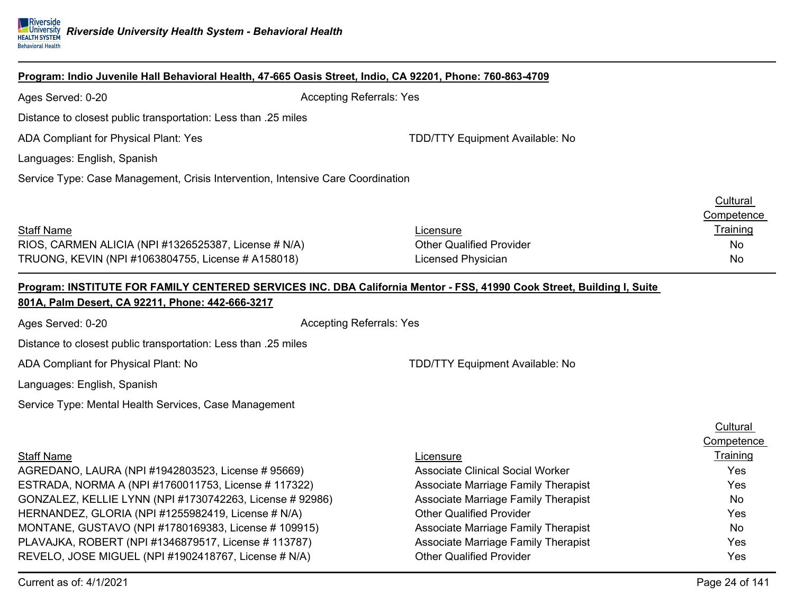| Program: Indio Juvenile Hall Behavioral Health, 47-665 Oasis Street, Indio, CA 92201, Phone: 760-863-4709                                                                                                                                         |                                                                                                                                                                              |                                                                      |
|---------------------------------------------------------------------------------------------------------------------------------------------------------------------------------------------------------------------------------------------------|------------------------------------------------------------------------------------------------------------------------------------------------------------------------------|----------------------------------------------------------------------|
| Ages Served: 0-20                                                                                                                                                                                                                                 | <b>Accepting Referrals: Yes</b>                                                                                                                                              |                                                                      |
| Distance to closest public transportation: Less than .25 miles                                                                                                                                                                                    |                                                                                                                                                                              |                                                                      |
| ADA Compliant for Physical Plant: Yes                                                                                                                                                                                                             | <b>TDD/TTY Equipment Available: No</b>                                                                                                                                       |                                                                      |
| Languages: English, Spanish                                                                                                                                                                                                                       |                                                                                                                                                                              |                                                                      |
| Service Type: Case Management, Crisis Intervention, Intensive Care Coordination                                                                                                                                                                   |                                                                                                                                                                              |                                                                      |
| <b>Staff Name</b><br>RIOS, CARMEN ALICIA (NPI #1326525387, License # N/A)<br>TRUONG, KEVIN (NPI #1063804755, License # A158018)                                                                                                                   | Licensure<br><b>Other Qualified Provider</b><br>Licensed Physician                                                                                                           | <b>Cultural</b><br>Competence<br>Training<br><b>No</b><br>No         |
|                                                                                                                                                                                                                                                   | Program: INSTITUTE FOR FAMILY CENTERED SERVICES INC. DBA California Mentor - FSS, 41990 Cook Street, Building I, Suite                                                       |                                                                      |
| 801A, Palm Desert, CA 92211, Phone: 442-666-3217                                                                                                                                                                                                  |                                                                                                                                                                              |                                                                      |
| Ages Served: 0-20                                                                                                                                                                                                                                 | <b>Accepting Referrals: Yes</b>                                                                                                                                              |                                                                      |
| Distance to closest public transportation: Less than .25 miles                                                                                                                                                                                    |                                                                                                                                                                              |                                                                      |
| ADA Compliant for Physical Plant: No                                                                                                                                                                                                              | TDD/TTY Equipment Available: No                                                                                                                                              |                                                                      |
| Languages: English, Spanish                                                                                                                                                                                                                       |                                                                                                                                                                              |                                                                      |
| Service Type: Mental Health Services, Case Management                                                                                                                                                                                             |                                                                                                                                                                              |                                                                      |
| <b>Staff Name</b><br>AGREDANO, LAURA (NPI #1942803523, License # 95669)<br>ESTRADA, NORMA A (NPI #1760011753, License # 117322)<br>GONZALEZ, KELLIE LYNN (NPI #1730742263, License # 92986)<br>HERNANDEZ, GLORIA (NPI #1255982419, License # N/A) | Licensure<br><b>Associate Clinical Social Worker</b><br>Associate Marriage Family Therapist<br><b>Associate Marriage Family Therapist</b><br><b>Other Qualified Provider</b> | Cultural<br>Competence<br>Training<br>Yes<br>Yes<br><b>No</b><br>Yes |
| MONTANE, GUSTAVO (NPI #1780169383, License # 109915)                                                                                                                                                                                              | <b>Associate Marriage Family Therapist</b>                                                                                                                                   | <b>No</b>                                                            |
| PLAVAJKA, ROBERT (NPI #1346879517, License # 113787)<br>REVELO, JOSE MIGUEL (NPI #1902418767, License # N/A)                                                                                                                                      | Associate Marriage Family Therapist<br><b>Other Qualified Provider</b>                                                                                                       | Yes<br>Yes                                                           |
| Current as of: 4/1/2021                                                                                                                                                                                                                           |                                                                                                                                                                              | Page 24 of 141                                                       |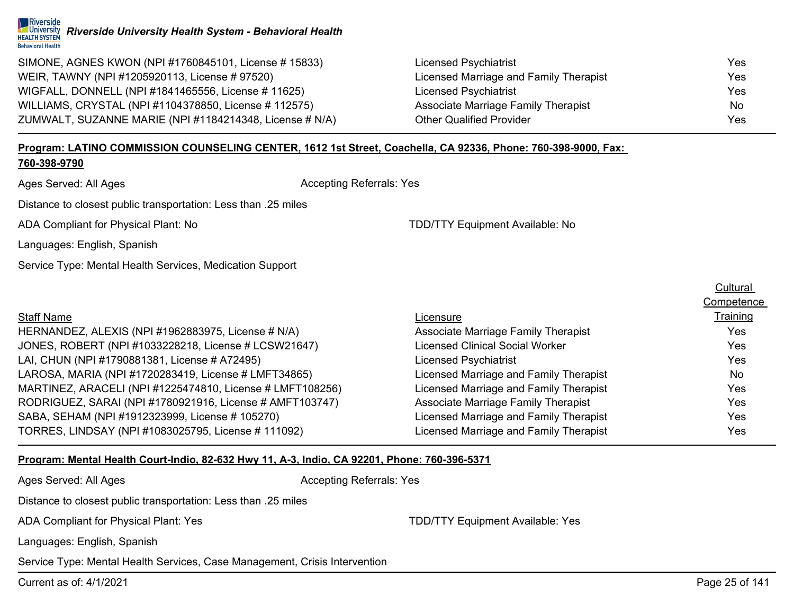

| SIMONE, AGNES KWON (NPI #1760845101, License # 15833)   | Licensed Psychiatrist                  | <b>Yes</b>     |
|---------------------------------------------------------|----------------------------------------|----------------|
| WEIR, TAWNY (NPI #1205920113, License # 97520)          | Licensed Marriage and Family Therapist | Yes            |
| WIGFALL, DONNELL (NPI #1841465556, License # 11625)     | Licensed Psychiatrist                  | Yes            |
| WILLIAMS, CRYSTAL (NPI #1104378850, License # 112575)   | Associate Marriage Family Therapist    | N <sub>0</sub> |
| ZUMWALT, SUZANNE MARIE (NPI #1184214348, License # N/A) | <b>Other Qualified Provider</b>        | Yes            |

# **Program: LATINO COMMISSION COUNSELING CENTER, 1612 1st Street, Coachella, CA 92336, Phone: 760-398-9000, Fax:**

# **760-398-9790**

Ages Served: All Ages Accepting Referrals: Yes

Distance to closest public transportation: Less than .25 miles

ADA Compliant for Physical Plant: No TDD/TTY Equipment Available: No

Languages: English, Spanish

Service Type: Mental Health Services, Medication Support

| <b>Staff Name</b>                                         | Licensure                                  | Training  |
|-----------------------------------------------------------|--------------------------------------------|-----------|
| HERNANDEZ, ALEXIS (NPI #1962883975, License # N/A)        | <b>Associate Marriage Family Therapist</b> | Yes       |
| JONES, ROBERT (NPI #1033228218, License # LCSW21647)      | <b>Licensed Clinical Social Worker</b>     | Yes.      |
| LAI, CHUN (NPI #1790881381, License # A72495)             | <b>Licensed Psychiatrist</b>               | Yes.      |
| LAROSA, MARIA (NPI #1720283419, License # LMFT34865)      | Licensed Marriage and Family Therapist     | <b>No</b> |
| MARTINEZ, ARACELI (NPI #1225474810, License # LMFT108256) | Licensed Marriage and Family Therapist     | Yes       |
| RODRIGUEZ, SARAI (NPI #1780921916, License # AMFT103747)  | <b>Associate Marriage Family Therapist</b> | Yes       |
| SABA, SEHAM (NPI #1912323999, License # 105270)           | Licensed Marriage and Family Therapist     | Yes       |
| TORRES, LINDSAY (NPI #1083025795, License # 111092)       | Licensed Marriage and Family Therapist     | Yes       |

# **Program: Mental Health Court-Indio, 82-632 Hwy 11, A-3, Indio, CA 92201, Phone: 760-396-5371**

| Ages Served: All Ages                                                      | <b>Accepting Referrals: Yes</b>         |
|----------------------------------------------------------------------------|-----------------------------------------|
| Distance to closest public transportation: Less than .25 miles             |                                         |
| ADA Compliant for Physical Plant: Yes                                      | <b>TDD/TTY Equipment Available: Yes</b> |
| Languages: English, Spanish                                                |                                         |
| Service Type: Mental Health Services, Case Management, Crisis Intervention |                                         |

**Cultural Competence**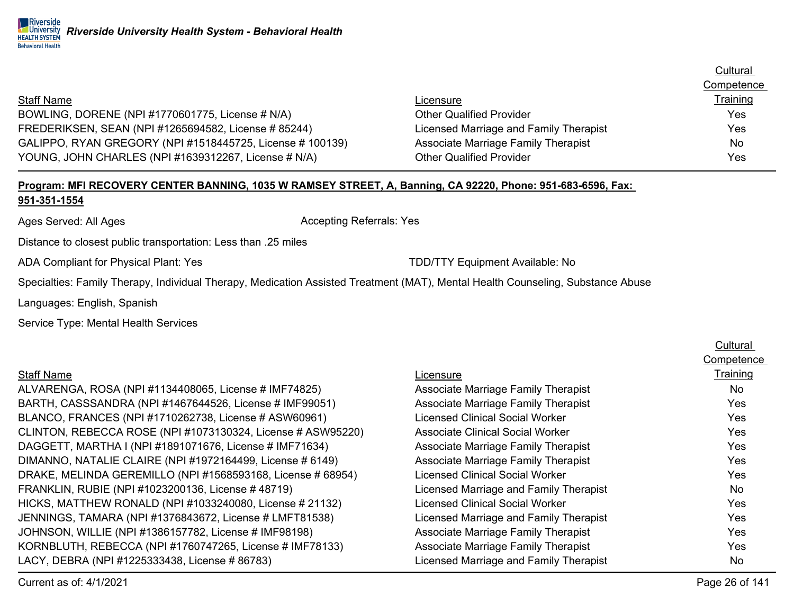|                                                           |                                            | Competence      |
|-----------------------------------------------------------|--------------------------------------------|-----------------|
| <b>Staff Name</b>                                         | Licensure                                  | <b>Training</b> |
| BOWLING, DORENE (NPI #1770601775, License # N/A)          | <b>Other Qualified Provider</b>            | Yes             |
| FREDERIKSEN, SEAN (NPI #1265694582, License # 85244)      | Licensed Marriage and Family Therapist     | Yes.            |
| GALIPPO, RYAN GREGORY (NPI #1518445725, License # 100139) | <b>Associate Marriage Family Therapist</b> | No              |
| YOUNG, JOHN CHARLES (NPI #1639312267, License # N/A)      | <b>Other Qualified Provider</b>            | Yes.            |

# **Program: MFI RECOVERY CENTER BANNING, 1035 W RAMSEY STREET, A, Banning, CA 92220, Phone: 951-683-6596, Fax: 951-351-1554**

Ages Served: All Ages Accepting Referrals: Yes

Distance to closest public transportation: Less than .25 miles

ADA Compliant for Physical Plant: Yes TCC TO THE TO THE TOPARTY Equipment Available: No

Specialties: Family Therapy, Individual Therapy, Medication Assisted Treatment (MAT), Mental Health Counseling, Substance Abuse

Languages: English, Spanish

Service Type: Mental Health Services

# Staff Name

ALVARENGA, ROSA (NPI #1134408065, License # IMF74825) BARTH, CASSSANDRA (NPI #1467644526, License # IMF99051) BLANCO, FRANCES (NPI #1710262738, License # ASW60961) CLINTON, REBECCA ROSE (NPI #1073130324, License # ASW95220) DAGGETT, MARTHA I (NPI #1891071676, License # IMF71634) DIMANNO, NATALIE CLAIRE (NPI #1972164499, License # 6149) DRAKE, MELINDA GEREMILLO (NPI #1568593168, License # 68954) FRANKLIN, RUBIE (NPI #1023200136, License # 48719) HICKS, MATTHEW RONALD (NPI #1033240080, License # 21132) JENNINGS, TAMARA (NPI #1376843672, License # LMFT81538) JOHNSON, WILLIE (NPI #1386157782, License # IMF98198) KORNBLUTH, REBECCA (NPI #1760747265, License # IMF78133) LACY, DEBRA (NPI #1225333438, License # 86783)

|                                            | Competence |
|--------------------------------------------|------------|
| Licensure                                  | Training   |
| Associate Marriage Family Therapist        | No         |
| <b>Associate Marriage Family Therapist</b> | Yes        |
| <b>Licensed Clinical Social Worker</b>     | Yes        |
| Associate Clinical Social Worker           | Yes        |
| <b>Associate Marriage Family Therapist</b> | Yes        |
| <b>Associate Marriage Family Therapist</b> | Yes        |
| <b>Licensed Clinical Social Worker</b>     | Yes        |
| Licensed Marriage and Family Therapist     | <b>No</b>  |
| <b>Licensed Clinical Social Worker</b>     | Yes        |
| Licensed Marriage and Family Therapist     | Yes        |
| <b>Associate Marriage Family Therapist</b> | Yes        |
| <b>Associate Marriage Family Therapist</b> | Yes        |
| Licensed Marriage and Family Therapist     | <b>No</b>  |
|                                            |            |

Current as of: 4/1/2021 Page 26 of 141

**Cultural** 

**Cultural** Competence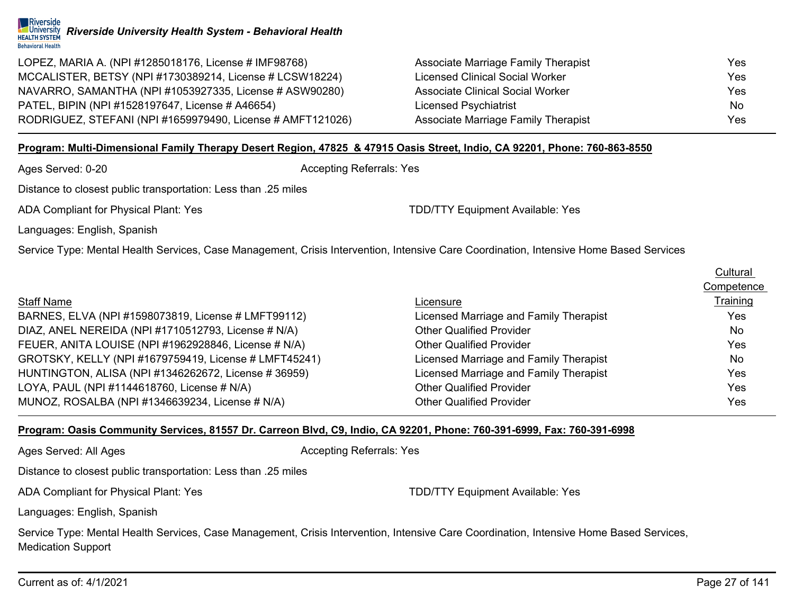

| LOPEZ, MARIA A. (NPI #1285018176, License # IMF98768)      | Associate Marriage Family Therapist | Yes. |
|------------------------------------------------------------|-------------------------------------|------|
| MCCALISTER, BETSY (NPI #1730389214, License # LCSW18224)   | Licensed Clinical Social Worker     | Yes  |
| NAVARRO, SAMANTHA (NPI #1053927335, License # ASW90280)    | Associate Clinical Social Worker    | Yes  |
| PATEL, BIPIN (NPI #1528197647, License # A46654)           | Licensed Psychiatrist               | No.  |
| RODRIGUEZ, STEFANI (NPI #1659979490, License # AMFT121026) | Associate Marriage Family Therapist | Yes. |

### **Program: Multi-Dimensional Family Therapy Desert Region, 47825 & 47915 Oasis Street, Indio, CA 92201, Phone: 760-863-8550**

Ages Served: 0-20 **Accepting Referrals: Yes** Accepting Referrals: Yes

Distance to closest public transportation: Less than .25 miles

ADA Compliant for Physical Plant: Yes TDD/TTY Equipment Available: Yes

Languages: English, Spanish

Service Type: Mental Health Services, Case Management, Crisis Intervention, Intensive Care Coordination, Intensive Home Based Services

|                                                       |                                        | Cultural   |
|-------------------------------------------------------|----------------------------------------|------------|
|                                                       |                                        | Competence |
| <b>Staff Name</b>                                     | Licensure                              | Training   |
| BARNES, ELVA (NPI #1598073819, License # LMFT99112)   | Licensed Marriage and Family Therapist | Yes        |
| DIAZ, ANEL NEREIDA (NPI #1710512793, License # N/A)   | <b>Other Qualified Provider</b>        | <b>No</b>  |
| FEUER, ANITA LOUISE (NPI #1962928846, License # N/A)  | <b>Other Qualified Provider</b>        | Yes.       |
| GROTSKY, KELLY (NPI #1679759419, License # LMFT45241) | Licensed Marriage and Family Therapist | <b>No</b>  |
| HUNTINGTON, ALISA (NPI #1346262672, License #36959)   | Licensed Marriage and Family Therapist | Yes        |
| LOYA, PAUL (NPI #1144618760, License # N/A)           | <b>Other Qualified Provider</b>        | Yes        |
| MUNOZ, ROSALBA (NPI #1346639234, License # N/A)       | <b>Other Qualified Provider</b>        | Yes        |

### **Program: Oasis Community Services, 81557 Dr. Carreon Blvd, C9, Indio, CA 92201, Phone: 760-391-6999, Fax: 760-391-6998**

Ages Served: All Ages Accepting Referrals: Yes

Distance to closest public transportation: Less than .25 miles

ADA Compliant for Physical Plant: Yes TELL THE SECTION COMPLETED TO THE TOP THE TOPOSTY Equipment Available: Yes

Languages: English, Spanish

Service Type: Mental Health Services, Case Management, Crisis Intervention, Intensive Care Coordination, Intensive Home Based Services, Medication Support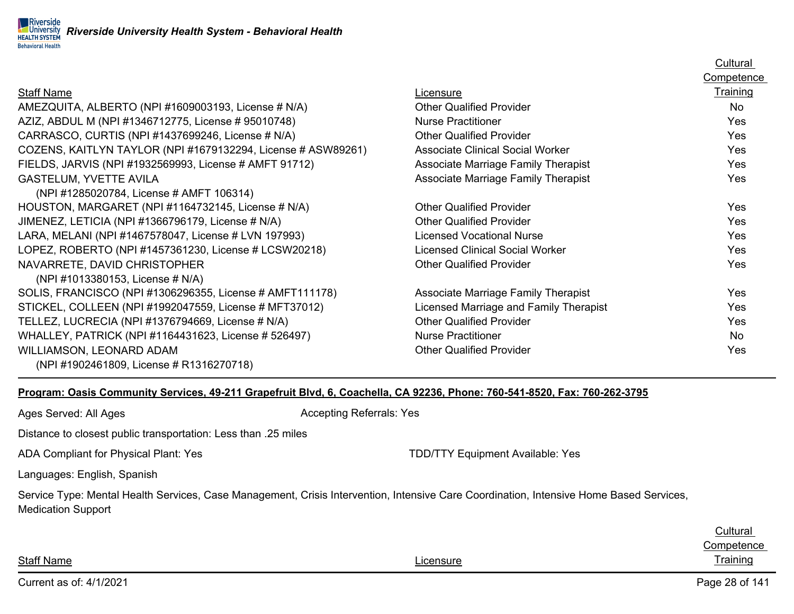|                                                              |                                            | Competence |
|--------------------------------------------------------------|--------------------------------------------|------------|
| <b>Staff Name</b>                                            | Licensure                                  | Training   |
| AMEZQUITA, ALBERTO (NPI #1609003193, License # N/A)          | <b>Other Qualified Provider</b>            | <b>No</b>  |
| AZIZ, ABDUL M (NPI #1346712775, License # 95010748)          | <b>Nurse Practitioner</b>                  | Yes        |
| CARRASCO, CURTIS (NPI #1437699246, License # N/A)            | <b>Other Qualified Provider</b>            | Yes        |
| COZENS, KAITLYN TAYLOR (NPI #1679132294, License # ASW89261) | <b>Associate Clinical Social Worker</b>    | Yes        |
| FIELDS, JARVIS (NPI #1932569993, License # AMFT 91712)       | Associate Marriage Family Therapist        | Yes        |
| <b>GASTELUM, YVETTE AVILA</b>                                | <b>Associate Marriage Family Therapist</b> | Yes        |
| (NPI #1285020784, License # AMFT 106314)                     |                                            |            |
| HOUSTON, MARGARET (NPI #1164732145, License # N/A)           | <b>Other Qualified Provider</b>            | <b>Yes</b> |
| JIMENEZ, LETICIA (NPI #1366796179, License # N/A)            | <b>Other Qualified Provider</b>            | <b>Yes</b> |
| LARA, MELANI (NPI #1467578047, License # LVN 197993)         | <b>Licensed Vocational Nurse</b>           | <b>Yes</b> |
| LOPEZ, ROBERTO (NPI #1457361230, License # LCSW20218)        | <b>Licensed Clinical Social Worker</b>     | <b>Yes</b> |
| NAVARRETE, DAVID CHRISTOPHER                                 | <b>Other Qualified Provider</b>            | <b>Yes</b> |
| (NPI #1013380153, License # N/A)                             |                                            |            |
| SOLIS, FRANCISCO (NPI #1306296355, License # AMFT111178)     | Associate Marriage Family Therapist        | Yes        |
| STICKEL, COLLEEN (NPI #1992047559, License # MFT37012)       | Licensed Marriage and Family Therapist     | Yes        |
| TELLEZ, LUCRECIA (NPI #1376794669, License # N/A)            | <b>Other Qualified Provider</b>            | Yes        |
| WHALLEY, PATRICK (NPI #1164431623, License # 526497)         | <b>Nurse Practitioner</b>                  | No         |
| <b>WILLIAMSON, LEONARD ADAM</b>                              | <b>Other Qualified Provider</b>            | Yes        |
| (NPI#1902461809, License # R1316270718)                      |                                            |            |

# **Program: Oasis Community Services, 49-211 Grapefruit Blvd, 6, Coachella, CA 92236, Phone: 760-541-8520, Fax: 760-262-3795**

Ages Served: All Ages **Accepting Referrals: Yes** Accepting Referrals: Yes

Distance to closest public transportation: Less than .25 miles

ADA Compliant for Physical Plant: Yes TDD/TTY Equipment Available: Yes

Licensure

Languages: English, Spanish

Service Type: Mental Health Services, Case Management, Crisis Intervention, Intensive Care Coordination, Intensive Home Based Services, Medication Support

| Cultural   |
|------------|
| Competence |
| Training   |

**Cultural** 

Staff Name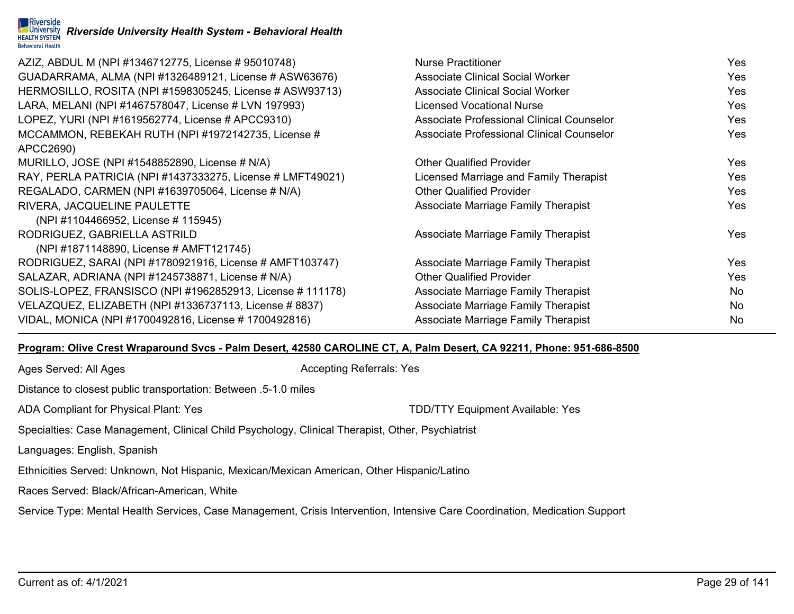| <mark>) Riverside</mark><br>A University Riverside University Health System - Behavioral Health<br>неа⊾тн ѕүѕтем<br><b>Behavioral Health</b> |                                            |      |
|----------------------------------------------------------------------------------------------------------------------------------------------|--------------------------------------------|------|
| AZIZ, ABDUL M (NPI #1346712775, License # 95010748)                                                                                          | <b>Nurse Practitioner</b>                  | Yes. |
| GUADARRAMA, ALMA (NPI #1326489121, License # ASW63676)                                                                                       | <b>Associate Clinical Social Worker</b>    | Yes  |
| HERMOSILLO, ROSITA (NPI #1598305245, License # ASW93713)                                                                                     | <b>Associate Clinical Social Worker</b>    | Yes  |
| LARA, MELANI (NPI #1467578047, License # LVN 197993)                                                                                         | <b>Licensed Vocational Nurse</b>           | Yes  |
| LOPEZ, YURI (NPI #1619562774, License # APCC9310)                                                                                            | Associate Professional Clinical Counselor  | Yes  |
| MCCAMMON, REBEKAH RUTH (NPI #1972142735, License #                                                                                           | Associate Professional Clinical Counselor  | Yes  |
| APCC2690)                                                                                                                                    |                                            |      |
| MURILLO, JOSE (NPI #1548852890, License # N/A)                                                                                               | <b>Other Qualified Provider</b>            | Yes  |
| RAY, PERLA PATRICIA (NPI #1437333275, License # LMFT49021)                                                                                   | Licensed Marriage and Family Therapist     | Yes  |
| REGALADO, CARMEN (NPI #1639705064, License # N/A)                                                                                            | <b>Other Qualified Provider</b>            | Yes  |
| RIVERA, JACQUELINE PAULETTE                                                                                                                  | Associate Marriage Family Therapist        | Yes  |
| (NPI #1104466952, License # 115945)                                                                                                          |                                            |      |
| RODRIGUEZ, GABRIELLA ASTRILD                                                                                                                 | Associate Marriage Family Therapist        | Yes  |
| (NPI #1871148890, License # AMFT121745)                                                                                                      |                                            |      |
| RODRIGUEZ, SARAI (NPI #1780921916, License # AMFT103747)                                                                                     | <b>Associate Marriage Family Therapist</b> | Yes  |
| SALAZAR, ADRIANA (NPI #1245738871, License # N/A)                                                                                            | <b>Other Qualified Provider</b>            | Yes  |
| SOLIS-LOPEZ, FRANSISCO (NPI #1962852913, License # 111178)                                                                                   | <b>Associate Marriage Family Therapist</b> | No   |
| VELAZQUEZ, ELIZABETH (NPI #1336737113, License # 8837)                                                                                       | <b>Associate Marriage Family Therapist</b> | No   |
| VIDAL, MONICA (NPI #1700492816, License #1700492816)                                                                                         | <b>Associate Marriage Family Therapist</b> | No   |

# **Program: Olive Crest Wraparound Svcs - Palm Desert, 42580 CAROLINE CT, A, Palm Desert, CA 92211, Phone: 951-686-8500**

| Ages Served: All Ages                                                                            | <b>Accepting Referrals: Yes</b>                                                                                             |  |
|--------------------------------------------------------------------------------------------------|-----------------------------------------------------------------------------------------------------------------------------|--|
| Distance to closest public transportation: Between .5-1.0 miles                                  |                                                                                                                             |  |
| ADA Compliant for Physical Plant: Yes                                                            | <b>TDD/TTY Equipment Available: Yes</b>                                                                                     |  |
| Specialties: Case Management, Clinical Child Psychology, Clinical Therapist, Other, Psychiatrist |                                                                                                                             |  |
| Languages: English, Spanish                                                                      |                                                                                                                             |  |
| Ethnicities Served: Unknown, Not Hispanic, Mexican/Mexican American, Other Hispanic/Latino       |                                                                                                                             |  |
| Races Served: Black/African-American, White                                                      |                                                                                                                             |  |
|                                                                                                  | Service Type: Mental Health Services, Case Management, Crisis Intervention, Intensive Care Coordination, Medication Support |  |
|                                                                                                  |                                                                                                                             |  |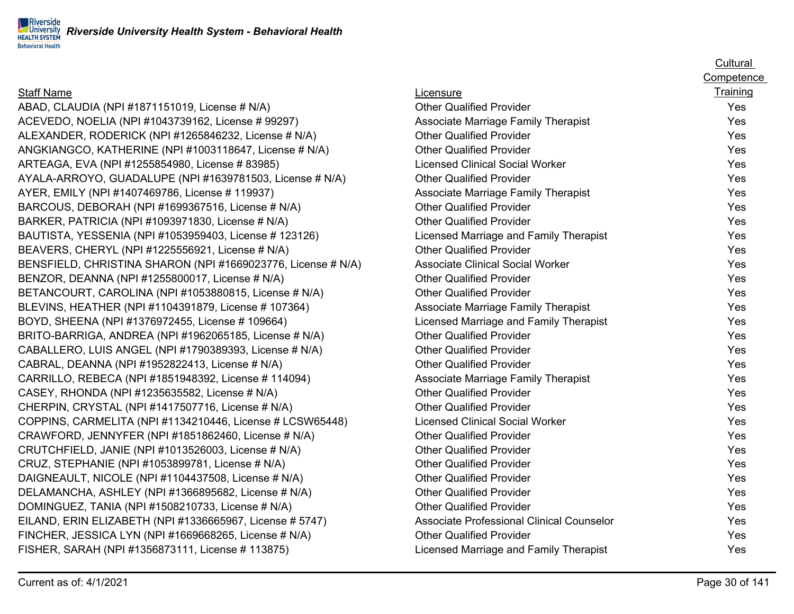**Riverside** *Riverside University Health System - Behavioral Health* **HEALTH SYSTEM** 

# Staff Name

**Behavioral Health** 

ABAD, CLAUDIA (NPI #1871151019, License # N/A) ACEVEDO, NOELIA (NPI #1043739162, License # 99297) ALEXANDER, RODERICK (NPI #1265846232, License # N/A) ANGKIANGCO, KATHERINE (NPI #1003118647, License # N/A) ARTEAGA, EVA (NPI #1255854980, License # 83985) AYALA-ARROYO, GUADALUPE (NPI #1639781503, License # N/A) AYER, EMILY (NPI #1407469786, License # 119937) BARCOUS, DEBORAH (NPI #1699367516, License # N/A) BARKER, PATRICIA (NPI #1093971830, License # N/A) BAUTISTA, YESSENIA (NPI #1053959403, License # 123126) BEAVERS, CHERYL (NPI #1225556921, License #  $N/A$ ) BENSFIELD, CHRISTINA SHARON (NPI #1669023776, License # N/A) BENZOR, DEANNA (NPI #1255800017, License # N/A) BETANCOURT, CAROLINA (NPI #1053880815, License # N/A) BLEVINS, HEATHER (NPI #1104391879, License # 107364) BOYD, SHEENA (NPI #1376972455, License # 109664) BRITO-BARRIGA, ANDREA (NPI #1962065185, License # N/A) CABALLERO, LUIS ANGEL (NPI #1790389393, License # N/A) CABRAL, DEANNA (NPI #1952822413, License # N/A) CARRILLO, REBECA (NPI #1851948392, License # 114094) CASEY, RHONDA (NPI  $#1235635582$ , License  $# N/A$ ) CHERPIN, CRYSTAL (NPI  $#1417507716$ , License  $# N/A$ ) COPPINS, CARMELITA (NPI #1134210446, License # LCSW65448) CRAWFORD, JENNYFER (NPI  $\#1851862460$ , License  $\# N/A$ ) CRUTCHFIELD, JANIE (NPI #1013526003, License # N/A) CRUZ, STEPHANIE (NPI  $#1053899781$ , License  $#N/A$ ) DAIGNEAULT, NICOLE (NPI  $#1104437508$ , License  $# N/A$ ) DELAMANCHA, ASHLEY (NPI  $#1366895682$ , License  $# N/A$ ) DOMINGUEZ, TANIA (NPI #1508210733, License # N/A) EILAND, ERIN ELIZABETH (NPI #1336665967, License # 5747) FINCHER, JESSICA LYN (NPI #1669668265, License # N/A) FISHER, SARAH (NPI #1356873111, License # 113875)

|                                                  | <b>Competence</b> |
|--------------------------------------------------|-------------------|
| Licensure                                        | <b>Training</b>   |
| <b>Other Qualified Provider</b>                  | Yes               |
| <b>Associate Marriage Family Therapist</b>       | Yes               |
| <b>Other Qualified Provider</b>                  | Yes               |
| <b>Other Qualified Provider</b>                  | Yes               |
| <b>Licensed Clinical Social Worker</b>           | Yes               |
| <b>Other Qualified Provider</b>                  | Yes               |
| <b>Associate Marriage Family Therapist</b>       | Yes               |
| <b>Other Qualified Provider</b>                  | Yes               |
| <b>Other Qualified Provider</b>                  | Yes               |
| Licensed Marriage and Family Therapist           | Yes               |
| <b>Other Qualified Provider</b>                  | Yes               |
| <b>Associate Clinical Social Worker</b>          | Yes               |
| <b>Other Qualified Provider</b>                  | Yes               |
| <b>Other Qualified Provider</b>                  | Yes               |
| <b>Associate Marriage Family Therapist</b>       | Yes               |
| Licensed Marriage and Family Therapist           | Yes               |
| <b>Other Qualified Provider</b>                  | Yes               |
| <b>Other Qualified Provider</b>                  | Yes               |
| <b>Other Qualified Provider</b>                  | Yes               |
| Associate Marriage Family Therapist              | Yes               |
| <b>Other Qualified Provider</b>                  | Yes               |
| <b>Other Qualified Provider</b>                  | Yes               |
| <b>Licensed Clinical Social Worker</b>           | Yes               |
| <b>Other Qualified Provider</b>                  | Yes               |
| <b>Other Qualified Provider</b>                  | Yes               |
| <b>Other Qualified Provider</b>                  | Yes               |
| <b>Other Qualified Provider</b>                  | Yes               |
| <b>Other Qualified Provider</b>                  | Yes               |
| <b>Other Qualified Provider</b>                  | Yes               |
| <b>Associate Professional Clinical Counselor</b> | Yes               |
| <b>Other Qualified Provider</b>                  | Yes               |
| Licensed Marriage and Family Therapist           | Yes               |
|                                                  |                   |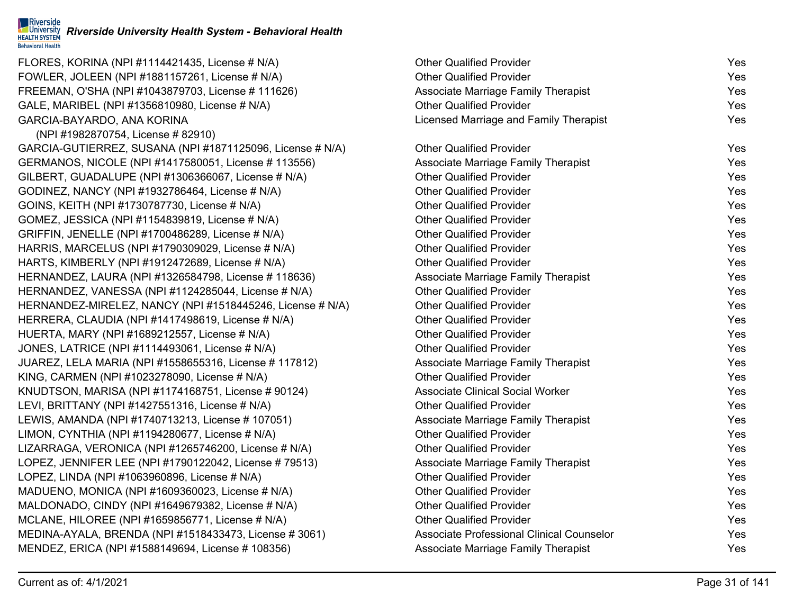FLORES, KORINA (NPI  $#1114421435$ , License  $# N/A$ ) FOWLER, JOLEEN (NPI #1881157261, License # N/A) FREEMAN, O'SHA (NPI #1043879703, License # 111626) GALE, MARIBEL (NPI #1356810980, License # N/A) GARCIA-BAYARDO, ANA KORINA (NPI #1982870754, License # 82910) GARCIA-GUTIERREZ, SUSANA (NPI #1871125096, License # N/A) GERMANOS, NICOLE (NPI #1417580051, License # 113556) GILBERT, GUADALUPE (NPI #1306366067, License # N/A) GODINEZ, NANCY (NPI #1932786464, License # N/A) GOINS, KEITH (NPI #1730787730, License # N/A) GOMEZ, JESSICA (NPI #1154839819, License # N/A) GRIFFIN, JENELLE (NPI  $#1700486289$ , License  $# N/A$ ) HARRIS, MARCELUS (NPI  $#1790309029$ , License  $# N/A$ ) HARTS, KIMBERLY (NPI  $#1912472689$ , License  $# N/A$ ) HERNANDEZ, LAURA (NPI #1326584798, License # 118636) HERNANDEZ, VANESSA (NPI  $#1124285044$ , License  $# N/A$ ) HERNANDEZ-MIRELEZ, NANCY (NPI #1518445246, License # N/A) HERRERA, CLAUDIA (NPI  $#1417498619$ , License  $# N/A$ ) HUERTA, MARY (NPI  $#1689212557$ , License  $# N/A$ ) JONES, LATRICE (NPI  $#1114493061$ , License  $# N/A$ ) JUAREZ, LELA MARIA (NPI #1558655316, License # 117812) KING, CARMEN (NPI  $#1023278090$ , License  $# N/A$ ) KNUDTSON, MARISA (NPI #1174168751, License # 90124) LEVI, BRITTANY (NPI  $\#1427551316$ , License  $\# N/A$ ) LEWIS, AMANDA (NPI #1740713213, License # 107051) LIMON, CYNTHIA (NPI #1194280677, License # N/A) LIZARRAGA, VERONICA (NPI  $#1265746200$ , License  $# N/A$ ) LOPEZ, JENNIFER LEE (NPI #1790122042, License # 79513) LOPEZ, LINDA (NPI #1063960896, License # N/A) MADUENO, MONICA (NPI #1609360023, License # N/A) MALDONADO, CINDY (NPI #1649679382, License # N/A) MCLANE, HILOREE (NPI  $#1659856771$ , License  $#N/A$ ) MEDINA-AYALA, BRENDA (NPI #1518433473, License # 3061) MENDEZ, ERICA (NPI #1588149694, License # 108356)

| <b>Other Qualified Provider</b>                  | Yes |
|--------------------------------------------------|-----|
| <b>Other Qualified Provider</b>                  | Yes |
| <b>Associate Marriage Family Therapist</b>       | Yes |
| <b>Other Qualified Provider</b>                  | Yes |
| Licensed Marriage and Family Therapist           | Yes |
|                                                  |     |
| <b>Other Qualified Provider</b>                  | Yes |
| <b>Associate Marriage Family Therapist</b>       | Yes |
| <b>Other Qualified Provider</b>                  | Yes |
| <b>Other Qualified Provider</b>                  | Yes |
| <b>Other Qualified Provider</b>                  | Yes |
| <b>Other Qualified Provider</b>                  | Yes |
| <b>Other Qualified Provider</b>                  | Yes |
| <b>Other Qualified Provider</b>                  | Yes |
| <b>Other Qualified Provider</b>                  | Yes |
| Associate Marriage Family Therapist              | Yes |
| <b>Other Qualified Provider</b>                  | Yes |
| <b>Other Qualified Provider</b>                  | Yes |
| <b>Other Qualified Provider</b>                  | Yes |
| <b>Other Qualified Provider</b>                  | Yes |
| <b>Other Qualified Provider</b>                  | Yes |
| <b>Associate Marriage Family Therapist</b>       | Yes |
| <b>Other Qualified Provider</b>                  | Yes |
| <b>Associate Clinical Social Worker</b>          | Yes |
| <b>Other Qualified Provider</b>                  | Yes |
| <b>Associate Marriage Family Therapist</b>       | Yes |
| <b>Other Qualified Provider</b>                  | Yes |
| <b>Other Qualified Provider</b>                  | Yes |
| <b>Associate Marriage Family Therapist</b>       | Yes |
| <b>Other Qualified Provider</b>                  | Yes |
| <b>Other Qualified Provider</b>                  | Yes |
| <b>Other Qualified Provider</b>                  | Yes |
| <b>Other Qualified Provider</b>                  | Yes |
| <b>Associate Professional Clinical Counselor</b> | Yes |
| <b>Associate Marriage Family Therapist</b>       | Yes |
|                                                  |     |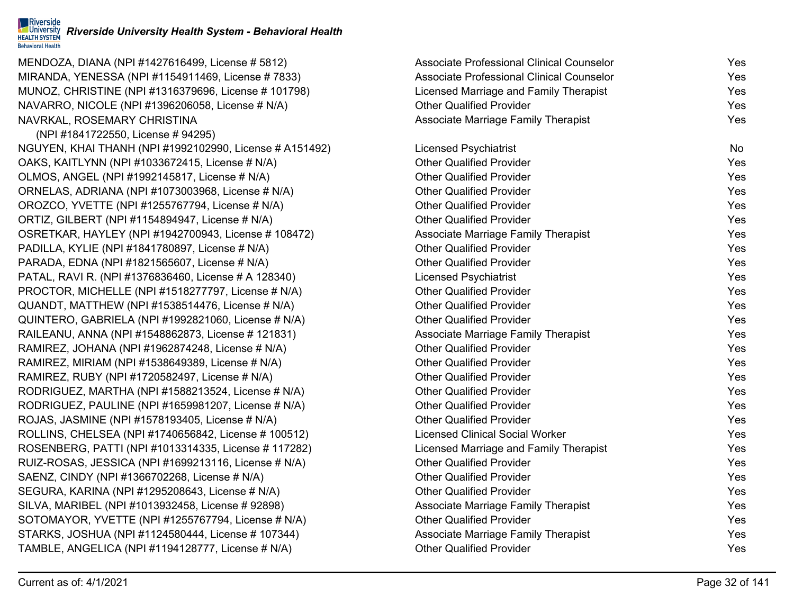MENDOZA, DIANA (NPI #1427616499, License # 5812) MIRANDA, YENESSA (NPI #1154911469, License # 7833) MUNOZ, CHRISTINE (NPI #1316379696, License # 101798)  $NAVARRO$ , NICOLE (NPI #1396206058, License # N/A) NAVRKAL, ROSEMARY CHRISTINA

(NPI #1841722550, License # 94295) NGUYEN, KHAI THANH (NPI #1992102990, License # A151492) OAKS, KAITLYNN (NPI  $#1033672415$ , License  $#N/A$ ) OLMOS, ANGEL (NPI #1992145817, License # N/A) ORNELAS, ADRIANA (NPI #1073003968, License # N/A) OROZCO, YVETTE (NPI #1255767794, License # N/A) ORTIZ, GILBERT (NPI  $#1154894947$ , License  $# N/A$ ) OSRETKAR, HAYLEY (NPI #1942700943, License # 108472) PADILLA, KYLIE (NPI #1841780897, License # N/A) PARADA, EDNA (NPI #1821565607, License # N/A) PATAL, RAVI R. (NPI #1376836460, License # A 128340) PROCTOR, MICHELLE (NPI #1518277797, License # N/A) QUANDT, MATTHEW (NPI  $#1538514476$ , License  $# N/A$ )  $QUINTERO, GABRIELA (NPI #1992821060, License # N/A)$ RAILEANU, ANNA (NPI #1548862873, License # 121831) RAMIREZ, JOHANA (NPI #1962874248, License # N/A) RAMIREZ, MIRIAM (NPI #1538649389, License # N/A) RAMIREZ, RUBY (NPI  $\#1720582497$ , License  $\# N/A$ ) RODRIGUEZ, MARTHA (NPI #1588213524, License # N/A) RODRIGUEZ, PAULINE (NPI #1659981207, License # N/A) ROJAS, JASMINE (NPI #1578193405, License # N/A) ROLLINS, CHELSEA (NPI #1740656842, License # 100512) ROSENBERG, PATTI (NPI #1013314335, License # 117282) RUIZ-ROSAS, JESSICA (NPI  $\#1699213116$ , License  $\# N/A$ ) SAENZ, CINDY (NPI #1366702268, License # N/A) SEGURA, KARINA (NPI #1295208643, License # N/A) SILVA, MARIBEL (NPI #1013932458, License # 92898) SOTOMAYOR, YVETTE (NPI #1255767794, License # N/A) STARKS, JOSHUA (NPI #1124580444, License # 107344) TAMBLE, ANGELICA (NPI  $#1194128777$ , License  $# N/A$ )

| <b>Associate Professional Clinical Counselor</b> | Yes |
|--------------------------------------------------|-----|
| <b>Associate Professional Clinical Counselor</b> | Yes |
| Licensed Marriage and Family Therapist           | Yes |
| <b>Other Qualified Provider</b>                  | Yes |
| <b>Associate Marriage Family Therapist</b>       | Yes |
|                                                  |     |
| <b>Licensed Psychiatrist</b>                     | No  |
| <b>Other Qualified Provider</b>                  | Yes |
| <b>Other Qualified Provider</b>                  | Yes |
| <b>Other Qualified Provider</b>                  | Yes |
| <b>Other Qualified Provider</b>                  | Yes |
| <b>Other Qualified Provider</b>                  | Yes |
| <b>Associate Marriage Family Therapist</b>       | Yes |
| <b>Other Qualified Provider</b>                  | Yes |
| <b>Other Qualified Provider</b>                  | Yes |
| <b>Licensed Psychiatrist</b>                     | Yes |
| <b>Other Qualified Provider</b>                  | Yes |
| <b>Other Qualified Provider</b>                  | Yes |
| <b>Other Qualified Provider</b>                  | Yes |
| <b>Associate Marriage Family Therapist</b>       | Yes |
| <b>Other Qualified Provider</b>                  | Yes |
| <b>Other Qualified Provider</b>                  | Yes |
| <b>Other Qualified Provider</b>                  | Yes |
| <b>Other Qualified Provider</b>                  | Yes |
| <b>Other Qualified Provider</b>                  | Yes |
| <b>Other Qualified Provider</b>                  | Yes |
| <b>Licensed Clinical Social Worker</b>           | Yes |
| Licensed Marriage and Family Therapist           | Yes |
| <b>Other Qualified Provider</b>                  | Yes |
| <b>Other Qualified Provider</b>                  | Yes |
| <b>Other Qualified Provider</b>                  | Yes |
| <b>Associate Marriage Family Therapist</b>       | Yes |
| <b>Other Qualified Provider</b>                  | Yes |
| Associate Marriage Family Therapist              | Yes |
| <b>Other Qualified Provider</b>                  | Yes |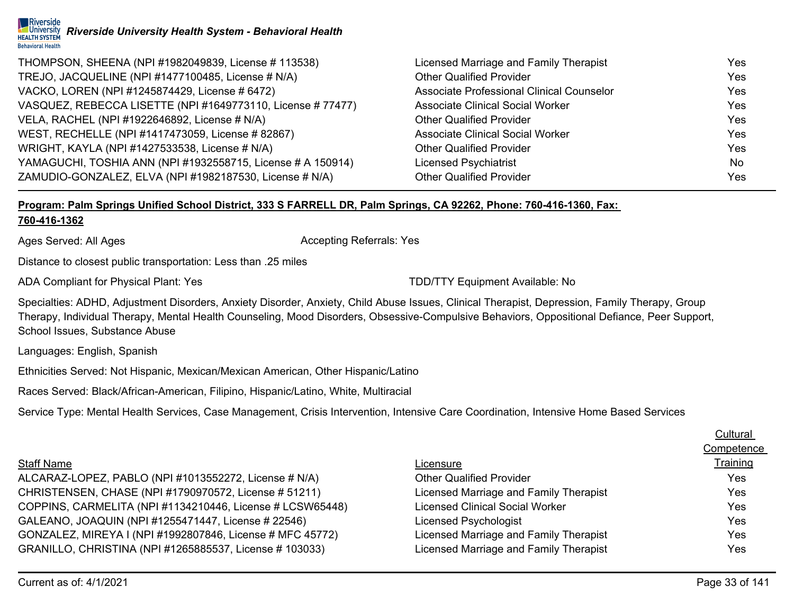| THOMPSON, SHEENA (NPI #1982049839, License # 113538)        | Licensed Marriage and Family Therapist    | Yes        |
|-------------------------------------------------------------|-------------------------------------------|------------|
| TREJO, JACQUELINE (NPI #1477100485, License # N/A)          | <b>Other Qualified Provider</b>           | <b>Yes</b> |
| VACKO, LOREN (NPI #1245874429, License # 6472)              | Associate Professional Clinical Counselor | <b>Yes</b> |
| VASQUEZ, REBECCA LISETTE (NPI #1649773110, License #77477)  | <b>Associate Clinical Social Worker</b>   | <b>Yes</b> |
| VELA, RACHEL (NPI #1922646892, License # N/A)               | <b>Other Qualified Provider</b>           | <b>Yes</b> |
| WEST, RECHELLE (NPI #1417473059, License #82867)            | <b>Associate Clinical Social Worker</b>   | <b>Yes</b> |
| WRIGHT, KAYLA (NPI #1427533538, License # N/A)              | <b>Other Qualified Provider</b>           | <b>Yes</b> |
| YAMAGUCHI, TOSHIA ANN (NPI #1932558715, License # A 150914) | <b>Licensed Psychiatrist</b>              | <b>No</b>  |
| ZAMUDIO-GONZALEZ, ELVA (NPI #1982187530, License # N/A)     | <b>Other Qualified Provider</b>           | <b>Yes</b> |

# **Program: Palm Springs Unified School District, 333 S FARRELL DR, Palm Springs, CA 92262, Phone: 760-416-1360, Fax: 760-416-1362**

Ages Served: All Ages Accepting Referrals: Yes

Distance to closest public transportation: Less than .25 miles

ADA Compliant for Physical Plant: Yes TELL THE TRIM TO THE TOP/TTY Equipment Available: No

Specialties: ADHD, Adjustment Disorders, Anxiety Disorder, Anxiety, Child Abuse Issues, Clinical Therapist, Depression, Family Therapy, Group Therapy, Individual Therapy, Mental Health Counseling, Mood Disorders, Obsessive-Compulsive Behaviors, Oppositional Defiance, Peer Support, School Issues, Substance Abuse

Languages: English, Spanish

Ethnicities Served: Not Hispanic, Mexican/Mexican American, Other Hispanic/Latino

Races Served: Black/African-American, Filipino, Hispanic/Latino, White, Multiracial

Service Type: Mental Health Services, Case Management, Crisis Intervention, Intensive Care Coordination, Intensive Home Based Services

|                                                           |                                        | Competence      |
|-----------------------------------------------------------|----------------------------------------|-----------------|
| <b>Staff Name</b>                                         | Licensure                              | <b>Training</b> |
| ALCARAZ-LOPEZ, PABLO (NPI #1013552272, License # N/A)     | <b>Other Qualified Provider</b>        | <b>Yes</b>      |
| CHRISTENSEN, CHASE (NPI #1790970572, License # 51211)     | Licensed Marriage and Family Therapist | Yes             |
| COPPINS, CARMELITA (NPI #1134210446, License # LCSW65448) | <b>Licensed Clinical Social Worker</b> | <b>Yes</b>      |
| GALEANO, JOAQUIN (NPI #1255471447, License # 22546)       | Licensed Psychologist                  | <b>Yes</b>      |
| GONZALEZ, MIREYA I (NPI #1992807846, License # MFC 45772) | Licensed Marriage and Family Therapist | Yes             |
| GRANILLO, CHRISTINA (NPI #1265885537, License # 103033)   | Licensed Marriage and Family Therapist | Yes.            |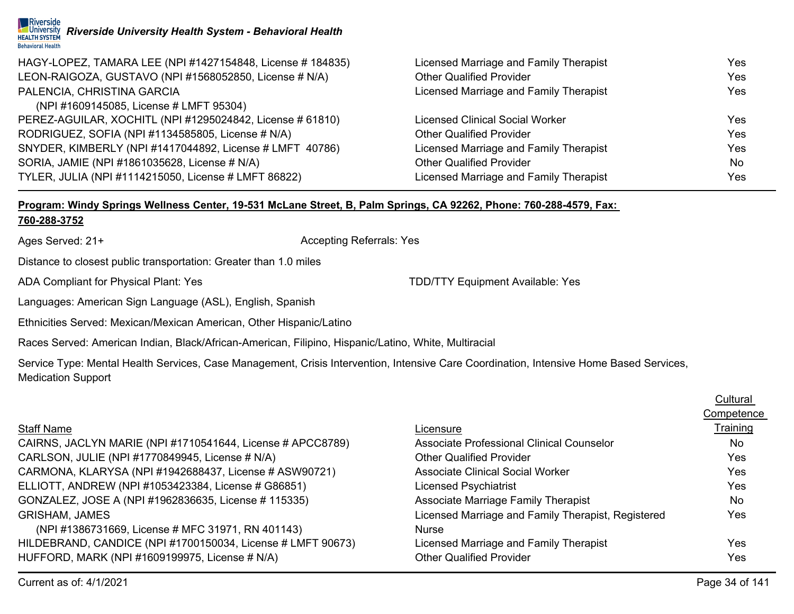| HAGY-LOPEZ, TAMARA LEE (NPI #1427154848, License # 184835) | Licensed Marriage and Family Therapist | Yes        |
|------------------------------------------------------------|----------------------------------------|------------|
| LEON-RAIGOZA, GUSTAVO (NPI #1568052850, License # N/A)     | <b>Other Qualified Provider</b>        | Yes        |
| PALENCIA, CHRISTINA GARCIA                                 | Licensed Marriage and Family Therapist | <b>Yes</b> |
| (NPI #1609145085, License # LMFT 95304)                    |                                        |            |
| PEREZ-AGUILAR, XOCHITL (NPI #1295024842, License # 61810)  | <b>Licensed Clinical Social Worker</b> | <b>Yes</b> |
| RODRIGUEZ, SOFIA (NPI #1134585805, License # N/A)          | <b>Other Qualified Provider</b>        | Yes        |
| SNYDER, KIMBERLY (NPI #1417044892, License # LMFT 40786)   | Licensed Marriage and Family Therapist | Yes        |
| SORIA, JAMIE (NPI #1861035628, License # N/A)              | <b>Other Qualified Provider</b>        | <b>No</b>  |
| TYLER, JULIA (NPI #1114215050, License # LMFT 86822)       | Licensed Marriage and Family Therapist | Yes        |

# **Program: Windy Springs Wellness Center, 19-531 McLane Street, B, Palm Springs, CA 92262, Phone: 760-288-4579, Fax: 760-288-3752**

Ages Served: 21+ Accepting Referrals: Yes

Distance to closest public transportation: Greater than 1.0 miles

ADA Compliant for Physical Plant: Yes TDD/TTY Equipment Available: Yes

Languages: American Sign Language (ASL), English, Spanish

Ethnicities Served: Mexican/Mexican American, Other Hispanic/Latino

Races Served: American Indian, Black/African-American, Filipino, Hispanic/Latino, White, Multiracial

Service Type: Mental Health Services, Case Management, Crisis Intervention, Intensive Care Coordination, Intensive Home Based Services, Medication Support

# Staff Name

CAIRNS, JACLYN MARIE (NPI #1710541644, License # APCC8789) CARLSON, JULIE (NPI #1770849945, License # N/A) CARMONA, KLARYSA (NPI #1942688437, License # ASW90721) ELLIOTT, ANDREW (NPI #1053423384, License # G86851) GONZALEZ, JOSE A (NPI #1962836635, License # 115335) GRISHAM, JAMES (NPI #1386731669, License # MFC 31971, RN 401143)

HILDEBRAND, CANDICE (NPI #1700150034, License # LMFT 90673) HUFFORD, MARK (NPI #1609199975, License # N/A)

|                                                    | Competence |
|----------------------------------------------------|------------|
| Licensure                                          | Training   |
| <b>Associate Professional Clinical Counselor</b>   | No         |
| <b>Other Qualified Provider</b>                    | Yes        |
| Associate Clinical Social Worker                   | Yes        |
| <b>Licensed Psychiatrist</b>                       | Yes        |
| Associate Marriage Family Therapist                | <b>No</b>  |
| Licensed Marriage and Family Therapist, Registered | Yes        |
| Nurse                                              |            |
| Licensed Marriage and Family Therapist             | Yes        |
| <b>Other Qualified Provider</b>                    | Yes        |
|                                                    |            |

Current as of: 4/1/2021 Page 34 of 141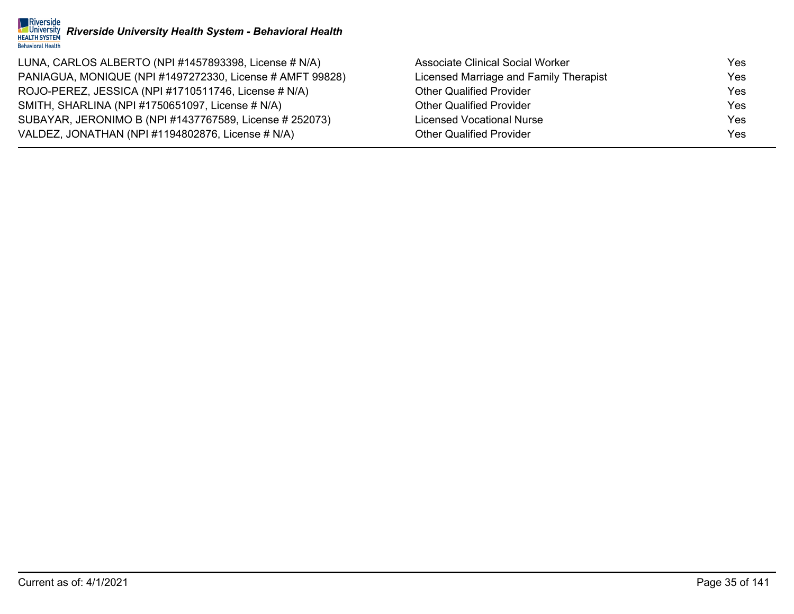

LUNA, CARLOS ALBERTO (NPI #1457893398, License # N/A) Associate Clinical Social Worker Yes PANIAGUA, MONIQUE (NPI #1497272330, License # AMFT 99828) Licensed Marriage and Family Therapist Yes ROJO-PEREZ, JESSICA (NPI #1710511746, License # N/A) Other Qualified Provider Cualified Provider Yes SMITH, SHARLINA (NPI #1750651097, License # N/A) Other Qualified Provider Cualified Provider Yes SUBAYAR, JERONIMO B (NPI #1437767589, License # 252073) Licensed Vocational Nurse Ves VALDEZ, JONATHAN (NPI #1194802876, License # N/A) Other Qualified Provider Ves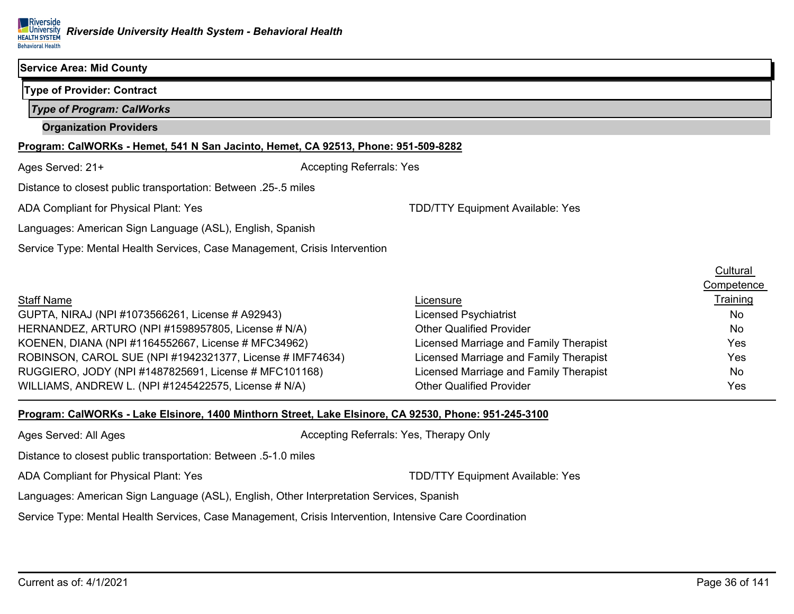### **Service Area: Mid County**

### **Type of Provider: Contract**

*Type of Program: CalWorks*

## **Organization Providers**

### **Program: CalWORKs - Hemet, 541 N San Jacinto, Hemet, CA 92513, Phone: 951-509-8282**

Ages Served: 21+ Accepting Referrals: Yes

Distance to closest public transportation: Between .25-.5 miles

ADA Compliant for Physical Plant: Yes TDD/TTY Equipment Available: Yes

Languages: American Sign Language (ASL), English, Spanish

Service Type: Mental Health Services, Case Management, Crisis Intervention

| <b>Staff Name</b>                                         | Licensure                              | <b>Training</b> |
|-----------------------------------------------------------|----------------------------------------|-----------------|
| GUPTA, NIRAJ (NPI #1073566261, License # A92943)          | Licensed Psychiatrist                  | No.             |
| HERNANDEZ, ARTURO (NPI #1598957805, License # N/A)        | <b>Other Qualified Provider</b>        | <b>No</b>       |
| KOENEN, DIANA (NPI #1164552667, License # MFC34962)       | Licensed Marriage and Family Therapist | Yes             |
| ROBINSON, CAROL SUE (NPI #1942321377, License # IMF74634) | Licensed Marriage and Family Therapist | Yes             |
| RUGGIERO, JODY (NPI #1487825691, License # MFC101168)     | Licensed Marriage and Family Therapist | <b>No</b>       |
| WILLIAMS, ANDREW L. (NPI #1245422575, License # N/A)      | <b>Other Qualified Provider</b>        | Yes             |

### **Program: CalWORKs - Lake Elsinore, 1400 Minthorn Street, Lake Elsinore, CA 92530, Phone: 951-245-3100**

Ages Served: All Ages Accepting Referrals: Yes, Therapy Only

Distance to closest public transportation: Between .5-1.0 miles

ADA Compliant for Physical Plant: Yes TELL THE SECTION COMPLETED TO THE TOP/TTY Equipment Available: Yes

Languages: American Sign Language (ASL), English, Other Interpretation Services, Spanish

Service Type: Mental Health Services, Case Management, Crisis Intervention, Intensive Care Coordination

**Cultural Competence**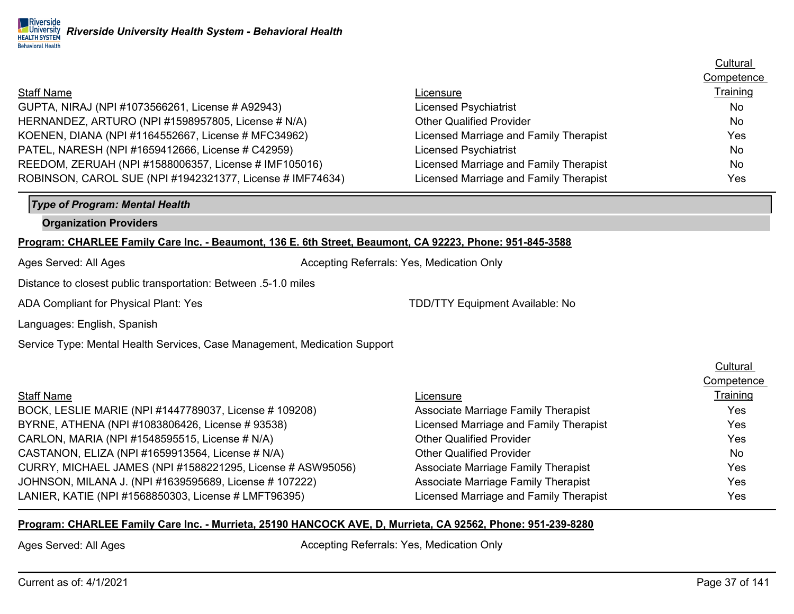|                                                           |                                        | Competence |
|-----------------------------------------------------------|----------------------------------------|------------|
| <b>Staff Name</b>                                         | Licensure                              | Training   |
| GUPTA, NIRAJ (NPI #1073566261, License # A92943)          | <b>Licensed Psychiatrist</b>           | No         |
| HERNANDEZ, ARTURO (NPI #1598957805, License # N/A)        | <b>Other Qualified Provider</b>        | <b>No</b>  |
| KOENEN, DIANA (NPI #1164552667, License # MFC34962)       | Licensed Marriage and Family Therapist | Yes        |
| PATEL, NARESH (NPI #1659412666, License # C42959)         | <b>Licensed Psychiatrist</b>           | <b>No</b>  |
| REEDOM, ZERUAH (NPI #1588006357, License # IMF105016)     | Licensed Marriage and Family Therapist | <b>No</b>  |
| ROBINSON, CAROL SUE (NPI #1942321377, License # IMF74634) | Licensed Marriage and Family Therapist | Yes        |

## *Type of Program: Mental Health*

**Organization Providers**

### **Program: CHARLEE Family Care Inc. - Beaumont, 136 E. 6th Street, Beaumont, CA 92223, Phone: 951-845-3588**

Ages Served: All Ages Accepting Referrals: Yes, Medication Only

Distance to closest public transportation: Between .5-1.0 miles

ADA Compliant for Physical Plant: Yes TDD/TTY Equipment Available: No

Languages: English, Spanish

Service Type: Mental Health Services, Case Management, Medication Support

| <b>Staff Name</b>                                          | Licensure                              | <b>Training</b> |
|------------------------------------------------------------|----------------------------------------|-----------------|
| BOCK, LESLIE MARIE (NPI #1447789037, License # 109208)     | Associate Marriage Family Therapist    | Yes             |
| BYRNE, ATHENA (NPI #1083806426, License # 93538)           | Licensed Marriage and Family Therapist | Yes             |
| CARLON, MARIA (NPI #1548595515, License # N/A)             | <b>Other Qualified Provider</b>        | Yes             |
| CASTANON, ELIZA (NPI #1659913564, License # N/A)           | <b>Other Qualified Provider</b>        | <b>No</b>       |
| CURRY, MICHAEL JAMES (NPI #1588221295, License # ASW95056) | Associate Marriage Family Therapist    | Yes             |
| JOHNSON, MILANA J. (NPI #1639595689, License # 107222)     | Associate Marriage Family Therapist    | Yes             |
| LANIER, KATIE (NPI #1568850303, License # LMFT96395)       | Licensed Marriage and Family Therapist | Yes             |

### **Program: CHARLEE Family Care Inc. - Murrieta, 25190 HANCOCK AVE, D, Murrieta, CA 92562, Phone: 951-239-8280**

Ages Served: All Ages Accepting Referrals: Yes, Medication Only

**Cultural Competence**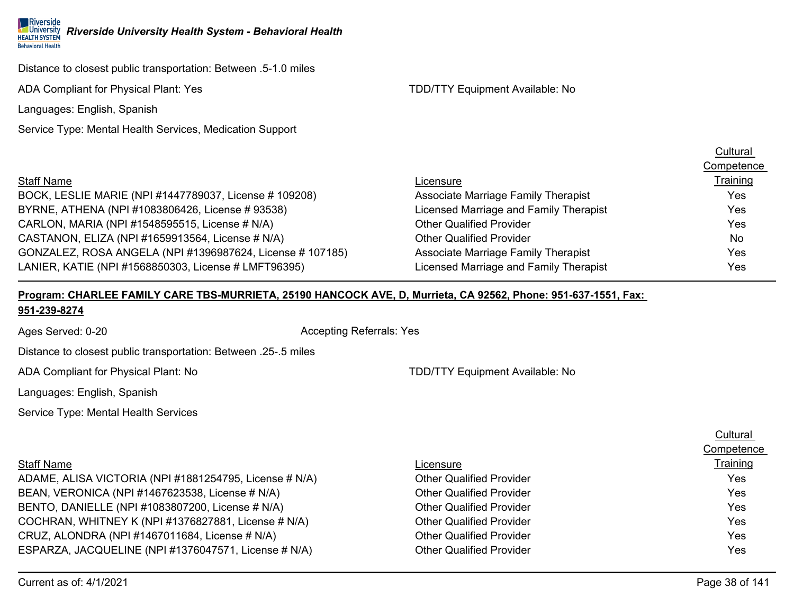Distance to closest public transportation: Between .5-1.0 miles

ADA Compliant for Physical Plant: Yes TDD/TTY Equipment Available: No

Languages: English, Spanish

Service Type: Mental Health Services, Medication Support

|                                                           |                                            | <b>OUTTPULLING</b> |
|-----------------------------------------------------------|--------------------------------------------|--------------------|
| <b>Staff Name</b>                                         | Licensure                                  | <b>Training</b>    |
| BOCK, LESLIE MARIE (NPI #1447789037, License # 109208)    | <b>Associate Marriage Family Therapist</b> | Yes                |
| BYRNE, ATHENA (NPI #1083806426, License # 93538)          | Licensed Marriage and Family Therapist     | Yes.               |
| CARLON, MARIA (NPI #1548595515, License # N/A)            | <b>Other Qualified Provider</b>            | Yes.               |
| CASTANON, ELIZA (NPI #1659913564, License # N/A)          | <b>Other Qualified Provider</b>            | No.                |
| GONZALEZ, ROSA ANGELA (NPI #1396987624, License # 107185) | <b>Associate Marriage Family Therapist</b> | Yes.               |
| LANIER, KATIE (NPI #1568850303, License # LMFT96395)      | Licensed Marriage and Family Therapist     | Yes.               |

## **Program: CHARLEE FAMILY CARE TBS-MURRIETA, 25190 HANCOCK AVE, D, Murrieta, CA 92562, Phone: 951-637-1551, Fax:**

### **951-239-8274**

Ages Served: 0-20 **Accepting Referrals: Yes** Accepting Referrals: Yes

Distance to closest public transportation: Between .25-.5 miles

ADA Compliant for Physical Plant: No TDD/TTY Equipment Available: No

Languages: English, Spanish

Service Type: Mental Health Services

## Staff Name

ADAME, ALISA VICTORIA (NPI #1881254795, License # N/A) BEAN, VERONICA (NPI #1467623538, License # N/A) BENTO, DANIELLE (NPI #1083807200, License # N/A) COCHRAN, WHITNEY K (NPI #1376827881, License # N/A) CRUZ, ALONDRA (NPI #1467011684, License # N/A) ESPARZA, JACQUELINE (NPI #1376047571, License # N/A)

|                                 | Cultural   |
|---------------------------------|------------|
|                                 | Competence |
| Licensure                       | Training   |
| <b>Other Qualified Provider</b> | Yes        |
| <b>Other Qualified Provider</b> | Yes        |
| <b>Other Qualified Provider</b> | Yes        |
| <b>Other Qualified Provider</b> | Yes        |
| <b>Other Qualified Provider</b> | Yes        |
| <b>Other Qualified Provider</b> | Yes        |
|                                 |            |

**Cultural** Competence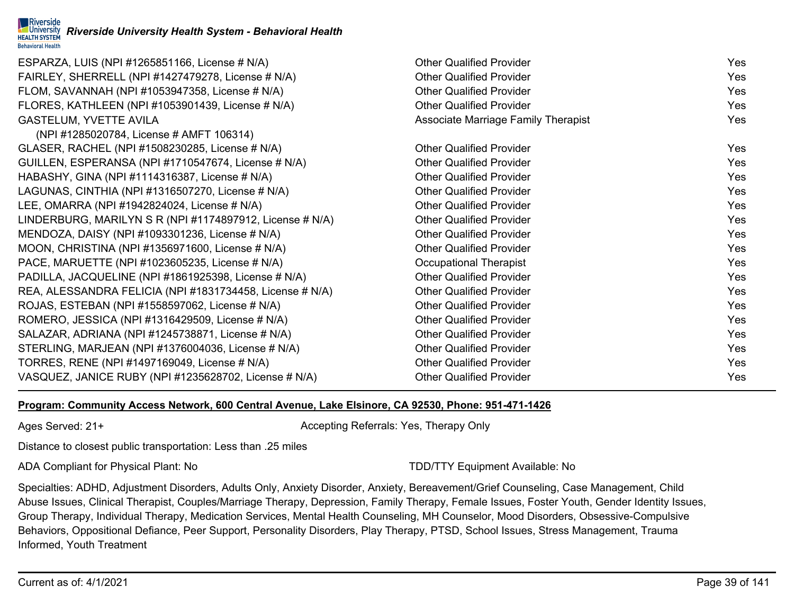|                          | Riverside<br>HEALTH SYSTEM Riverside University Health System - Behavioral Health |
|--------------------------|-----------------------------------------------------------------------------------|
| <b>Behavioral Health</b> |                                                                                   |

| ESPARZA, LUIS (NPI #1265851166, License # N/A)           | <b>Other Qualified Provider</b>            | Yes        |
|----------------------------------------------------------|--------------------------------------------|------------|
| FAIRLEY, SHERRELL (NPI #1427479278, License # N/A)       | <b>Other Qualified Provider</b>            | Yes        |
| FLOM, SAVANNAH (NPI #1053947358, License # N/A)          | <b>Other Qualified Provider</b>            | Yes        |
| FLORES, KATHLEEN (NPI #1053901439, License # N/A)        | <b>Other Qualified Provider</b>            | Yes.       |
| <b>GASTELUM, YVETTE AVILA</b>                            | <b>Associate Marriage Family Therapist</b> | <b>Yes</b> |
| (NPI #1285020784, License # AMFT 106314)                 |                                            |            |
| GLASER, RACHEL (NPI #1508230285, License # N/A)          | <b>Other Qualified Provider</b>            | Yes        |
| GUILLEN, ESPERANSA (NPI #1710547674, License # N/A)      | <b>Other Qualified Provider</b>            | Yes        |
| HABASHY, GINA (NPI #1114316387, License # N/A)           | <b>Other Qualified Provider</b>            | Yes        |
| LAGUNAS, CINTHIA (NPI #1316507270, License # N/A)        | <b>Other Qualified Provider</b>            | Yes        |
| LEE, OMARRA (NPI #1942824024, License # N/A)             | <b>Other Qualified Provider</b>            | <b>Yes</b> |
| LINDERBURG, MARILYN S R (NPI #1174897912, License # N/A) | <b>Other Qualified Provider</b>            | Yes        |
| MENDOZA, DAISY (NPI #1093301236, License # N/A)          | <b>Other Qualified Provider</b>            | Yes        |
| MOON, CHRISTINA (NPI #1356971600, License # N/A)         | <b>Other Qualified Provider</b>            | Yes        |
| PACE, MARUETTE (NPI #1023605235, License # N/A)          | <b>Occupational Therapist</b>              | <b>Yes</b> |
| PADILLA, JACQUELINE (NPI #1861925398, License # N/A)     | <b>Other Qualified Provider</b>            | Yes        |
| REA, ALESSANDRA FELICIA (NPI #1831734458, License # N/A) | <b>Other Qualified Provider</b>            | Yes        |
| ROJAS, ESTEBAN (NPI #1558597062, License # N/A)          | <b>Other Qualified Provider</b>            | Yes        |
| ROMERO, JESSICA (NPI #1316429509, License # N/A)         | <b>Other Qualified Provider</b>            | Yes        |
| SALAZAR, ADRIANA (NPI #1245738871, License # N/A)        | <b>Other Qualified Provider</b>            | Yes        |
| STERLING, MARJEAN (NPI #1376004036, License # N/A)       | <b>Other Qualified Provider</b>            | Yes        |
| TORRES, RENE (NPI #1497169049, License # N/A)            | <b>Other Qualified Provider</b>            | Yes        |
| VASQUEZ, JANICE RUBY (NPI #1235628702, License # N/A)    | <b>Other Qualified Provider</b>            | Yes        |

### **Program: Community Access Network, 600 Central Avenue, Lake Elsinore, CA 92530, Phone: 951-471-1426**

Ages Served: 21+ Accepting Referrals: Yes, Therapy Only

Distance to closest public transportation: Less than .25 miles

ADA Compliant for Physical Plant: No TDD/TTY Equipment Available: No

Specialties: ADHD, Adjustment Disorders, Adults Only, Anxiety Disorder, Anxiety, Bereavement/Grief Counseling, Case Management, Child Abuse Issues, Clinical Therapist, Couples/Marriage Therapy, Depression, Family Therapy, Female Issues, Foster Youth, Gender Identity Issues, Group Therapy, Individual Therapy, Medication Services, Mental Health Counseling, MH Counselor, Mood Disorders, Obsessive-Compulsive Behaviors, Oppositional Defiance, Peer Support, Personality Disorders, Play Therapy, PTSD, School Issues, Stress Management, Trauma Informed, Youth Treatment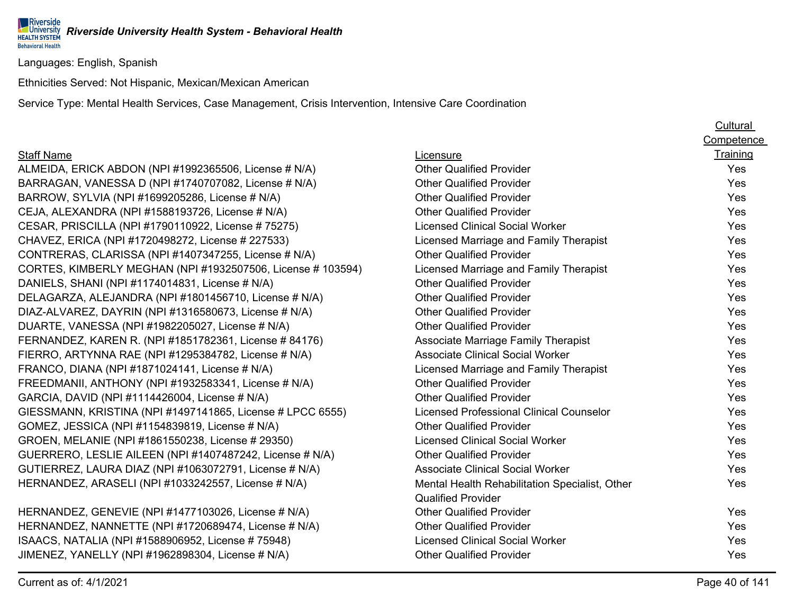Riverside *University Riverside University Health System - Behavioral Health* **HEALTH SYSTEM** 

Languages: English, Spanish

**Behavioral Health** 

Ethnicities Served: Not Hispanic, Mexican/Mexican American

Service Type: Mental Health Services, Case Management, Crisis Intervention, Intensive Care Coordination

## Staff Name **Cultural Competence** Licensure **Training** ALMEIDA, ERICK ABDON (NPI #1992365506, License # N/A) Other Qualified Provider Yes BARRAGAN, VANESSA D (NPI #1740707082, License # N/A) Other Qualified Provider Yes BARROW, SYLVIA (NPI #1699205286, License # N/A) Qther Qualified Provider Cther Qualified Provider Yes CEJA, ALEXANDRA (NPI #1588193726, License # N/A) Other Qualified Provider Ves CESAR, PRISCILLA (NPI #1790110922, License # 75275) Licensed Clinical Social Worker Yes CHAVEZ, ERICA (NPI #1720498272, License # 227533) Licensed Marriage and Family Therapist Yes CONTRERAS, CLARISSA (NPI #1407347255, License # N/A) Other Qualified Provider Ves CORTES, KIMBERLY MEGHAN (NPI #1932507506, License # 103594) Licensed Marriage and Family Therapist Yes DANIELS, SHANI (NPI #1174014831, License # N/A) Cher Qualified Provider Communications of the Ves DELAGARZA, ALEJANDRA (NPI #1801456710, License # N/A) Other Qualified Provider Ves DIAZ-ALVAREZ, DAYRIN (NPI #1316580673, License # N/A) Other Qualified Provider Cualified Provider Yes DUARTE, VANESSA (NPI #1982205027, License # N/A)  $\rule{1em}{0.15mm}$  Other Qualified Provider  $\rule{1.15mm}{0.15mm}$  Pes FERNANDEZ, KAREN R. (NPI #1851782361, License # 84176) Associate Marriage Family Therapist Family Therapist FIERRO, ARTYNNA RAE (NPI #1295384782, License # N/A) Associate Clinical Social Worker Yes FRANCO, DIANA (NPI #1871024141, License # N/A) Licensed Marriage and Family Therapist Yes FREEDMANII, ANTHONY (NPI #1932583341, License # N/A) Cher Qualified Provider Communications of the Ves GARCIA, DAVID (NPI #1114426004, License # N/A) Charles Communication Communication Communication Communication Ves GIESSMANN, KRISTINA (NPI #1497141865, License # LPCC 6555) Licensed Professional Clinical Counselor Cunselor Ves GOMEZ, JESSICA (NPI #1154839819, License # N/A)  $\qquad \qquad$  Other Qualified Provider  $\qquad \qquad$  Yes GROEN, MELANIE (NPI #1861550238, License # 29350) Licensed Clinical Social Worker Vestyles And Music Press, Nes GUERRERO, LESLIE AILEEN (NPI #1407487242, License # N/A) Other Qualified Provider Vestage And The Stess Vestage Vestage And The Stess Vestage And The Stess Vestage And The Stess Vestage And The Stess Vestage And The Stess GUTIERREZ, LAURA DIAZ (NPI #1063072791, License # N/A) Associate Clinical Social Worker Worker Yes HERNANDEZ, ARASELI (NPI #1033242557, License # N/A) Mental Health Rehabilitation Specialist, Other Yes Qualified Provider HERNANDEZ, GENEVIE (NPI #1477103026, License # N/A) Other Qualified Provider Ves HERNANDEZ, NANNETTE (NPI #1720689474, License # N/A) Other Qualified Provider Ves ISAACS, NATALIA (NPI #1588906952, License # 75948) Licensed Clinical Social Worker Yes JIMENEZ, YANELLY (NPI #1962898304, License # N/A) Other Qualified Provider Yes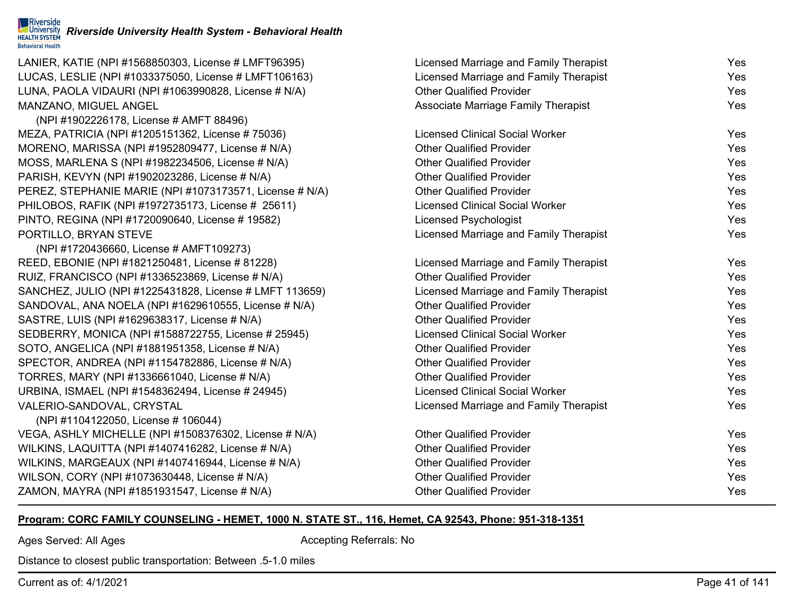LANIER, KATIE (NPI #1568850303, License # LMFT96395) LUCAS, LESLIE (NPI #1033375050, License # LMFT106163) LUNA, PAOLA VIDAURI (NPI #1063990828, License # N/A) MANZANO, MIGUEL ANGEL

(NPI #1902226178, License # AMFT 88496) MEZA, PATRICIA (NPI #1205151362, License # 75036) MORENO, MARISSA (NPI #1952809477, License # N/A) MOSS, MARLENA S (NPI  $\#1982234506$ , License  $\# N/A$ ) PARISH, KEVYN (NPI #1902023286, License # N/A) PEREZ, STEPHANIE MARIE (NPI #1073173571, License # N/A) PHILOBOS, RAFIK (NPI #1972735173, License # 25611) PINTO, REGINA (NPI #1720090640, License # 19582) PORTILLO, BRYAN STEVE

(NPI #1720436660, License # AMFT109273) REED, EBONIE (NPI #1821250481, License # 81228) RUIZ, FRANCISCO (NPI #1336523869, License #  $N/A$ ) SANCHEZ, JULIO (NPI #1225431828, License # LMFT 113659) SANDOVAL, ANA NOELA (NPI  $#1629610555$ , License  $# N/A$ ) SASTRE, LUIS (NPI #1629638317, License # N/A) SEDBERRY, MONICA (NPI #1588722755, License # 25945) SOTO, ANGELICA (NPI #1881951358, License # N/A) SPECTOR, ANDREA (NPI  $#1154782886$ , License  $# N/A$ ) TORRES, MARY (NPI  $\#1336661040$ , License  $\# N/A$ ) URBINA, ISMAEL (NPI #1548362494, License # 24945) VALERIO-SANDOVAL, CRYSTAL

(NPI #1104122050, License # 106044) VEGA, ASHLY MICHELLE (NPI #1508376302, License # N/A) WILKINS, LAQUITTA (NPI #1407416282, License # N/A) WILKINS, MARGEAUX (NPI  $#1407416944$ , License  $# N/A$ ) WILSON, CORY (NPI  $#1073630448$ , License  $# N/A$ ) ZAMON, MAYRA (NPI  $\#1851931547$ , License  $\# N/A$ )

| Licensed Marriage and Family Therapist                                    | Yes        |
|---------------------------------------------------------------------------|------------|
| Licensed Marriage and Family Therapist<br><b>Other Qualified Provider</b> | Yes<br>Yes |
|                                                                           | Yes        |
| Associate Marriage Family Therapist                                       |            |
| <b>Licensed Clinical Social Worker</b>                                    | Yes        |
| <b>Other Qualified Provider</b>                                           | Yes        |
| <b>Other Qualified Provider</b>                                           | Yes        |
| <b>Other Qualified Provider</b>                                           | Yes        |
| <b>Other Qualified Provider</b>                                           | Yes        |
| Licensed Clinical Social Worker                                           | Yes        |
| <b>Licensed Psychologist</b>                                              | Yes        |
| Licensed Marriage and Family Therapist                                    | Yes        |
| Licensed Marriage and Family Therapist                                    | Yes        |
| <b>Other Qualified Provider</b>                                           | Yes        |
| Licensed Marriage and Family Therapist                                    | Yes        |
| <b>Other Qualified Provider</b>                                           | Yes        |
| <b>Other Qualified Provider</b>                                           | Yes        |
| <b>Licensed Clinical Social Worker</b>                                    | Yes        |
| <b>Other Qualified Provider</b>                                           | Yes        |
| <b>Other Qualified Provider</b>                                           | Yes        |
| <b>Other Qualified Provider</b>                                           | Yes        |
| <b>Licensed Clinical Social Worker</b>                                    | Yes        |
| Licensed Marriage and Family Therapist                                    | Yes        |
| <b>Other Qualified Provider</b>                                           | Yes        |
| <b>Other Qualified Provider</b>                                           | Yes        |
| <b>Other Qualified Provider</b>                                           | Yes        |
| <b>Other Qualified Provider</b>                                           | Yes        |
| <b>Other Qualified Provider</b>                                           | Yes        |
|                                                                           |            |

## **Program: CORC FAMILY COUNSELING - HEMET, 1000 N. STATE ST., 116, Hemet, CA 92543, Phone: 951-318-1351**

Ages Served: All Ages Accepting Referrals: No

Distance to closest public transportation: Between .5-1.0 miles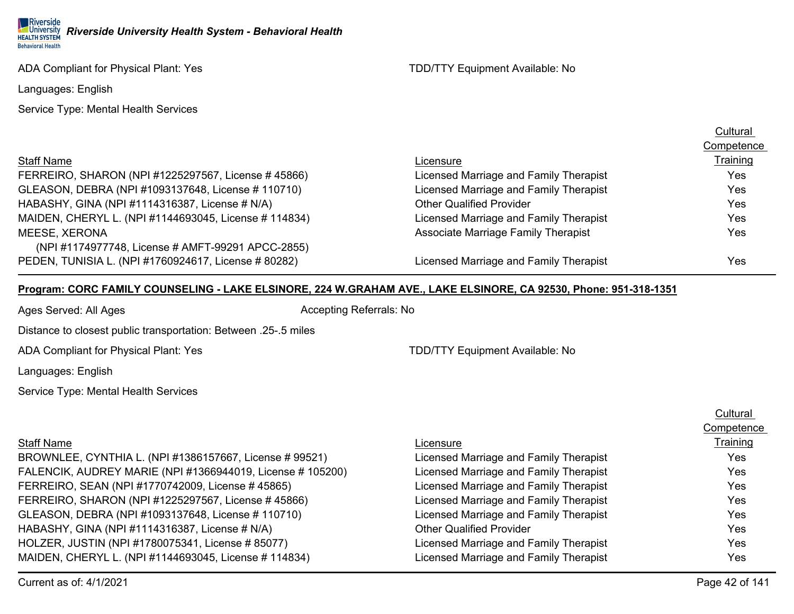ADA Compliant for Physical Plant: Yes TCON TO AND TODATTY Equipment Available: No

Languages: English

Service Type: Mental Health Services

|                                                       |                                        | $\sim$   |
|-------------------------------------------------------|----------------------------------------|----------|
| <b>Staff Name</b>                                     | Licensure                              | Training |
| FERREIRO, SHARON (NPI #1225297567, License # 45866)   | Licensed Marriage and Family Therapist | Yes      |
| GLEASON, DEBRA (NPI #1093137648, License # 110710)    | Licensed Marriage and Family Therapist | Yes      |
| HABASHY, GINA (NPI #1114316387, License # N/A)        | <b>Other Qualified Provider</b>        | Yes      |
| MAIDEN, CHERYL L. (NPI #1144693045, License # 114834) | Licensed Marriage and Family Therapist | Yes      |
| MEESE, XERONA                                         | Associate Marriage Family Therapist    | Yes      |
| (NPI #1174977748, License # AMFT-99291 APCC-2855)     |                                        |          |
| PEDEN, TUNISIA L. (NPI #1760924617, License # 80282)  | Licensed Marriage and Family Therapist | Yes      |
|                                                       |                                        |          |

### **Program: CORC FAMILY COUNSELING - LAKE ELSINORE, 224 W.GRAHAM AVE., LAKE ELSINORE, CA 92530, Phone: 951-318-1351**

Ages Served: All Ages Accepting Referrals: No

Distance to closest public transportation: Between .25-.5 miles

ADA Compliant for Physical Plant: Yes TEER TO AND ADA Compliant Available: No

Languages: English

Staff Name

Service Type: Mental Health Services

## **Cultural Competence** Licensure **Training** BROWNLEE, CYNTHIA L. (NPI #1386157667, License # 99521) Licensed Marriage and Family Therapist Theory Thess Ves FALENCIK, AUDREY MARIE (NPI #1366944019, License # 105200) Licensed Marriage and Family Therapist Theory Thess FERREIRO, SEAN (NPI #1770742009, License # 45865) Licensed Marriage and Family Therapist Theory Conserversion States FERREIRO, SHARON (NPI #1225297567, License # 45866) Licensed Marriage and Family Therapist Ves GLEASON, DEBRA (NPI #1093137648, License # 110710) Licensed Marriage and Family Therapist Yes HABASHY, GINA (NPI #1114316387, License # N/A) Charles Company of Cher Qualified Provider Ves HOLZER, JUSTIN (NPI #1780075341, License # 85077) Licensed Marriage and Family Therapist Yes MAIDEN, CHERYL L. (NPI #1144693045, License # 114834) Licensed Marriage and Family Therapist Yes

Current as of: 4/1/2021 Page 42 of 141

**Cultural** Competence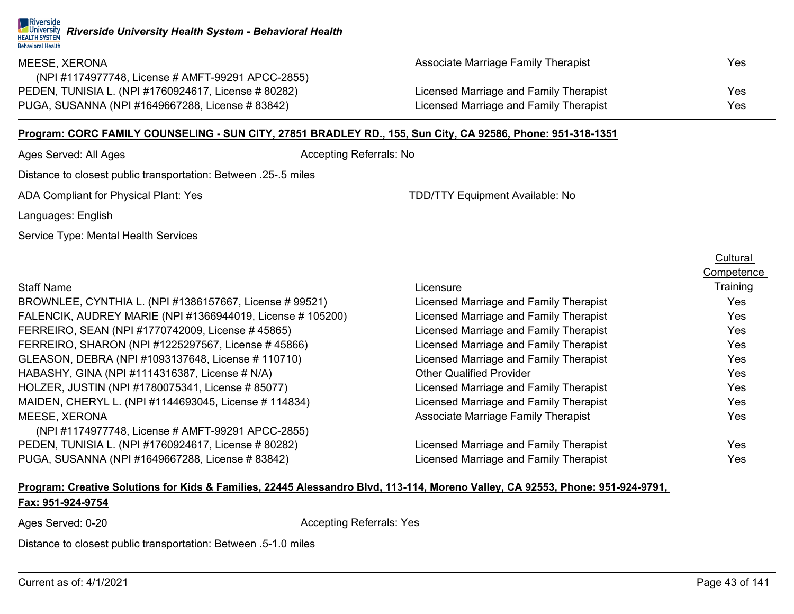| MEESE, XERONA                                        | Associate Marriage Family Therapist    | Yes |
|------------------------------------------------------|----------------------------------------|-----|
| (NPI #1174977748, License # AMFT-99291 APCC-2855)    |                                        |     |
| PEDEN, TUNISIA L. (NPI #1760924617, License # 80282) | Licensed Marriage and Family Therapist | Yes |
| PUGA, SUSANNA (NPI #1649667288, License # 83842)     | Licensed Marriage and Family Therapist | Yes |

## **Program: CORC FAMILY COUNSELING - SUN CITY, 27851 BRADLEY RD., 155, Sun City, CA 92586, Phone: 951-318-1351**

Ages Served: All Ages Accepting Referrals: No

Distance to closest public transportation: Between .25-.5 miles

ADA Compliant for Physical Plant: Yes TDD/TTY Equipment Available: No

Languages: English

Service Type: Mental Health Services

|                                            | <b>Vultural</b> |
|--------------------------------------------|-----------------|
|                                            | Competence      |
| Licensure                                  | Training        |
| Licensed Marriage and Family Therapist     | Yes             |
| Licensed Marriage and Family Therapist     | <b>Yes</b>      |
| Licensed Marriage and Family Therapist     | Yes             |
| Licensed Marriage and Family Therapist     | Yes             |
| Licensed Marriage and Family Therapist     | Yes             |
| <b>Other Qualified Provider</b>            | Yes             |
| Licensed Marriage and Family Therapist     | Yes             |
| Licensed Marriage and Family Therapist     | Yes             |
| <b>Associate Marriage Family Therapist</b> | Yes             |
|                                            |                 |
| Licensed Marriage and Family Therapist     | Yes             |
| Licensed Marriage and Family Therapist     | Yes             |
|                                            |                 |

## **Program: Creative Solutions for Kids & Families, 22445 Alessandro Blvd, 113-114, Moreno Valley, CA 92553, Phone: 951-924-9791, Fax: 951-924-9754**

Ages Served: 0-20 **Accepting Referrals: Yes** Accepting Referrals: Yes

Distance to closest public transportation: Between .5-1.0 miles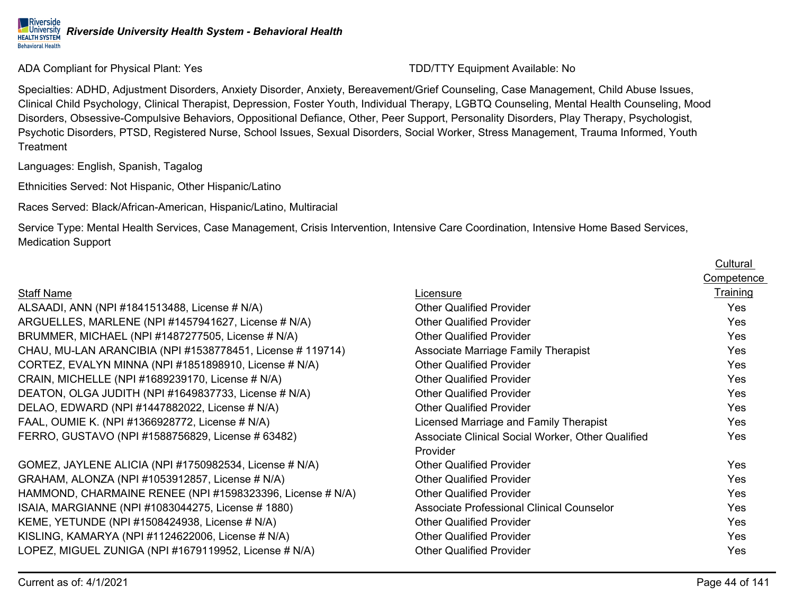ADA Compliant for Physical Plant: Yes TEER TO AND ADA Compliant Available: No

Specialties: ADHD, Adjustment Disorders, Anxiety Disorder, Anxiety, Bereavement/Grief Counseling, Case Management, Child Abuse Issues, Clinical Child Psychology, Clinical Therapist, Depression, Foster Youth, Individual Therapy, LGBTQ Counseling, Mental Health Counseling, Mood Disorders, Obsessive-Compulsive Behaviors, Oppositional Defiance, Other, Peer Support, Personality Disorders, Play Therapy, Psychologist, Psychotic Disorders, PTSD, Registered Nurse, School Issues, Sexual Disorders, Social Worker, Stress Management, Trauma Informed, Youth **Treatment** 

Languages: English, Spanish, Tagalog

Ethnicities Served: Not Hispanic, Other Hispanic/Latino

Races Served: Black/African-American, Hispanic/Latino, Multiracial

Service Type: Mental Health Services, Case Management, Crisis Intervention, Intensive Care Coordination, Intensive Home Based Services, Medication Support

|                                                            |                                                   | 00111p0101100   |
|------------------------------------------------------------|---------------------------------------------------|-----------------|
| <b>Staff Name</b>                                          | Licensure                                         | <b>Training</b> |
| ALSAADI, ANN (NPI #1841513488, License # N/A)              | <b>Other Qualified Provider</b>                   | Yes             |
| ARGUELLES, MARLENE (NPI #1457941627, License # N/A)        | <b>Other Qualified Provider</b>                   | Yes             |
| BRUMMER, MICHAEL (NPI #1487277505, License # N/A)          | <b>Other Qualified Provider</b>                   | <b>Yes</b>      |
| CHAU, MU-LAN ARANCIBIA (NPI #1538778451, License # 119714) | <b>Associate Marriage Family Therapist</b>        | Yes             |
| CORTEZ, EVALYN MINNA (NPI #1851898910, License # N/A)      | <b>Other Qualified Provider</b>                   | Yes             |
| CRAIN, MICHELLE (NPI #1689239170, License # N/A)           | <b>Other Qualified Provider</b>                   | Yes             |
| DEATON, OLGA JUDITH (NPI #1649837733, License # N/A)       | <b>Other Qualified Provider</b>                   | Yes             |
| DELAO, EDWARD (NPI #1447882022, License # N/A)             | <b>Other Qualified Provider</b>                   | <b>Yes</b>      |
| FAAL, OUMIE K. (NPI #1366928772, License # N/A)            | Licensed Marriage and Family Therapist            | <b>Yes</b>      |
| FERRO, GUSTAVO (NPI #1588756829, License # 63482)          | Associate Clinical Social Worker, Other Qualified | Yes             |
|                                                            | Provider                                          |                 |
| GOMEZ, JAYLENE ALICIA (NPI #1750982534, License # N/A)     | <b>Other Qualified Provider</b>                   | Yes             |
| GRAHAM, ALONZA (NPI #1053912857, License # N/A)            | <b>Other Qualified Provider</b>                   | Yes             |
| HAMMOND, CHARMAINE RENEE (NPI #1598323396, License # N/A)  | <b>Other Qualified Provider</b>                   | Yes             |
| ISAIA, MARGIANNE (NPI #1083044275, License # 1880)         | Associate Professional Clinical Counselor         | Yes             |
| KEME, YETUNDE (NPI #1508424938, License # N/A)             | <b>Other Qualified Provider</b>                   | <b>Yes</b>      |
| KISLING, KAMARYA (NPI #1124622006, License # N/A)          | <b>Other Qualified Provider</b>                   | Yes             |
| LOPEZ, MIGUEL ZUNIGA (NPI #1679119952, License # N/A)      | <b>Other Qualified Provider</b>                   | Yes             |
|                                                            |                                                   |                 |

**Cultural** Competence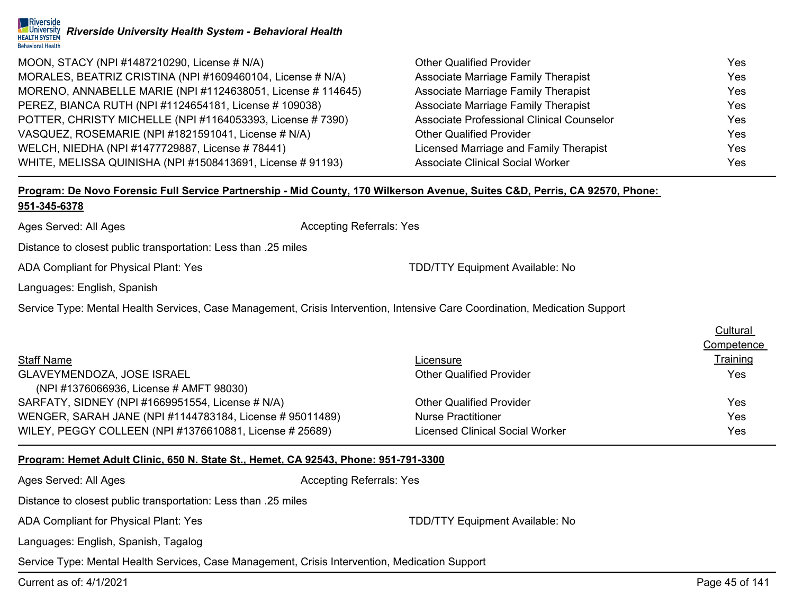

| MOON, STACY (NPI #1487210290, License # N/A)                | <b>Other Qualified Provider</b>            | <b>Yes</b> |
|-------------------------------------------------------------|--------------------------------------------|------------|
| MORALES, BEATRIZ CRISTINA (NPI #1609460104, License # N/A)  | <b>Associate Marriage Family Therapist</b> | Yes        |
| MORENO, ANNABELLE MARIE (NPI #1124638051, License # 114645) | <b>Associate Marriage Family Therapist</b> | <b>Yes</b> |
| PEREZ, BIANCA RUTH (NPI #1124654181, License # 109038)      | <b>Associate Marriage Family Therapist</b> | Yes        |
| POTTER, CHRISTY MICHELLE (NPI #1164053393, License # 7390)  | Associate Professional Clinical Counselor  | Yes        |
| VASQUEZ, ROSEMARIE (NPI #1821591041, License # N/A)         | <b>Other Qualified Provider</b>            | Yes        |
| WELCH, NIEDHA (NPI #1477729887, License # 78441)            | Licensed Marriage and Family Therapist     | Yes        |
| WHITE, MELISSA QUINISHA (NPI #1508413691, License # 91193)  | <b>Associate Clinical Social Worker</b>    | Yes        |

## **Program: De Novo Forensic Full Service Partnership - Mid County, 170 Wilkerson Avenue, Suites C&D, Perris, CA 92570, Phone:**

## **951-345-6378**

Ages Served: All Ages Accepting Referrals: Yes

Distance to closest public transportation: Less than .25 miles

ADA Compliant for Physical Plant: Yes TDD/TTY Equipment Available: No

Languages: English, Spanish

Service Type: Mental Health Services, Case Management, Crisis Intervention, Intensive Care Coordination, Medication Support

|                                                          |                                        | Cultural   |
|----------------------------------------------------------|----------------------------------------|------------|
|                                                          |                                        | Competence |
| <b>Staff Name</b>                                        | Licensure                              | Training   |
| <b>GLAVEYMENDOZA, JOSE ISRAEL</b>                        | <b>Other Qualified Provider</b>        | Yes        |
| (NPI #1376066936, License # AMFT 98030)                  |                                        |            |
| SARFATY, SIDNEY (NPI #1669951554, License # N/A)         | <b>Other Qualified Provider</b>        | Yes        |
| WENGER, SARAH JANE (NPI #1144783184, License # 95011489) | <b>Nurse Practitioner</b>              | Yes        |
| WILEY, PEGGY COLLEEN (NPI #1376610881, License # 25689)  | <b>Licensed Clinical Social Worker</b> | Yes        |

### **Program: Hemet Adult Clinic, 650 N. State St., Hemet, CA 92543, Phone: 951-791-3300**

| Ages Served: All Ages                                                                          | <b>Accepting Referrals: Yes</b>        |  |
|------------------------------------------------------------------------------------------------|----------------------------------------|--|
| Distance to closest public transportation: Less than .25 miles                                 |                                        |  |
| ADA Compliant for Physical Plant: Yes                                                          | <b>TDD/TTY Equipment Available: No</b> |  |
| Languages: English, Spanish, Tagalog                                                           |                                        |  |
| Service Type: Mental Health Services, Case Management, Crisis Intervention, Medication Support |                                        |  |

Current as of: 4/1/2021 Page 45 of 141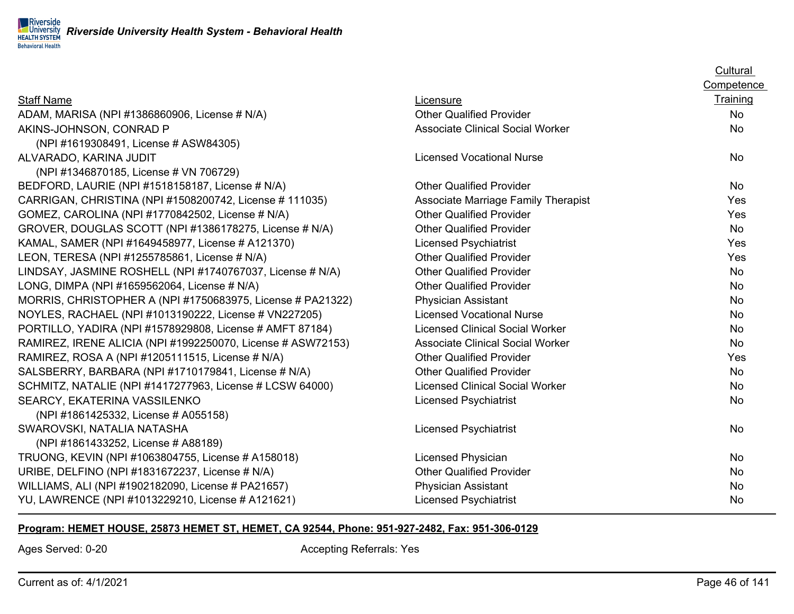|                                         | Competence |
|-----------------------------------------|------------|
| Licensure                               | Training   |
| <b>Other Qualified Provider</b>         | <b>No</b>  |
| <b>Associate Clinical Social Worker</b> | <b>No</b>  |
|                                         |            |
| <b>Licensed Vocational Nurse</b>        | <b>No</b>  |
|                                         |            |
| <b>Other Qualified Provider</b>         | <b>No</b>  |
| Associate Marriage Family Therapist     | Yes        |
| <b>Other Qualified Provider</b>         | Yes        |
| <b>Other Qualified Provider</b>         | No         |
| <b>Licensed Psychiatrist</b>            | Yes        |
| <b>Other Qualified Provider</b>         | Yes        |
| <b>Other Qualified Provider</b>         | No         |
| <b>Other Qualified Provider</b>         | No         |
| <b>Physician Assistant</b>              | No         |
| <b>Licensed Vocational Nurse</b>        | <b>No</b>  |
| <b>Licensed Clinical Social Worker</b>  | No         |
| <b>Associate Clinical Social Worker</b> | No         |
| <b>Other Qualified Provider</b>         | Yes        |
| <b>Other Qualified Provider</b>         | No         |
| <b>Licensed Clinical Social Worker</b>  | No         |
| <b>Licensed Psychiatrist</b>            | No         |
|                                         |            |
| <b>Licensed Psychiatrist</b>            | No         |
|                                         |            |
| Licensed Physician                      | No         |
| <b>Other Qualified Provider</b>         | No         |
| <b>Physician Assistant</b>              | No         |
| <b>Licensed Psychiatrist</b>            | No         |
|                                         |            |

## **Program: HEMET HOUSE, 25873 HEMET ST, HEMET, CA 92544, Phone: 951-927-2482, Fax: 951-306-0129**

Ages Served: 0-20 **Accepting Referrals: Yes** Accepting Referrals: Yes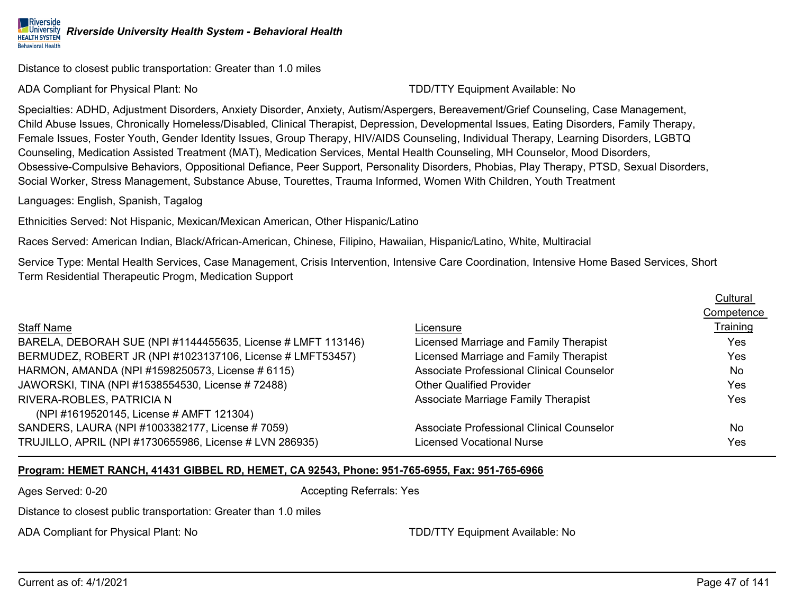**Behavioral Health** 

*Riverside University Health System - Behavioral Health*

Distance to closest public transportation: Greater than 1.0 miles

ADA Compliant for Physical Plant: No TDD/TTY Equipment Available: No

**Riverside HEALTH SYSTEM** 

Specialties: ADHD, Adjustment Disorders, Anxiety Disorder, Anxiety, Autism/Aspergers, Bereavement/Grief Counseling, Case Management, Child Abuse Issues, Chronically Homeless/Disabled, Clinical Therapist, Depression, Developmental Issues, Eating Disorders, Family Therapy, Female Issues, Foster Youth, Gender Identity Issues, Group Therapy, HIV/AIDS Counseling, Individual Therapy, Learning Disorders, LGBTQ Counseling, Medication Assisted Treatment (MAT), Medication Services, Mental Health Counseling, MH Counselor, Mood Disorders, Obsessive-Compulsive Behaviors, Oppositional Defiance, Peer Support, Personality Disorders, Phobias, Play Therapy, PTSD, Sexual Disorders, Social Worker, Stress Management, Substance Abuse, Tourettes, Trauma Informed, Women With Children, Youth Treatment

Languages: English, Spanish, Tagalog

Ethnicities Served: Not Hispanic, Mexican/Mexican American, Other Hispanic/Latino

Races Served: American Indian, Black/African-American, Chinese, Filipino, Hawaiian, Hispanic/Latino, White, Multiracial

Service Type: Mental Health Services, Case Management, Crisis Intervention, Intensive Care Coordination, Intensive Home Based Services, Short Term Residential Therapeutic Progm, Medication Support

|                                                              |                                           | <b>Cultural</b> |
|--------------------------------------------------------------|-------------------------------------------|-----------------|
|                                                              |                                           | Competence      |
| <b>Staff Name</b>                                            | Licensure                                 | Training        |
| BARELA, DEBORAH SUE (NPI #1144455635, License # LMFT 113146) | Licensed Marriage and Family Therapist    | Yes             |
| BERMUDEZ, ROBERT JR (NPI #1023137106, License # LMFT53457)   | Licensed Marriage and Family Therapist    | Yes             |
| HARMON, AMANDA (NPI #1598250573, License # 6115)             | Associate Professional Clinical Counselor | No.             |
| JAWORSKI, TINA (NPI #1538554530, License # 72488)            | <b>Other Qualified Provider</b>           | Yes             |
| RIVERA-ROBLES, PATRICIA N                                    | Associate Marriage Family Therapist       | Yes             |
| (NPI #1619520145, License # AMFT 121304)                     |                                           |                 |
| SANDERS, LAURA (NPI #1003382177, License # 7059)             | Associate Professional Clinical Counselor | No.             |
| TRUJILLO, APRIL (NPI #1730655986, License # LVN 286935)      | Licensed Vocational Nurse                 | Yes             |
|                                                              |                                           |                 |

### **Program: HEMET RANCH, 41431 GIBBEL RD, HEMET, CA 92543, Phone: 951-765-6955, Fax: 951-765-6966**

Ages Served: 0-20 **Accepting Referrals: Yes** Accepting Referrals: Yes

Distance to closest public transportation: Greater than 1.0 miles

ADA Compliant for Physical Plant: No TDD/TTY Equipment Available: No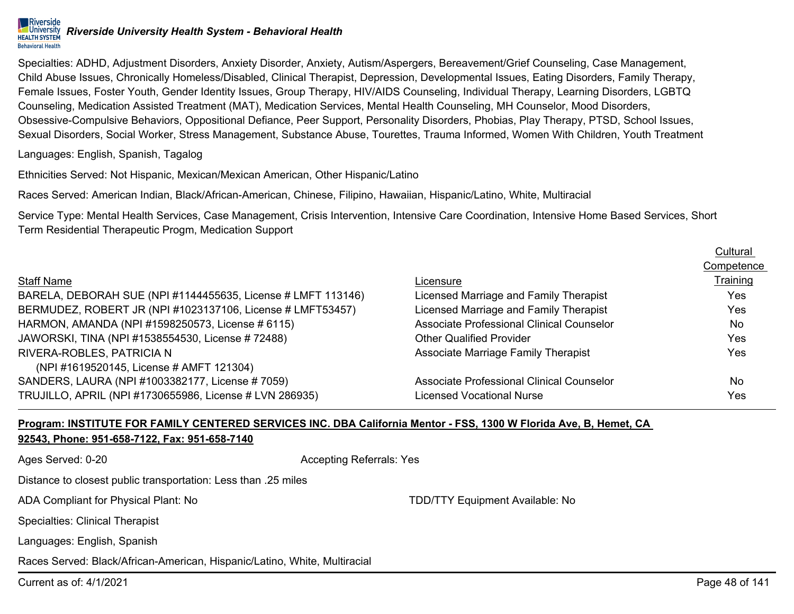Specialties: ADHD, Adjustment Disorders, Anxiety Disorder, Anxiety, Autism/Aspergers, Bereavement/Grief Counseling, Case Management, Child Abuse Issues, Chronically Homeless/Disabled, Clinical Therapist, Depression, Developmental Issues, Eating Disorders, Family Therapy, Female Issues, Foster Youth, Gender Identity Issues, Group Therapy, HIV/AIDS Counseling, Individual Therapy, Learning Disorders, LGBTQ Counseling, Medication Assisted Treatment (MAT), Medication Services, Mental Health Counseling, MH Counselor, Mood Disorders, Obsessive-Compulsive Behaviors, Oppositional Defiance, Peer Support, Personality Disorders, Phobias, Play Therapy, PTSD, School Issues, Sexual Disorders, Social Worker, Stress Management, Substance Abuse, Tourettes, Trauma Informed, Women With Children, Youth Treatment

Languages: English, Spanish, Tagalog

Ethnicities Served: Not Hispanic, Mexican/Mexican American, Other Hispanic/Latino

Races Served: American Indian, Black/African-American, Chinese, Filipino, Hawaiian, Hispanic/Latino, White, Multiracial

Service Type: Mental Health Services, Case Management, Crisis Intervention, Intensive Care Coordination, Intensive Home Based Services, Short Term Residential Therapeutic Progm, Medication Support

|                                                              |                                            | Cultural        |
|--------------------------------------------------------------|--------------------------------------------|-----------------|
|                                                              |                                            | Competence      |
| <b>Staff Name</b>                                            | Licensure                                  | <b>Training</b> |
| BARELA, DEBORAH SUE (NPI #1144455635, License # LMFT 113146) | Licensed Marriage and Family Therapist     | Yes             |
| BERMUDEZ, ROBERT JR (NPI #1023137106, License # LMFT53457)   | Licensed Marriage and Family Therapist     | Yes             |
| HARMON, AMANDA (NPI #1598250573, License # 6115)             | Associate Professional Clinical Counselor  | No.             |
| JAWORSKI, TINA (NPI #1538554530, License # 72488)            | <b>Other Qualified Provider</b>            | Yes             |
| RIVERA-ROBLES, PATRICIA N                                    | <b>Associate Marriage Family Therapist</b> | Yes             |
| (NPI #1619520145, License # AMFT 121304)                     |                                            |                 |
| SANDERS, LAURA (NPI #1003382177, License # 7059)             | Associate Professional Clinical Counselor  | <b>No</b>       |
| TRUJILLO, APRIL (NPI #1730655986, License # LVN 286935)      | Licensed Vocational Nurse                  | Yes             |

## **Program: INSTITUTE FOR FAMILY CENTERED SERVICES INC. DBA California Mentor - FSS, 1300 W Florida Ave, B, Hemet, CA 92543, Phone: 951-658-7122, Fax: 951-658-7140**

Ages Served: 0-20 **Accepting Referrals: Yes** Accepting Referrals: Yes

Distance to closest public transportation: Less than .25 miles

ADA Compliant for Physical Plant: No TDD/TTY Equipment Available: No

Specialties: Clinical Therapist

Languages: English, Spanish

Races Served: Black/African-American, Hispanic/Latino, White, Multiracial

Current as of: 4/1/2021 Page 48 of 141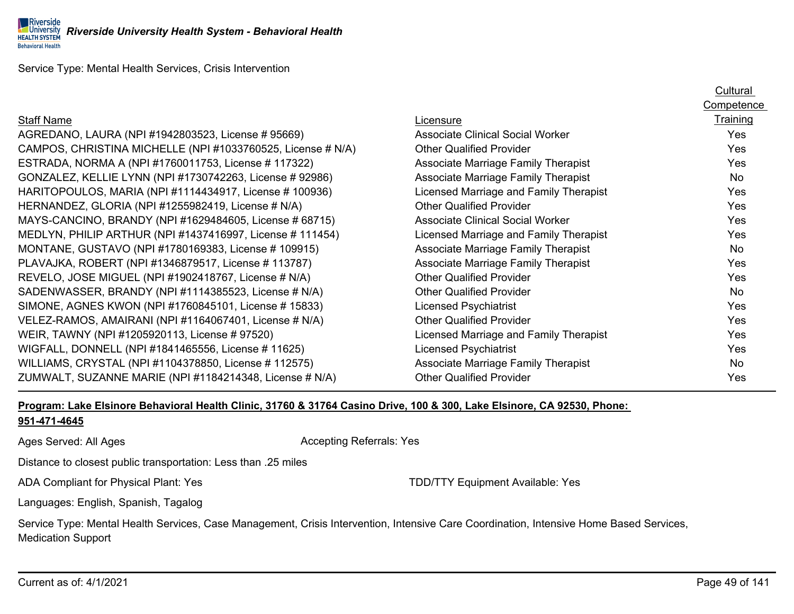Service Type: Mental Health Services, Crisis Intervention

|                                                             |                                            | Competence      |
|-------------------------------------------------------------|--------------------------------------------|-----------------|
| <b>Staff Name</b>                                           | Licensure                                  | <b>Training</b> |
| AGREDANO, LAURA (NPI #1942803523, License # 95669)          | Associate Clinical Social Worker           | Yes             |
| CAMPOS, CHRISTINA MICHELLE (NPI #1033760525, License # N/A) | <b>Other Qualified Provider</b>            | Yes             |
| ESTRADA, NORMA A (NPI #1760011753, License # 117322)        | Associate Marriage Family Therapist        | <b>Yes</b>      |
| GONZALEZ, KELLIE LYNN (NPI #1730742263, License # 92986)    | Associate Marriage Family Therapist        | <b>No</b>       |
| HARITOPOULOS, MARIA (NPI #1114434917, License # 100936)     | Licensed Marriage and Family Therapist     | <b>Yes</b>      |
| HERNANDEZ, GLORIA (NPI #1255982419, License # N/A)          | <b>Other Qualified Provider</b>            | <b>Yes</b>      |
| MAYS-CANCINO, BRANDY (NPI #1629484605, License # 68715)     | <b>Associate Clinical Social Worker</b>    | <b>Yes</b>      |
| MEDLYN, PHILIP ARTHUR (NPI #1437416997, License # 111454)   | Licensed Marriage and Family Therapist     | <b>Yes</b>      |
| MONTANE, GUSTAVO (NPI #1780169383, License # 109915)        | Associate Marriage Family Therapist        | No.             |
| PLAVAJKA, ROBERT (NPI #1346879517, License # 113787)        | Associate Marriage Family Therapist        | Yes             |
| REVELO, JOSE MIGUEL (NPI #1902418767, License # N/A)        | <b>Other Qualified Provider</b>            | Yes             |
| SADENWASSER, BRANDY (NPI #1114385523, License # N/A)        | <b>Other Qualified Provider</b>            | No              |
| SIMONE, AGNES KWON (NPI #1760845101, License # 15833)       | <b>Licensed Psychiatrist</b>               | Yes             |
| VELEZ-RAMOS, AMAIRANI (NPI #1164067401, License # N/A)      | <b>Other Qualified Provider</b>            | <b>Yes</b>      |
| WEIR, TAWNY (NPI #1205920113, License # 97520)              | Licensed Marriage and Family Therapist     | <b>Yes</b>      |
| WIGFALL, DONNELL (NPI #1841465556, License # 11625)         | Licensed Psychiatrist                      | Yes             |
| WILLIAMS, CRYSTAL (NPI #1104378850, License # 112575)       | <b>Associate Marriage Family Therapist</b> | No              |
| ZUMWALT, SUZANNE MARIE (NPI #1184214348, License # N/A)     | <b>Other Qualified Provider</b>            | Yes             |

## **Program: Lake Elsinore Behavioral Health Clinic, 31760 & 31764 Casino Drive, 100 & 300, Lake Elsinore, CA 92530, Phone:**

### **951-471-4645**

Ages Served: All Ages **Accepting Referrals:** Yes **Accepting Referrals:** Yes

Distance to closest public transportation: Less than .25 miles

ADA Compliant for Physical Plant: Yes TDD/TTY Equipment Available: Yes

Languages: English, Spanish, Tagalog

Service Type: Mental Health Services, Case Management, Crisis Intervention, Intensive Care Coordination, Intensive Home Based Services, Medication Support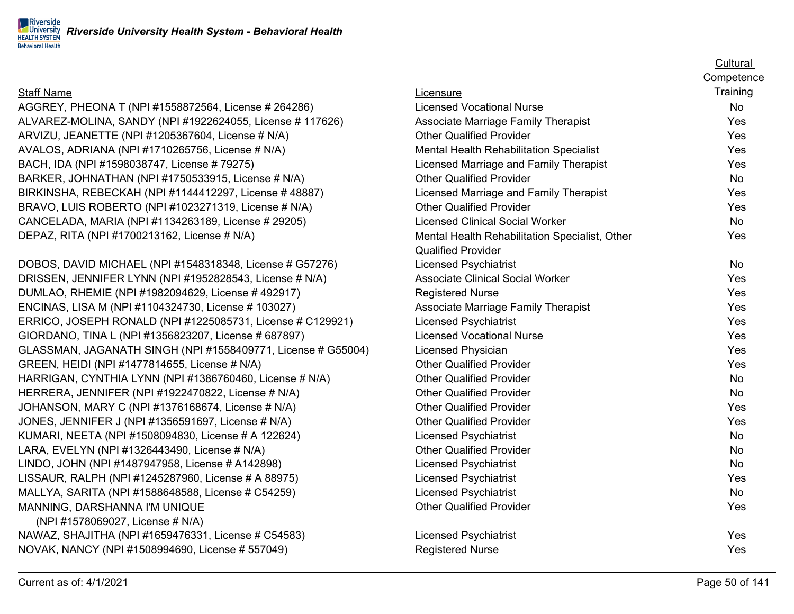## Staff Name

AGGREY, PHEONA T (NPI #1558872564, License # 264286) ALVAREZ-MOLINA, SANDY (NPI #1922624055, License # 117626) ARVIZU, JEANETTE (NPI #1205367604, License # N/A) AVALOS, ADRIANA (NPI  $#1710265756$ , License  $# N/A$ ) BACH, IDA (NPI #1598038747, License # 79275) BARKER, JOHNATHAN (NPI #1750533915, License # N/A) BIRKINSHA, REBECKAH (NPI #1144412297, License # 48887) BRAVO, LUIS ROBERTO (NPI #1023271319, License # N/A) CANCELADA, MARIA (NPI #1134263189, License # 29205) DEPAZ, RITA (NPI  $#1700213162$ , License  $# N/A$ )

DOBOS, DAVID MICHAEL (NPI #1548318348, License # G57276) DRISSEN, JENNIFER LYNN (NPI #1952828543, License # N/A) DUMLAO, RHEMIE (NPI #1982094629, License # 492917) ENCINAS, LISA M (NPI #1104324730, License # 103027) ERRICO, JOSEPH RONALD (NPI #1225085731, License # C129921) GIORDANO, TINA L (NPI #1356823207, License # 687897) GLASSMAN, JAGANATH SINGH (NPI #1558409771, License # G55004) GREEN, HEIDI (NPI #1477814655, License # N/A) HARRIGAN, CYNTHIA LYNN (NPI #1386760460, License # N/A) HERRERA, JENNIFER (NPI #1922470822, License # N/A) JOHANSON, MARY C (NPI #1376168674, License # N/A) JONES, JENNIFER J (NPI  $\#1356591697$ , License  $\# N/A$ ) KUMARI, NEETA (NPI #1508094830, License # A 122624) LARA, EVELYN (NPI #1326443490, License # N/A) LINDO, JOHN (NPI #1487947958, License # A142898) LISSAUR, RALPH (NPI #1245287960, License # A 88975) MALLYA, SARITA (NPI #1588648588, License # C54259) MANNING, DARSHANNA I'M UNIQUE (NPI #1578069027, License # N/A) NAWAZ, SHAJITHA (NPI #1659476331, License # C54583)

NOVAK, NANCY (NPI #1508994690, License # 557049)

|                                                | Cultural   |
|------------------------------------------------|------------|
|                                                | Competence |
| <b>Licensure</b>                               | Training   |
| <b>Licensed Vocational Nurse</b>               | <b>No</b>  |
| <b>Associate Marriage Family Therapist</b>     | Yes        |
| <b>Other Qualified Provider</b>                | Yes        |
| <b>Mental Health Rehabilitation Specialist</b> | Yes        |
| Licensed Marriage and Family Therapist         | Yes        |
| <b>Other Qualified Provider</b>                | <b>No</b>  |
| Licensed Marriage and Family Therapist         | Yes        |
| <b>Other Qualified Provider</b>                | Yes        |
| <b>Licensed Clinical Social Worker</b>         | <b>No</b>  |
| Mental Health Rehabilitation Specialist, Other | Yes        |
| <b>Qualified Provider</b>                      |            |
| <b>Licensed Psychiatrist</b>                   | <b>No</b>  |
| <b>Associate Clinical Social Worker</b>        | Yes        |
| <b>Registered Nurse</b>                        | Yes        |
| <b>Associate Marriage Family Therapist</b>     | Yes        |
| <b>Licensed Psychiatrist</b>                   | Yes        |
| <b>Licensed Vocational Nurse</b>               | Yes        |
| Licensed Physician                             | Yes        |
| <b>Other Qualified Provider</b>                | Yes        |
| <b>Other Qualified Provider</b>                | <b>No</b>  |
| <b>Other Qualified Provider</b>                | <b>No</b>  |
| <b>Other Qualified Provider</b>                | Yes        |
| <b>Other Qualified Provider</b>                | Yes        |
| <b>Licensed Psychiatrist</b>                   | <b>No</b>  |
| <b>Other Qualified Provider</b>                | <b>No</b>  |
| <b>Licensed Psychiatrist</b>                   | <b>No</b>  |
| <b>Licensed Psychiatrist</b>                   | Yes        |
| <b>Licensed Psychiatrist</b>                   | <b>No</b>  |
| <b>Other Qualified Provider</b>                | Yes        |
| <b>Licensed Psychiatrist</b>                   | Yes        |
| <b>Registered Nurse</b>                        | Yes        |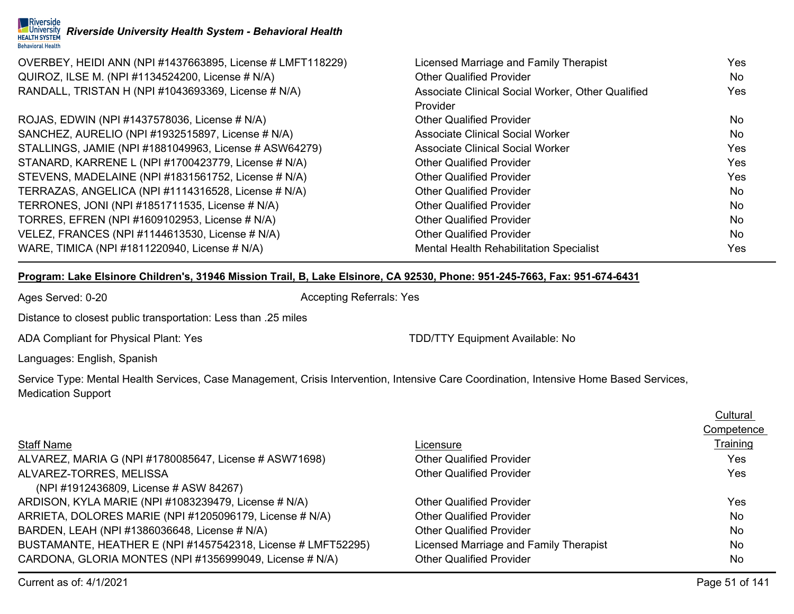|                   | <mark>)</mark> Riverside<br>KaUniversity <i>Riverside University Health System - Behavioral Health</i><br><sub>!ЕАLTH SYSTEM</sub> |
|-------------------|------------------------------------------------------------------------------------------------------------------------------------|
| Behavioral Health |                                                                                                                                    |

| OVERBEY, HEIDI ANN (NPI #1437663895, License # LMFT118229) | Licensed Marriage and Family Therapist            | Yes |
|------------------------------------------------------------|---------------------------------------------------|-----|
| QUIROZ, ILSE M. (NPI #1134524200, License # N/A)           | <b>Other Qualified Provider</b>                   | No. |
| RANDALL, TRISTAN H (NPI #1043693369, License # N/A)        | Associate Clinical Social Worker, Other Qualified | Yes |
|                                                            | Provider                                          |     |
| ROJAS, EDWIN (NPI #1437578036, License # N/A)              | <b>Other Qualified Provider</b>                   | No. |
| SANCHEZ, AURELIO (NPI #1932515897, License # N/A)          | <b>Associate Clinical Social Worker</b>           | No. |
| STALLINGS, JAMIE (NPI #1881049963, License # ASW64279)     | <b>Associate Clinical Social Worker</b>           | Yes |
| STANARD, KARRENE L (NPI #1700423779, License # N/A)        | <b>Other Qualified Provider</b>                   | Yes |
| STEVENS, MADELAINE (NPI #1831561752, License # N/A)        | <b>Other Qualified Provider</b>                   | Yes |
| TERRAZAS, ANGELICA (NPI #1114316528, License # N/A)        | <b>Other Qualified Provider</b>                   | No. |
| TERRONES, JONI (NPI #1851711535, License # N/A)            | <b>Other Qualified Provider</b>                   | No. |
| TORRES, EFREN (NPI #1609102953, License # N/A)             | <b>Other Qualified Provider</b>                   | No. |
| VELEZ, FRANCES (NPI #1144613530, License # N/A)            | <b>Other Qualified Provider</b>                   | No. |
| WARE, TIMICA (NPI #1811220940, License # N/A)              | Mental Health Rehabilitation Specialist           | Yes |

## **Program: Lake Elsinore Children's, 31946 Mission Trail, B, Lake Elsinore, CA 92530, Phone: 951-245-7663, Fax: 951-674-6431**

Ages Served: 0-20 **Accepting Referrals: Yes** Accepting Referrals: Yes

Distance to closest public transportation: Less than .25 miles

ADA Compliant for Physical Plant: Yes TDD/TTY Equipment Available: No

Languages: English, Spanish

Service Type: Mental Health Services, Case Management, Crisis Intervention, Intensive Care Coordination, Intensive Home Based Services, Medication Support

|                                                              |                                        | Cultural   |
|--------------------------------------------------------------|----------------------------------------|------------|
|                                                              |                                        | Competence |
| <b>Staff Name</b>                                            | Licensure                              | Training   |
| ALVAREZ, MARIA G (NPI #1780085647, License # ASW71698)       | <b>Other Qualified Provider</b>        | Yes        |
| ALVAREZ-TORRES, MELISSA                                      | <b>Other Qualified Provider</b>        | Yes        |
| (NPI #1912436809, License # ASW 84267)                       |                                        |            |
| ARDISON, KYLA MARIE (NPI #1083239479, License # N/A)         | <b>Other Qualified Provider</b>        | Yes        |
| ARRIETA, DOLORES MARIE (NPI #1205096179, License # N/A)      | <b>Other Qualified Provider</b>        | No.        |
| BARDEN, LEAH (NPI #1386036648, License # N/A)                | <b>Other Qualified Provider</b>        | No.        |
| BUSTAMANTE, HEATHER E (NPI #1457542318, License # LMFT52295) | Licensed Marriage and Family Therapist | No.        |
| CARDONA, GLORIA MONTES (NPI #1356999049, License # N/A)      | <b>Other Qualified Provider</b>        | No.        |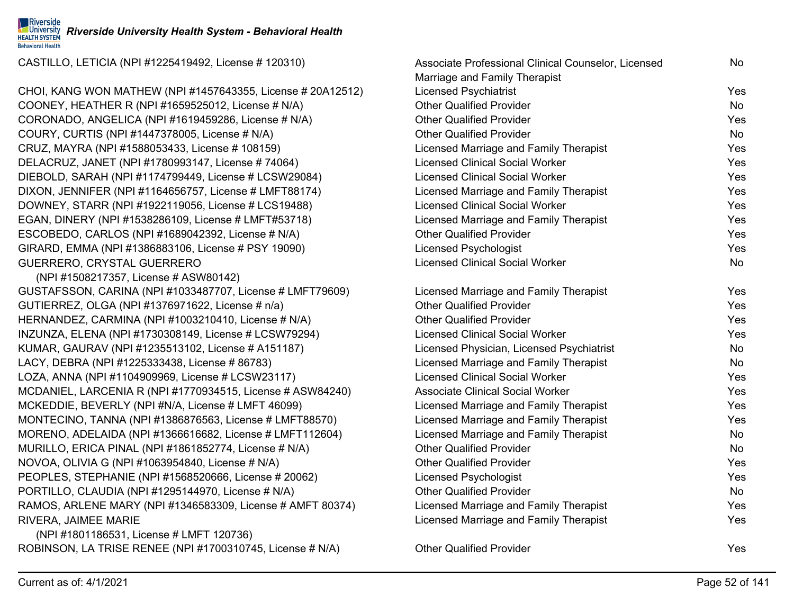CASTILLO, LETICIA (NPI #1225419492, License # 120310)

CHOI, KANG WON MATHEW (NPI #1457643355, License # 20A12512) COONEY, HEATHER R (NPI  $\#1659525012$ , License  $\# N/A$ ) CORONADO, ANGELICA (NPI #1619459286, License # N/A) COURY, CURTIS (NPI  $#1447378005$ , License  $# N/A$ ) CRUZ, MAYRA (NPI #1588053433, License # 108159) DELACRUZ, JANET (NPI #1780993147, License # 74064) DIEBOLD, SARAH (NPI #1174799449, License # LCSW29084) DIXON, JENNIFER (NPI #1164656757, License # LMFT88174) DOWNEY, STARR (NPI #1922119056, License # LCS19488) EGAN, DINERY (NPI #1538286109, License # LMFT#53718) ESCOBEDO, CARLOS (NPI #1689042392, License # N/A) GIRARD, EMMA (NPI #1386883106, License # PSY 19090) GUERRERO, CRYSTAL GUERRERO

(NPI #1508217357, License # ASW80142) GUSTAFSSON, CARINA (NPI #1033487707, License # LMFT79609) GUTIERREZ, OLGA (NPI #1376971622, License # n/a) HERNANDEZ, CARMINA (NPI  $#1003210410$ , License  $# N/A$ ) INZUNZA, ELENA (NPI #1730308149, License # LCSW79294) KUMAR, GAURAV (NPI #1235513102, License # A151187) LACY, DEBRA (NPI #1225333438, License # 86783) LOZA, ANNA (NPI #1104909969, License # LCSW23117) MCDANIEL, LARCENIA R (NPI #1770934515, License # ASW84240) MCKEDDIE, BEVERLY (NPI #N/A, License # LMFT 46099) MONTECINO, TANNA (NPI #1386876563, License # LMFT88570) MORENO, ADELAIDA (NPI #1366616682, License # LMFT112604) MURILLO, ERICA PINAL (NPI #1861852774, License # N/A) NOVOA, OLIVIA G (NPI  $#1063954840$ , License  $# N/A$ ) PEOPLES, STEPHANIE (NPI #1568520666, License # 20062) PORTILLO, CLAUDIA (NPI  $#1295144970$ , License  $# N/A$ ) RAMOS, ARLENE MARY (NPI #1346583309, License # AMFT 80374) RIVERA, JAIMEE MARIE

(NPI #1801186531, License # LMFT 120736) ROBINSON, LA TRISE RENEE (NPI #1700310745, License # N/A) Other Qualified Provider Ves

| Associate Professional Clinical Counselor, Licensed | No             |
|-----------------------------------------------------|----------------|
| Marriage and Family Therapist                       |                |
| <b>Licensed Psychiatrist</b>                        | Yes            |
| <b>Other Qualified Provider</b>                     | <b>No</b>      |
| <b>Other Qualified Provider</b>                     | Yes            |
| <b>Other Qualified Provider</b>                     | <b>No</b>      |
| Licensed Marriage and Family Therapist              | Yes            |
| <b>Licensed Clinical Social Worker</b>              | Yes            |
| <b>Licensed Clinical Social Worker</b>              | Yes            |
| Licensed Marriage and Family Therapist              | Yes            |
| <b>Licensed Clinical Social Worker</b>              | Yes            |
| Licensed Marriage and Family Therapist              | Yes            |
| <b>Other Qualified Provider</b>                     | Yes            |
| <b>Licensed Psychologist</b>                        | Yes            |
| <b>Licensed Clinical Social Worker</b>              | <b>No</b>      |
|                                                     |                |
| Licensed Marriage and Family Therapist              | Yes            |
| <b>Other Qualified Provider</b>                     | Yes            |
| <b>Other Qualified Provider</b>                     | Yes            |
| <b>Licensed Clinical Social Worker</b>              | Yes            |
| Licensed Physician, Licensed Psychiatrist           | N <sub>o</sub> |
| Licensed Marriage and Family Therapist              | <b>No</b>      |
| <b>Licensed Clinical Social Worker</b>              | Yes            |
| <b>Associate Clinical Social Worker</b>             | Yes            |
| Licensed Marriage and Family Therapist              | Yes            |
| Licensed Marriage and Family Therapist              | Yes            |
| Licensed Marriage and Family Therapist              | <b>No</b>      |
| <b>Other Qualified Provider</b>                     | <b>No</b>      |
| <b>Other Qualified Provider</b>                     | Yes            |
| <b>Licensed Psychologist</b>                        | Yes            |
| <b>Other Qualified Provider</b>                     | <b>No</b>      |
| Licensed Marriage and Family Therapist              | Yes            |
| Licensed Marriage and Family Therapist              | Yes            |
|                                                     |                |
| Othor Qualified Drovidor                            | $V_{\Omega}$   |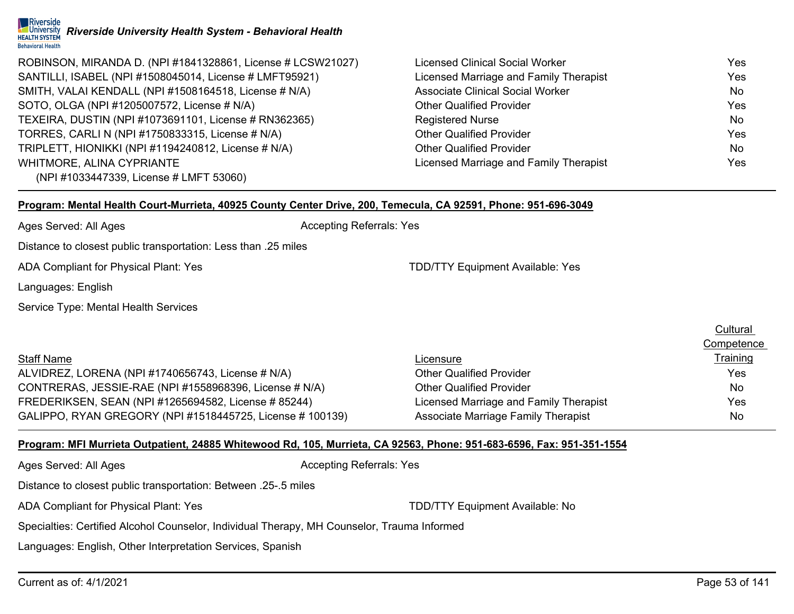

| ROBINSON, MIRANDA D. (NPI #1841328861, License # LCSW21027) | <b>Licensed Clinical Social Worker</b>  | Yes  |
|-------------------------------------------------------------|-----------------------------------------|------|
| SANTILLI, ISABEL (NPI #1508045014, License # LMFT95921)     | Licensed Marriage and Family Therapist  | Yes. |
| SMITH, VALAI KENDALL (NPI #1508164518, License # N/A)       | <b>Associate Clinical Social Worker</b> | No.  |
| SOTO, OLGA (NPI #1205007572, License # N/A)                 | <b>Other Qualified Provider</b>         | Yes. |
| TEXEIRA, DUSTIN (NPI #1073691101, License # RN362365)       | <b>Registered Nurse</b>                 | No.  |
| TORRES, CARLI N (NPI #1750833315, License # N/A)            | <b>Other Qualified Provider</b>         | Yes. |
| TRIPLETT, HIONIKKI (NPI #1194240812, License # N/A)         | <b>Other Qualified Provider</b>         | No.  |
| WHITMORE, ALINA CYPRIANTE                                   | Licensed Marriage and Family Therapist  | Yes. |
| (NPI #1033447339, License # LMFT 53060)                     |                                         |      |

### **Program: Mental Health Court-Murrieta, 40925 County Center Drive, 200, Temecula, CA 92591, Phone: 951-696-3049**

Ages Served: All Ages **Accepting Referrals: Yes** Accepting Referrals: Yes

Distance to closest public transportation: Less than .25 miles

ADA Compliant for Physical Plant: Yes TDD/TTY Equipment Available: Yes

Languages: English

Service Type: Mental Health Services

|                                                           |                                        | <b>Cultural</b> |
|-----------------------------------------------------------|----------------------------------------|-----------------|
|                                                           |                                        | Competence      |
| <b>Staff Name</b>                                         | Licensure                              | Training        |
| ALVIDREZ, LORENA (NPI #1740656743, License # N/A)         | <b>Other Qualified Provider</b>        | Yes             |
| CONTRERAS, JESSIE-RAE (NPI #1558968396, License # N/A)    | <b>Other Qualified Provider</b>        | No              |
| FREDERIKSEN, SEAN (NPI #1265694582, License # 85244)      | Licensed Marriage and Family Therapist | Yes             |
| GALIPPO, RYAN GREGORY (NPI #1518445725, License # 100139) | Associate Marriage Family Therapist    | No.             |

### **Program: MFI Murrieta Outpatient, 24885 Whitewood Rd, 105, Murrieta, CA 92563, Phone: 951-683-6596, Fax: 951-351-1554**

| Ages Served: All Ages                                                                       | <b>Accepting Referrals: Yes</b>        |
|---------------------------------------------------------------------------------------------|----------------------------------------|
| Distance to closest public transportation: Between .25-.5 miles                             |                                        |
| ADA Compliant for Physical Plant: Yes                                                       | <b>TDD/TTY Equipment Available: No</b> |
| Specialties: Certified Alcohol Counselor, Individual Therapy, MH Counselor, Trauma Informed |                                        |
| Languages: English, Other Interpretation Services, Spanish                                  |                                        |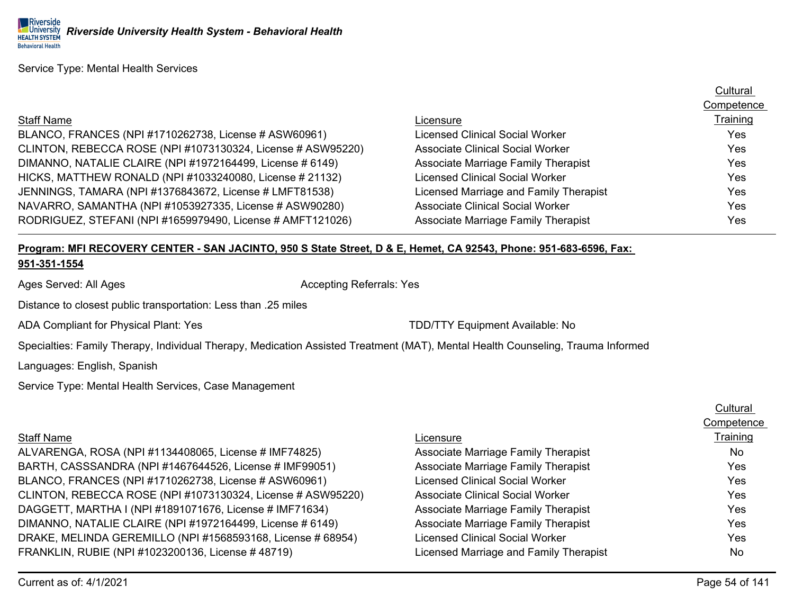Service Type: Mental Health Services

### Staff Name

BLANCO, FRANCES (NPI #1710262738, License # ASW60961) CLINTON, REBECCA ROSE (NPI #1073130324, License # ASW95220) DIMANNO, NATALIE CLAIRE (NPI #1972164499, License # 6149) HICKS, MATTHEW RONALD (NPI #1033240080, License # 21132) JENNINGS, TAMARA (NPI #1376843672, License # LMFT81538) NAVARRO, SAMANTHA (NPI #1053927335, License # ASW90280) RODRIGUEZ, STEFANI (NPI #1659979490, License # AMFT121026)

|                                            | Competence |
|--------------------------------------------|------------|
| Licensure                                  | Training   |
| Licensed Clinical Social Worker            | Yes        |
| Associate Clinical Social Worker           | Yes        |
| <b>Associate Marriage Family Therapist</b> | Yes        |
| Licensed Clinical Social Worker            | Yes        |
| Licensed Marriage and Family Therapist     | Yes        |
| <b>Associate Clinical Social Worker</b>    | Yes        |
| <b>Associate Marriage Family Therapist</b> | Yes        |

## **Program: MFI RECOVERY CENTER - SAN JACINTO, 950 S State Street, D & E, Hemet, CA 92543, Phone: 951-683-6596, Fax:**

### **951-351-1554**

Ages Served: All Ages Accepting Referrals: Yes

Distance to closest public transportation: Less than .25 miles

ADA Compliant for Physical Plant: Yes TEER TO AND AND TO THE TOPOSTY Equipment Available: No

Specialties: Family Therapy, Individual Therapy, Medication Assisted Treatment (MAT), Mental Health Counseling, Trauma Informed

Languages: English, Spanish

Service Type: Mental Health Services, Case Management

### Staff Name

ALVARENGA, ROSA (NPI #1134408065, License # IMF74825) BARTH, CASSSANDRA (NPI #1467644526, License # IMF99051) BLANCO, FRANCES (NPI #1710262738, License # ASW60961) CLINTON, REBECCA ROSE (NPI #1073130324, License # ASW95220) DAGGETT, MARTHA I (NPI #1891071676, License # IMF71634) DIMANNO, NATALIE CLAIRE (NPI #1972164499, License # 6149) DRAKE, MELINDA GEREMILLO (NPI #1568593168, License # 68954) FRANKLIN, RUBIE (NPI #1023200136, License # 48719)

|                                            | <b>COLLIDE IELICE</b> |
|--------------------------------------------|-----------------------|
| Licensure                                  | Training              |
| <b>Associate Marriage Family Therapist</b> | No                    |
| <b>Associate Marriage Family Therapist</b> | Yes                   |
| <b>Licensed Clinical Social Worker</b>     | Yes                   |
| <b>Associate Clinical Social Worker</b>    | Yes                   |
| <b>Associate Marriage Family Therapist</b> | Yes                   |
| <b>Associate Marriage Family Therapist</b> | Yes                   |
| <b>Licensed Clinical Social Worker</b>     | Yes                   |
| Licensed Marriage and Family Therapist     | No                    |
|                                            |                       |

**Cultural** Competence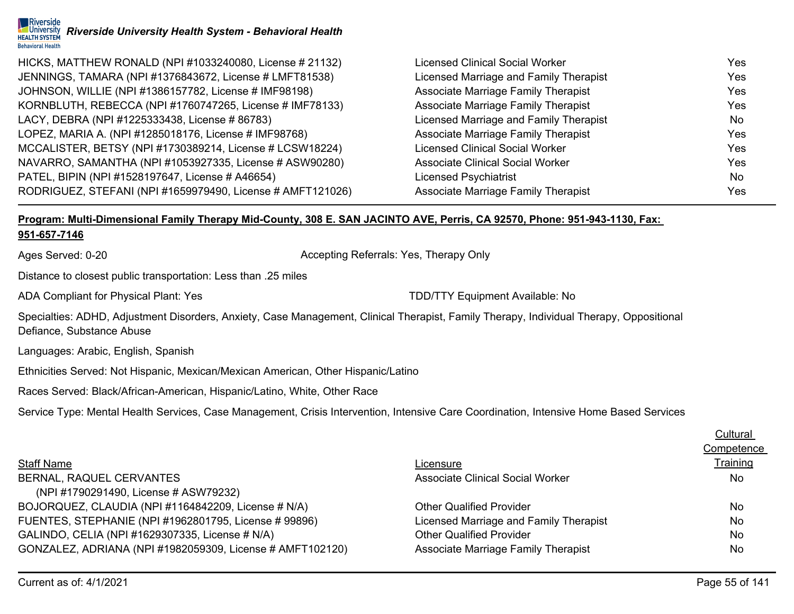

| HICKS, MATTHEW RONALD (NPI #1033240080, License # 21132)   | <b>Licensed Clinical Social Worker</b>     | Yes        |
|------------------------------------------------------------|--------------------------------------------|------------|
| JENNINGS, TAMARA (NPI #1376843672, License # LMFT81538)    | Licensed Marriage and Family Therapist     | Yes        |
| JOHNSON, WILLIE (NPI #1386157782, License # IMF98198)      | <b>Associate Marriage Family Therapist</b> | Yes        |
| KORNBLUTH, REBECCA (NPI #1760747265, License # IMF78133)   | Associate Marriage Family Therapist        | <b>Yes</b> |
| LACY, DEBRA (NPI #1225333438, License # 86783)             | Licensed Marriage and Family Therapist     | No.        |
| LOPEZ, MARIA A. (NPI #1285018176, License # IMF98768)      | <b>Associate Marriage Family Therapist</b> | Yes        |
| MCCALISTER, BETSY (NPI #1730389214, License # LCSW18224)   | <b>Licensed Clinical Social Worker</b>     | Yes        |
| NAVARRO, SAMANTHA (NPI #1053927335, License # ASW90280)    | <b>Associate Clinical Social Worker</b>    | <b>Yes</b> |
| PATEL, BIPIN (NPI #1528197647, License # A46654)           | <b>Licensed Psychiatrist</b>               | No.        |
| RODRIGUEZ, STEFANI (NPI #1659979490, License # AMFT121026) | <b>Associate Marriage Family Therapist</b> | Yes        |

## **Program: Multi-Dimensional Family Therapy Mid-County, 308 E. SAN JACINTO AVE, Perris, CA 92570, Phone: 951-943-1130, Fax: 951-657-7146**

Ages Served: 0-20 **Accepting Referrals: Yes, Therapy Only** Accepting Referrals: Yes, Therapy Only

Distance to closest public transportation: Less than .25 miles

ADA Compliant for Physical Plant: Yes TELL THE TRIM TO THE TOP/TTY Equipment Available: No

Specialties: ADHD, Adjustment Disorders, Anxiety, Case Management, Clinical Therapist, Family Therapy, Individual Therapy, Oppositional Defiance, Substance Abuse

Languages: Arabic, English, Spanish

Ethnicities Served: Not Hispanic, Mexican/Mexican American, Other Hispanic/Latino

Races Served: Black/African-American, Hispanic/Latino, White, Other Race

Service Type: Mental Health Services, Case Management, Crisis Intervention, Intensive Care Coordination, Intensive Home Based Services

|                                                           |                                            | Cultural   |
|-----------------------------------------------------------|--------------------------------------------|------------|
|                                                           |                                            | Competence |
| <b>Staff Name</b>                                         | Licensure                                  | Training   |
| BERNAL, RAQUEL CERVANTES                                  | Associate Clinical Social Worker           | No.        |
| (NPI #1790291490, License # ASW79232)                     |                                            |            |
| BOJORQUEZ, CLAUDIA (NPI #1164842209, License # N/A)       | <b>Other Qualified Provider</b>            | No         |
| FUENTES, STEPHANIE (NPI #1962801795, License # 99896)     | Licensed Marriage and Family Therapist     | No         |
| GALINDO, CELIA (NPI #1629307335, License # N/A)           | <b>Other Qualified Provider</b>            | <b>No</b>  |
| GONZALEZ, ADRIANA (NPI #1982059309, License # AMFT102120) | <b>Associate Marriage Family Therapist</b> | No         |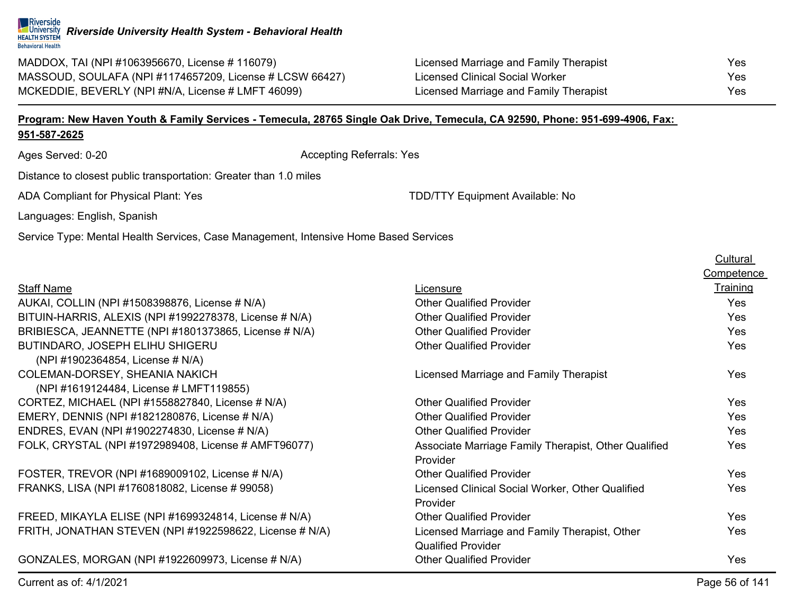### Riverside **REDIVERSITY AND READTER READTER IN A VIOLET SETTLE UNIVERSITY AT UNIVERSITY AT UNIVERSITY AT A VIOLET AND READ TO A VIOLET A UNIVERSITY AT A VIOLET AND READ TO A VIOLET A VIOLET AND READ TO A VIOLET A VIOLET AND READ TO A Behavioral Health**

MADDOX, TAI (NPI #1063956670, License # 116079) MASSOUD, SOULAFA (NPI #1174657209, License # LCSW 66427) MCKEDDIE, BEVERLY (NPI #N/A, License # LMFT 46099)

## **Program: New Haven Youth & Family Services - Temecula, 28765 Single Oak Drive, Temecula, CA 92590, Phone: 951-699-4906, Fax: 951-587-2625**

Ages Served: 0-20 **Accepting Referrals: Yes** Accepting Referrals: Yes

Distance to closest public transportation: Greater than 1.0 miles

ADA Compliant for Physical Plant: Yes TDD/TTY Equipment Available: No

Languages: English, Spanish

Service Type: Mental Health Services, Case Management, Intensive Home Based Services

|                                                         |                                                      | Competence |
|---------------------------------------------------------|------------------------------------------------------|------------|
| <b>Staff Name</b>                                       | Licensure                                            | Training   |
| AUKAI, COLLIN (NPI #1508398876, License # N/A)          | <b>Other Qualified Provider</b>                      | Yes        |
| BITUIN-HARRIS, ALEXIS (NPI #1992278378, License # N/A)  | <b>Other Qualified Provider</b>                      | Yes        |
| BRIBIESCA, JEANNETTE (NPI #1801373865, License # N/A)   | <b>Other Qualified Provider</b>                      | Yes        |
| BUTINDARO, JOSEPH ELIHU SHIGERU                         | <b>Other Qualified Provider</b>                      | <b>Yes</b> |
| (NPI #1902364854, License # N/A)                        |                                                      |            |
| COLEMAN-DORSEY, SHEANIA NAKICH                          | Licensed Marriage and Family Therapist               | Yes        |
| (NPI #1619124484, License # LMFT119855)                 |                                                      |            |
| CORTEZ, MICHAEL (NPI #1558827840, License # N/A)        | <b>Other Qualified Provider</b>                      | Yes        |
| EMERY, DENNIS (NPI #1821280876, License # N/A)          | <b>Other Qualified Provider</b>                      | Yes        |
| ENDRES, EVAN (NPI #1902274830, License # N/A)           | <b>Other Qualified Provider</b>                      | Yes        |
| FOLK, CRYSTAL (NPI #1972989408, License # AMFT96077)    | Associate Marriage Family Therapist, Other Qualified | Yes        |
|                                                         | Provider                                             |            |
| FOSTER, TREVOR (NPI #1689009102, License # N/A)         | <b>Other Qualified Provider</b>                      | Yes        |
| FRANKS, LISA (NPI #1760818082, License # 99058)         | Licensed Clinical Social Worker, Other Qualified     | Yes        |
|                                                         | Provider                                             |            |
| FREED, MIKAYLA ELISE (NPI #1699324814, License # N/A)   | <b>Other Qualified Provider</b>                      | <b>Yes</b> |
| FRITH, JONATHAN STEVEN (NPI #1922598622, License # N/A) | Licensed Marriage and Family Therapist, Other        | <b>Yes</b> |
|                                                         | <b>Qualified Provider</b>                            |            |
| GONZALES, MORGAN (NPI #1922609973, License # N/A)       | <b>Other Qualified Provider</b>                      | Yes        |
|                                                         |                                                      |            |

| Licensed Marriage and Family Therapist | Yes        |
|----------------------------------------|------------|
| Licensed Clinical Social Worker        | <b>Yes</b> |
| Licensed Marriage and Family Therapist | Yes        |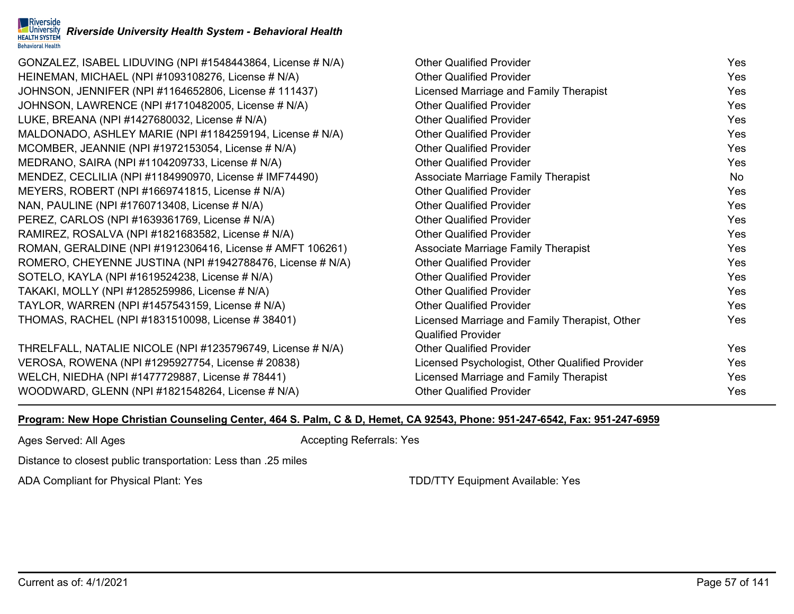| GONZALEZ, ISABEL LIDUVING (NPI #1548443864, License # N/A) | <b>Other Qualified Provider</b>                 | <b>Yes</b> |
|------------------------------------------------------------|-------------------------------------------------|------------|
| HEINEMAN, MICHAEL (NPI #1093108276, License # N/A)         | <b>Other Qualified Provider</b>                 | Yes        |
| JOHNSON, JENNIFER (NPI #1164652806, License # 111437)      | Licensed Marriage and Family Therapist          | <b>Yes</b> |
| JOHNSON, LAWRENCE (NPI #1710482005, License # N/A)         | <b>Other Qualified Provider</b>                 | <b>Yes</b> |
| LUKE, BREANA (NPI #1427680032, License # N/A)              | <b>Other Qualified Provider</b>                 | <b>Yes</b> |
| MALDONADO, ASHLEY MARIE (NPI #1184259194, License # N/A)   | <b>Other Qualified Provider</b>                 | <b>Yes</b> |
| MCOMBER, JEANNIE (NPI #1972153054, License # N/A)          | <b>Other Qualified Provider</b>                 | Yes        |
| MEDRANO, SAIRA (NPI #1104209733, License # N/A)            | <b>Other Qualified Provider</b>                 | Yes        |
| MENDEZ, CECLILIA (NPI #1184990970, License # IMF74490)     | <b>Associate Marriage Family Therapist</b>      | No         |
| MEYERS, ROBERT (NPI #1669741815, License # N/A)            | <b>Other Qualified Provider</b>                 | <b>Yes</b> |
| NAN, PAULINE (NPI #1760713408, License # N/A)              | <b>Other Qualified Provider</b>                 | <b>Yes</b> |
| PEREZ, CARLOS (NPI #1639361769, License # N/A)             | <b>Other Qualified Provider</b>                 | <b>Yes</b> |
| RAMIREZ, ROSALVA (NPI #1821683582, License # N/A)          | <b>Other Qualified Provider</b>                 | Yes        |
| ROMAN, GERALDINE (NPI #1912306416, License # AMFT 106261)  | <b>Associate Marriage Family Therapist</b>      | Yes        |
| ROMERO, CHEYENNE JUSTINA (NPI #1942788476, License # N/A)  | <b>Other Qualified Provider</b>                 | Yes        |
| SOTELO, KAYLA (NPI #1619524238, License # N/A)             | <b>Other Qualified Provider</b>                 | <b>Yes</b> |
| TAKAKI, MOLLY (NPI #1285259986, License # N/A)             | <b>Other Qualified Provider</b>                 | <b>Yes</b> |
| TAYLOR, WARREN (NPI #1457543159, License # N/A)            | <b>Other Qualified Provider</b>                 | <b>Yes</b> |
| THOMAS, RACHEL (NPI #1831510098, License #38401)           | Licensed Marriage and Family Therapist, Other   | Yes        |
|                                                            | <b>Qualified Provider</b>                       |            |
| THRELFALL, NATALIE NICOLE (NPI #1235796749, License # N/A) | <b>Other Qualified Provider</b>                 | Yes        |
| VEROSA, ROWENA (NPI #1295927754, License # 20838)          | Licensed Psychologist, Other Qualified Provider | <b>Yes</b> |
| WELCH, NIEDHA (NPI #1477729887, License # 78441)           | Licensed Marriage and Family Therapist          | <b>Yes</b> |
| WOODWARD, GLENN (NPI #1821548264, License # N/A)           | <b>Other Qualified Provider</b>                 | Yes        |

## **Program: New Hope Christian Counseling Center, 464 S. Palm, C & D, Hemet, CA 92543, Phone: 951-247-6542, Fax: 951-247-6959**

Ages Served: All Ages **Accepting Referrals: Yes** Accepting Referrals: Yes

Distance to closest public transportation: Less than .25 miles

ADA Compliant for Physical Plant: Yes TDD/TTY Equipment Available: Yes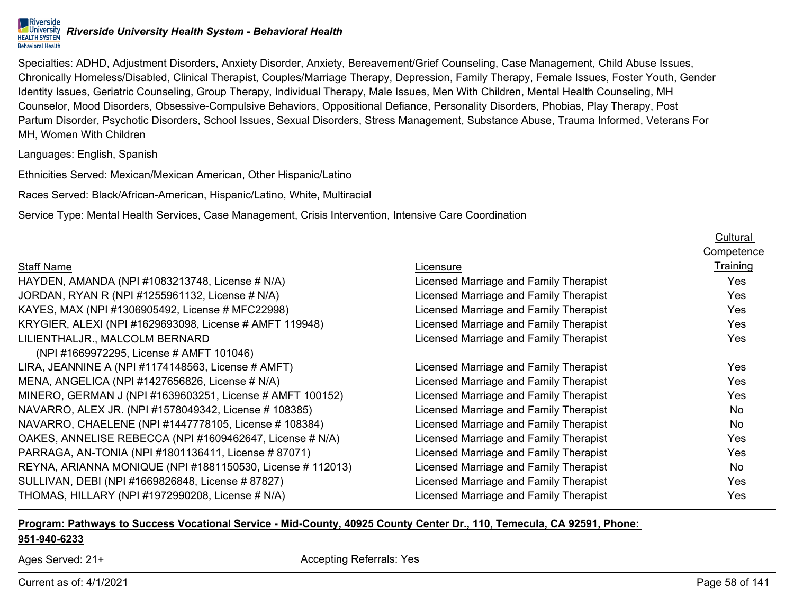Specialties: ADHD, Adjustment Disorders, Anxiety Disorder, Anxiety, Bereavement/Grief Counseling, Case Management, Child Abuse Issues, Chronically Homeless/Disabled, Clinical Therapist, Couples/Marriage Therapy, Depression, Family Therapy, Female Issues, Foster Youth, Gender Identity Issues, Geriatric Counseling, Group Therapy, Individual Therapy, Male Issues, Men With Children, Mental Health Counseling, MH Counselor, Mood Disorders, Obsessive-Compulsive Behaviors, Oppositional Defiance, Personality Disorders, Phobias, Play Therapy, Post Partum Disorder, Psychotic Disorders, School Issues, Sexual Disorders, Stress Management, Substance Abuse, Trauma Informed, Veterans For MH, Women With Children

Languages: English, Spanish

Ethnicities Served: Mexican/Mexican American, Other Hispanic/Latino

Races Served: Black/African-American, Hispanic/Latino, White, Multiracial

Service Type: Mental Health Services, Case Management, Crisis Intervention, Intensive Care Coordination

|                                                            |                                        | <b>Cultural</b>   |
|------------------------------------------------------------|----------------------------------------|-------------------|
|                                                            |                                        | <b>Competence</b> |
| <b>Staff Name</b>                                          | Licensure                              | Training          |
| HAYDEN, AMANDA (NPI #1083213748, License # N/A)            | Licensed Marriage and Family Therapist | Yes               |
| JORDAN, RYAN R (NPI #1255961132, License # N/A)            | Licensed Marriage and Family Therapist | Yes               |
| KAYES, MAX (NPI #1306905492, License # MFC22998)           | Licensed Marriage and Family Therapist | Yes               |
| KRYGIER, ALEXI (NPI #1629693098, License # AMFT 119948)    | Licensed Marriage and Family Therapist | Yes               |
| LILIENTHALJR., MALCOLM BERNARD                             | Licensed Marriage and Family Therapist | Yes               |
| (NPI #1669972295, License # AMFT 101046)                   |                                        |                   |
| LIRA, JEANNINE A (NPI #1174148563, License # AMFT)         | Licensed Marriage and Family Therapist | Yes               |
| MENA, ANGELICA (NPI #1427656826, License # N/A)            | Licensed Marriage and Family Therapist | Yes               |
| MINERO, GERMAN J (NPI #1639603251, License # AMFT 100152)  | Licensed Marriage and Family Therapist | Yes               |
| NAVARRO, ALEX JR. (NPI #1578049342, License # 108385)      | Licensed Marriage and Family Therapist | <b>No</b>         |
| NAVARRO, CHAELENE (NPI #1447778105, License # 108384)      | Licensed Marriage and Family Therapist | No                |
| OAKES, ANNELISE REBECCA (NPI #1609462647, License # N/A)   | Licensed Marriage and Family Therapist | Yes               |
| PARRAGA, AN-TONIA (NPI #1801136411, License #87071)        | Licensed Marriage and Family Therapist | Yes               |
| REYNA, ARIANNA MONIQUE (NPI #1881150530, License # 112013) | Licensed Marriage and Family Therapist | <b>No</b>         |
| SULLIVAN, DEBI (NPI #1669826848, License #87827)           | Licensed Marriage and Family Therapist | Yes               |
| THOMAS, HILLARY (NPI #1972990208, License # N/A)           | Licensed Marriage and Family Therapist | Yes               |

## **Program: Pathways to Success Vocational Service - Mid-County, 40925 County Center Dr., 110, Temecula, CA 92591, Phone: 951-940-6233**

Ages Served: 21+ Accepting Referrals: Yes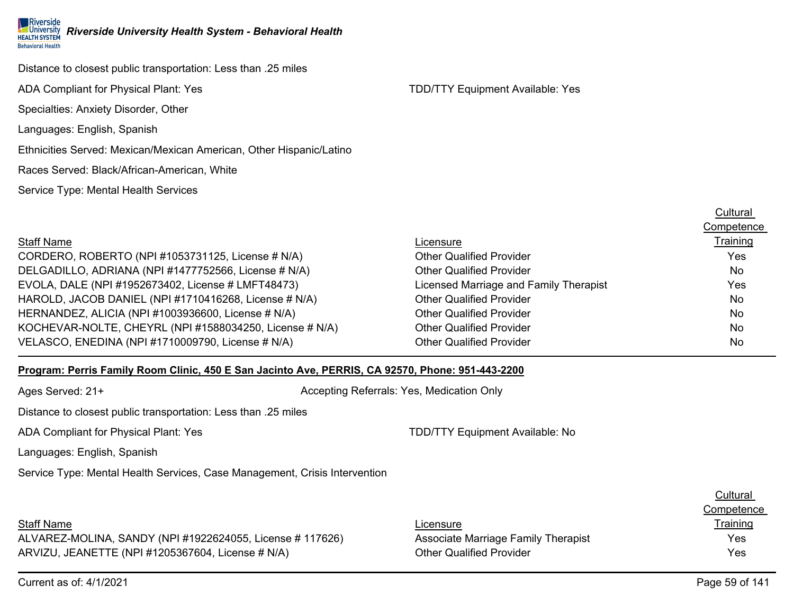Distance to closest public transportation: Less than .25 miles

ADA Compliant for Physical Plant: Yes TDD/TTY Equipment Available: Yes

Specialties: Anxiety Disorder, Other

Languages: English, Spanish

Ethnicities Served: Mexican/Mexican American, Other Hispanic/Latino

Races Served: Black/African-American, White

Service Type: Mental Health Services

|                                                         |                                        | <b>Cultural</b> |
|---------------------------------------------------------|----------------------------------------|-----------------|
|                                                         |                                        | Competence      |
| <b>Staff Name</b>                                       | Licensure                              | Training        |
| CORDERO, ROBERTO (NPI #1053731125, License # N/A)       | <b>Other Qualified Provider</b>        | Yes             |
| DELGADILLO, ADRIANA (NPI #1477752566, License # N/A)    | <b>Other Qualified Provider</b>        | No.             |
| EVOLA, DALE (NPI #1952673402, License # LMFT48473)      | Licensed Marriage and Family Therapist | Yes             |
| HAROLD, JACOB DANIEL (NPI #1710416268, License # N/A)   | <b>Other Qualified Provider</b>        | No.             |
| HERNANDEZ, ALICIA (NPI #1003936600, License # N/A)      | <b>Other Qualified Provider</b>        | No.             |
| KOCHEVAR-NOLTE, CHEYRL (NPI #1588034250, License # N/A) | <b>Other Qualified Provider</b>        | No.             |
| VELASCO, ENEDINA (NPI #1710009790, License # N/A)       | <b>Other Qualified Provider</b>        | No.             |

## **Program: Perris Family Room Clinic, 450 E San Jacinto Ave, PERRIS, CA 92570, Phone: 951-443-2200**

Ages Served: 21+ Accepting Referrals: Yes, Medication Only

Distance to closest public transportation: Less than .25 miles

ADA Compliant for Physical Plant: Yes TDD/TTY Equipment Available: No

Languages: English, Spanish

Service Type: Mental Health Services, Case Management, Crisis Intervention

## Staff Name

ALVAREZ-MOLINA, SANDY (NPI #1922624055, License # 117626) Associated A ARVIZU, JEANETTE (NPI #1205367604, License # N/A) O

|                                     | Competence |
|-------------------------------------|------------|
| Licensure                           | Training   |
| Associate Marriage Family Therapist | Yes        |
| Other Qualified Provider            | Yes        |
|                                     |            |

Current as of: 4/1/2021 Page 59 of 141

**Cultural** 

 $C<sub>1</sub>$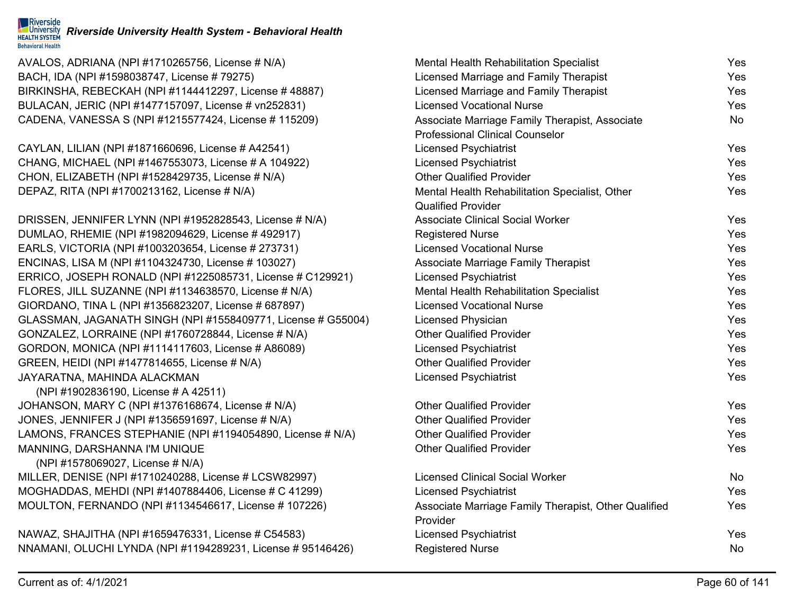| AVALOS, ADRIANA (NPI #1710265756, License # N/A)             | Mental Health Rehabilitation Specialist              | Yes |
|--------------------------------------------------------------|------------------------------------------------------|-----|
| BACH, IDA (NPI #1598038747, License #79275)                  | Licensed Marriage and Family Therapist               | Yes |
| BIRKINSHA, REBECKAH (NPI #1144412297, License # 48887)       | Licensed Marriage and Family Therapist               | Yes |
| BULACAN, JERIC (NPI #1477157097, License # vn252831)         | <b>Licensed Vocational Nurse</b>                     | Yes |
| CADENA, VANESSA S (NPI #1215577424, License # 115209)        | Associate Marriage Family Therapist, Associate       | No  |
|                                                              | <b>Professional Clinical Counselor</b>               |     |
| CAYLAN, LILIAN (NPI #1871660696, License # A42541)           | <b>Licensed Psychiatrist</b>                         | Yes |
| CHANG, MICHAEL (NPI #1467553073, License # A 104922)         | <b>Licensed Psychiatrist</b>                         | Yes |
| CHON, ELIZABETH (NPI #1528429735, License # N/A)             | <b>Other Qualified Provider</b>                      | Yes |
| DEPAZ, RITA (NPI #1700213162, License # N/A)                 | Mental Health Rehabilitation Specialist, Other       | Yes |
|                                                              | <b>Qualified Provider</b>                            |     |
| DRISSEN, JENNIFER LYNN (NPI #1952828543, License # N/A)      | <b>Associate Clinical Social Worker</b>              | Yes |
| DUMLAO, RHEMIE (NPI #1982094629, License #492917)            | <b>Registered Nurse</b>                              | Yes |
| EARLS, VICTORIA (NPI #1003203654, License # 273731)          | <b>Licensed Vocational Nurse</b>                     | Yes |
| ENCINAS, LISA M (NPI #1104324730, License # 103027)          | <b>Associate Marriage Family Therapist</b>           | Yes |
| ERRICO, JOSEPH RONALD (NPI #1225085731, License # C129921)   | <b>Licensed Psychiatrist</b>                         | Yes |
| FLORES, JILL SUZANNE (NPI #1134638570, License # N/A)        | Mental Health Rehabilitation Specialist              | Yes |
| GIORDANO, TINA L (NPI #1356823207, License # 687897)         | <b>Licensed Vocational Nurse</b>                     | Yes |
| GLASSMAN, JAGANATH SINGH (NPI #1558409771, License # G55004) | Licensed Physician                                   | Yes |
| GONZALEZ, LORRAINE (NPI #1760728844, License # N/A)          | <b>Other Qualified Provider</b>                      | Yes |
| GORDON, MONICA (NPI #1114117603, License # A86089)           | <b>Licensed Psychiatrist</b>                         | Yes |
| GREEN, HEIDI (NPI #1477814655, License # N/A)                | <b>Other Qualified Provider</b>                      | Yes |
| JAYARATNA, MAHINDA ALACKMAN                                  | <b>Licensed Psychiatrist</b>                         | Yes |
| (NPI#1902836190, License # A 42511)                          |                                                      |     |
| JOHANSON, MARY C (NPI #1376168674, License # N/A)            | <b>Other Qualified Provider</b>                      | Yes |
| JONES, JENNIFER J (NPI #1356591697, License # N/A)           | <b>Other Qualified Provider</b>                      | Yes |
| LAMONS, FRANCES STEPHANIE (NPI #1194054890, License # N/A)   | <b>Other Qualified Provider</b>                      | Yes |
| MANNING, DARSHANNA I'M UNIQUE                                | <b>Other Qualified Provider</b>                      | Yes |
| (NPI #1578069027, License # N/A)                             |                                                      |     |
| MILLER, DENISE (NPI #1710240288, License # LCSW82997)        | <b>Licensed Clinical Social Worker</b>               | No  |
| MOGHADDAS, MEHDI (NPI #1407884406, License # C 41299)        | <b>Licensed Psychiatrist</b>                         | Yes |
| MOULTON, FERNANDO (NPI #1134546617, License # 107226)        | Associate Marriage Family Therapist, Other Qualified | Yes |
|                                                              | Provider                                             |     |
| NAWAZ, SHAJITHA (NPI #1659476331, License # C54583)          | <b>Licensed Psychiatrist</b>                         | Yes |
| NNAMANI, OLUCHI LYNDA (NPI #1194289231, License # 95146426)  | <b>Registered Nurse</b>                              | No  |
|                                                              |                                                      |     |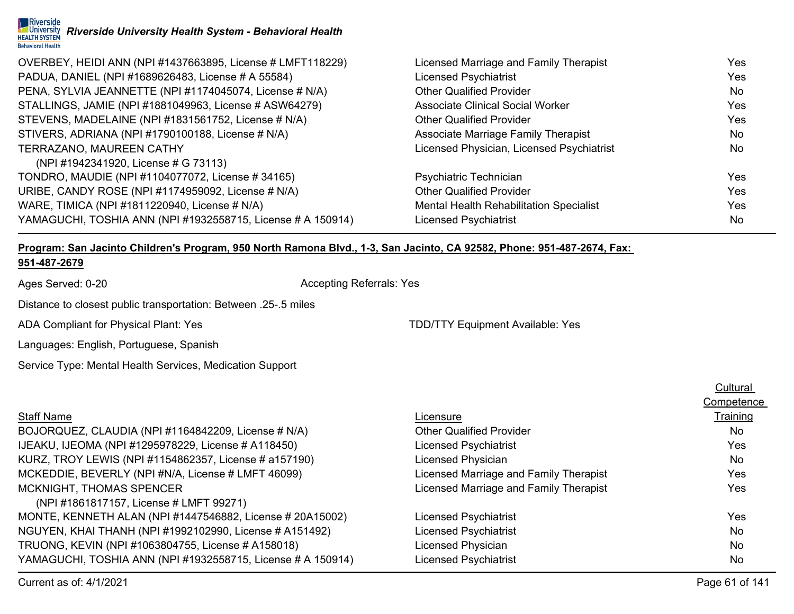

| OVERBEY, HEIDI ANN (NPI #1437663895, License # LMFT118229)  | Licensed Marriage and Family Therapist     | Yes        |
|-------------------------------------------------------------|--------------------------------------------|------------|
| PADUA, DANIEL (NPI #1689626483, License # A 55584)          | <b>Licensed Psychiatrist</b>               | Yes        |
| PENA, SYLVIA JEANNETTE (NPI #1174045074, License # N/A)     | <b>Other Qualified Provider</b>            | No.        |
| STALLINGS, JAMIE (NPI #1881049963, License # ASW64279)      | <b>Associate Clinical Social Worker</b>    | Yes        |
| STEVENS, MADELAINE (NPI #1831561752, License # N/A)         | <b>Other Qualified Provider</b>            | Yes        |
| STIVERS, ADRIANA (NPI #1790100188, License # N/A)           | <b>Associate Marriage Family Therapist</b> | No.        |
| <b>TERRAZANO, MAUREEN CATHY</b>                             | Licensed Physician, Licensed Psychiatrist  | No.        |
| (NPI #1942341920, License # G 73113)                        |                                            |            |
| TONDRO, MAUDIE (NPI #1104077072, License #34165)            | Psychiatric Technician                     | <b>Yes</b> |
| URIBE, CANDY ROSE (NPI #1174959092, License # N/A)          | <b>Other Qualified Provider</b>            | <b>Yes</b> |
| WARE, TIMICA (NPI #1811220940, License # N/A)               | Mental Health Rehabilitation Specialist    | Yes        |
| YAMAGUCHI, TOSHIA ANN (NPI #1932558715, License # A 150914) | <b>Licensed Psychiatrist</b>               | No         |

## **Program: San Jacinto Children's Program, 950 North Ramona Blvd., 1-3, San Jacinto, CA 92582, Phone: 951-487-2674, Fax:**

### **951-487-2679**

Ages Served: 0-20 **Accepting Referrals: Yes** Accepting Referrals: Yes

Distance to closest public transportation: Between .25-.5 miles

ADA Compliant for Physical Plant: Yes TDD/TTY Equipment Available: Yes

Languages: English, Portuguese, Spanish

Service Type: Mental Health Services, Medication Support

| <b>Staff Name</b>                                           | Licensure                              | Training   |
|-------------------------------------------------------------|----------------------------------------|------------|
| BOJORQUEZ, CLAUDIA (NPI #1164842209, License # N/A)         | <b>Other Qualified Provider</b>        | <b>No</b>  |
| IJEAKU, IJEOMA (NPI #1295978229, License # A118450)         | <b>Licensed Psychiatrist</b>           | <b>Yes</b> |
| KURZ, TROY LEWIS (NPI #1154862357, License # a157190)       | Licensed Physician                     | No         |
| MCKEDDIE, BEVERLY (NPI #N/A, License # LMFT 46099)          | Licensed Marriage and Family Therapist | Yes        |
| <b>MCKNIGHT, THOMAS SPENCER</b>                             | Licensed Marriage and Family Therapist | Yes        |
| (NPI #1861817157, License # LMFT 99271)                     |                                        |            |
| MONTE, KENNETH ALAN (NPI #1447546882, License # 20A15002)   | <b>Licensed Psychiatrist</b>           | Yes        |
| NGUYEN, KHAI THANH (NPI #1992102990, License # A151492)     | <b>Licensed Psychiatrist</b>           | <b>No</b>  |
| TRUONG, KEVIN (NPI #1063804755, License # A158018)          | Licensed Physician                     | <b>No</b>  |
| YAMAGUCHI, TOSHIA ANN (NPI #1932558715, License # A 150914) | <b>Licensed Psychiatrist</b>           | No.        |

**Cultural Competence**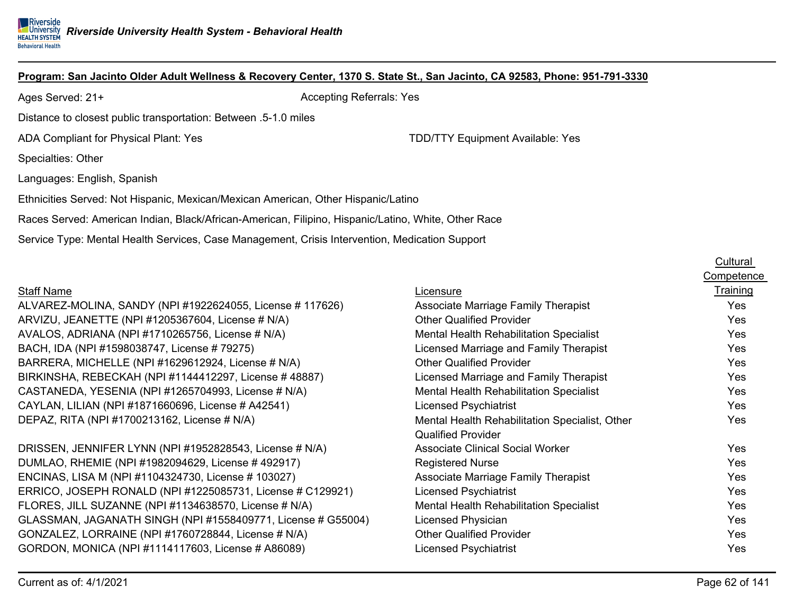| <u>Program: San Jacinto Older Adult Wellness &amp; Recovery Center, 1370 S. State St., San Jacinto, CA 92583, Phone: 951-791-3330</u> |                                         |  |
|---------------------------------------------------------------------------------------------------------------------------------------|-----------------------------------------|--|
| Ages Served: 21+                                                                                                                      | <b>Accepting Referrals: Yes</b>         |  |
| Distance to closest public transportation: Between .5-1.0 miles                                                                       |                                         |  |
| ADA Compliant for Physical Plant: Yes                                                                                                 | <b>TDD/TTY Equipment Available: Yes</b> |  |
| Specialties: Other                                                                                                                    |                                         |  |
| Languages: English, Spanish                                                                                                           |                                         |  |
| Ethnicities Served: Not Hispanic, Mexican/Mexican American, Other Hispanic/Latino                                                     |                                         |  |
| Races Served: American Indian, Black/African-American, Filipino, Hispanic/Latino, White, Other Race                                   |                                         |  |
| Service Type: Mental Health Services, Case Management, Crisis Intervention, Medication Support                                        |                                         |  |

## Staff Name

ALVAREZ-MOLINA, SANDY (NPI #1922624055, License # 117626) ARVIZU, JEANETTE (NPI #1205367604, License # N/A) AVALOS, ADRIANA (NPI #1710265756, License # N/A) BACH, IDA (NPI #1598038747, License # 79275) BARRERA, MICHELLE (NPI #1629612924, License # N/A) BIRKINSHA, REBECKAH (NPI #1144412297, License # 48887) CASTANEDA, YESENIA (NPI #1265704993, License # N/A) CAYLAN, LILIAN (NPI #1871660696, License # A42541) DEPAZ, RITA (NPI #1700213162, License # N/A)

| DRISSEN, JENNIFER LYNN (NPI #1952828543, License # N/A)      | <b>Associate Clinical Social Worker</b> | Yes |
|--------------------------------------------------------------|-----------------------------------------|-----|
| DUMLAO, RHEMIE (NPI #1982094629, License #492917)            | <b>Registered Nurse</b>                 | Yes |
| ENCINAS, LISA M (NPI #1104324730, License # 103027)          | Associate Marriage Family Therapist     | Yes |
| ERRICO, JOSEPH RONALD (NPI #1225085731, License # C129921)   | <b>Licensed Psychiatrist</b>            | Yes |
| FLORES, JILL SUZANNE (NPI #1134638570, License # N/A)        | Mental Health Rehabilitation Specialist | Yes |
| GLASSMAN, JAGANATH SINGH (NPI #1558409771, License # G55004) | Licensed Physician                      | Yes |
| GONZALEZ, LORRAINE (NPI #1760728844, License # N/A)          | <b>Other Qualified Provider</b>         | Yes |
| GORDON, MONICA (NPI #1114117603, License # A86089)           | <b>Licensed Psychiatrist</b>            | Yes |
|                                                              |                                         |     |

|                                                | Competence      |
|------------------------------------------------|-----------------|
| Licensure                                      | <b>Training</b> |
| <b>Associate Marriage Family Therapist</b>     | <b>Yes</b>      |
| <b>Other Qualified Provider</b>                | Yes             |
| <b>Mental Health Rehabilitation Specialist</b> | Yes             |
| Licensed Marriage and Family Therapist         | Yes             |
| <b>Other Qualified Provider</b>                | Yes             |
| Licensed Marriage and Family Therapist         | Yes             |
| <b>Mental Health Rehabilitation Specialist</b> | Yes             |
| <b>Licensed Psychiatrist</b>                   | Yes             |
| Mental Health Rehabilitation Specialist, Other | Yes             |
| <b>Qualified Provider</b>                      |                 |
| <b>Associate Clinical Social Worker</b>        | Yes             |
| <b>Registered Nurse</b>                        | Yes             |
| Associate Marriage Family Therapist            | Yes             |
| <b>Licensed Psychiatrist</b>                   | Yes             |
| <b>Mental Health Rehabilitation Specialist</b> | Yes             |
| Licensed Physician                             | Yes             |
| <b>Other Qualified Provider</b>                | Yes             |
| <b>Licensed Psychiatrist</b>                   | Yes             |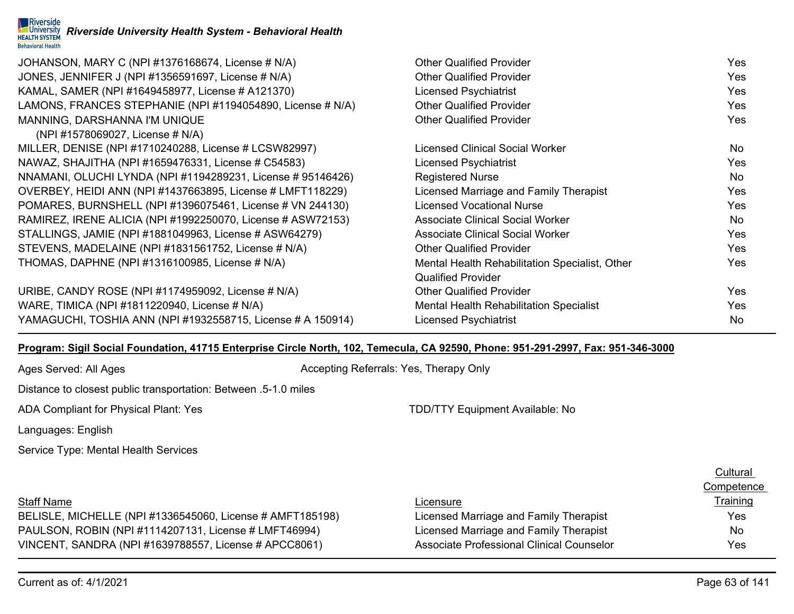| JOHANSON, MARY C (NPI #1376168674, License # N/A)           | <b>Other Qualified Provider</b>                | Yes |
|-------------------------------------------------------------|------------------------------------------------|-----|
|                                                             |                                                |     |
| JONES, JENNIFER J (NPI #1356591697, License # N/A)          | <b>Other Qualified Provider</b>                | Yes |
| KAMAL, SAMER (NPI #1649458977, License # A121370)           | <b>Licensed Psychiatrist</b>                   | Yes |
| LAMONS, FRANCES STEPHANIE (NPI #1194054890, License # N/A)  | <b>Other Qualified Provider</b>                | Yes |
| MANNING, DARSHANNA I'M UNIQUE                               | <b>Other Qualified Provider</b>                | Yes |
| (NPI #1578069027, License # N/A)                            |                                                |     |
| MILLER, DENISE (NPI #1710240288, License # LCSW82997)       | <b>Licensed Clinical Social Worker</b>         | No  |
| NAWAZ, SHAJITHA (NPI #1659476331, License # C54583)         | <b>Licensed Psychiatrist</b>                   | Yes |
| NNAMANI, OLUCHI LYNDA (NPI #1194289231, License # 95146426) | <b>Registered Nurse</b>                        | No. |
| OVERBEY, HEIDI ANN (NPI #1437663895, License # LMFT118229)  | Licensed Marriage and Family Therapist         | Yes |
| POMARES, BURNSHELL (NPI #1396075461, License # VN 244130)   | <b>Licensed Vocational Nurse</b>               | Yes |
| RAMIREZ, IRENE ALICIA (NPI #1992250070, License # ASW72153) | <b>Associate Clinical Social Worker</b>        | No  |
| STALLINGS, JAMIE (NPI #1881049963, License # ASW64279)      | <b>Associate Clinical Social Worker</b>        | Yes |
| STEVENS, MADELAINE (NPI #1831561752, License # N/A)         | <b>Other Qualified Provider</b>                | Yes |
| THOMAS, DAPHNE (NPI #1316100985, License # N/A)             | Mental Health Rehabilitation Specialist, Other | Yes |
|                                                             | <b>Qualified Provider</b>                      |     |
| URIBE, CANDY ROSE (NPI #1174959092, License # N/A)          | <b>Other Qualified Provider</b>                | Yes |
| WARE, TIMICA (NPI #1811220940, License # N/A)               | Mental Health Rehabilitation Specialist        | Yes |
| YAMAGUCHI, TOSHIA ANN (NPI #1932558715, License # A 150914) | <b>Licensed Psychiatrist</b>                   | No  |

## **Program: Sigil Social Foundation, 41715 Enterprise Circle North, 102, Temecula, CA 92590, Phone: 951-291-2997, Fax: 951-346-3000**

Ages Served: All Ages Accepting Referrals: Yes, Therapy Only

Distance to closest public transportation: Between .5-1.0 miles

ADA Compliant for Physical Plant: Yes TDD/TTY Equipment Available: No

Languages: English

Service Type: Mental Health Services

# Staff Name

## **Competence** Licensure **Training** BELISLE, MICHELLE (NPI #1336545060, License # AMFT185198) Licensed Marriage and Family Therapist Yes PAULSON, ROBIN (NPI #1114207131, License # LMFT46994) Licensed Marriage and Family Therapist No VINCENT, SANDRA (NPI #1639788557, License # APCC8061) Associate Professional Clinical Counselor Yes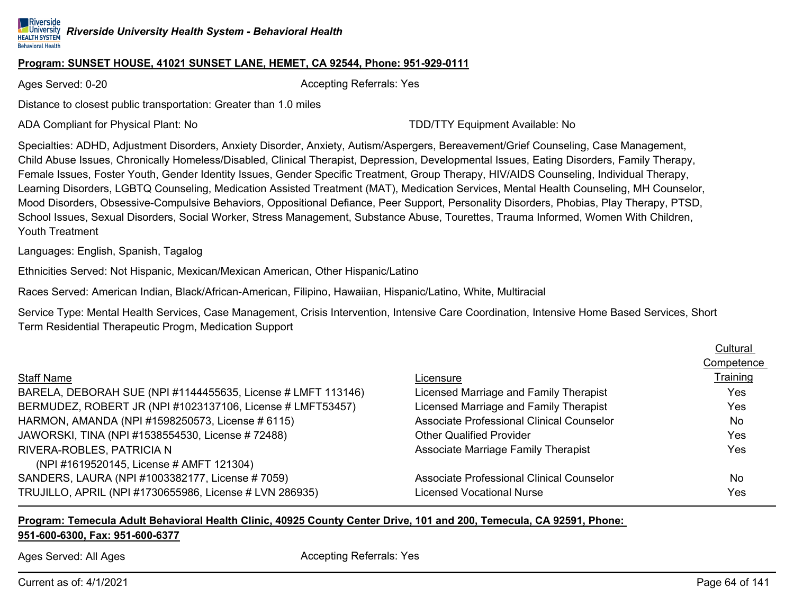### **Program: SUNSET HOUSE, 41021 SUNSET LANE, HEMET, CA 92544, Phone: 951-929-0111**

Ages Served: 0-20 **Accepting Referrals: Yes** Accepting Referrals: Yes

Distance to closest public transportation: Greater than 1.0 miles

ADA Compliant for Physical Plant: No TDD/TTY Equipment Available: No

Specialties: ADHD, Adjustment Disorders, Anxiety Disorder, Anxiety, Autism/Aspergers, Bereavement/Grief Counseling, Case Management, Child Abuse Issues, Chronically Homeless/Disabled, Clinical Therapist, Depression, Developmental Issues, Eating Disorders, Family Therapy, Female Issues, Foster Youth, Gender Identity Issues, Gender Specific Treatment, Group Therapy, HIV/AIDS Counseling, Individual Therapy, Learning Disorders, LGBTQ Counseling, Medication Assisted Treatment (MAT), Medication Services, Mental Health Counseling, MH Counselor, Mood Disorders, Obsessive-Compulsive Behaviors, Oppositional Defiance, Peer Support, Personality Disorders, Phobias, Play Therapy, PTSD, School Issues, Sexual Disorders, Social Worker, Stress Management, Substance Abuse, Tourettes, Trauma Informed, Women With Children, Youth Treatment

Languages: English, Spanish, Tagalog

Ethnicities Served: Not Hispanic, Mexican/Mexican American, Other Hispanic/Latino

Races Served: American Indian, Black/African-American, Filipino, Hawaiian, Hispanic/Latino, White, Multiracial

Service Type: Mental Health Services, Case Management, Crisis Intervention, Intensive Care Coordination, Intensive Home Based Services, Short Term Residential Therapeutic Progm, Medication Support

|                                                              |                                           | Cultural   |
|--------------------------------------------------------------|-------------------------------------------|------------|
|                                                              |                                           | Competence |
| <b>Staff Name</b>                                            | Licensure                                 | Training   |
| BARELA, DEBORAH SUE (NPI #1144455635, License # LMFT 113146) | Licensed Marriage and Family Therapist    | <b>Yes</b> |
| BERMUDEZ, ROBERT JR (NPI #1023137106, License # LMFT53457)   | Licensed Marriage and Family Therapist    | <b>Yes</b> |
| HARMON, AMANDA (NPI #1598250573, License # 6115)             | Associate Professional Clinical Counselor | No.        |
| JAWORSKI, TINA (NPI #1538554530, License #72488)             | <b>Other Qualified Provider</b>           | <b>Yes</b> |
| RIVERA-ROBLES, PATRICIA N                                    | Associate Marriage Family Therapist       | Yes        |
| (NPI #1619520145, License # AMFT 121304)                     |                                           |            |
| SANDERS, LAURA (NPI #1003382177, License # 7059)             | Associate Professional Clinical Counselor | No         |
| TRUJILLO, APRIL (NPI #1730655986, License # LVN 286935)      | Licensed Vocational Nurse                 | Yes.       |

## **Program: Temecula Adult Behavioral Health Clinic, 40925 County Center Drive, 101 and 200, Temecula, CA 92591, Phone:**

**951-600-6300, Fax: 951-600-6377**

Ages Served: All Ages Accepting Referrals: Yes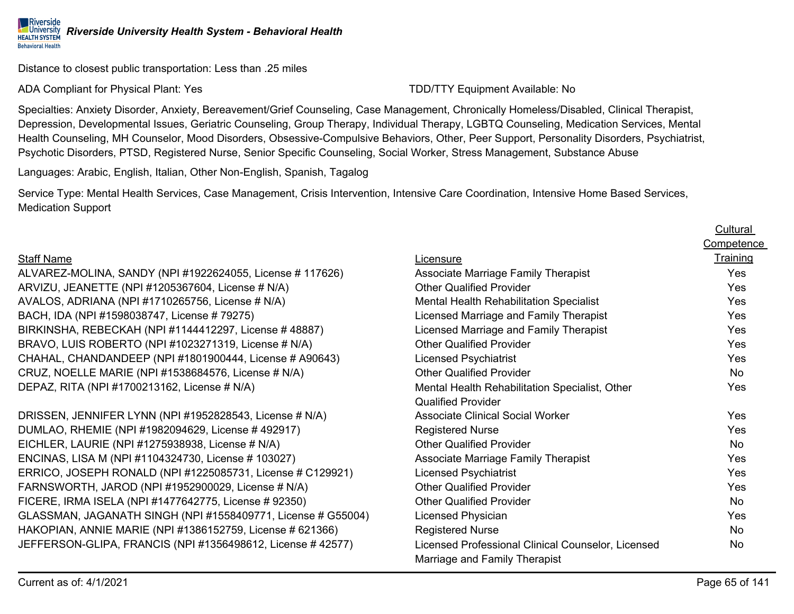**Riverside** *Riverside University Health System - Behavioral Health* **HEALTH SYSTEM** 

Distance to closest public transportation: Less than .25 miles

ADA Compliant for Physical Plant: Yes TEER TO AND ADA Compliant Available: No

Specialties: Anxiety Disorder, Anxiety, Bereavement/Grief Counseling, Case Management, Chronically Homeless/Disabled, Clinical Therapist, Depression, Developmental Issues, Geriatric Counseling, Group Therapy, Individual Therapy, LGBTQ Counseling, Medication Services, Mental Health Counseling, MH Counselor, Mood Disorders, Obsessive-Compulsive Behaviors, Other, Peer Support, Personality Disorders, Psychiatrist, Psychotic Disorders, PTSD, Registered Nurse, Senior Specific Counseling, Social Worker, Stress Management, Substance Abuse

Languages: Arabic, English, Italian, Other Non-English, Spanish, Tagalog

Service Type: Mental Health Services, Case Management, Crisis Intervention, Intensive Care Coordination, Intensive Home Based Services, Medication Support

### Staff Name

**Behavioral Health** 

ALVAREZ-MOLINA, SANDY (NPI #1922624055, License # 117626) ARVIZU, JEANETTE (NPI #1205367604, License # N/A) AVALOS, ADRIANA (NPI  $#1710265756$ , License  $# N/A$ ) BACH, IDA (NPI #1598038747, License # 79275) BIRKINSHA, REBECKAH (NPI #1144412297, License # 48887) BRAVO, LUIS ROBERTO (NPI #1023271319, License #  $N/A$ ) CHAHAL, CHANDANDEEP (NPI #1801900444, License # A90643) CRUZ, NOELLE MARIE (NPI #1538684576, License #  $N/A$ ) DEPAZ, RITA (NPI #1700213162, License # N/A)

DRISSEN, JENNIFER LYNN (NPI #1952828543, License # N/A) DUMLAO, RHEMIE (NPI #1982094629, License # 492917) EICHLER, LAURIE (NPI #1275938938, License # N/A) ENCINAS, LISA M (NPI #1104324730, License # 103027) ERRICO, JOSEPH RONALD (NPI #1225085731, License # C129921) FARNSWORTH, JAROD (NPI #1952900029, License # N/A) FICERE, IRMA ISELA (NPI #1477642775, License # 92350) GLASSMAN, JAGANATH SINGH (NPI #1558409771, License # G55004) HAKOPIAN, ANNIE MARIE (NPI #1386152759, License # 621366) JEFFERSON-GLIPA, FRANCIS (NPI #1356498612, License # 42577)

|                                                    | <b>Competence</b> |
|----------------------------------------------------|-------------------|
| Licensure                                          | Training          |
| Associate Marriage Family Therapist                | Yes               |
| <b>Other Qualified Provider</b>                    | Yes               |
| <b>Mental Health Rehabilitation Specialist</b>     | Yes               |
| Licensed Marriage and Family Therapist             | Yes               |
| Licensed Marriage and Family Therapist             | Yes               |
| <b>Other Qualified Provider</b>                    | Yes               |
| <b>Licensed Psychiatrist</b>                       | Yes               |
| <b>Other Qualified Provider</b>                    | <b>No</b>         |
| Mental Health Rehabilitation Specialist, Other     | Yes               |
| <b>Qualified Provider</b>                          |                   |
| <b>Associate Clinical Social Worker</b>            | Yes               |
| <b>Registered Nurse</b>                            | Yes               |
| <b>Other Qualified Provider</b>                    | <b>No</b>         |
| Associate Marriage Family Therapist                | Yes               |
| <b>Licensed Psychiatrist</b>                       | Yes               |
| <b>Other Qualified Provider</b>                    | Yes               |
| <b>Other Qualified Provider</b>                    | <b>No</b>         |
| Licensed Physician                                 | Yes               |
| <b>Registered Nurse</b>                            | No                |
| Licensed Professional Clinical Counselor, Licensed | <b>No</b>         |
| Marriage and Family Therapist                      |                   |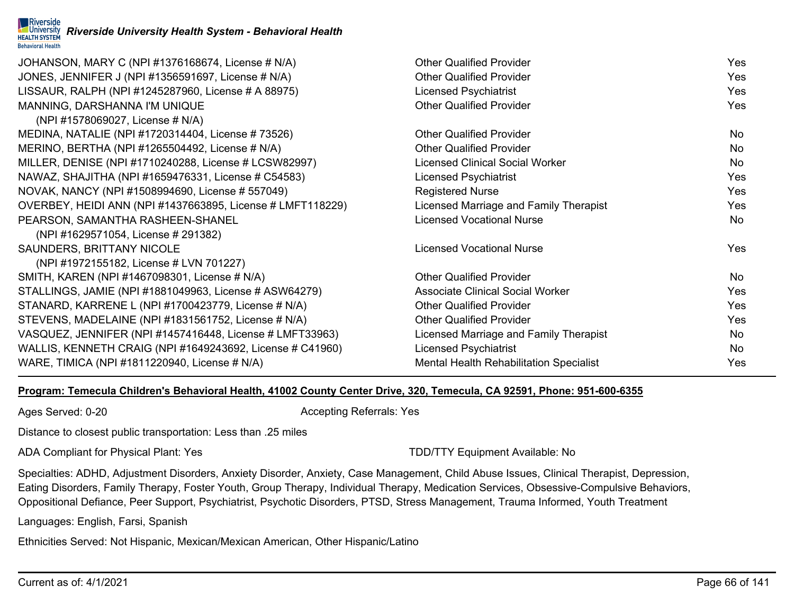|                                                            | <b>Other Qualified Provider</b>         | Yes        |
|------------------------------------------------------------|-----------------------------------------|------------|
| JOHANSON, MARY C (NPI #1376168674, License # N/A)          |                                         |            |
| JONES, JENNIFER J (NPI #1356591697, License # N/A)         | <b>Other Qualified Provider</b>         | <b>Yes</b> |
| LISSAUR, RALPH (NPI #1245287960, License # A 88975)        | <b>Licensed Psychiatrist</b>            | Yes        |
| MANNING, DARSHANNA I'M UNIQUE                              | <b>Other Qualified Provider</b>         | Yes        |
| (NPI #1578069027, License # N/A)                           |                                         |            |
| MEDINA, NATALIE (NPI #1720314404, License # 73526)         | <b>Other Qualified Provider</b>         | No.        |
| MERINO, BERTHA (NPI #1265504492, License # N/A)            | <b>Other Qualified Provider</b>         | No         |
| MILLER, DENISE (NPI #1710240288, License # LCSW82997)      | <b>Licensed Clinical Social Worker</b>  | No         |
| NAWAZ, SHAJITHA (NPI #1659476331, License # C54583)        | <b>Licensed Psychiatrist</b>            | <b>Yes</b> |
| NOVAK, NANCY (NPI #1508994690, License # 557049)           | <b>Registered Nurse</b>                 | Yes        |
| OVERBEY, HEIDI ANN (NPI #1437663895, License # LMFT118229) | Licensed Marriage and Family Therapist  | Yes        |
| PEARSON, SAMANTHA RASHEEN-SHANEL                           | <b>Licensed Vocational Nurse</b>        | <b>No</b>  |
| (NPI #1629571054, License # 291382)                        |                                         |            |
| SAUNDERS, BRITTANY NICOLE                                  | <b>Licensed Vocational Nurse</b>        | Yes        |
| (NPI #1972155182, License # LVN 701227)                    |                                         |            |
| SMITH, KAREN (NPI #1467098301, License # N/A)              | <b>Other Qualified Provider</b>         | No.        |
| STALLINGS, JAMIE (NPI #1881049963, License # ASW64279)     | <b>Associate Clinical Social Worker</b> | Yes        |
| STANARD, KARRENE L (NPI #1700423779, License # N/A)        | <b>Other Qualified Provider</b>         | <b>Yes</b> |
| STEVENS, MADELAINE (NPI #1831561752, License # N/A)        | <b>Other Qualified Provider</b>         | Yes        |
| VASQUEZ, JENNIFER (NPI #1457416448, License # LMFT33963)   | Licensed Marriage and Family Therapist  | No         |
| WALLIS, KENNETH CRAIG (NPI #1649243692, License # C41960)  | <b>Licensed Psychiatrist</b>            | No         |
| WARE, TIMICA (NPI #1811220940, License # N/A)              | Mental Health Rehabilitation Specialist | Yes        |

### **Program: Temecula Children's Behavioral Health, 41002 County Center Drive, 320, Temecula, CA 92591, Phone: 951-600-6355**

Ages Served: 0-20 Accepting Referrals: Yes

Distance to closest public transportation: Less than .25 miles

ADA Compliant for Physical Plant: Yes TDD/TTY Equipment Available: No

Specialties: ADHD, Adjustment Disorders, Anxiety Disorder, Anxiety, Case Management, Child Abuse Issues, Clinical Therapist, Depression, Eating Disorders, Family Therapy, Foster Youth, Group Therapy, Individual Therapy, Medication Services, Obsessive-Compulsive Behaviors, Oppositional Defiance, Peer Support, Psychiatrist, Psychotic Disorders, PTSD, Stress Management, Trauma Informed, Youth Treatment

Languages: English, Farsi, Spanish

Ethnicities Served: Not Hispanic, Mexican/Mexican American, Other Hispanic/Latino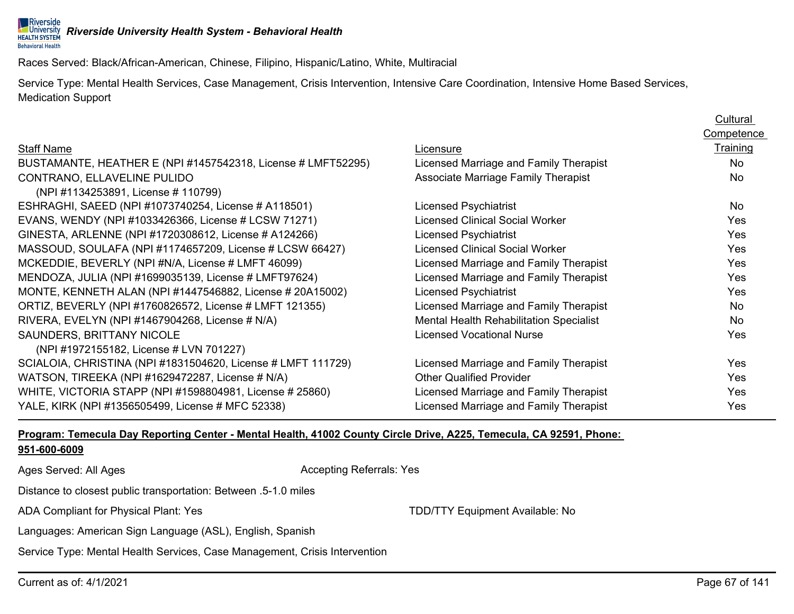**Riverside REDIVERSITY AND READTER READTER IN A VIOLET SETTLE UNIVERSITY AT UNIVERSITY AT UNIVERSITY AT A VIOLET AND READ TO A VIOLET A UNIVERSITY AT A VIOLET AND READ TO A VIOLET A VIOLET AND READ TO A VIOLET A VIOLET AND READ TO A Behavioral Health** 

Races Served: Black/African-American, Chinese, Filipino, Hispanic/Latino, White, Multiracial

Service Type: Mental Health Services, Case Management, Crisis Intervention, Intensive Care Coordination, Intensive Home Based Services, Medication Support

|                                                              |                                         | <b>Cultural</b> |
|--------------------------------------------------------------|-----------------------------------------|-----------------|
|                                                              |                                         | Competence      |
| <b>Staff Name</b>                                            | Licensure                               | <b>Training</b> |
| BUSTAMANTE, HEATHER E (NPI #1457542318, License # LMFT52295) | Licensed Marriage and Family Therapist  | No              |
| CONTRANO, ELLAVELINE PULIDO                                  | Associate Marriage Family Therapist     | No              |
| (NPI #1134253891, License # 110799)                          |                                         |                 |
| ESHRAGHI, SAEED (NPI #1073740254, License # A118501)         | <b>Licensed Psychiatrist</b>            | <b>No</b>       |
| EVANS, WENDY (NPI #1033426366, License # LCSW 71271)         | Licensed Clinical Social Worker         | Yes             |
| GINESTA, ARLENNE (NPI #1720308612, License # A124266)        | <b>Licensed Psychiatrist</b>            | <b>Yes</b>      |
| MASSOUD, SOULAFA (NPI #1174657209, License # LCSW 66427)     | <b>Licensed Clinical Social Worker</b>  | <b>Yes</b>      |
| MCKEDDIE, BEVERLY (NPI #N/A, License # LMFT 46099)           | Licensed Marriage and Family Therapist  | Yes             |
| MENDOZA, JULIA (NPI #1699035139, License # LMFT97624)        | Licensed Marriage and Family Therapist  | Yes             |
| MONTE, KENNETH ALAN (NPI #1447546882, License # 20A15002)    | <b>Licensed Psychiatrist</b>            | Yes             |
| ORTIZ, BEVERLY (NPI #1760826572, License # LMFT 121355)      | Licensed Marriage and Family Therapist  | No              |
| RIVERA, EVELYN (NPI #1467904268, License # N/A)              | Mental Health Rehabilitation Specialist | No              |
| <b>SAUNDERS, BRITTANY NICOLE</b>                             | <b>Licensed Vocational Nurse</b>        | Yes             |
| (NPI #1972155182, License # LVN 701227)                      |                                         |                 |
| SCIALOIA, CHRISTINA (NPI #1831504620, License # LMFT 111729) | Licensed Marriage and Family Therapist  | Yes             |
| WATSON, TIREEKA (NPI #1629472287, License # N/A)             | <b>Other Qualified Provider</b>         | <b>Yes</b>      |
| WHITE, VICTORIA STAPP (NPI #1598804981, License # 25860)     | Licensed Marriage and Family Therapist  | Yes             |
| YALE, KIRK (NPI #1356505499, License # MFC 52338)            | Licensed Marriage and Family Therapist  | Yes             |

## **Program: Temecula Day Reporting Center - Mental Health, 41002 County Circle Drive, A225, Temecula, CA 92591, Phone: 951-600-6009**

Ages Served: All Ages **Accepting Referrals: Yes** Accepting Referrals: Yes

Distance to closest public transportation: Between .5-1.0 miles

ADA Compliant for Physical Plant: Yes TDD/TTY Equipment Available: No

Languages: American Sign Language (ASL), English, Spanish

Service Type: Mental Health Services, Case Management, Crisis Intervention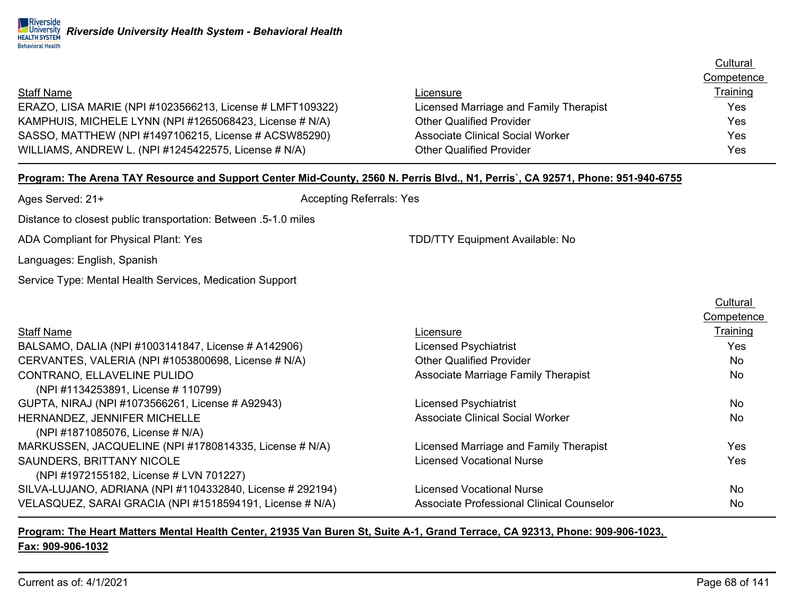|                                                           |                                         | Cultural        |
|-----------------------------------------------------------|-----------------------------------------|-----------------|
|                                                           |                                         | Competence      |
| <b>Staff Name</b>                                         | Licensure                               | <b>Training</b> |
| ERAZO, LISA MARIE (NPI #1023566213, License # LMFT109322) | Licensed Marriage and Family Therapist  | Yes.            |
| KAMPHUIS, MICHELE LYNN (NPI #1265068423, License # N/A)   | <b>Other Qualified Provider</b>         | Yes.            |
| SASSO, MATTHEW (NPI #1497106215, License # ACSW85290)     | <b>Associate Clinical Social Worker</b> | Yes.            |
| WILLIAMS, ANDREW L. (NPI #1245422575, License # N/A)      | <b>Other Qualified Provider</b>         | Yes             |

## **Program: The Arena TAY Resource and Support Center Mid-County, 2560 N. Perris Blvd., N1, Perris`, CA 92571, Phone: 951-940-6755**

| Ages Served: 21+                                                | <b>Accepting Referrals: Yes</b>        |              |
|-----------------------------------------------------------------|----------------------------------------|--------------|
| Distance to closest public transportation: Between .5-1.0 miles |                                        |              |
| ADA Compliant for Physical Plant: Yes                           | <b>TDD/TTY Equipment Available: No</b> |              |
| Languages: English, Spanish                                     |                                        |              |
| Service Type: Mental Health Services, Medication Support        |                                        |              |
|                                                                 |                                        | Cultural     |
|                                                                 |                                        | Competence   |
| <b>Staff Name</b>                                               | Licensure                              | Training     |
| BALSAMO, DALIA (NPI #1003141847, License # A142906)             | <b>Licensed Psychiatrist</b>           | Yes          |
| CERVANTES, VALERIA (NPI #1053800698, License # N/A)             | <b>Other Qualified Provider</b>        | No           |
| CONTRANO, ELLAVELINE PULIDO                                     | Associate Marriage Family Therapist    | No           |
| (NPI#1134253891, License #110799)                               |                                        |              |
| $CI$ IPTA NIRA I (NPI #1073566261) License # 492943)            | l icensed Psychiatrist                 | $N_{\Omega}$ |

GUPTA, NIRAJ (NPI #1073566261, License # A92943) License are the Licensed Psychiatrist No. No. No. No HERNANDEZ, JENNIFER MICHELLE (NPI #1871085076, License # N/A) Associate Clinical Social Worker No No MARKUSSEN, JACQUELINE (NPI #1780814335, License # N/A) Licensed Marriage and Family Therapist Yes SAUNDERS, BRITTANY NICOLE (NPI #1972155182, License # LVN 701227) Licensed Vocational Nurse **Yes** Yes SILVA-LUJANO, ADRIANA (NPI #1104332840, License # 292194) Licensed Vocational Nurse No VELASQUEZ, SARAI GRACIA (NPI #1518594191, License # N/A) Associate Professional Clinical Counselor No

## **Program: The Heart Matters Mental Health Center, 21935 Van Buren St, Suite A-1, Grand Terrace, CA 92313, Phone: 909-906-1023,**

### **Fax: 909-906-1032**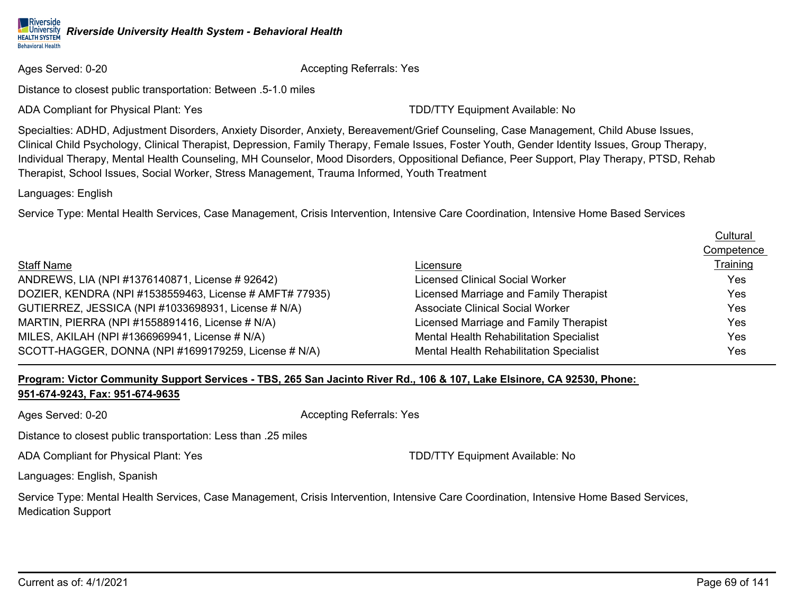### Ages Served: 0-20 **Accepting Referrals: Yes** Accepting Referrals: Yes

Distance to closest public transportation: Between .5-1.0 miles

ADA Compliant for Physical Plant: Yes TELL THE TRIM TO THE TOP/TTY Equipment Available: No

Specialties: ADHD, Adjustment Disorders, Anxiety Disorder, Anxiety, Bereavement/Grief Counseling, Case Management, Child Abuse Issues, Clinical Child Psychology, Clinical Therapist, Depression, Family Therapy, Female Issues, Foster Youth, Gender Identity Issues, Group Therapy, Individual Therapy, Mental Health Counseling, MH Counselor, Mood Disorders, Oppositional Defiance, Peer Support, Play Therapy, PTSD, Rehab Therapist, School Issues, Social Worker, Stress Management, Trauma Informed, Youth Treatment

Languages: English

Service Type: Mental Health Services, Case Management, Crisis Intervention, Intensive Care Coordination, Intensive Home Based Services

|                                                         |                                         | Cultural   |
|---------------------------------------------------------|-----------------------------------------|------------|
|                                                         |                                         | Competence |
| <b>Staff Name</b>                                       | Licensure                               | Training   |
| ANDREWS, LIA (NPI #1376140871, License #92642)          | Licensed Clinical Social Worker         | Yes.       |
| DOZIER, KENDRA (NPI #1538559463, License # AMFT# 77935) | Licensed Marriage and Family Therapist  | Yes        |
| GUTIERREZ, JESSICA (NPI #1033698931, License # N/A)     | <b>Associate Clinical Social Worker</b> | Yes        |
| MARTIN, PIERRA (NPI #1558891416, License # N/A)         | Licensed Marriage and Family Therapist  | Yes        |
| MILES, AKILAH (NPI #1366969941, License # N/A)          | Mental Health Rehabilitation Specialist | Yes        |
| SCOTT-HAGGER, DONNA (NPI #1699179259, License # N/A)    | Mental Health Rehabilitation Specialist | Yes        |

**Program: Victor Community Support Services - TBS, 265 San Jacinto River Rd., 106 & 107, Lake Elsinore, CA 92530, Phone:** 

## **951-674-9243, Fax: 951-674-9635**

Ages Served: 0-20 **Accepting Referrals: Yes** Accepting Referrals: Yes

Distance to closest public transportation: Less than .25 miles

ADA Compliant for Physical Plant: Yes TELL THE TRIM TO THE TOP THE TRIM TO THE AVAIlable: No

Languages: English, Spanish

Service Type: Mental Health Services, Case Management, Crisis Intervention, Intensive Care Coordination, Intensive Home Based Services, Medication Support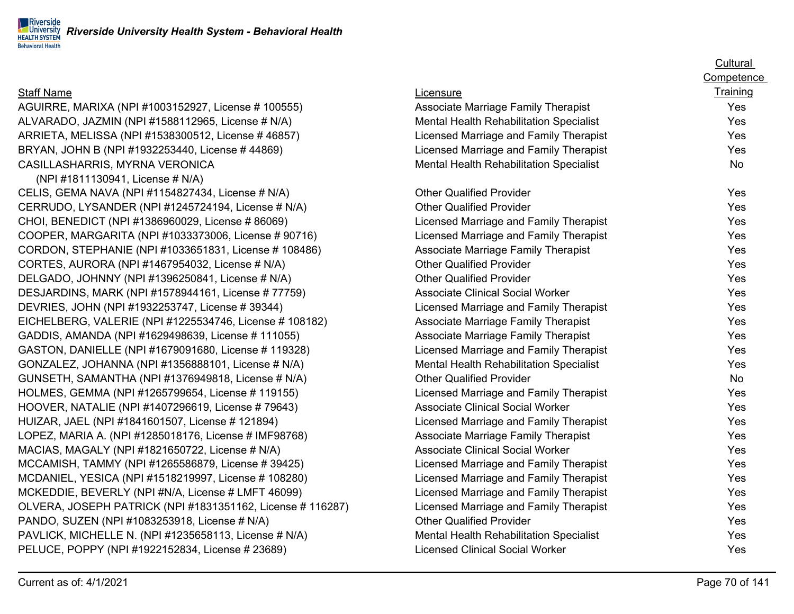## Staff Name

AGUIRRE, MARIXA (NPI #1003152927, License # 100555) ALVARADO, JAZMIN (NPI  $#1588112965$ , License  $# N/A$ ) ARRIETA, MELISSA (NPI #1538300512, License # 46857) BRYAN, JOHN B (NPI #1932253440, License # 44869) CASILLASHARRIS, MYRNA VERONICA

(NPI #1811130941, License # N/A) CELIS, GEMA NAVA (NPI #1154827434, License # N/A) CERRUDO, LYSANDER (NPI #1245724194, License # N/A) CHOI, BENEDICT (NPI #1386960029, License # 86069) COOPER, MARGARITA (NPI #1033373006, License # 90716) CORDON, STEPHANIE (NPI #1033651831, License # 108486) CORTES, AURORA (NPI  $#1467954032$ , License  $# N/A$ ) DELGADO, JOHNNY (NPI #1396250841, License # N/A) DESJARDINS, MARK (NPI #1578944161, License # 77759) DEVRIES, JOHN (NPI #1932253747, License # 39344) EICHELBERG, VALERIE (NPI #1225534746, License # 108182) GADDIS, AMANDA (NPI #1629498639, License # 111055) GASTON, DANIELLE (NPI #1679091680, License # 119328) GONZALEZ, JOHANNA (NPI  $#1356888101$ , License  $#N/A$ ) GUNSETH, SAMANTHA (NPI  $#1376949818$ , License  $#N/A$ ) HOLMES, GEMMA (NPI #1265799654, License # 119155) HOOVER, NATALIE (NPI #1407296619, License # 79643) HUIZAR, JAEL (NPI #1841601507, License # 121894) LOPEZ, MARIA A. (NPI #1285018176, License # IMF98768) MACIAS, MAGALY (NPI  $#1821650722$ , License  $# N/A$ ) MCCAMISH, TAMMY (NPI #1265586879, License # 39425) MCDANIEL, YESICA (NPI #1518219997, License # 108280) MCKEDDIE, BEVERLY (NPI #N/A, License # LMFT 46099) OLVERA, JOSEPH PATRICK (NPI #1831351162, License # 116287) PANDO, SUZEN (NPI #1083253918, License # N/A) PAVLICK, MICHELLE N. (NPI #1235658113, License # N/A) PELUCE, POPPY (NPI #1922152834, License # 23689)

|                                                | <u>Cultural</u>   |
|------------------------------------------------|-------------------|
|                                                | <b>Competence</b> |
| Licensure                                      | Training          |
| <b>Associate Marriage Family Therapist</b>     | Yes               |
| <b>Mental Health Rehabilitation Specialist</b> | Yes               |
| Licensed Marriage and Family Therapist         | Yes               |
| Licensed Marriage and Family Therapist         | Yes               |
| <b>Mental Health Rehabilitation Specialist</b> | <b>No</b>         |
|                                                |                   |
| <b>Other Qualified Provider</b>                | Yes               |
| <b>Other Qualified Provider</b>                | Yes               |
| Licensed Marriage and Family Therapist         | Yes               |
| Licensed Marriage and Family Therapist         | Yes               |
| <b>Associate Marriage Family Therapist</b>     | Yes               |
| <b>Other Qualified Provider</b>                | Yes               |
| <b>Other Qualified Provider</b>                | Yes               |
| <b>Associate Clinical Social Worker</b>        | Yes               |
| Licensed Marriage and Family Therapist         | Yes               |
| <b>Associate Marriage Family Therapist</b>     | Yes               |
| <b>Associate Marriage Family Therapist</b>     | Yes               |
| Licensed Marriage and Family Therapist         | Yes               |
| <b>Mental Health Rehabilitation Specialist</b> | Yes               |
| <b>Other Qualified Provider</b>                | <b>No</b>         |
| Licensed Marriage and Family Therapist         | Yes               |
| <b>Associate Clinical Social Worker</b>        | Yes               |
| Licensed Marriage and Family Therapist         | Yes               |
| <b>Associate Marriage Family Therapist</b>     | Yes               |
| <b>Associate Clinical Social Worker</b>        | Yes               |
| Licensed Marriage and Family Therapist         | Yes               |
| Licensed Marriage and Family Therapist         | Yes               |
| Licensed Marriage and Family Therapist         | Yes               |
| Licensed Marriage and Family Therapist         | Yes               |
| <b>Other Qualified Provider</b>                | Yes               |
| <b>Mental Health Rehabilitation Specialist</b> | Yes               |
| <b>Licensed Clinical Social Worker</b>         | Yes               |

 $C<sub>1</sub>$ ,  $|4$ ,  $|4$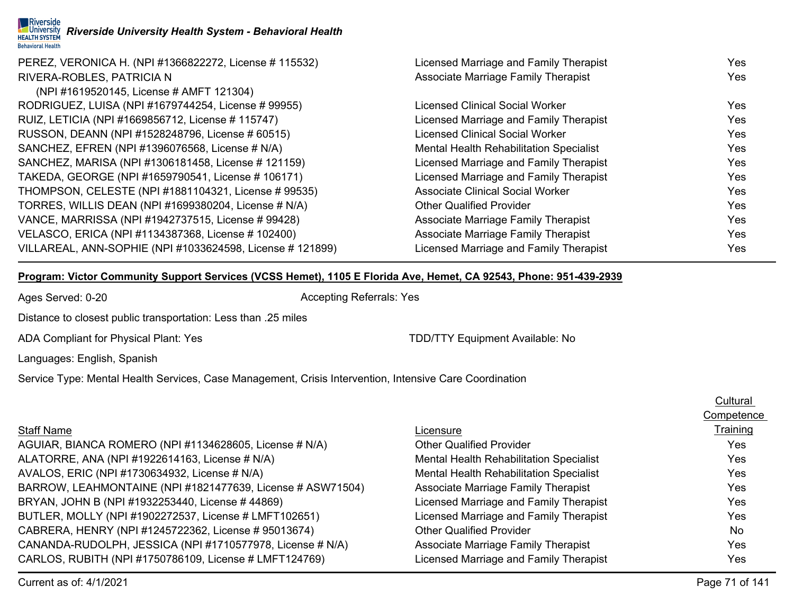| PEREZ, VERONICA H. (NPI #1366822272, License # 115532)    | Licensed Marriage and Family Therapist     | Yes        |
|-----------------------------------------------------------|--------------------------------------------|------------|
| RIVERA-ROBLES, PATRICIA N                                 | <b>Associate Marriage Family Therapist</b> | <b>Yes</b> |
| (NPI #1619520145, License # AMFT 121304)                  |                                            |            |
| RODRIGUEZ, LUISA (NPI #1679744254, License # 99955)       | <b>Licensed Clinical Social Worker</b>     | Yes        |
| RUIZ, LETICIA (NPI #1669856712, License # 115747)         | Licensed Marriage and Family Therapist     | Yes        |
| RUSSON, DEANN (NPI #1528248796, License # 60515)          | Licensed Clinical Social Worker            | Yes        |
| SANCHEZ, EFREN (NPI #1396076568, License # N/A)           | Mental Health Rehabilitation Specialist    | Yes        |
| SANCHEZ, MARISA (NPI #1306181458, License # 121159)       | Licensed Marriage and Family Therapist     | <b>Yes</b> |
| TAKEDA, GEORGE (NPI #1659790541, License # 106171)        | Licensed Marriage and Family Therapist     | Yes        |
| THOMPSON, CELESTE (NPI #1881104321, License # 99535)      | <b>Associate Clinical Social Worker</b>    | Yes        |
| TORRES, WILLIS DEAN (NPI #1699380204, License # N/A)      | <b>Other Qualified Provider</b>            | Yes        |
| VANCE, MARRISSA (NPI #1942737515, License # 99428)        | Associate Marriage Family Therapist        | Yes        |
| VELASCO, ERICA (NPI #1134387368, License # 102400)        | <b>Associate Marriage Family Therapist</b> | Yes        |
| VILLAREAL, ANN-SOPHIE (NPI #1033624598, License # 121899) | Licensed Marriage and Family Therapist     | Yes        |

### **Program: Victor Community Support Services (VCSS Hemet), 1105 E Florida Ave, Hemet, CA 92543, Phone: 951-439-2939**

Ages Served: 0-20 **Accepting Referrals: Yes** Accepting Referrals: Yes

Distance to closest public transportation: Less than .25 miles

ADA Compliant for Physical Plant: Yes TEER TO AND ADA Compliant Available: No

Languages: English, Spanish

Service Type: Mental Health Services, Case Management, Crisis Intervention, Intensive Care Coordination

## Staff Name

AGUIAR, BIANCA ROMERO (NPI #1134628605, License # N/A) ALATORRE, ANA (NPI #1922614163, License # N/A) AVALOS, ERIC (NPI #1730634932, License # N/A) BARROW, LEAHMONTAINE (NPI #1821477639, License # ASW71504) BRYAN, JOHN B (NPI #1932253440, License # 44869) BUTLER, MOLLY (NPI #1902272537, License # LMFT102651) CABRERA, HENRY (NPI #1245722362, License # 95013674) CANANDA-RUDOLPH, JESSICA (NPI #1710577978, License # N/A) CARLOS, RUBITH (NPI #1750786109, License # LMFT124769)

|                                                | Competence |
|------------------------------------------------|------------|
| Licensure                                      | Training   |
| <b>Other Qualified Provider</b>                | Yes        |
| Mental Health Rehabilitation Specialist        | Yes        |
| <b>Mental Health Rehabilitation Specialist</b> | Yes        |
| <b>Associate Marriage Family Therapist</b>     | Yes        |
| Licensed Marriage and Family Therapist         | Yes        |
| Licensed Marriage and Family Therapist         | Yes        |
| <b>Other Qualified Provider</b>                | <b>No</b>  |
| <b>Associate Marriage Family Therapist</b>     | Yes        |
| Licensed Marriage and Family Therapist         | Yes        |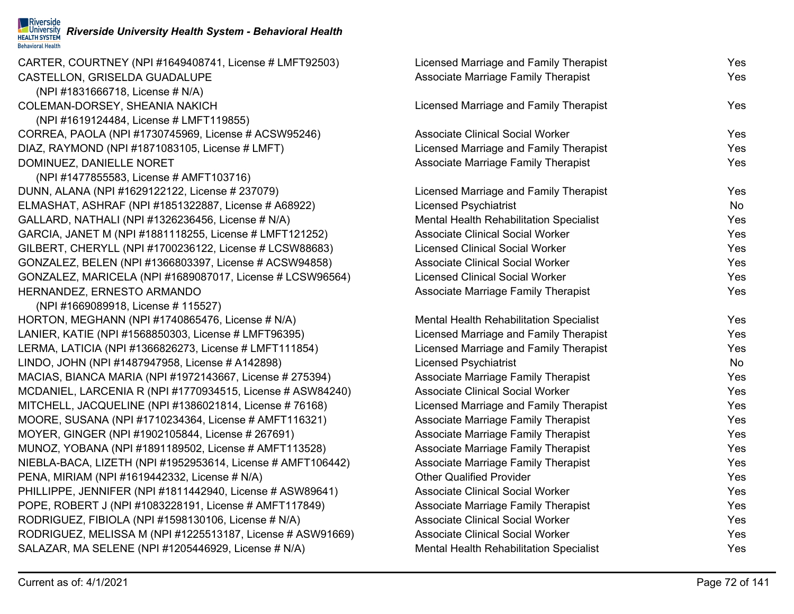| CARTER, COURTNEY (NPI #1649408741, License # LMFT92503)     | Licensed Marriage and Family Therapist     | Yes |
|-------------------------------------------------------------|--------------------------------------------|-----|
| CASTELLON, GRISELDA GUADALUPE                               | <b>Associate Marriage Family Therapist</b> | Yes |
| (NPI #1831666718, License # N/A)                            |                                            |     |
| COLEMAN-DORSEY, SHEANIA NAKICH                              | Licensed Marriage and Family Therapist     | Yes |
| (NPI #1619124484, License # LMFT119855)                     |                                            |     |
| CORREA, PAOLA (NPI #1730745969, License # ACSW95246)        | <b>Associate Clinical Social Worker</b>    | Yes |
| DIAZ, RAYMOND (NPI #1871083105, License # LMFT)             | Licensed Marriage and Family Therapist     | Yes |
| DOMINUEZ, DANIELLE NORET                                    | <b>Associate Marriage Family Therapist</b> | Yes |
| (NPI #1477855583, License # AMFT103716)                     |                                            |     |
| DUNN, ALANA (NPI #1629122122, License # 237079)             | Licensed Marriage and Family Therapist     | Yes |
| ELMASHAT, ASHRAF (NPI #1851322887, License # A68922)        | <b>Licensed Psychiatrist</b>               | No  |
| GALLARD, NATHALI (NPI #1326236456, License # N/A)           | Mental Health Rehabilitation Specialist    | Yes |
| GARCIA, JANET M (NPI #1881118255, License # LMFT121252)     | <b>Associate Clinical Social Worker</b>    | Yes |
| GILBERT, CHERYLL (NPI #1700236122, License # LCSW88683)     | <b>Licensed Clinical Social Worker</b>     | Yes |
| GONZALEZ, BELEN (NPI #1366803397, License # ACSW94858)      | <b>Associate Clinical Social Worker</b>    | Yes |
| GONZALEZ, MARICELA (NPI #1689087017, License # LCSW96564)   | <b>Licensed Clinical Social Worker</b>     | Yes |
| HERNANDEZ, ERNESTO ARMANDO                                  | <b>Associate Marriage Family Therapist</b> | Yes |
| (NPI #1669089918, License # 115527)                         |                                            |     |
| HORTON, MEGHANN (NPI #1740865476, License # N/A)            | Mental Health Rehabilitation Specialist    | Yes |
| LANIER, KATIE (NPI #1568850303, License # LMFT96395)        | Licensed Marriage and Family Therapist     | Yes |
| LERMA, LATICIA (NPI #1366826273, License # LMFT111854)      | Licensed Marriage and Family Therapist     | Yes |
| LINDO, JOHN (NPI #1487947958, License # A142898)            | <b>Licensed Psychiatrist</b>               | No  |
| MACIAS, BIANCA MARIA (NPI #1972143667, License # 275394)    | <b>Associate Marriage Family Therapist</b> | Yes |
| MCDANIEL, LARCENIA R (NPI #1770934515, License # ASW84240)  | <b>Associate Clinical Social Worker</b>    | Yes |
| MITCHELL, JACQUELINE (NPI #1386021814, License #76168)      | Licensed Marriage and Family Therapist     | Yes |
| MOORE, SUSANA (NPI #1710234364, License # AMFT116321)       | <b>Associate Marriage Family Therapist</b> | Yes |
| MOYER, GINGER (NPI #1902105844, License # 267691)           | <b>Associate Marriage Family Therapist</b> | Yes |
| MUNOZ, YOBANA (NPI #1891189502, License # AMFT113528)       | <b>Associate Marriage Family Therapist</b> | Yes |
| NIEBLA-BACA, LIZETH (NPI #1952953614, License # AMFT106442) | <b>Associate Marriage Family Therapist</b> | Yes |
| PENA, MIRIAM (NPI #1619442332, License # N/A)               | <b>Other Qualified Provider</b>            | Yes |
| PHILLIPPE, JENNIFER (NPI #1811442940, License # ASW89641)   | <b>Associate Clinical Social Worker</b>    | Yes |
| POPE, ROBERT J (NPI #1083228191, License # AMFT117849)      | <b>Associate Marriage Family Therapist</b> | Yes |
| RODRIGUEZ, FIBIOLA (NPI #1598130106, License # N/A)         | <b>Associate Clinical Social Worker</b>    | Yes |
| RODRIGUEZ, MELISSA M (NPI #1225513187, License # ASW91669)  | <b>Associate Clinical Social Worker</b>    | Yes |
| SALAZAR, MA SELENE (NPI #1205446929, License # N/A)         | Mental Health Rehabilitation Specialist    | Yes |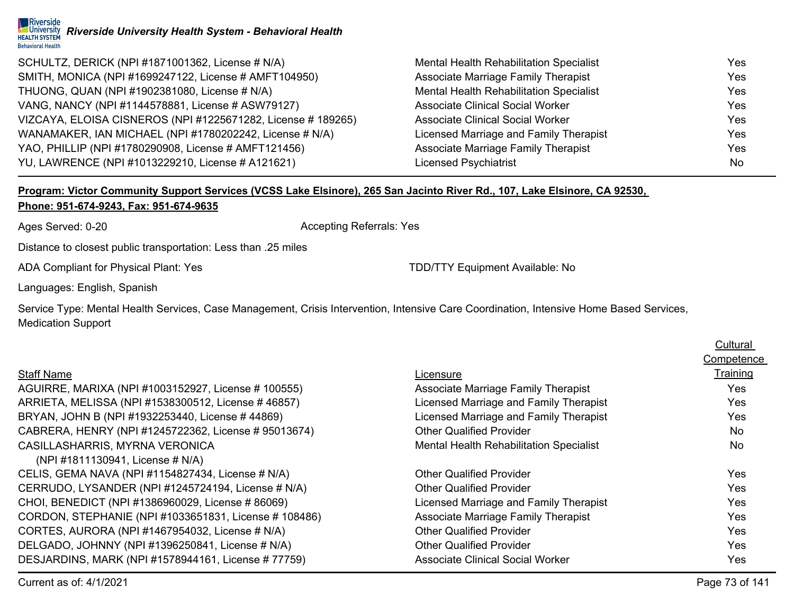

| SCHULTZ, DERICK (NPI #1871001362, License # N/A)             | Mental Health Rehabilitation Specialist        | Yes        |
|--------------------------------------------------------------|------------------------------------------------|------------|
| SMITH, MONICA (NPI #1699247122, License # AMFT104950)        | Associate Marriage Family Therapist            | Yes        |
| THUONG, QUAN (NPI #1902381080, License # N/A)                | <b>Mental Health Rehabilitation Specialist</b> | Yes        |
| VANG, NANCY (NPI #1144578881, License # ASW79127)            | <b>Associate Clinical Social Worker</b>        | Yes        |
| VIZCAYA, ELOISA CISNEROS (NPI #1225671282, License # 189265) | <b>Associate Clinical Social Worker</b>        | <b>Yes</b> |
| WANAMAKER, IAN MICHAEL (NPI #1780202242, License # N/A)      | Licensed Marriage and Family Therapist         | Yes        |
| YAO, PHILLIP (NPI #1780290908, License # AMFT121456)         | Associate Marriage Family Therapist            | Yes        |
| YU, LAWRENCE (NPI #1013229210, License # A121621)            | <b>Licensed Psychiatrist</b>                   | No         |

## **Program: Victor Community Support Services (VCSS Lake Elsinore), 265 San Jacinto River Rd., 107, Lake Elsinore, CA 92530,**

#### **Phone: 951-674-9243, Fax: 951-674-9635**

Ages Served: 0-20 **Accepting Referrals: Yes** Accepting Referrals: Yes

Distance to closest public transportation: Less than .25 miles

ADA Compliant for Physical Plant: Yes TDD/TTY Equipment Available: No

Languages: English, Spanish

Service Type: Mental Health Services, Case Management, Crisis Intervention, Intensive Care Coordination, Intensive Home Based Services, Medication Support

|                                                       |                                            | <b>Cultural</b> |
|-------------------------------------------------------|--------------------------------------------|-----------------|
|                                                       |                                            | Competence      |
| <b>Staff Name</b>                                     | Licensure                                  | Training        |
| AGUIRRE, MARIXA (NPI #1003152927, License # 100555)   | Associate Marriage Family Therapist        | Yes             |
| ARRIETA, MELISSA (NPI #1538300512, License #46857)    | Licensed Marriage and Family Therapist     | <b>Yes</b>      |
| BRYAN, JOHN B (NPI #1932253440, License #44869)       | Licensed Marriage and Family Therapist     | Yes             |
| CABRERA, HENRY (NPI #1245722362, License # 95013674)  | <b>Other Qualified Provider</b>            | No.             |
| CASILLASHARRIS, MYRNA VERONICA                        | Mental Health Rehabilitation Specialist    | No.             |
| (NPI #1811130941, License # N/A)                      |                                            |                 |
| CELIS, GEMA NAVA (NPI #1154827434, License # N/A)     | <b>Other Qualified Provider</b>            | Yes.            |
| CERRUDO, LYSANDER (NPI #1245724194, License # N/A)    | <b>Other Qualified Provider</b>            | Yes             |
| CHOI, BENEDICT (NPI #1386960029, License #86069)      | Licensed Marriage and Family Therapist     | Yes             |
| CORDON, STEPHANIE (NPI #1033651831, License # 108486) | <b>Associate Marriage Family Therapist</b> | Yes             |
| CORTES, AURORA (NPI #1467954032, License # N/A)       | <b>Other Qualified Provider</b>            | Yes             |
| DELGADO, JOHNNY (NPI #1396250841, License # N/A)      | <b>Other Qualified Provider</b>            | Yes             |
| DESJARDINS, MARK (NPI #1578944161, License #77759)    | Associate Clinical Social Worker           | Yes             |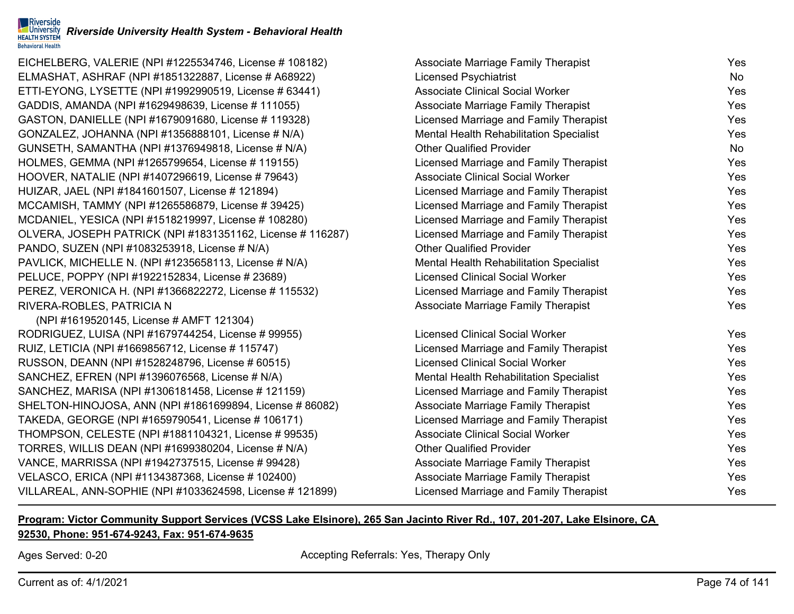

EICHELBERG, VALERIE (NPI #1225534746, License # 108182) ELMASHAT, ASHRAF (NPI #1851322887, License # A68922) ETTI-EYONG, LYSETTE (NPI #1992990519, License # 63441) GADDIS, AMANDA (NPI #1629498639, License # 111055) GASTON, DANIELLE (NPI #1679091680, License # 119328) GONZALEZ, JOHANNA (NPI #1356888101, License # N/A) GUNSETH, SAMANTHA (NPI #1376949818, License # N/A) HOLMES, GEMMA (NPI #1265799654, License # 119155) HOOVER, NATALIE (NPI #1407296619, License # 79643) HUIZAR, JAEL (NPI #1841601507, License # 121894) MCCAMISH, TAMMY (NPI #1265586879, License # 39425) MCDANIEL, YESICA (NPI #1518219997, License # 108280) OLVERA, JOSEPH PATRICK (NPI #1831351162, License # 116287) PANDO, SUZEN (NPI #1083253918, License # N/A) PAVLICK, MICHELLE N. (NPI  $#1235658113$ , License  $# N/A$ ) PELUCE, POPPY (NPI #1922152834, License # 23689) PEREZ, VERONICA H. (NPI #1366822272, License # 115532) RIVERA-ROBLES, PATRICIA N

(NPI #1619520145, License # AMFT 121304) RODRIGUEZ, LUISA (NPI #1679744254, License # 99955) RUIZ, LETICIA (NPI #1669856712, License # 115747) RUSSON, DEANN (NPI #1528248796, License # 60515) SANCHEZ, EFREN (NPI #1396076568, License # N/A) SANCHEZ, MARISA (NPI #1306181458, License # 121159) SHELTON-HINOJOSA, ANN (NPI #1861699894, License # 86082) TAKEDA, GEORGE (NPI #1659790541, License # 106171) THOMPSON, CELESTE (NPI #1881104321, License # 99535) TORRES, WILLIS DEAN (NPI #1699380204, License #  $N/A$ ) VANCE, MARRISSA (NPI #1942737515, License # 99428) VELASCO, ERICA (NPI #1134387368, License # 102400) VILLAREAL, ANN-SOPHIE (NPI #1033624598, License # 121899)

| <b>Associate Marriage Family Therapist</b>     | Yes       |
|------------------------------------------------|-----------|
| <b>Licensed Psychiatrist</b>                   | <b>No</b> |
| <b>Associate Clinical Social Worker</b>        | Yes       |
| Associate Marriage Family Therapist            | Yes       |
| Licensed Marriage and Family Therapist         | Yes       |
| <b>Mental Health Rehabilitation Specialist</b> | Yes       |
| <b>Other Qualified Provider</b>                | <b>No</b> |
| Licensed Marriage and Family Therapist         | Yes       |
| <b>Associate Clinical Social Worker</b>        | Yes       |
| Licensed Marriage and Family Therapist         | Yes       |
| Licensed Marriage and Family Therapist         | Yes       |
| Licensed Marriage and Family Therapist         | Yes       |
| Licensed Marriage and Family Therapist         | Yes       |
| <b>Other Qualified Provider</b>                | Yes       |
| Mental Health Rehabilitation Specialist        | Yes       |
| <b>Licensed Clinical Social Worker</b>         | Yes       |
| Licensed Marriage and Family Therapist         | Yes       |
| <b>Associate Marriage Family Therapist</b>     | Yes       |
| <b>Licensed Clinical Social Worker</b>         | Yes       |
| Licensed Marriage and Family Therapist         | Yes       |
| <b>Licensed Clinical Social Worker</b>         | Yes       |
| Mental Health Rehabilitation Specialist        | Yes       |
| Licensed Marriage and Family Therapist         | Yes       |
| <b>Associate Marriage Family Therapist</b>     | Yes       |
| Licensed Marriage and Family Therapist         | Yes       |
| <b>Associate Clinical Social Worker</b>        | Yes       |
| <b>Other Qualified Provider</b>                | Yes       |
| <b>Associate Marriage Family Therapist</b>     | Yes       |
| <b>Associate Marriage Family Therapist</b>     | Yes       |
| Licensed Marriage and Family Therapist         | Yes       |
|                                                |           |

## **Program: Victor Community Support Services (VCSS Lake Elsinore), 265 San Jacinto River Rd., 107, 201-207, Lake Elsinore, CA**

#### **92530, Phone: 951-674-9243, Fax: 951-674-9635**

Ages Served: 0-20 **Accepting Referrals: Yes, Therapy Only** Accepting Referrals: Yes, Therapy Only

Current as of: 4/1/2021 Page 74 of 141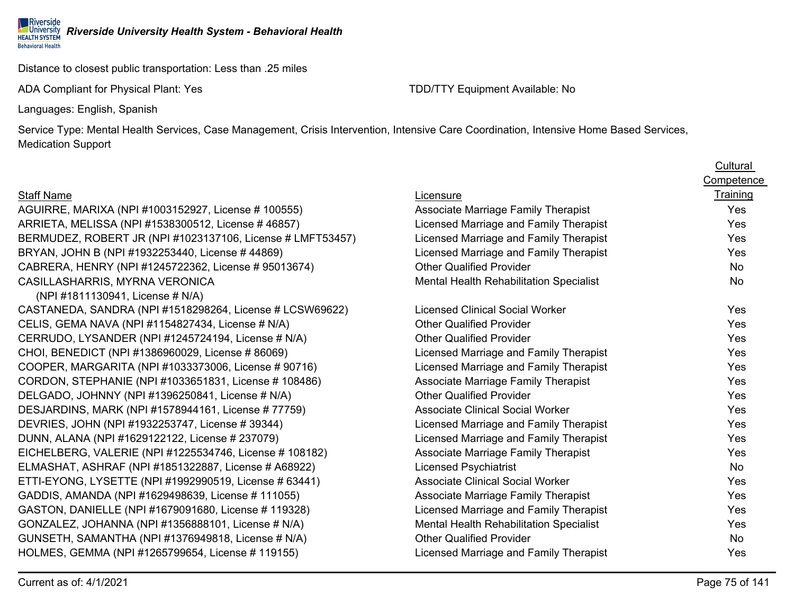Distance to closest public transportation: Less than .25 miles

ADA Compliant for Physical Plant: Yes TELL THE TRIM TO THE TRIM TO THE TRIM TO THE SAN AVAILABLE: No

Languages: English, Spanish

Service Type: Mental Health Services, Case Management, Crisis Intervention, Intensive Care Coordination, Intensive Home Based Services, Medication Support

#### Staff Name **Competence** Licensure **Training** AGUIRRE, MARIXA (NPI #1003152927, License # 100555) Associate Marriage Family Therapist Associate Marriage Family Therapist ARRIETA, MELISSA (NPI #1538300512, License # 46857) Licensed Marriage and Family Therapist Yes BERMUDEZ, ROBERT JR (NPI #1023137106, License # LMFT53457) Licensed Marriage and Family Therapist Yes BRYAN, JOHN B (NPI #1932253440, License # 44869) Licensed Marriage and Family Therapist Theory Constants The Stes CABRERA, HENRY (NPI #1245722362, License # 95013674) Other Qualified Provider No CASILLASHARRIS, MYRNA VERONICA (NPI #1811130941, License # N/A) Mental Health Rehabilitation Specialist No CASTANEDA, SANDRA (NPI #1518298264, License # LCSW69622) Licensed Clinical Social Worker Yes CELIS, GEMA NAVA (NPI #1154827434, License # N/A) Cher Qualified Provider CHIS, GEMA NAVA (NPI #1154827434, License # N/A) CERRUDO, LYSANDER (NPI #1245724194, License # N/A) Cher Qualified Provider CHERUDO, LYSANDER (NPI #1245724194, License # N/A) CHOI, BENEDICT (NPI #1386960029, License # 86069) Licensed Marriage and Family Therapist Yes COOPER, MARGARITA (NPI #1033373006, License # 90716) Licensed Marriage and Family Therapist Yes CORDON, STEPHANIE (NPI #1033651831, License # 108486) Associate Marriage Family Therapist Associate Marriage Family Therapist DELGADO, JOHNNY (NPI #1396250841, License # N/A) Cher Qualified Provider Veston, Other Qualified Provider Veston, N DESJARDINS, MARK (NPI #1578944161, License # 77759) Associate Clinical Social Worker Yes DEVRIES, JOHN (NPI #1932253747, License # 39344) Licensed Marriage and Family Therapist Yes DUNN, ALANA (NPI #1629122122, License # 237079) Licensed Marriage and Family Therapist Yes EICHELBERG, VALERIE (NPI #1225534746, License # 108182) Associate Marriage Family Therapist Yes ELMASHAT, ASHRAF (NPI #1851322887, License # A68922) Licensed Psychiatrist No Controller No ETTI-EYONG, LYSETTE (NPI #1992990519, License # 63441) Associate Clinical Social Worker Yes GADDIS, AMANDA (NPI #1629498639, License # 111055) Associate Marriage Family Therapist Marriage Family Therapist GASTON, DANIELLE (NPI #1679091680, License # 119328) Licensed Marriage and Family Therapist Yes GONZALEZ, JOHANNA (NPI #1356888101, License # N/A) Mental Health Rehabilitation Specialist Yes GUNSETH, SAMANTHA (NPI #1376949818, License # N/A) Other Qualified Provider No No HOLMES, GEMMA (NPI #1265799654, License # 119155) Licensed Marriage and Family Therapist Yes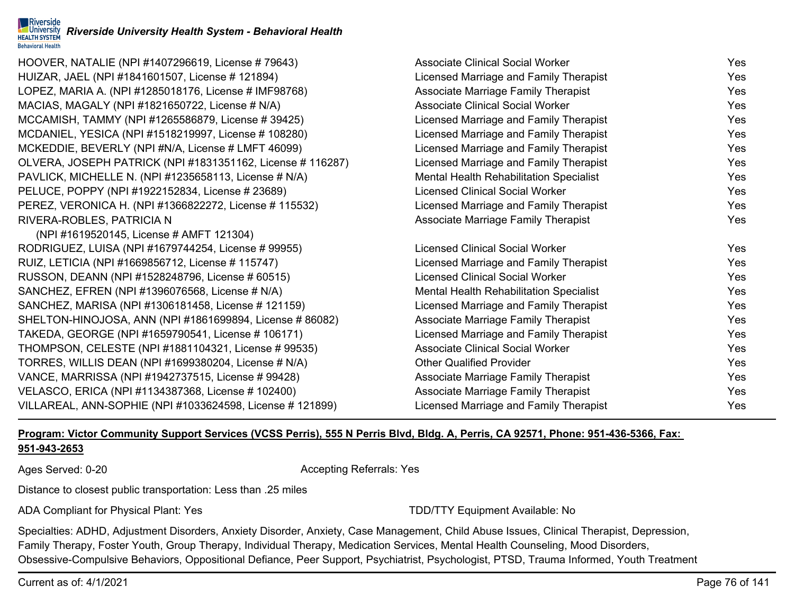

| HOOVER, NATALIE (NPI #1407296619, License # 79643)         | <b>Associate Clinical Social Worker</b>    | Yes |
|------------------------------------------------------------|--------------------------------------------|-----|
| HUIZAR, JAEL (NPI #1841601507, License # 121894)           | Licensed Marriage and Family Therapist     | Yes |
| LOPEZ, MARIA A. (NPI #1285018176, License # IMF98768)      | <b>Associate Marriage Family Therapist</b> | Yes |
| MACIAS, MAGALY (NPI #1821650722, License # N/A)            | <b>Associate Clinical Social Worker</b>    | Yes |
| MCCAMISH, TAMMY (NPI #1265586879, License # 39425)         | Licensed Marriage and Family Therapist     | Yes |
| MCDANIEL, YESICA (NPI #1518219997, License # 108280)       | Licensed Marriage and Family Therapist     | Yes |
| MCKEDDIE, BEVERLY (NPI #N/A, License # LMFT 46099)         | Licensed Marriage and Family Therapist     | Yes |
| OLVERA, JOSEPH PATRICK (NPI #1831351162, License # 116287) | Licensed Marriage and Family Therapist     | Yes |
| PAVLICK, MICHELLE N. (NPI #1235658113, License # N/A)      | Mental Health Rehabilitation Specialist    | Yes |
| PELUCE, POPPY (NPI #1922152834, License # 23689)           | <b>Licensed Clinical Social Worker</b>     | Yes |
| PEREZ, VERONICA H. (NPI #1366822272, License # 115532)     | Licensed Marriage and Family Therapist     | Yes |
| RIVERA-ROBLES, PATRICIA N                                  | <b>Associate Marriage Family Therapist</b> | Yes |
| (NPI #1619520145, License # AMFT 121304)                   |                                            |     |
| RODRIGUEZ, LUISA (NPI #1679744254, License # 99955)        | <b>Licensed Clinical Social Worker</b>     | Yes |
| RUIZ, LETICIA (NPI #1669856712, License # 115747)          | Licensed Marriage and Family Therapist     | Yes |
| RUSSON, DEANN (NPI #1528248796, License # 60515)           | <b>Licensed Clinical Social Worker</b>     | Yes |
| SANCHEZ, EFREN (NPI #1396076568, License # N/A)            | Mental Health Rehabilitation Specialist    | Yes |
| SANCHEZ, MARISA (NPI #1306181458, License # 121159)        | Licensed Marriage and Family Therapist     | Yes |
| SHELTON-HINOJOSA, ANN (NPI #1861699894, License # 86082)   | Associate Marriage Family Therapist        | Yes |
| TAKEDA, GEORGE (NPI #1659790541, License # 106171)         | Licensed Marriage and Family Therapist     | Yes |
| THOMPSON, CELESTE (NPI #1881104321, License # 99535)       | <b>Associate Clinical Social Worker</b>    | Yes |
| TORRES, WILLIS DEAN (NPI #1699380204, License # N/A)       | <b>Other Qualified Provider</b>            | Yes |
| VANCE, MARRISSA (NPI #1942737515, License # 99428)         | Associate Marriage Family Therapist        | Yes |
| VELASCO, ERICA (NPI #1134387368, License # 102400)         | <b>Associate Marriage Family Therapist</b> | Yes |
| VILLAREAL, ANN-SOPHIE (NPI #1033624598, License # 121899)  | Licensed Marriage and Family Therapist     | Yes |

## **Program: Victor Community Support Services (VCSS Perris), 555 N Perris Blvd, Bldg. A, Perris, CA 92571, Phone: 951-436-5366, Fax: 951-943-2653**

Ages Served: 0-20 **Accepting Referrals: Yes** Accepting Referrals: Yes

Distance to closest public transportation: Less than .25 miles

ADA Compliant for Physical Plant: Yes TELL THE TRIM TO THE TOP/TTY Equipment Available: No

Specialties: ADHD, Adjustment Disorders, Anxiety Disorder, Anxiety, Case Management, Child Abuse Issues, Clinical Therapist, Depression, Family Therapy, Foster Youth, Group Therapy, Individual Therapy, Medication Services, Mental Health Counseling, Mood Disorders, Obsessive-Compulsive Behaviors, Oppositional Defiance, Peer Support, Psychiatrist, Psychologist, PTSD, Trauma Informed, Youth Treatment

Current as of: 4/1/2021 Page 76 of 141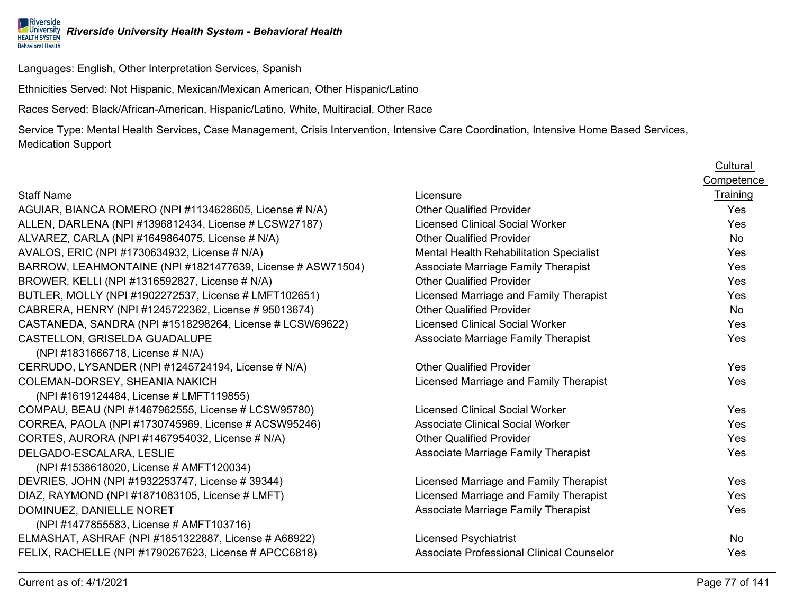Languages: English, Other Interpretation Services, Spanish

Ethnicities Served: Not Hispanic, Mexican/Mexican American, Other Hispanic/Latino

Races Served: Black/African-American, Hispanic/Latino, White, Multiracial, Other Race

Service Type: Mental Health Services, Case Management, Crisis Intervention, Intensive Care Coordination, Intensive Home Based Services, Medication Support

|                                                            |                                            | Competence |
|------------------------------------------------------------|--------------------------------------------|------------|
| <b>Staff Name</b>                                          | Licensure                                  | Training   |
| AGUIAR, BIANCA ROMERO (NPI #1134628605, License # N/A)     | <b>Other Qualified Provider</b>            | Yes        |
| ALLEN, DARLENA (NPI #1396812434, License # LCSW27187)      | Licensed Clinical Social Worker            | Yes        |
| ALVAREZ, CARLA (NPI #1649864075, License # N/A)            | <b>Other Qualified Provider</b>            | <b>No</b>  |
| AVALOS, ERIC (NPI #1730634932, License # N/A)              | Mental Health Rehabilitation Specialist    | Yes        |
| BARROW, LEAHMONTAINE (NPI #1821477639, License # ASW71504) | <b>Associate Marriage Family Therapist</b> | Yes        |
| BROWER, KELLI (NPI #1316592827, License # N/A)             | <b>Other Qualified Provider</b>            | Yes        |
| BUTLER, MOLLY (NPI #1902272537, License # LMFT102651)      | Licensed Marriage and Family Therapist     | Yes        |
| CABRERA, HENRY (NPI #1245722362, License # 95013674)       | <b>Other Qualified Provider</b>            | <b>No</b>  |
| CASTANEDA, SANDRA (NPI #1518298264, License # LCSW69622)   | <b>Licensed Clinical Social Worker</b>     | Yes        |
| CASTELLON, GRISELDA GUADALUPE                              | Associate Marriage Family Therapist        | Yes        |
| (NPI#1831666718, License # N/A)                            |                                            |            |
| CERRUDO, LYSANDER (NPI #1245724194, License # N/A)         | <b>Other Qualified Provider</b>            | Yes        |
| COLEMAN-DORSEY, SHEANIA NAKICH                             | Licensed Marriage and Family Therapist     | Yes        |
| (NPI #1619124484, License # LMFT119855)                    |                                            |            |
| COMPAU, BEAU (NPI #1467962555, License # LCSW95780)        | Licensed Clinical Social Worker            | Yes        |
| CORREA, PAOLA (NPI #1730745969, License # ACSW95246)       | <b>Associate Clinical Social Worker</b>    | Yes        |
| CORTES, AURORA (NPI #1467954032, License # N/A)            | <b>Other Qualified Provider</b>            | Yes        |
| DELGADO-ESCALARA, LESLIE                                   | Associate Marriage Family Therapist        | Yes        |
| (NPI #1538618020, License # AMFT120034)                    |                                            |            |
| DEVRIES, JOHN (NPI #1932253747, License #39344)            | Licensed Marriage and Family Therapist     | Yes        |
| DIAZ, RAYMOND (NPI #1871083105, License # LMFT)            | Licensed Marriage and Family Therapist     | Yes        |
| DOMINUEZ, DANIELLE NORET                                   | <b>Associate Marriage Family Therapist</b> | Yes        |
| (NPI #1477855583, License # AMFT103716)                    |                                            |            |
| ELMASHAT, ASHRAF (NPI #1851322887, License # A68922)       | <b>Licensed Psychiatrist</b>               | <b>No</b>  |
| FELIX, RACHELLE (NPI #1790267623, License # APCC6818)      | Associate Professional Clinical Counselor  | Yes        |
|                                                            |                                            |            |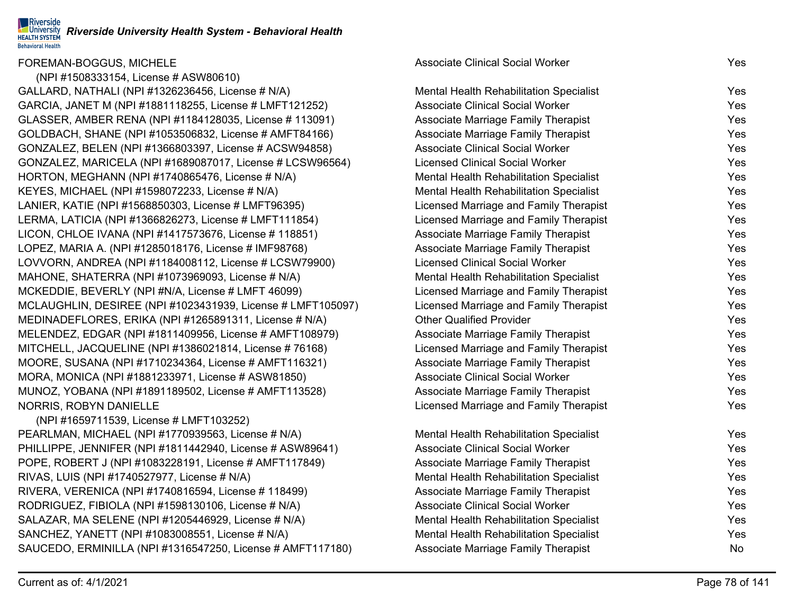| FOREMAN-BOGGUS, MICHELE                                     | <b>Associate Clinical Social Worker</b>    | Yes |
|-------------------------------------------------------------|--------------------------------------------|-----|
| (NPI #1508333154, License # ASW80610)                       |                                            |     |
| GALLARD, NATHALI (NPI #1326236456, License # N/A)           | Mental Health Rehabilitation Specialist    | Yes |
| GARCIA, JANET M (NPI #1881118255, License # LMFT121252)     | <b>Associate Clinical Social Worker</b>    | Yes |
| GLASSER, AMBER RENA (NPI #1184128035, License # 113091)     | Associate Marriage Family Therapist        | Yes |
| GOLDBACH, SHANE (NPI #1053506832, License # AMFT84166)      | <b>Associate Marriage Family Therapist</b> | Yes |
| GONZALEZ, BELEN (NPI #1366803397, License # ACSW94858)      | <b>Associate Clinical Social Worker</b>    | Yes |
| GONZALEZ, MARICELA (NPI #1689087017, License # LCSW96564)   | <b>Licensed Clinical Social Worker</b>     | Yes |
| HORTON, MEGHANN (NPI #1740865476, License # N/A)            | Mental Health Rehabilitation Specialist    | Yes |
| KEYES, MICHAEL (NPI #1598072233, License # N/A)             | Mental Health Rehabilitation Specialist    | Yes |
| LANIER, KATIE (NPI #1568850303, License # LMFT96395)        | Licensed Marriage and Family Therapist     | Yes |
| LERMA, LATICIA (NPI #1366826273, License # LMFT111854)      | Licensed Marriage and Family Therapist     | Yes |
| LICON, CHLOE IVANA (NPI #1417573676, License # 118851)      | <b>Associate Marriage Family Therapist</b> | Yes |
| LOPEZ, MARIA A. (NPI #1285018176, License # IMF98768)       | <b>Associate Marriage Family Therapist</b> | Yes |
| LOVVORN, ANDREA (NPI #1184008112, License # LCSW79900)      | <b>Licensed Clinical Social Worker</b>     | Yes |
| MAHONE, SHATERRA (NPI #1073969093, License # N/A)           | Mental Health Rehabilitation Specialist    | Yes |
| MCKEDDIE, BEVERLY (NPI #N/A, License # LMFT 46099)          | Licensed Marriage and Family Therapist     | Yes |
| MCLAUGHLIN, DESIREE (NPI #1023431939, License # LMFT105097) | Licensed Marriage and Family Therapist     | Yes |
| MEDINADEFLORES, ERIKA (NPI #1265891311, License # N/A)      | <b>Other Qualified Provider</b>            | Yes |
| MELENDEZ, EDGAR (NPI #1811409956, License # AMFT108979)     | <b>Associate Marriage Family Therapist</b> | Yes |
| MITCHELL, JACQUELINE (NPI #1386021814, License #76168)      | Licensed Marriage and Family Therapist     | Yes |
| MOORE, SUSANA (NPI #1710234364, License # AMFT116321)       | <b>Associate Marriage Family Therapist</b> | Yes |
| MORA, MONICA (NPI #1881233971, License # ASW81850)          | <b>Associate Clinical Social Worker</b>    | Yes |
| MUNOZ, YOBANA (NPI #1891189502, License # AMFT113528)       | <b>Associate Marriage Family Therapist</b> | Yes |
| NORRIS, ROBYN DANIELLE                                      | Licensed Marriage and Family Therapist     | Yes |
| (NPI #1659711539, License # LMFT103252)                     |                                            |     |
| PEARLMAN, MICHAEL (NPI #1770939563, License # N/A)          | Mental Health Rehabilitation Specialist    | Yes |
| PHILLIPPE, JENNIFER (NPI #1811442940, License # ASW89641)   | <b>Associate Clinical Social Worker</b>    | Yes |
| POPE, ROBERT J (NPI #1083228191, License # AMFT117849)      | <b>Associate Marriage Family Therapist</b> | Yes |
| RIVAS, LUIS (NPI #1740527977, License # N/A)                | Mental Health Rehabilitation Specialist    | Yes |
| RIVERA, VERENICA (NPI #1740816594, License # 118499)        | <b>Associate Marriage Family Therapist</b> | Yes |
| RODRIGUEZ, FIBIOLA (NPI #1598130106, License # N/A)         | <b>Associate Clinical Social Worker</b>    | Yes |
| SALAZAR, MA SELENE (NPI #1205446929, License # N/A)         | Mental Health Rehabilitation Specialist    | Yes |
| SANCHEZ, YANETT (NPI #1083008551, License # N/A)            | Mental Health Rehabilitation Specialist    | Yes |
| SAUCEDO, ERMINILLA (NPI #1316547250, License # AMFT117180)  | <b>Associate Marriage Family Therapist</b> | No  |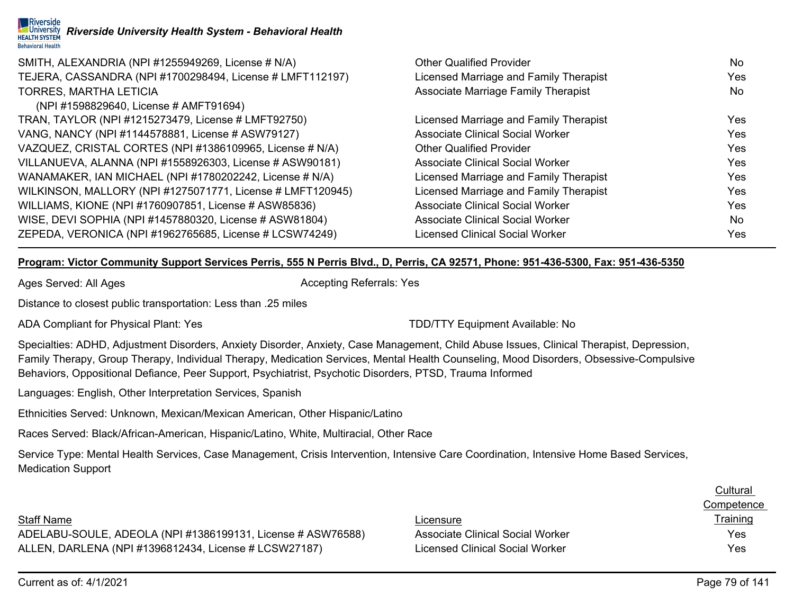| SMITH, ALEXANDRIA (NPI #1255949269, License # N/A)         | <b>Other Qualified Provider</b>         | No. |
|------------------------------------------------------------|-----------------------------------------|-----|
| TEJERA, CASSANDRA (NPI #1700298494, License # LMFT112197)  | Licensed Marriage and Family Therapist  | Yes |
| TORRES, MARTHA LETICIA                                     | Associate Marriage Family Therapist     | No. |
| (NPI #1598829640, License # AMFT91694)                     |                                         |     |
| TRAN, TAYLOR (NPI #1215273479, License # LMFT92750)        | Licensed Marriage and Family Therapist  | Yes |
| VANG, NANCY (NPI #1144578881, License # ASW79127)          | <b>Associate Clinical Social Worker</b> | Yes |
| VAZQUEZ, CRISTAL CORTES (NPI #1386109965, License # N/A)   | <b>Other Qualified Provider</b>         | Yes |
| VILLANUEVA, ALANNA (NPI #1558926303, License # ASW90181)   | <b>Associate Clinical Social Worker</b> | Yes |
| WANAMAKER, IAN MICHAEL (NPI #1780202242, License # N/A)    | Licensed Marriage and Family Therapist  | Yes |
| WILKINSON, MALLORY (NPI #1275071771, License # LMFT120945) | Licensed Marriage and Family Therapist  | Yes |
| WILLIAMS, KIONE (NPI #1760907851, License # ASW85836)      | <b>Associate Clinical Social Worker</b> | Yes |
| WISE, DEVI SOPHIA (NPI #1457880320, License # ASW81804)    | <b>Associate Clinical Social Worker</b> | No. |
| ZEPEDA, VERONICA (NPI #1962765685, License # LCSW74249)    | Licensed Clinical Social Worker         | Yes |
|                                                            |                                         |     |

#### **Program: Victor Community Support Services Perris, 555 N Perris Blvd., D, Perris, CA 92571, Phone: 951-436-5300, Fax: 951-436-5350**

**Riverside HEALTH SYSTEM Behavioral Health** 

Ages Served: All Ages Accepting Referrals: Yes

Distance to closest public transportation: Less than .25 miles

*Riverside University Health System - Behavioral Health*

ADA Compliant for Physical Plant: Yes TEER TO AND ADA Compliant Available: No

Specialties: ADHD, Adjustment Disorders, Anxiety Disorder, Anxiety, Case Management, Child Abuse Issues, Clinical Therapist, Depression, Family Therapy, Group Therapy, Individual Therapy, Medication Services, Mental Health Counseling, Mood Disorders, Obsessive-Compulsive Behaviors, Oppositional Defiance, Peer Support, Psychiatrist, Psychotic Disorders, PTSD, Trauma Informed

Languages: English, Other Interpretation Services, Spanish

Ethnicities Served: Unknown, Mexican/Mexican American, Other Hispanic/Latino

Races Served: Black/African-American, Hispanic/Latino, White, Multiracial, Other Race

Service Type: Mental Health Services, Case Management, Crisis Intervention, Intensive Care Coordination, Intensive Home Based Services, Medication Support

#### Staff Name

ADELABU-SOULE, ADEOLA (NPI #1386199131, License # ASW76588) ALLEN, DARLENA (NPI #1396812434, License # LCSW27187)

| Licensure                        | <b>Training</b> |
|----------------------------------|-----------------|
| Associate Clinical Social Worker | Yes             |
| Licensed Clinical Social Worker  | Yes             |

**Cultural Competence**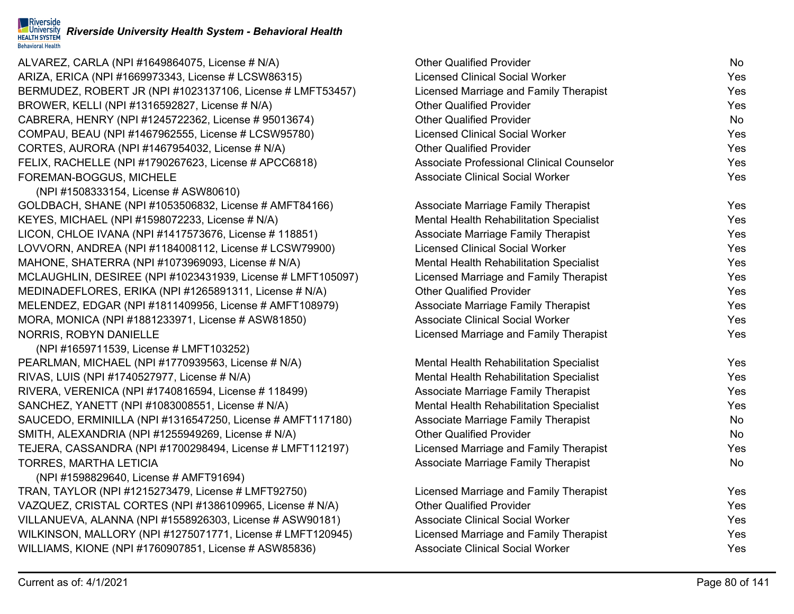

ALVAREZ, CARLA (NPI  $#1649864075$ , License  $# N/A$ ) ARIZA, ERICA (NPI #1669973343, License # LCSW86315) BERMUDEZ, ROBERT JR (NPI #1023137106, License # LMFT53457) BROWER, KELLI (NPI #1316592827, License # N/A) CABRERA, HENRY (NPI #1245722362, License # 95013674) COMPAU, BEAU (NPI #1467962555, License # LCSW95780) CORTES, AURORA (NPI #1467954032, License # N/A) FELIX, RACHELLE (NPI #1790267623, License # APCC6818) FOREMAN-BOGGUS, MICHELE

(NPI #1508333154, License # ASW80610) GOLDBACH, SHANE (NPI #1053506832, License # AMFT84166) KEYES, MICHAEL (NPI  $#1598072233$ , License  $# N/A$ ) LICON, CHLOE IVANA (NPI #1417573676, License # 118851) LOVVORN, ANDREA (NPI #1184008112, License # LCSW79900) MAHONE, SHATERRA (NPI  $#1073969093$ , License  $# N/A$ ) MCLAUGHLIN, DESIREE (NPI #1023431939, License # LMFT105097) MEDINADEFLORES, ERIKA (NPI #1265891311, License # N/A) MELENDEZ, EDGAR (NPI #1811409956, License # AMFT108979) MORA, MONICA (NPI #1881233971, License # ASW81850) NORRIS, ROBYN DANIELLE

(NPI #1659711539, License # LMFT103252) PEARLMAN, MICHAEL (NPI #1770939563, License # N/A) RIVAS, LUIS (NPI  $\#1740527977$ , License  $\# N/A$ ) RIVERA, VERENICA (NPI #1740816594, License # 118499) SANCHEZ, YANETT (NPI #1083008551, License # N/A) SAUCEDO, ERMINILLA (NPI #1316547250, License # AMFT117180) SMITH, ALEXANDRIA (NPI  $\#1255949269$ , License  $\# N/A$ ) TEJERA, CASSANDRA (NPI #1700298494, License # LMFT112197) TORRES, MARTHA LETICIA

(NPI #1598829640, License # AMFT91694) TRAN, TAYLOR (NPI #1215273479, License # LMFT92750) VAZQUEZ, CRISTAL CORTES (NPI  $\#1386109965$ , License  $\# N/A$ ) VILLANUEVA, ALANNA (NPI #1558926303, License # ASW90181) WILKINSON, MALLORY (NPI #1275071771, License # LMFT120945) WILLIAMS, KIONE (NPI #1760907851, License # ASW85836)

| <b>Other Qualified Provider</b>                | <b>No</b>  |
|------------------------------------------------|------------|
| <b>Licensed Clinical Social Worker</b>         | Yes        |
| Licensed Marriage and Family Therapist         | Yes        |
| <b>Other Qualified Provider</b>                | Yes        |
| <b>Other Qualified Provider</b>                | <b>No</b>  |
| <b>Licensed Clinical Social Worker</b>         | Yes        |
| <b>Other Qualified Provider</b>                | <b>Yes</b> |
| Associate Professional Clinical Counselor      | Yes        |
| <b>Associate Clinical Social Worker</b>        | Yes        |
| <b>Associate Marriage Family Therapist</b>     | Yes        |
| <b>Mental Health Rehabilitation Specialist</b> | Yes        |
| <b>Associate Marriage Family Therapist</b>     | Yes        |
| <b>Licensed Clinical Social Worker</b>         | <b>Yes</b> |
| <b>Mental Health Rehabilitation Specialist</b> | Yes        |
| Licensed Marriage and Family Therapist         | Yes        |
| <b>Other Qualified Provider</b>                | Yes        |
| <b>Associate Marriage Family Therapist</b>     | Yes        |
| <b>Associate Clinical Social Worker</b>        | Yes        |
| Licensed Marriage and Family Therapist         | Yes        |
| <b>Mental Health Rehabilitation Specialist</b> | Yes        |
| <b>Mental Health Rehabilitation Specialist</b> | Yes        |
| <b>Associate Marriage Family Therapist</b>     | Yes        |
| <b>Mental Health Rehabilitation Specialist</b> | Yes        |
| <b>Associate Marriage Family Therapist</b>     | <b>No</b>  |
| <b>Other Qualified Provider</b>                | <b>No</b>  |
| Licensed Marriage and Family Therapist         | Yes        |
| <b>Associate Marriage Family Therapist</b>     | <b>No</b>  |
| Licensed Marriage and Family Therapist         | Yes        |
| <b>Other Qualified Provider</b>                | <b>Yes</b> |
| <b>Associate Clinical Social Worker</b>        | <b>Yes</b> |
| Licensed Marriage and Family Therapist         | Yes        |
| <b>Associate Clinical Social Worker</b>        | Yes        |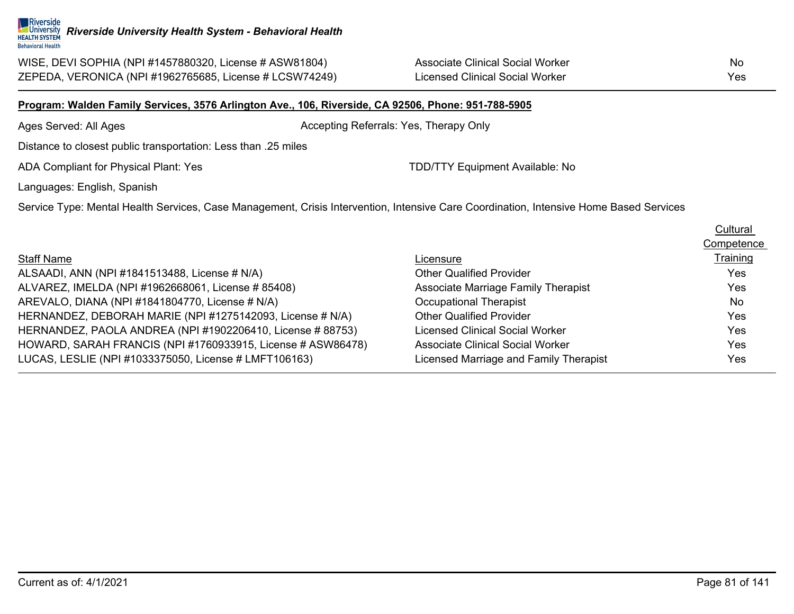ZEPEDA, VERONICA (NPI #1962765685, License # LCSW74249) Licensed Clinical Social Worker Yes

WISE, DEVI SOPHIA (NPI #1457880320, License # ASW81804) Associate Clinical Social Worker No

#### **Program: Walden Family Services, 3576 Arlington Ave., 106, Riverside, CA 92506, Phone: 951-788-5905**

Ages Served: All Ages Accepting Referrals: Yes, Therapy Only

Distance to closest public transportation: Less than .25 miles

ADA Compliant for Physical Plant: Yes TELL THE TRIM TO THE TOP/TTY Equipment Available: No

Languages: English, Spanish

Service Type: Mental Health Services, Case Management, Crisis Intervention, Intensive Care Coordination, Intensive Home Based Services

|                                                             |                                            | Cultural   |
|-------------------------------------------------------------|--------------------------------------------|------------|
|                                                             |                                            | Competence |
| <b>Staff Name</b>                                           | Licensure                                  | Training   |
| ALSAADI, ANN (NPI #1841513488, License # N/A)               | <b>Other Qualified Provider</b>            | Yes        |
| ALVAREZ, IMELDA (NPI #1962668061, License #85408)           | <b>Associate Marriage Family Therapist</b> | Yes        |
| AREVALO, DIANA (NPI #1841804770, License # N/A)             | <b>Occupational Therapist</b>              | No         |
| HERNANDEZ, DEBORAH MARIE (NPI #1275142093, License # N/A)   | <b>Other Qualified Provider</b>            | Yes        |
| HERNANDEZ, PAOLA ANDREA (NPI #1902206410, License # 88753)  | Licensed Clinical Social Worker            | Yes        |
| HOWARD, SARAH FRANCIS (NPI #1760933915, License # ASW86478) | Associate Clinical Social Worker           | Yes        |
| LUCAS, LESLIE (NPI #1033375050, License # LMFT106163)       | Licensed Marriage and Family Therapist     | Yes.       |
|                                                             |                                            |            |

 $C<sub>1</sub>$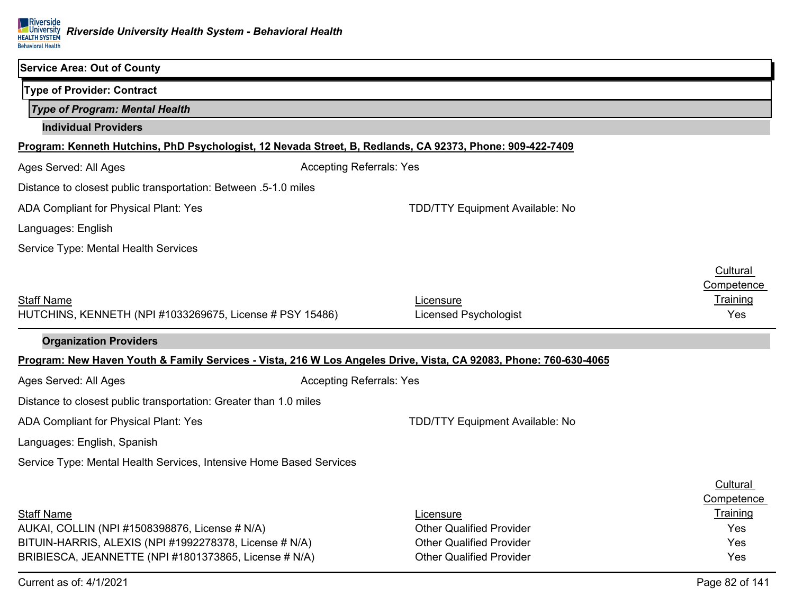| <b>Service Area: Out of County</b>                                                                                                                                                     |                                                                                                                    |                                                                |
|----------------------------------------------------------------------------------------------------------------------------------------------------------------------------------------|--------------------------------------------------------------------------------------------------------------------|----------------------------------------------------------------|
| <b>Type of Provider: Contract</b>                                                                                                                                                      |                                                                                                                    |                                                                |
| <b>Type of Program: Mental Health</b>                                                                                                                                                  |                                                                                                                    |                                                                |
| <b>Individual Providers</b>                                                                                                                                                            |                                                                                                                    |                                                                |
| Program: Kenneth Hutchins, PhD Psychologist, 12 Nevada Street, B, Redlands, CA 92373, Phone: 909-422-7409                                                                              |                                                                                                                    |                                                                |
| Ages Served: All Ages                                                                                                                                                                  | <b>Accepting Referrals: Yes</b>                                                                                    |                                                                |
| Distance to closest public transportation: Between .5-1.0 miles                                                                                                                        |                                                                                                                    |                                                                |
| ADA Compliant for Physical Plant: Yes                                                                                                                                                  | TDD/TTY Equipment Available: No                                                                                    |                                                                |
| Languages: English                                                                                                                                                                     |                                                                                                                    |                                                                |
| Service Type: Mental Health Services                                                                                                                                                   |                                                                                                                    |                                                                |
| <b>Staff Name</b><br>HUTCHINS, KENNETH (NPI #1033269675, License # PSY 15486)                                                                                                          | Licensure<br><b>Licensed Psychologist</b>                                                                          | Cultural<br>Competence<br>Training<br>Yes                      |
| <b>Organization Providers</b>                                                                                                                                                          |                                                                                                                    |                                                                |
| Program: New Haven Youth & Family Services - Vista, 216 W Los Angeles Drive, Vista, CA 92083, Phone: 760-630-4065                                                                      |                                                                                                                    |                                                                |
| Ages Served: All Ages                                                                                                                                                                  | <b>Accepting Referrals: Yes</b>                                                                                    |                                                                |
| Distance to closest public transportation: Greater than 1.0 miles                                                                                                                      |                                                                                                                    |                                                                |
| ADA Compliant for Physical Plant: Yes                                                                                                                                                  | TDD/TTY Equipment Available: No                                                                                    |                                                                |
| Languages: English, Spanish                                                                                                                                                            |                                                                                                                    |                                                                |
| Service Type: Mental Health Services, Intensive Home Based Services                                                                                                                    |                                                                                                                    |                                                                |
| <b>Staff Name</b><br>AUKAI, COLLIN (NPI #1508398876, License # N/A)<br>BITUIN-HARRIS, ALEXIS (NPI #1992278378, License # N/A)<br>BRIBIESCA, JEANNETTE (NPI #1801373865, License # N/A) | Licensure<br><b>Other Qualified Provider</b><br><b>Other Qualified Provider</b><br><b>Other Qualified Provider</b> | Cultural<br>Competence<br>Training<br>Yes<br><b>Yes</b><br>Yes |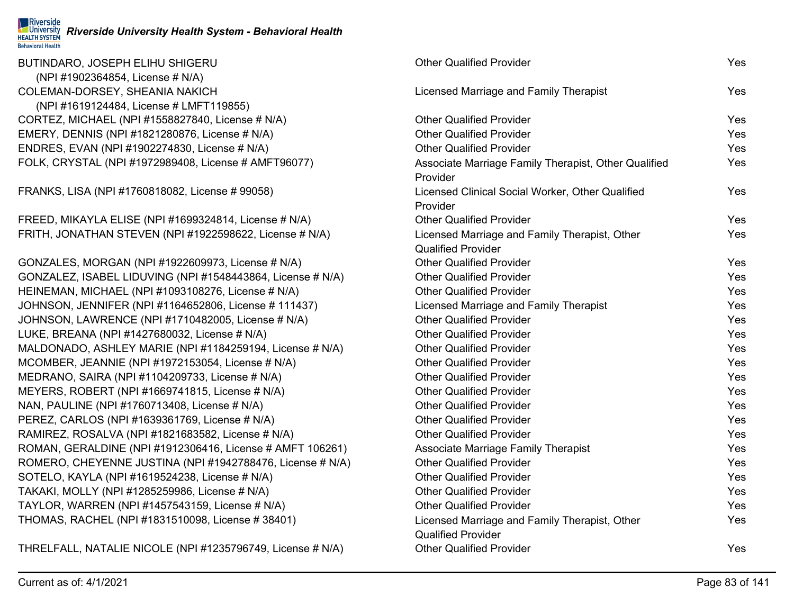| BUTINDARO, JOSEPH ELIHU SHIGERU                            | <b>Other Qualified Provider</b>                      | Yes |
|------------------------------------------------------------|------------------------------------------------------|-----|
| (NPI #1902364854, License # N/A)                           |                                                      |     |
| COLEMAN-DORSEY, SHEANIA NAKICH                             | Licensed Marriage and Family Therapist               | Yes |
| (NPI #1619124484, License # LMFT119855)                    |                                                      |     |
| CORTEZ, MICHAEL (NPI #1558827840, License # N/A)           | <b>Other Qualified Provider</b>                      | Yes |
| EMERY, DENNIS (NPI #1821280876, License # N/A)             | <b>Other Qualified Provider</b>                      | Yes |
| ENDRES, EVAN (NPI #1902274830, License # N/A)              | <b>Other Qualified Provider</b>                      | Yes |
| FOLK, CRYSTAL (NPI #1972989408, License # AMFT96077)       | Associate Marriage Family Therapist, Other Qualified | Yes |
|                                                            | Provider                                             |     |
| FRANKS, LISA (NPI #1760818082, License # 99058)            | Licensed Clinical Social Worker, Other Qualified     | Yes |
|                                                            | Provider                                             |     |
| FREED, MIKAYLA ELISE (NPI #1699324814, License # N/A)      | <b>Other Qualified Provider</b>                      | Yes |
| FRITH, JONATHAN STEVEN (NPI #1922598622, License # N/A)    | Licensed Marriage and Family Therapist, Other        | Yes |
|                                                            | <b>Qualified Provider</b>                            |     |
| GONZALES, MORGAN (NPI #1922609973, License # N/A)          | <b>Other Qualified Provider</b>                      | Yes |
| GONZALEZ, ISABEL LIDUVING (NPI #1548443864, License # N/A) | <b>Other Qualified Provider</b>                      | Yes |
| HEINEMAN, MICHAEL (NPI #1093108276, License # N/A)         | <b>Other Qualified Provider</b>                      | Yes |
| JOHNSON, JENNIFER (NPI #1164652806, License # 111437)      | Licensed Marriage and Family Therapist               | Yes |
| JOHNSON, LAWRENCE (NPI #1710482005, License # N/A)         | <b>Other Qualified Provider</b>                      | Yes |
| LUKE, BREANA (NPI #1427680032, License # N/A)              | <b>Other Qualified Provider</b>                      | Yes |
| MALDONADO, ASHLEY MARIE (NPI #1184259194, License # N/A)   | <b>Other Qualified Provider</b>                      | Yes |
| MCOMBER, JEANNIE (NPI #1972153054, License # N/A)          | <b>Other Qualified Provider</b>                      | Yes |
| MEDRANO, SAIRA (NPI #1104209733, License # N/A)            | <b>Other Qualified Provider</b>                      | Yes |
| MEYERS, ROBERT (NPI #1669741815, License # N/A)            | <b>Other Qualified Provider</b>                      | Yes |
| NAN, PAULINE (NPI #1760713408, License # N/A)              | <b>Other Qualified Provider</b>                      | Yes |
| PEREZ, CARLOS (NPI #1639361769, License # N/A)             | <b>Other Qualified Provider</b>                      | Yes |
| RAMIREZ, ROSALVA (NPI #1821683582, License # N/A)          | <b>Other Qualified Provider</b>                      | Yes |
| ROMAN, GERALDINE (NPI #1912306416, License # AMFT 106261)  | <b>Associate Marriage Family Therapist</b>           | Yes |
| ROMERO, CHEYENNE JUSTINA (NPI #1942788476, License # N/A)  | <b>Other Qualified Provider</b>                      | Yes |
| SOTELO, KAYLA (NPI #1619524238, License # N/A)             | <b>Other Qualified Provider</b>                      | Yes |
| TAKAKI, MOLLY (NPI #1285259986, License # N/A)             | <b>Other Qualified Provider</b>                      | Yes |
| TAYLOR, WARREN (NPI #1457543159, License # N/A)            | <b>Other Qualified Provider</b>                      | Yes |
| THOMAS, RACHEL (NPI #1831510098, License #38401)           | Licensed Marriage and Family Therapist, Other        | Yes |
|                                                            | <b>Qualified Provider</b>                            |     |
| THRELFALL, NATALIE NICOLE (NPI #1235796749, License # N/A) | <b>Other Qualified Provider</b>                      | Yes |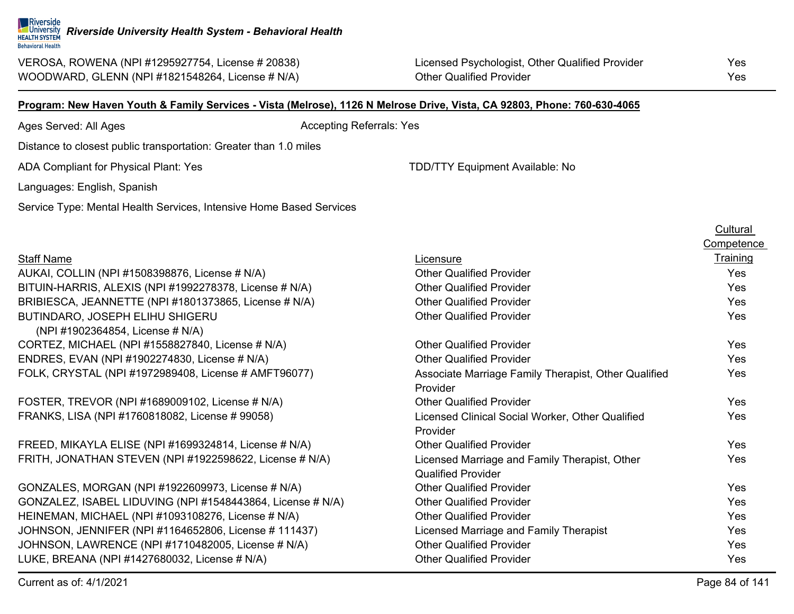VEROSA, ROWENA (NPI #1295927754, License # 20838) Licensed Psychologist, Other Qualified Provider Yes WOODWARD, GLENN (NPI #1821548264, License # N/A) Other Qualified Provider Ves

## **Program: New Haven Youth & Family Services - Vista (Melrose), 1126 N Melrose Drive, Vista, CA 92803, Phone: 760-630-4065**

Ages Served: All Ages **Accepting Referrals: Yes** Accepting Referrals: Yes

Distance to closest public transportation: Greater than 1.0 miles

ADA Compliant for Physical Plant: Yes TDD/TTY Equipment Available: No

Languages: English, Spanish

Service Type: Mental Health Services, Intensive Home Based Services

|                                                                     |                                                                            | Competence |
|---------------------------------------------------------------------|----------------------------------------------------------------------------|------------|
| <b>Staff Name</b>                                                   | Licensure                                                                  | Training   |
| AUKAI, COLLIN (NPI #1508398876, License # N/A)                      | <b>Other Qualified Provider</b>                                            | Yes        |
| BITUIN-HARRIS, ALEXIS (NPI #1992278378, License # N/A)              | <b>Other Qualified Provider</b>                                            | Yes        |
| BRIBIESCA, JEANNETTE (NPI #1801373865, License # N/A)               | <b>Other Qualified Provider</b>                                            | Yes        |
| BUTINDARO, JOSEPH ELIHU SHIGERU<br>(NPI #1902364854, License # N/A) | <b>Other Qualified Provider</b>                                            | Yes        |
| CORTEZ, MICHAEL (NPI #1558827840, License # N/A)                    | <b>Other Qualified Provider</b>                                            | Yes        |
| ENDRES, EVAN (NPI #1902274830, License # N/A)                       | <b>Other Qualified Provider</b>                                            | Yes        |
| FOLK, CRYSTAL (NPI #1972989408, License # AMFT96077)                | Associate Marriage Family Therapist, Other Qualified<br>Provider           | Yes        |
| FOSTER, TREVOR (NPI #1689009102, License # N/A)                     | <b>Other Qualified Provider</b>                                            | Yes        |
| FRANKS, LISA (NPI #1760818082, License # 99058)                     | Licensed Clinical Social Worker, Other Qualified<br>Provider               | Yes        |
| FREED, MIKAYLA ELISE (NPI #1699324814, License # N/A)               | <b>Other Qualified Provider</b>                                            | Yes        |
| FRITH, JONATHAN STEVEN (NPI #1922598622, License # N/A)             | Licensed Marriage and Family Therapist, Other<br><b>Qualified Provider</b> | Yes        |
| GONZALES, MORGAN (NPI #1922609973, License # N/A)                   | <b>Other Qualified Provider</b>                                            | Yes        |
| GONZALEZ, ISABEL LIDUVING (NPI #1548443864, License # N/A)          | <b>Other Qualified Provider</b>                                            | Yes        |
| HEINEMAN, MICHAEL (NPI #1093108276, License # N/A)                  | <b>Other Qualified Provider</b>                                            | Yes        |
| JOHNSON, JENNIFER (NPI #1164652806, License # 111437)               | Licensed Marriage and Family Therapist                                     | Yes        |
| JOHNSON, LAWRENCE (NPI #1710482005, License # N/A)                  | <b>Other Qualified Provider</b>                                            | Yes        |
| LUKE, BREANA (NPI #1427680032, License # N/A)                       | <b>Other Qualified Provider</b>                                            | Yes        |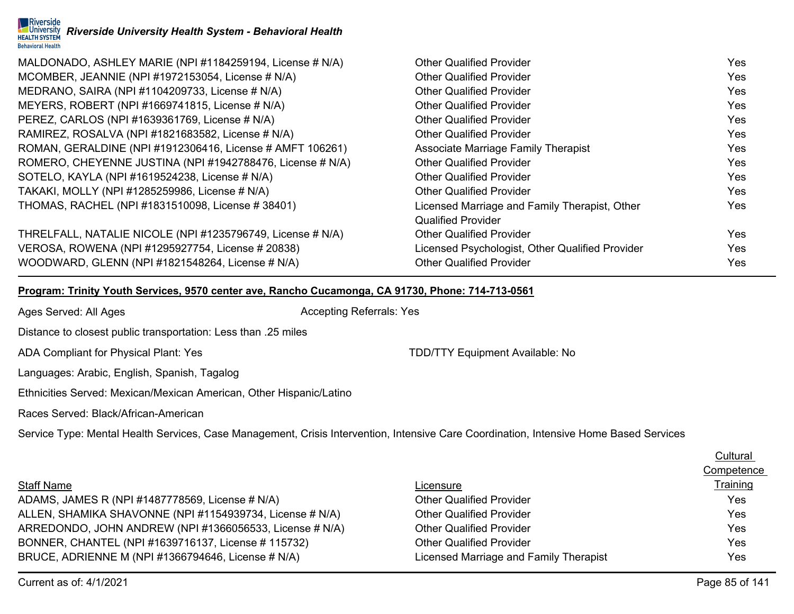| MALDONADO, ASHLEY MARIE (NPI #1184259194, License # N/A)   | <b>Other Qualified Provider</b>                 | <b>Yes</b> |
|------------------------------------------------------------|-------------------------------------------------|------------|
| MCOMBER, JEANNIE (NPI #1972153054, License # N/A)          | <b>Other Qualified Provider</b>                 | Yes        |
| MEDRANO, SAIRA (NPI #1104209733, License # N/A)            | <b>Other Qualified Provider</b>                 | Yes.       |
| MEYERS, ROBERT (NPI #1669741815, License # N/A)            | <b>Other Qualified Provider</b>                 | Yes        |
| PEREZ, CARLOS (NPI #1639361769, License # N/A)             | <b>Other Qualified Provider</b>                 | Yes        |
| RAMIREZ, ROSALVA (NPI #1821683582, License # N/A)          | <b>Other Qualified Provider</b>                 | <b>Yes</b> |
| ROMAN, GERALDINE (NPI #1912306416, License # AMFT 106261)  | <b>Associate Marriage Family Therapist</b>      | Yes        |
| ROMERO, CHEYENNE JUSTINA (NPI #1942788476, License # N/A)  | <b>Other Qualified Provider</b>                 | Yes        |
| SOTELO, KAYLA (NPI #1619524238, License # N/A)             | <b>Other Qualified Provider</b>                 | Yes        |
| TAKAKI, MOLLY (NPI #1285259986, License # N/A)             | <b>Other Qualified Provider</b>                 | Yes        |
| THOMAS, RACHEL (NPI #1831510098, License #38401)           | Licensed Marriage and Family Therapist, Other   | Yes        |
|                                                            | <b>Qualified Provider</b>                       |            |
| THRELFALL, NATALIE NICOLE (NPI #1235796749, License # N/A) | <b>Other Qualified Provider</b>                 | Yes.       |
| VEROSA, ROWENA (NPI #1295927754, License # 20838)          | Licensed Psychologist, Other Qualified Provider | Yes        |
| WOODWARD, GLENN (NPI #1821548264, License # N/A)           | <b>Other Qualified Provider</b>                 | Yes        |

#### **Program: Trinity Youth Services, 9570 center ave, Rancho Cucamonga, CA 91730, Phone: 714-713-0561**

Ages Served: All Ages **Accepting Referrals: Yes** Accepting Referrals: Yes

Distance to closest public transportation: Less than .25 miles

ADA Compliant for Physical Plant: Yes TDD/TTY Equipment Available: No

Languages: Arabic, English, Spanish, Tagalog

Ethnicities Served: Mexican/Mexican American, Other Hispanic/Latino

Races Served: Black/African-American

Service Type: Mental Health Services, Case Management, Crisis Intervention, Intensive Care Coordination, Intensive Home Based Services

|                                                          |                                        | Competence      |
|----------------------------------------------------------|----------------------------------------|-----------------|
| <b>Staff Name</b>                                        | Licensure                              | <b>Training</b> |
| ADAMS, JAMES R (NPI #1487778569, License # N/A)          | <b>Other Qualified Provider</b>        | Yes             |
| ALLEN, SHAMIKA SHAVONNE (NPI #1154939734, License # N/A) | <b>Other Qualified Provider</b>        | <b>Yes</b>      |
| ARREDONDO, JOHN ANDREW (NPI #1366056533, License # N/A)  | <b>Other Qualified Provider</b>        | Yes             |
| BONNER, CHANTEL (NPI #1639716137, License # 115732)      | <b>Other Qualified Provider</b>        | Yes             |
| BRUCE, ADRIENNE M (NPI #1366794646, License # N/A)       | Licensed Marriage and Family Therapist | Yes             |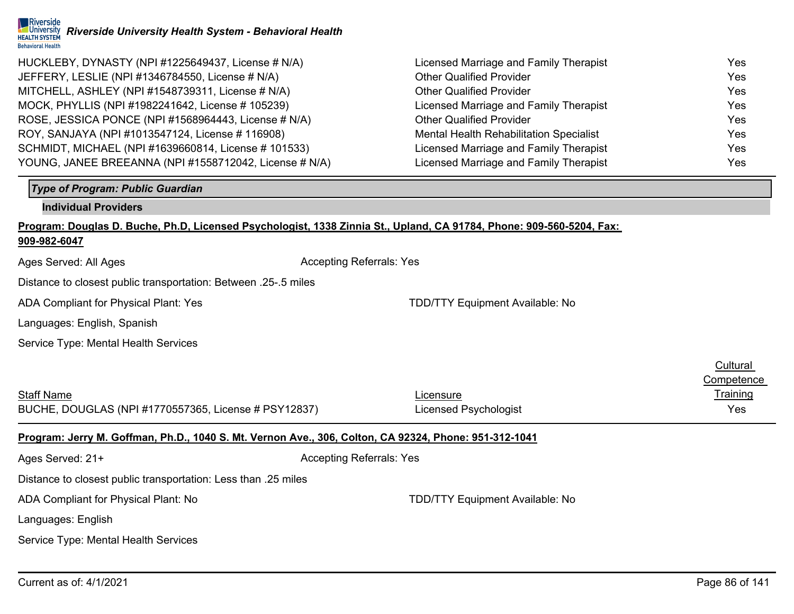

| HUCKLEBY, DYNASTY (NPI #1225649437, License # N/A)     | Licensed Marriage and Family Therapist  | Yes        |
|--------------------------------------------------------|-----------------------------------------|------------|
| JEFFERY, LESLIE (NPI #1346784550, License # N/A)       | <b>Other Qualified Provider</b>         | Yes        |
| MITCHELL, ASHLEY (NPI #1548739311, License # N/A)      | <b>Other Qualified Provider</b>         | <b>Yes</b> |
| MOCK, PHYLLIS (NPI #1982241642, License # 105239)      | Licensed Marriage and Family Therapist  | Yes        |
| ROSE, JESSICA PONCE (NPI #1568964443, License # N/A)   | <b>Other Qualified Provider</b>         | Yes        |
| ROY, SANJAYA (NPI #1013547124, License # 116908)       | Mental Health Rehabilitation Specialist | Yes        |
| SCHMIDT, MICHAEL (NPI #1639660814, License # 101533)   | Licensed Marriage and Family Therapist  | Yes        |
| YOUNG, JANEE BREEANNA (NPI #1558712042, License # N/A) | Licensed Marriage and Family Therapist  | Yes        |

#### *Type of Program: Public Guardian*

#### **Individual Providers**

## **Program: Douglas D. Buche, Ph.D, Licensed Psychologist, 1338 Zinnia St., Upland, CA 91784, Phone: 909-560-5204, Fax: 909-982-6047**

Ages Served: All Ages **Accepting Referrals:** Yes **Accepting Referrals:** Yes

Distance to closest public transportation: Between .25-.5 miles

ADA Compliant for Physical Plant: Yes TDD/TTY Equipment Available: No

Languages: English, Spanish

Service Type: Mental Health Services

|                                                      |                       | <u>Cultural</u> |
|------------------------------------------------------|-----------------------|-----------------|
|                                                      |                       | Competence      |
| <b>Staff Name</b>                                    | Licensure             | <u>Training</u> |
| BUCHE, DOUGLAS (NPI #1770557365, License # PSY12837) | Licensed Psychologist | Yes             |

#### **Program: Jerry M. Goffman, Ph.D., 1040 S. Mt. Vernon Ave., 306, Colton, CA 92324, Phone: 951-312-1041**

| Ages Served: 21+                                               | <b>Accepting Referrals: Yes</b>        |
|----------------------------------------------------------------|----------------------------------------|
| Distance to closest public transportation: Less than .25 miles |                                        |
| ADA Compliant for Physical Plant: No                           | <b>TDD/TTY Equipment Available: No</b> |
| Languages: English                                             |                                        |
| Service Type: Mental Health Services                           |                                        |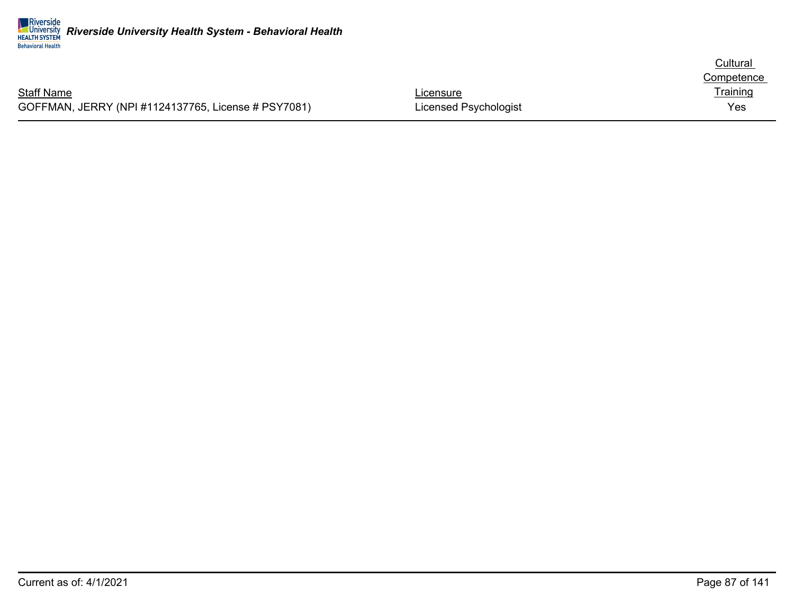|                                                     |                       | Cultural        |
|-----------------------------------------------------|-----------------------|-----------------|
|                                                     |                       | Competence      |
| Staff Name                                          | Licensure             | <b>Training</b> |
| GOFFMAN, JERRY (NPI #1124137765, License # PSY7081) | Licensed Psychologist | Yes             |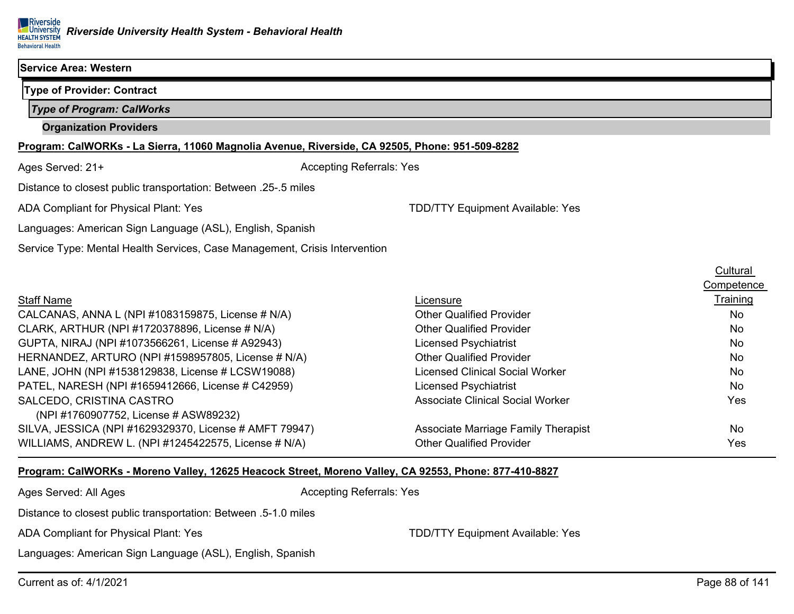#### **Service Area: Western**

#### **Type of Provider: Contract**

*Type of Program: CalWorks*

#### **Organization Providers**

#### **Program: CalWORKs - La Sierra, 11060 Magnolia Avenue, Riverside, CA 92505, Phone: 951-509-8282**

| ו וטקומווו. סמוזזטולוגס - במ טופוומ, ו וטטט ווומקווטוומ רזיפוועפ, ולוזיפוטועפ, טרז טבטטט, ו ווטוופ. טט ו-טטט-טב |                                         |
|-----------------------------------------------------------------------------------------------------------------|-----------------------------------------|
| Ages Served: 21+                                                                                                | <b>Accepting Referrals: Yes</b>         |
| Distance to closest public transportation: Between .25-.5 miles                                                 |                                         |
| ADA Compliant for Physical Plant: Yes                                                                           | <b>TDD/TTY Equipment Available: Yes</b> |
| Languages: American Sign Language (ASL), English, Spanish                                                       |                                         |
| Service Type: Mental Health Services, Case Management, Crisis Intervention                                      |                                         |
|                                                                                                                 |                                         |

|                                                        |                                         | Competence |
|--------------------------------------------------------|-----------------------------------------|------------|
| <b>Staff Name</b>                                      | Licensure                               | Training   |
| CALCANAS, ANNA L (NPI #1083159875, License # N/A)      | <b>Other Qualified Provider</b>         | No         |
| CLARK, ARTHUR (NPI #1720378896, License # N/A)         | <b>Other Qualified Provider</b>         | No         |
| GUPTA, NIRAJ (NPI #1073566261, License # A92943)       | <b>Licensed Psychiatrist</b>            | <b>No</b>  |
| HERNANDEZ, ARTURO (NPI#1598957805, License # N/A)      | <b>Other Qualified Provider</b>         | <b>No</b>  |
| LANE, JOHN (NPI #1538129838, License # LCSW19088)      | <b>Licensed Clinical Social Worker</b>  | <b>No</b>  |
| PATEL, NARESH (NPI #1659412666, License # C42959)      | <b>Licensed Psychiatrist</b>            | <b>No</b>  |
| SALCEDO, CRISTINA CASTRO                               | <b>Associate Clinical Social Worker</b> | Yes        |
| (NPI #1760907752, License # ASW89232)                  |                                         |            |
| SILVA, JESSICA (NPI #1629329370, License # AMFT 79947) | Associate Marriage Family Therapist     | No         |
| WILLIAMS, ANDREW L. (NPI #1245422575, License # N/A)   | <b>Other Qualified Provider</b>         | Yes        |

#### **Program: CalWORKs - Moreno Valley, 12625 Heacock Street, Moreno Valley, CA 92553, Phone: 877-410-8827**

| Ages Served: All Ages                                           | <b>Accepting Referrals: Yes</b>         |
|-----------------------------------------------------------------|-----------------------------------------|
| Distance to closest public transportation: Between .5-1.0 miles |                                         |
| ADA Compliant for Physical Plant: Yes                           | <b>TDD/TTY Equipment Available: Yes</b> |
| Languages: American Sign Language (ASL), English, Spanish       |                                         |

Current as of: 4/1/2021 Page 88 of 141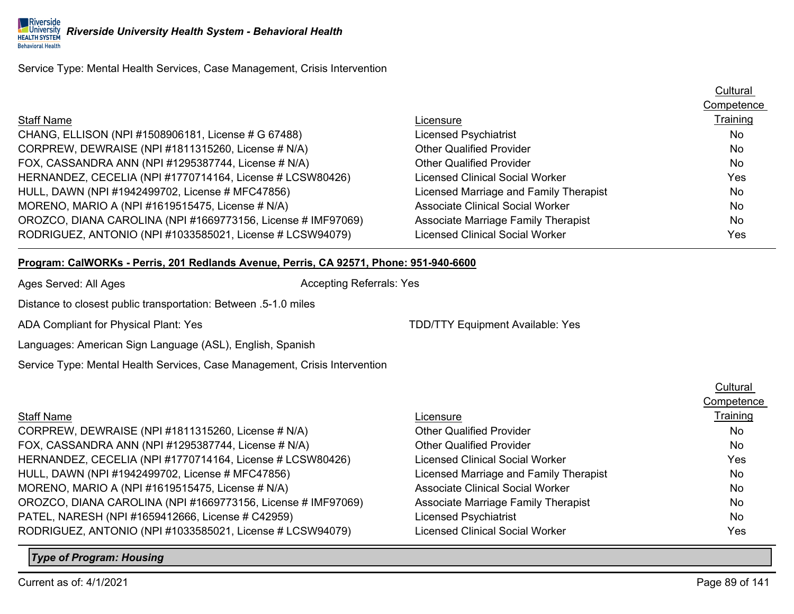Service Type: Mental Health Services, Case Management, Crisis Intervention

|                                                              |                                            | <b>Cultural</b> |
|--------------------------------------------------------------|--------------------------------------------|-----------------|
|                                                              |                                            | Competence      |
| <b>Staff Name</b>                                            | Licensure                                  | Training        |
| CHANG, ELLISON (NPI #1508906181, License # G 67488)          | <b>Licensed Psychiatrist</b>               | <b>No</b>       |
| CORPREW, DEWRAISE (NPI #1811315260, License # N/A)           | <b>Other Qualified Provider</b>            | <b>No</b>       |
| FOX, CASSANDRA ANN (NPI #1295387744, License # N/A)          | <b>Other Qualified Provider</b>            | No.             |
| HERNANDEZ, CECELIA (NPI #1770714164, License # LCSW80426)    | Licensed Clinical Social Worker            | Yes             |
| HULL, DAWN (NPI #1942499702, License # MFC47856)             | Licensed Marriage and Family Therapist     | No              |
| MORENO, MARIO A (NPI #1619515475, License # N/A)             | <b>Associate Clinical Social Worker</b>    | No.             |
| OROZCO, DIANA CAROLINA (NPI #1669773156, License # IMF97069) | <b>Associate Marriage Family Therapist</b> | No.             |
| RODRIGUEZ, ANTONIO (NPI #1033585021, License # LCSW94079)    | <b>Licensed Clinical Social Worker</b>     | Yes             |
|                                                              |                                            |                 |

#### **Program: CalWORKs - Perris, 201 Redlands Avenue, Perris, CA 92571, Phone: 951-940-6600**

| Program: CalWORKs - Perris, 201 Redlands Avenue, Perris, CA 92571, Phone: 951-940-6600 |                                         |
|----------------------------------------------------------------------------------------|-----------------------------------------|
| Ages Served: All Ages                                                                  | <b>Accepting Referrals: Yes</b>         |
| Distance to closest public transportation: Between .5-1.0 miles                        |                                         |
| ADA Compliant for Physical Plant: Yes                                                  | <b>TDD/TTY Equipment Available: Yes</b> |

Languages: American Sign Language (ASL), English, Spanish

Service Type: Mental Health Services, Case Management, Crisis Intervention

#### Staff Name Licensure **Training** CORPREW, DEWRAISE (NPI #1811315260, License # N/A) Other Qualified Provider No No FOX, CASSANDRA ANN (NPI #1295387744, License # N/A) Other Qualified Provider No No HERNANDEZ, CECELIA (NPI #1770714164, License # LCSW80426) Licensed Clinical Social Worker Yes HULL, DAWN (NPI #1942499702, License # MFC47856) Licensed Marriage and Family Therapist No MORENO, MARIO A (NPI #1619515475, License # N/A) Associate Clinical Social Worker No OROZCO, DIANA CAROLINA (NPI #1669773156, License # IMF97069) Associate Marriage Family Therapist No PATEL, NARESH (NPI #1659412666, License # C42959) No Cicensed Psychiatrist No Controller No Controller No Controller No RODRIGUEZ, ANTONIO (NPI #1033585021, License # LCSW94079) Licensed Clinical Social Worker Yes

## *Type of Program: Housing*

**Cultural Competence** 

 $C<sub>1</sub>$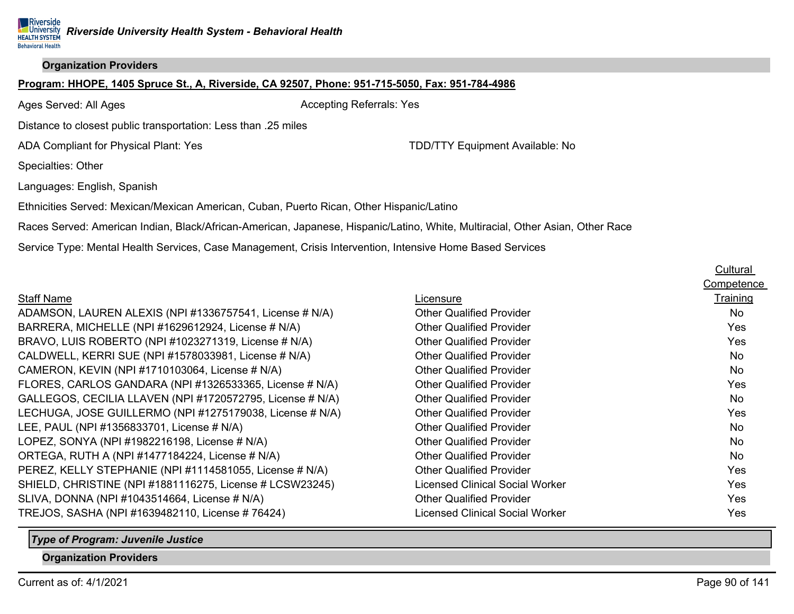#### **Organization Providers**

#### **Program: HHOPE, 1405 Spruce St., A, Riverside, CA 92507, Phone: 951-715-5050, Fax: 951-784-4986**

Ages Served: All Ages **Accepting Referrals: Yes** Accepting Referrals: Yes

Distance to closest public transportation: Less than .25 miles

ADA Compliant for Physical Plant: Yes TDD/TTY Equipment Available: No

Specialties: Other

Languages: English, Spanish

Ethnicities Served: Mexican/Mexican American, Cuban, Puerto Rican, Other Hispanic/Latino

Races Served: American Indian, Black/African-American, Japanese, Hispanic/Latino, White, Multiracial, Other Asian, Other Race

Service Type: Mental Health Services, Case Management, Crisis Intervention, Intensive Home Based Services

|                                                           |                                 | <b>Cultural</b> |
|-----------------------------------------------------------|---------------------------------|-----------------|
|                                                           |                                 | Competence      |
| <b>Staff Name</b>                                         | Licensure                       | Training        |
| ADAMSON, LAUREN ALEXIS (NPI #1336757541, License # N/A)   | <b>Other Qualified Provider</b> | No.             |
| BARRERA, MICHELLE (NPI #1629612924, License # N/A)        | <b>Other Qualified Provider</b> | Yes             |
| BRAVO, LUIS ROBERTO (NPI #1023271319, License # N/A)      | <b>Other Qualified Provider</b> | Yes             |
| CALDWELL, KERRI SUE (NPI #1578033981, License # N/A)      | <b>Other Qualified Provider</b> | No              |
| CAMERON, KEVIN (NPI #1710103064, License # N/A)           | <b>Other Qualified Provider</b> | No              |
| FLORES, CARLOS GANDARA (NPI #1326533365, License # N/A)   | <b>Other Qualified Provider</b> | Yes             |
| GALLEGOS, CECILIA LLAVEN (NPI #1720572795, License # N/A) | <b>Other Qualified Provider</b> | No              |
| LECHUGA, JOSE GUILLERMO (NPI #1275179038, License # N/A)  | <b>Other Qualified Provider</b> | Yes             |
| LEE, PAUL (NPI #1356833701, License # N/A)                | <b>Other Qualified Provider</b> | No              |
| LOPEZ, SONYA (NPI #1982216198, License # N/A)             | <b>Other Qualified Provider</b> | No              |
| ORTEGA, RUTH A (NPI #1477184224, License # N/A)           | <b>Other Qualified Provider</b> | <b>No</b>       |
| PEREZ, KELLY STEPHANIE (NPI #1114581055, License # N/A)   | <b>Other Qualified Provider</b> | Yes             |
| SHIELD, CHRISTINE (NPI #1881116275, License # LCSW23245)  | Licensed Clinical Social Worker | Yes             |
| SLIVA, DONNA (NPI #1043514664, License # N/A)             | <b>Other Qualified Provider</b> | Yes             |
| TREJOS, SASHA (NPI #1639482110, License #76424)           | Licensed Clinical Social Worker | Yes             |

*Type of Program: Juvenile Justice*

**Organization Providers**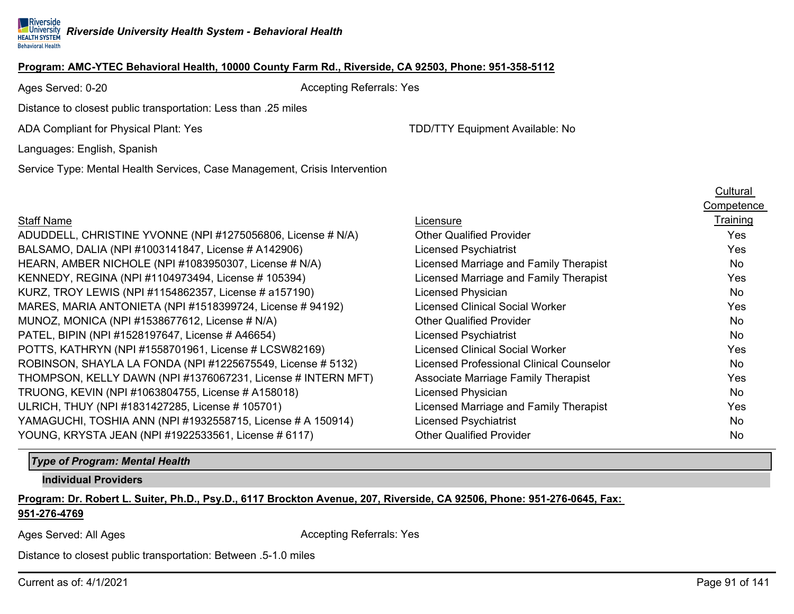#### **Program: AMC-YTEC Behavioral Health, 10000 County Farm Rd., Riverside, CA 92503, Phone: 951-358-5112**

Ages Served: 0-20 Accepting Referrals: Yes

Distance to closest public transportation: Less than .25 miles

ADA Compliant for Physical Plant: Yes TDD/TTY Equipment Available: No

Languages: English, Spanish

Service Type: Mental Health Services, Case Management, Crisis Intervention

## Staff Name

| <b>Staff Name</b>                                            | Licensure                                | Training  |
|--------------------------------------------------------------|------------------------------------------|-----------|
| ADUDDELL, CHRISTINE YVONNE (NPI #1275056806, License # N/A)  | <b>Other Qualified Provider</b>          | Yes       |
| BALSAMO, DALIA (NPI #1003141847, License # A142906)          | <b>Licensed Psychiatrist</b>             | Yes       |
| HEARN, AMBER NICHOLE (NPI #1083950307, License # N/A)        | Licensed Marriage and Family Therapist   | No        |
| KENNEDY, REGINA (NPI #1104973494, License # 105394)          | Licensed Marriage and Family Therapist   | Yes       |
| KURZ, TROY LEWIS (NPI #1154862357, License # a157190)        | Licensed Physician                       | No        |
| MARES, MARIA ANTONIETA (NPI #1518399724, License # 94192)    | <b>Licensed Clinical Social Worker</b>   | Yes       |
| MUNOZ, MONICA (NPI #1538677612, License # N/A)               | <b>Other Qualified Provider</b>          | No        |
| PATEL, BIPIN (NPI #1528197647, License # A46654)             | <b>Licensed Psychiatrist</b>             | <b>No</b> |
| POTTS, KATHRYN (NPI #1558701961, License # LCSW82169)        | <b>Licensed Clinical Social Worker</b>   | Yes       |
| ROBINSON, SHAYLA LA FONDA (NPI #1225675549, License # 5132)  | Licensed Professional Clinical Counselor | No        |
| THOMPSON, KELLY DAWN (NPI #1376067231, License # INTERN MFT) | Associate Marriage Family Therapist      | Yes       |
| TRUONG, KEVIN (NPI #1063804755, License # A158018)           | Licensed Physician                       | No        |
| ULRICH, THUY (NPI #1831427285, License # 105701)             | Licensed Marriage and Family Therapist   | Yes       |
| YAMAGUCHI, TOSHIA ANN (NPI #1932558715, License # A 150914)  | <b>Licensed Psychiatrist</b>             | No        |
| YOUNG, KRYSTA JEAN (NPI #1922533561, License # 6117)         | <b>Other Qualified Provider</b>          | No        |

#### *Type of Program: Mental Health*

#### **Individual Providers**

**Program: Dr. Robert L. Suiter, Ph.D., Psy.D., 6117 Brockton Avenue, 207, Riverside, CA 92506, Phone: 951-276-0645, Fax: 951-276-4769**

Ages Served: All Ages Accepting Referrals: Yes

Distance to closest public transportation: Between .5-1.0 miles

**Cultural Competence**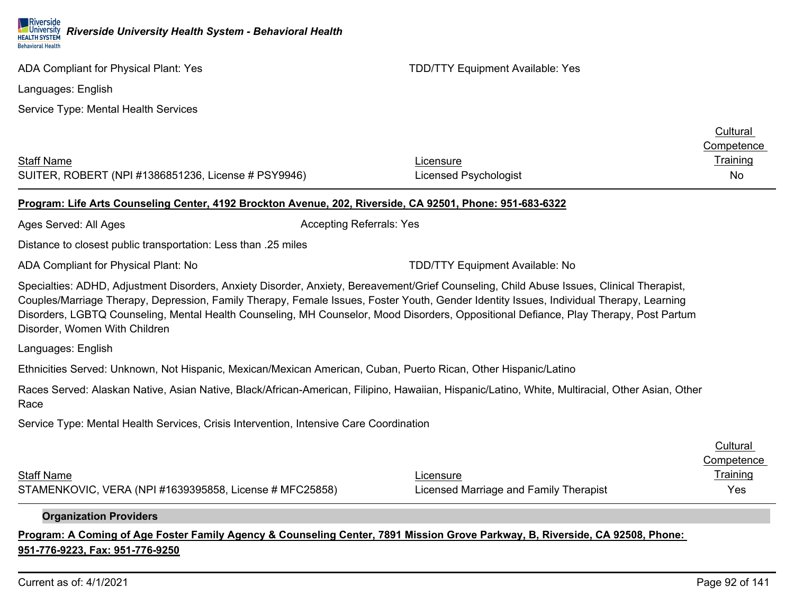ADA Compliant for Physical Plant: Yes TELL THE SECTION COMPLETED TO THE TOP/TTY Equipment Available: Yes

Service Type: Mental Health Services

|                       | <b>Cultural</b><br>Competence |
|-----------------------|-------------------------------|
| Licensure             | <u>Training</u>               |
| Licensed Psychologist | No                            |
|                       |                               |

#### **Program: Life Arts Counseling Center, 4192 Brockton Avenue, 202, Riverside, CA 92501, Phone: 951-683-6322**

Languages: English

Ages Served: All Ages **Accepting Referrals: Yes** Accepting Referrals: Yes

Distance to closest public transportation: Less than .25 miles

ADA Compliant for Physical Plant: No TOD/TTY Equipment Available: No

Specialties: ADHD, Adjustment Disorders, Anxiety Disorder, Anxiety, Bereavement/Grief Counseling, Child Abuse Issues, Clinical Therapist, Couples/Marriage Therapy, Depression, Family Therapy, Female Issues, Foster Youth, Gender Identity Issues, Individual Therapy, Learning Disorders, LGBTQ Counseling, Mental Health Counseling, MH Counselor, Mood Disorders, Oppositional Defiance, Play Therapy, Post Partum Disorder, Women With Children

Languages: English

Ethnicities Served: Unknown, Not Hispanic, Mexican/Mexican American, Cuban, Puerto Rican, Other Hispanic/Latino

Races Served: Alaskan Native, Asian Native, Black/African-American, Filipino, Hawaiian, Hispanic/Latino, White, Multiracial, Other Asian, Other Race

Service Type: Mental Health Services, Crisis Intervention, Intensive Care Coordination

|                                                         |                                        | <b>Cultural</b> |
|---------------------------------------------------------|----------------------------------------|-----------------|
|                                                         |                                        | Competence      |
| <b>Staff Name</b>                                       | Licensure                              | <b>Training</b> |
| STAMENKOVIC, VERA (NPI #1639395858, License # MFC25858) | Licensed Marriage and Family Therapist | Yes             |

#### **Organization Providers**

**Program: A Coming of Age Foster Family Agency & Counseling Center, 7891 Mission Grove Parkway, B, Riverside, CA 92508, Phone: 951-776-9223, Fax: 951-776-9250**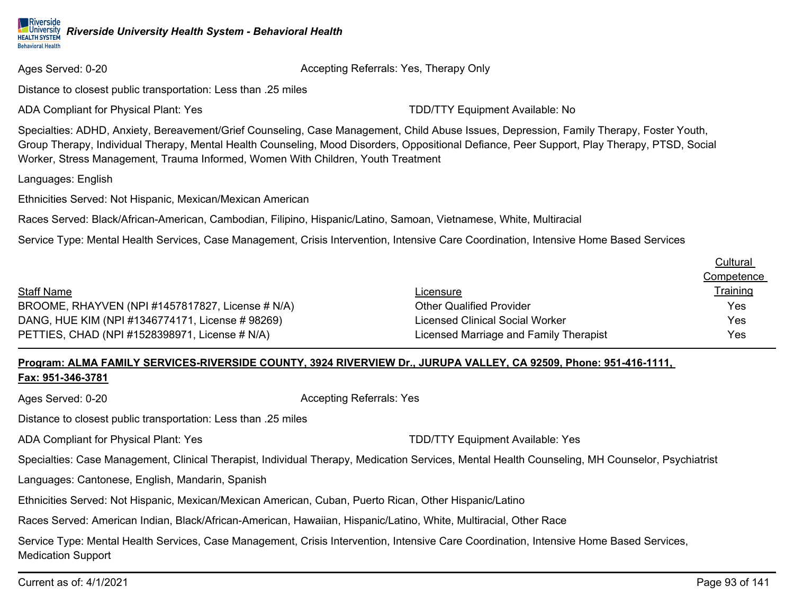Ages Served: 0-20 **Accepting Referrals: Yes, Therapy Only** Accepting Referrals: Yes, Therapy Only

Distance to closest public transportation: Less than .25 miles

ADA Compliant for Physical Plant: Yes TCON TO AND TO THE TO THE TOPOS TO THE TO A VAILABLE: No

Specialties: ADHD, Anxiety, Bereavement/Grief Counseling, Case Management, Child Abuse Issues, Depression, Family Therapy, Foster Youth, Group Therapy, Individual Therapy, Mental Health Counseling, Mood Disorders, Oppositional Defiance, Peer Support, Play Therapy, PTSD, Social Worker, Stress Management, Trauma Informed, Women With Children, Youth Treatment

Languages: English

Ethnicities Served: Not Hispanic, Mexican/Mexican American

Races Served: Black/African-American, Cambodian, Filipino, Hispanic/Latino, Samoan, Vietnamese, White, Multiracial

Service Type: Mental Health Services, Case Management, Crisis Intervention, Intensive Care Coordination, Intensive Home Based Services

|                                                  |                                        | Competence      |
|--------------------------------------------------|----------------------------------------|-----------------|
| <b>Staff Name</b>                                | Licensure                              | <b>Training</b> |
| BROOME, RHAYVEN (NPI #1457817827, License # N/A) | <b>Other Qualified Provider</b>        | Yes             |
| DANG, HUE KIM (NPI #1346774171, License # 98269) | <b>Licensed Clinical Social Worker</b> | Yes             |
| PETTIES, CHAD (NPI #1528398971, License # N/A)   | Licensed Marriage and Family Therapist | Yes             |

#### **Program: ALMA FAMILY SERVICES-RIVERSIDE COUNTY, 3924 RIVERVIEW Dr., JURUPA VALLEY, CA 92509, Phone: 951-416-1111, Fax: 951-346-3781**

Ages Served: 0-20 **Accepting Referrals: Yes** Accepting Referrals: Yes

Distance to closest public transportation: Less than .25 miles

ADA Compliant for Physical Plant: Yes The Test TOD/TTY Equipment Available: Yes

Specialties: Case Management, Clinical Therapist, Individual Therapy, Medication Services, Mental Health Counseling, MH Counselor, Psychiatrist

Languages: Cantonese, English, Mandarin, Spanish

Ethnicities Served: Not Hispanic, Mexican/Mexican American, Cuban, Puerto Rican, Other Hispanic/Latino

Races Served: American Indian, Black/African-American, Hawaiian, Hispanic/Latino, White, Multiracial, Other Race

Service Type: Mental Health Services, Case Management, Crisis Intervention, Intensive Care Coordination, Intensive Home Based Services, Medication Support

Current as of: 4/1/2021 Page 93 of 141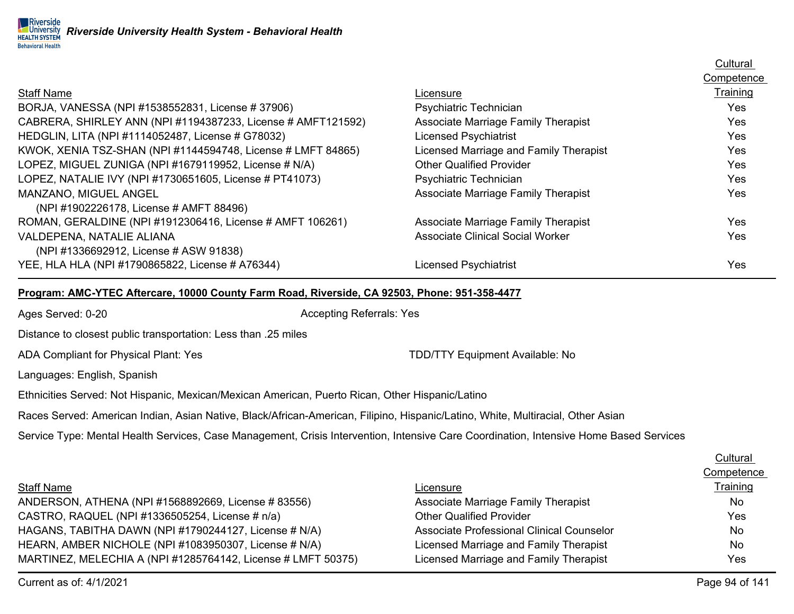|                                                              |                                            | Cultural   |
|--------------------------------------------------------------|--------------------------------------------|------------|
|                                                              |                                            | Competence |
| <b>Staff Name</b>                                            | Licensure                                  | Training   |
| BORJA, VANESSA (NPI #1538552831, License # 37906)            | Psychiatric Technician                     | Yes        |
| CABRERA, SHIRLEY ANN (NPI #1194387233, License # AMFT121592) | Associate Marriage Family Therapist        | Yes        |
| HEDGLIN, LITA (NPI #1114052487, License # G78032)            | <b>Licensed Psychiatrist</b>               | <b>Yes</b> |
| KWOK, XENIA TSZ-SHAN (NPI #1144594748, License # LMFT 84865) | Licensed Marriage and Family Therapist     | Yes        |
| LOPEZ, MIGUEL ZUNIGA (NPI #1679119952, License # N/A)        | <b>Other Qualified Provider</b>            | <b>Yes</b> |
| LOPEZ, NATALIE IVY (NPI #1730651605, License # PT41073)      | Psychiatric Technician                     | <b>Yes</b> |
| MANZANO, MIGUEL ANGEL                                        | <b>Associate Marriage Family Therapist</b> | Yes        |
| (NPI #1902226178, License # AMFT 88496)                      |                                            |            |
| ROMAN, GERALDINE (NPI #1912306416, License # AMFT 106261)    | Associate Marriage Family Therapist        | Yes        |
| VALDEPENA, NATALIE ALIANA                                    | <b>Associate Clinical Social Worker</b>    | Yes        |
| (NPI #1336692912, License # ASW 91838)                       |                                            |            |
| YEE, HLA HLA (NPI #1790865822, License # A76344)             | <b>Licensed Psychiatrist</b>               | Yes        |
|                                                              |                                            |            |

## **Program: AMC-YTEC Aftercare, 10000 County Farm Road, Riverside, CA 92503, Phone: 951-358-4477**

Ages Served: 0-20 **Accepting Referrals: Yes** Accepting Referrals: Yes

Distance to closest public transportation: Less than .25 miles

ADA Compliant for Physical Plant: Yes TDD/TTY Equipment Available: No

Languages: English, Spanish

Ethnicities Served: Not Hispanic, Mexican/Mexican American, Puerto Rican, Other Hispanic/Latino

Races Served: American Indian, Asian Native, Black/African-American, Filipino, Hispanic/Latino, White, Multiracial, Other Asian

Service Type: Mental Health Services, Case Management, Crisis Intervention, Intensive Care Coordination, Intensive Home Based Services

|                                                              |                                           | Cultural   |
|--------------------------------------------------------------|-------------------------------------------|------------|
|                                                              |                                           | Competence |
| <b>Staff Name</b>                                            | Licensure                                 | Training   |
| ANDERSON, ATHENA (NPI #1568892669, License # 83556)          | Associate Marriage Family Therapist       | No         |
| CASTRO, RAQUEL (NPI #1336505254, License # n/a)              | <b>Other Qualified Provider</b>           | <b>Yes</b> |
| HAGANS, TABITHA DAWN (NPI #1790244127, License # N/A)        | Associate Professional Clinical Counselor | No.        |
| HEARN, AMBER NICHOLE (NPI #1083950307, License # N/A)        | Licensed Marriage and Family Therapist    | No         |
| MARTINEZ, MELECHIA A (NPI #1285764142, License # LMFT 50375) | Licensed Marriage and Family Therapist    | Yes        |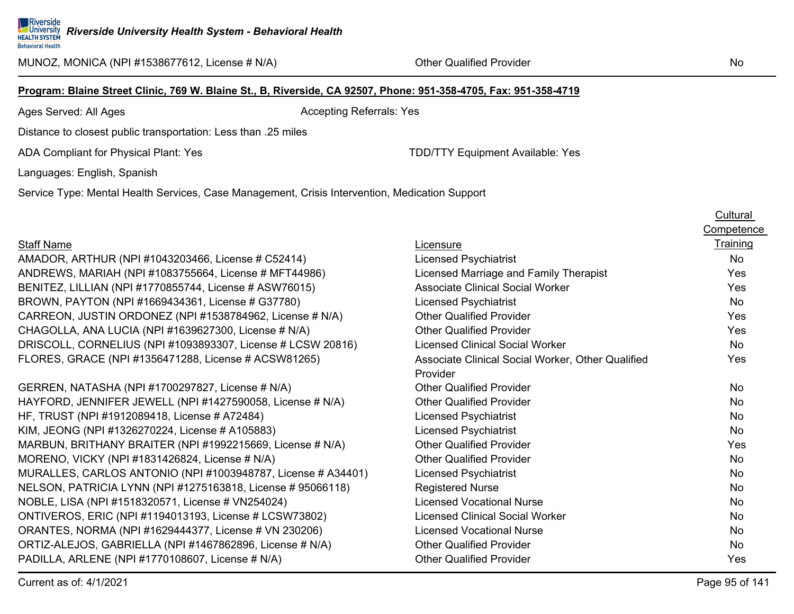**Cultura** 

#### **Program: Blaine Street Clinic, 769 W. Blaine St., B, Riverside, CA 92507, Phone: 951-358-4705, Fax: 951-358-4719**

Ages Served: All Ages Accepting Referrals: Yes

Distance to closest public transportation: Less than .25 miles

ADA Compliant for Physical Plant: Yes TELL THE SECTION COMPLETED TO THE TOP/TTY Equipment Available: Yes

Languages: English, Spanish

Service Type: Mental Health Services, Case Management, Crisis Intervention, Medication Support

# Staff Name AMADOR, ARTHUR (NPI #1043203466, License # C52414) ANDREWS, MARIAH (NPI #1083755664, License # MFT44986) BENITEZ, LILLIAN (NPI #1770855744, License # ASW76015) A BROWN, PAYTON (NPI #1669434361, License # G37780) CARREON, JUSTIN ORDONEZ (NPI #1538784962, License # N/A) C CHAGOLLA, ANA LUCIA (NPI #1639627300, License # N/A) DRISCOLL, CORNELIUS (NPI #1093893307, License # LCSW 20816) FLORES, GRACE (NPI #1356471288, License # ACSW81265)  $A$ GERREN, NATASHA (NPI #1700297827, License # N/A) Other Article HAYFORD, JENNIFER JEWELL (NPI #1427590058, License # N/A) O HF, TRUST (NPI #1912089418, License # A72484)

KIM, JEONG (NPI #1326270224, License # A105883) MARBUN, BRITHANY BRAITER (NPI #1992215669, License # N/A)  $\hbox{C}$ MORENO, VICKY (NPI #1831426824, License # N/A)  $\hbox{O}$ MURALLES, CARLOS ANTONIO (NPI #1003948787, License # A34401) NELSON, PATRICIA LYNN (NPI #1275163818, License # 95066118) Registered Rurse Register NOBLE, LISA (NPI #1518320571, License # VN254024) ONTIVEROS, ERIC (NPI #1194013193, License # LCSW73802) License ORANTES, NORMA (NPI #1629444377, License # VN 230206) ORTIZ-ALEJOS, GABRIELLA (NPI #1467862896, License # N/A) C PADILLA, ARLENE (NPI #1770108607, License # N/A) Other Qualified Provider Cualified Provider Yes

|                                                   | <b>Competence</b> |
|---------------------------------------------------|-------------------|
| Licensure                                         | Training          |
| <b>Licensed Psychiatrist</b>                      | <b>No</b>         |
| Licensed Marriage and Family Therapist            | Yes               |
| Associate Clinical Social Worker                  | Yes               |
| <b>Licensed Psychiatrist</b>                      | <b>No</b>         |
| <b>Other Qualified Provider</b>                   | Yes               |
| <b>Other Qualified Provider</b>                   | Yes               |
| <b>Licensed Clinical Social Worker</b>            | <b>No</b>         |
| Associate Clinical Social Worker, Other Qualified | Yes               |
| Provider                                          |                   |
| <b>Other Qualified Provider</b>                   | <b>No</b>         |
| <b>Other Qualified Provider</b>                   | <b>No</b>         |
| <b>Licensed Psychiatrist</b>                      | <b>No</b>         |
| <b>Licensed Psychiatrist</b>                      | <b>No</b>         |
| <b>Other Qualified Provider</b>                   | Yes               |
| <b>Other Qualified Provider</b>                   | <b>No</b>         |
| <b>Licensed Psychiatrist</b>                      | <b>No</b>         |
| <b>Registered Nurse</b>                           | <b>No</b>         |
| Licensed Vocational Nurse                         | <b>No</b>         |
| Licensed Clinical Social Worker                   | <b>No</b>         |
| <b>Licensed Vocational Nurse</b>                  | <b>No</b>         |
| <b>Other Qualified Provider</b>                   | <b>No</b>         |
| Othar Ouglified Drovider                          | Vaa               |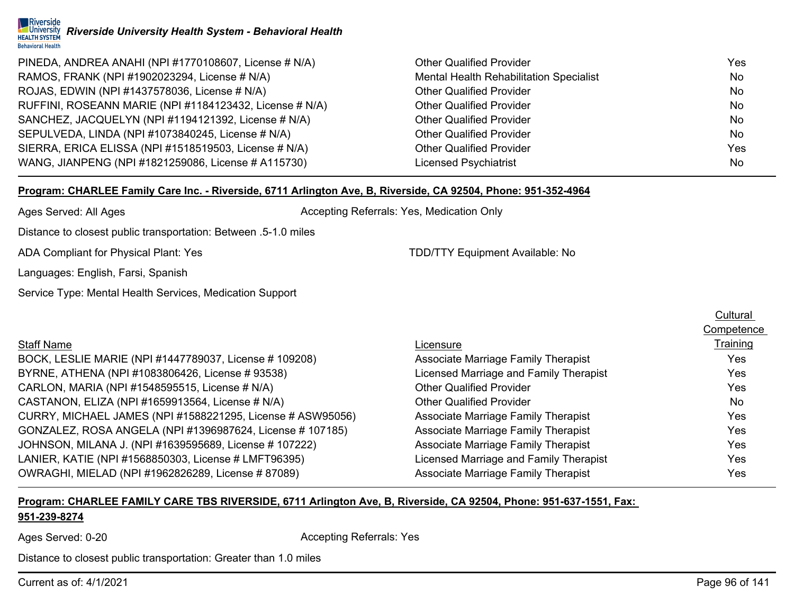

| PINEDA, ANDREA ANAHI (NPI #1770108607, License # N/A)   | <b>Other Qualified Provider</b>         | Yes |
|---------------------------------------------------------|-----------------------------------------|-----|
| RAMOS, FRANK (NPI #1902023294, License # N/A)           | Mental Health Rehabilitation Specialist | No  |
| ROJAS, EDWIN (NPI #1437578036, License # N/A)           | <b>Other Qualified Provider</b>         | No  |
| RUFFINI, ROSEANN MARIE (NPI #1184123432, License # N/A) | <b>Other Qualified Provider</b>         | No  |
| SANCHEZ, JACQUELYN (NPI #1194121392, License # N/A)     | <b>Other Qualified Provider</b>         | No  |
| SEPULVEDA, LINDA (NPI #1073840245, License # N/A)       | <b>Other Qualified Provider</b>         | No  |
| SIERRA, ERICA ELISSA (NPI #1518519503, License # N/A)   | <b>Other Qualified Provider</b>         | Yes |
| WANG, JIANPENG (NPI #1821259086, License # A115730)     | <b>Licensed Psychiatrist</b>            | No  |

#### **Program: CHARLEE Family Care Inc. - Riverside, 6711 Arlington Ave, B, Riverside, CA 92504, Phone: 951-352-4964**

Ages Served: All Ages Accepting Referrals: Yes, Medication Only

Distance to closest public transportation: Between .5-1.0 miles

ADA Compliant for Physical Plant: Yes TDD/TTY Equipment Available: No

Languages: English, Farsi, Spanish

Service Type: Mental Health Services, Medication Support

|                                                            |                                            | Cultural   |
|------------------------------------------------------------|--------------------------------------------|------------|
|                                                            |                                            | Competence |
| <b>Staff Name</b>                                          | Licensure                                  | Training   |
| BOCK, LESLIE MARIE (NPI #1447789037, License # 109208)     | Associate Marriage Family Therapist        | Yes        |
| BYRNE, ATHENA (NPI #1083806426, License # 93538)           | Licensed Marriage and Family Therapist     | Yes        |
| CARLON, MARIA (NPI #1548595515, License # N/A)             | <b>Other Qualified Provider</b>            | Yes        |
| CASTANON, ELIZA (NPI #1659913564, License # N/A)           | <b>Other Qualified Provider</b>            | <b>No</b>  |
| CURRY, MICHAEL JAMES (NPI #1588221295, License # ASW95056) | Associate Marriage Family Therapist        | Yes        |
| GONZALEZ, ROSA ANGELA (NPI #1396987624, License # 107185)  | Associate Marriage Family Therapist        | Yes        |
| JOHNSON, MILANA J. (NPI #1639595689, License # 107222)     | Associate Marriage Family Therapist        | Yes        |
| LANIER, KATIE (NPI #1568850303, License # LMFT96395)       | Licensed Marriage and Family Therapist     | Yes        |
| OWRAGHI, MIELAD (NPI #1962826289, License # 87089)         | <b>Associate Marriage Family Therapist</b> | Yes        |

#### **Program: CHARLEE FAMILY CARE TBS RIVERSIDE, 6711 Arlington Ave, B, Riverside, CA 92504, Phone: 951-637-1551, Fax:**

#### **951-239-8274**

Ages Served: 0-20 **Accepting Referrals: Yes** Accepting Referrals: Yes

Distance to closest public transportation: Greater than 1.0 miles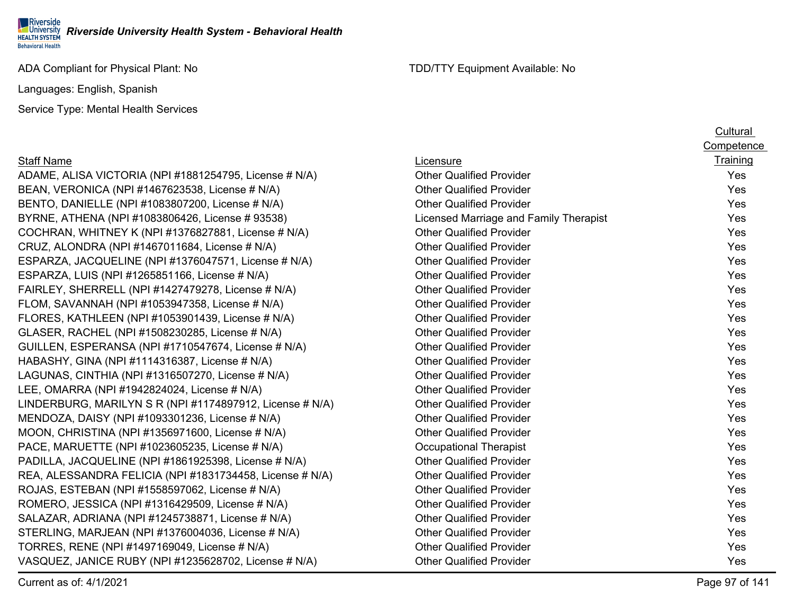ADA Compliant for Physical Plant: No TDD/TTY Equipment Available: No

Languages: English, Spanish

Service Type: Mental Health Services

#### Staff Name

ADAME, ALISA VICTORIA (NPI #1881254795, License # N/A) BEAN, VERONICA (NPI #1467623538, License # N/A) BENTO, DANIELLE (NPI #1083807200, License # N/A) BYRNE, ATHENA (NPI #1083806426, License # 93538) COCHRAN, WHITNEY K (NPI #1376827881, License # N/A) CRUZ, ALONDRA (NPI #1467011684, License # N/A) ESPARZA, JACQUELINE (NPI #1376047571, License # N/A) ESPARZA, LUIS (NPI #1265851166, License # N/A) FAIRLEY, SHERRELL (NPI #1427479278, License # N/A) FLOM, SAVANNAH (NPI #1053947358, License # N/A) FLORES, KATHLEEN (NPI  $#1053901439$ , License  $# N/A$ ) GLASER, RACHEL (NPI  $\#1508230285$ , License  $\# N/A$ ) GUILLEN, ESPERANSA (NPI #1710547674, License # N/A) HABASHY, GINA (NPI #1114316387, License # N/A) LAGUNAS, CINTHIA (NPI  $#1316507270$ , License  $# N/A$ ) LEE, OMARRA (NPI  $#1942824024$ , License  $# N/A$ ) LINDERBURG, MARILYN S R (NPI #1174897912, License # N/A) MENDOZA, DAISY (NPI #1093301236, License # N/A) MOON, CHRISTINA (NPI  $#1356971600$ , License  $#N/A$ ) PACE, MARUETTE (NPI #1023605235, License # N/A) PADILLA, JACQUELINE (NPI #1861925398, License # N/A) REA, ALESSANDRA FELICIA (NPI #1831734458, License # N/A) ROJAS, ESTEBAN (NPI #1558597062, License # N/A) ROMERO, JESSICA (NPI #1316429509, License # N/A) SALAZAR, ADRIANA (NPI #1245738871, License # N/A) STERLING, MARJEAN (NPI #1376004036, License # N/A) TORRES, RENE (NPI  $#1497169049$ , License  $# N/A$ ) VASQUEZ, JANICE RUBY (NPI #1235628702, License # N/A)

|                                        | <b>Competence</b> |
|----------------------------------------|-------------------|
| Licensure                              | Training          |
| <b>Other Qualified Provider</b>        | Yes               |
| <b>Other Qualified Provider</b>        | Yes               |
| <b>Other Qualified Provider</b>        | Yes               |
| Licensed Marriage and Family Therapist | Yes               |
| <b>Other Qualified Provider</b>        | Yes               |
| <b>Other Qualified Provider</b>        | Yes               |
| <b>Other Qualified Provider</b>        | Yes               |
| <b>Other Qualified Provider</b>        | Yes               |
| <b>Other Qualified Provider</b>        | Yes               |
| <b>Other Qualified Provider</b>        | Yes               |
| <b>Other Qualified Provider</b>        | Yes               |
| <b>Other Qualified Provider</b>        | Yes               |
| <b>Other Qualified Provider</b>        | Yes               |
| <b>Other Qualified Provider</b>        | Yes               |
| <b>Other Qualified Provider</b>        | Yes               |
| <b>Other Qualified Provider</b>        | Yes               |
| <b>Other Qualified Provider</b>        | Yes               |
| <b>Other Qualified Provider</b>        | Yes               |
| <b>Other Qualified Provider</b>        | Yes               |
| <b>Occupational Therapist</b>          | Yes               |
| <b>Other Qualified Provider</b>        | Yes               |
| <b>Other Qualified Provider</b>        | Yes               |
| <b>Other Qualified Provider</b>        | Yes               |
| <b>Other Qualified Provider</b>        | Yes               |
| <b>Other Qualified Provider</b>        | Yes               |
| <b>Other Qualified Provider</b>        | Yes               |
| <b>Other Qualified Provider</b>        | Yes               |
| <b>Other Qualified Provider</b>        | Yes               |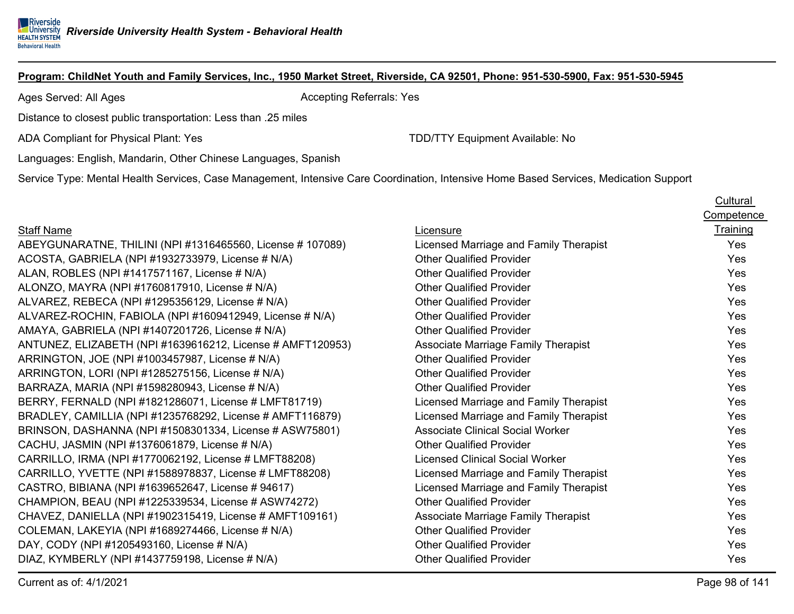#### **Program: ChildNet Youth and Family Services, Inc., 1950 Market Street, Riverside, CA 92501, Phone: 951-530-5900, Fax: 951-530-5945**

Ages Served: All Ages Accepting Referrals: Yes

Distance to closest public transportation: Less than .25 miles

ADA Compliant for Physical Plant: Yes TEER TO AND ADA Compliant Available: No

Languages: English, Mandarin, Other Chinese Languages, Spanish

Service Type: Mental Health Services, Case Management, Intensive Care Coordination, Intensive Home Based Services, Medication Support

#### Staff Name

ABEYGUNARATNE, THILINI (NPI #1316465560, License # 107089) ACOSTA, GABRIELA (NPI  $\#1932733979$ , License  $\# N/A$ ) ALAN, ROBLES (NPI #1417571167, License # N/A) ALONZO, MAYRA (NPI #1760817910, License # N/A) ALVAREZ, REBECA (NPI #1295356129, License # N/A) ALVAREZ-ROCHIN, FABIOLA (NPI #1609412949, License # N/A) AMAYA, GABRIELA (NPI #1407201726, License # N/A) ANTUNEZ, ELIZABETH (NPI #1639616212, License # AMFT120953) ARRINGTON, JOE (NPI #1003457987, License # N/A) ARRINGTON, LORI (NPI #1285275156, License # N/A) BARRAZA, MARIA (NPI #1598280943, License # N/A) BERRY, FERNALD (NPI #1821286071, License # LMFT81719) BRADLEY, CAMILLIA (NPI #1235768292, License # AMFT116879) BRINSON, DASHANNA (NPI #1508301334, License # ASW75801) CACHU, JASMIN (NPI #1376061879, License # N/A) CARRILLO, IRMA (NPI #1770062192, License # LMFT88208) CARRILLO, YVETTE (NPI #1588978837, License # LMFT88208) CASTRO, BIBIANA (NPI #1639652647, License # 94617) CHAMPION, BEAU (NPI #1225339534, License # ASW74272) CHAVEZ, DANIELLA (NPI #1902315419, License # AMFT109161) COLEMAN, LAKEYIA (NPI #1689274466, License # N/A) DAY, CODY (NPI #1205493160, License # N/A) DIAZ, KYMBERLY (NPI #1437759198, License # N/A)

|                                            | Competence      |
|--------------------------------------------|-----------------|
| Licensure                                  | <b>Training</b> |
| Licensed Marriage and Family Therapist     | Yes             |
| <b>Other Qualified Provider</b>            | Yes             |
| <b>Other Qualified Provider</b>            | Yes             |
| <b>Other Qualified Provider</b>            | Yes             |
| <b>Other Qualified Provider</b>            | Yes             |
| <b>Other Qualified Provider</b>            | Yes             |
| <b>Other Qualified Provider</b>            | Yes             |
| <b>Associate Marriage Family Therapist</b> | Yes             |
| <b>Other Qualified Provider</b>            | Yes             |
| <b>Other Qualified Provider</b>            | Yes             |
| <b>Other Qualified Provider</b>            | Yes             |
| Licensed Marriage and Family Therapist     | Yes             |
| Licensed Marriage and Family Therapist     | Yes             |
| Associate Clinical Social Worker           | Yes             |
| <b>Other Qualified Provider</b>            | Yes             |
| <b>Licensed Clinical Social Worker</b>     | Yes             |
| Licensed Marriage and Family Therapist     | Yes             |
| Licensed Marriage and Family Therapist     | Yes             |
| <b>Other Qualified Provider</b>            | Yes             |
| Associate Marriage Family Therapist        | Yes             |
| <b>Other Qualified Provider</b>            | Yes             |
| <b>Other Qualified Provider</b>            | Yes             |
| <b>Other Qualified Provider</b>            | Yes             |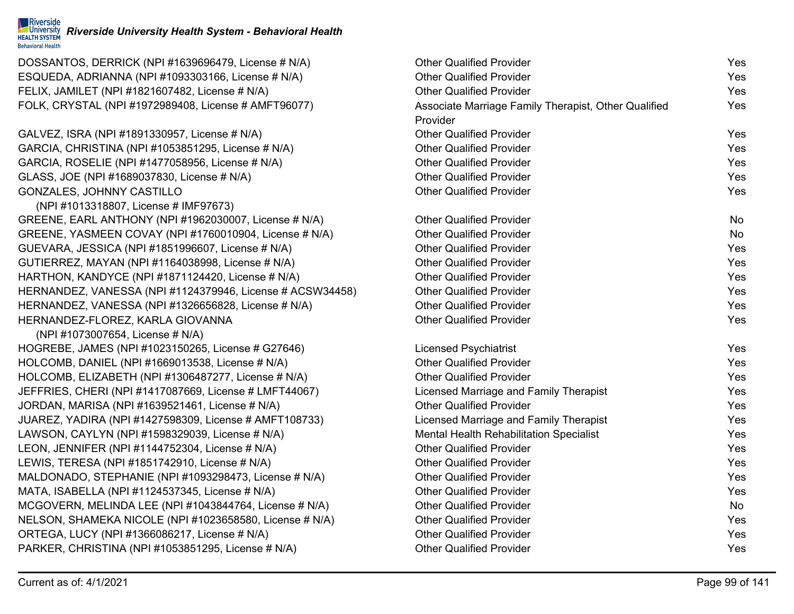| DOSSANTOS, DERRICK (NPI #1639696479, License # N/A)       | <b>Other Qualified Provider</b>                      | Yes       |
|-----------------------------------------------------------|------------------------------------------------------|-----------|
| ESQUEDA, ADRIANNA (NPI #1093303166, License # N/A)        | <b>Other Qualified Provider</b>                      | Yes       |
| FELIX, JAMILET (NPI #1821607482, License # N/A)           | <b>Other Qualified Provider</b>                      | Yes       |
| FOLK, CRYSTAL (NPI #1972989408, License # AMFT96077)      | Associate Marriage Family Therapist, Other Qualified | Yes       |
|                                                           | Provider                                             |           |
| GALVEZ, ISRA (NPI #1891330957, License # N/A)             | <b>Other Qualified Provider</b>                      | Yes       |
| GARCIA, CHRISTINA (NPI #1053851295, License # N/A)        | <b>Other Qualified Provider</b>                      | Yes       |
| GARCIA, ROSELIE (NPI #1477058956, License # N/A)          | <b>Other Qualified Provider</b>                      | Yes       |
| GLASS, JOE (NPI #1689037830, License # N/A)               | <b>Other Qualified Provider</b>                      | Yes       |
| GONZALES, JOHNNY CASTILLO                                 | <b>Other Qualified Provider</b>                      | Yes       |
| (NPI #1013318807, License # IMF97673)                     |                                                      |           |
| GREENE, EARL ANTHONY (NPI #1962030007, License # N/A)     | <b>Other Qualified Provider</b>                      | No        |
| GREENE, YASMEEN COVAY (NPI #1760010904, License # N/A)    | <b>Other Qualified Provider</b>                      | No        |
| GUEVARA, JESSICA (NPI #1851996607, License # N/A)         | <b>Other Qualified Provider</b>                      | Yes       |
| GUTIERREZ, MAYAN (NPI #1164038998, License # N/A)         | <b>Other Qualified Provider</b>                      | Yes       |
| HARTHON, KANDYCE (NPI #1871124420, License # N/A)         | <b>Other Qualified Provider</b>                      | Yes       |
| HERNANDEZ, VANESSA (NPI #1124379946, License # ACSW34458) | <b>Other Qualified Provider</b>                      | Yes       |
| HERNANDEZ, VANESSA (NPI #1326656828, License # N/A)       | <b>Other Qualified Provider</b>                      | Yes       |
| HERNANDEZ-FLOREZ, KARLA GIOVANNA                          | <b>Other Qualified Provider</b>                      | Yes       |
| (NPI #1073007654, License # N/A)                          |                                                      |           |
| HOGREBE, JAMES (NPI #1023150265, License # G27646)        | <b>Licensed Psychiatrist</b>                         | Yes       |
| HOLCOMB, DANIEL (NPI #1669013538, License # N/A)          | <b>Other Qualified Provider</b>                      | Yes       |
| HOLCOMB, ELIZABETH (NPI #1306487277, License # N/A)       | <b>Other Qualified Provider</b>                      | Yes       |
| JEFFRIES, CHERI (NPI #1417087669, License # LMFT44067)    | Licensed Marriage and Family Therapist               | Yes       |
| JORDAN, MARISA (NPI #1639521461, License # N/A)           | <b>Other Qualified Provider</b>                      | Yes       |
| JUAREZ, YADIRA (NPI #1427598309, License # AMFT108733)    | Licensed Marriage and Family Therapist               | Yes       |
| LAWSON, CAYLYN (NPI #1598329039, License # N/A)           | Mental Health Rehabilitation Specialist              | Yes       |
| LEON, JENNIFER (NPI #1144752304, License # N/A)           | <b>Other Qualified Provider</b>                      | Yes       |
| LEWIS, TERESA (NPI #1851742910, License # N/A)            | <b>Other Qualified Provider</b>                      | Yes       |
| MALDONADO, STEPHANIE (NPI #1093298473, License # N/A)     | <b>Other Qualified Provider</b>                      | Yes       |
| MATA, ISABELLA (NPI #1124537345, License # N/A)           | <b>Other Qualified Provider</b>                      | Yes       |
| MCGOVERN, MELINDA LEE (NPI #1043844764, License # N/A)    | <b>Other Qualified Provider</b>                      | <b>No</b> |
| NELSON, SHAMEKA NICOLE (NPI#1023658580, License # N/A)    | <b>Other Qualified Provider</b>                      | Yes       |
| ORTEGA, LUCY (NPI #1366086217, License # N/A)             | <b>Other Qualified Provider</b>                      | Yes       |
| PARKER, CHRISTINA (NPI #1053851295, License # N/A)        | <b>Other Qualified Provider</b>                      | Yes       |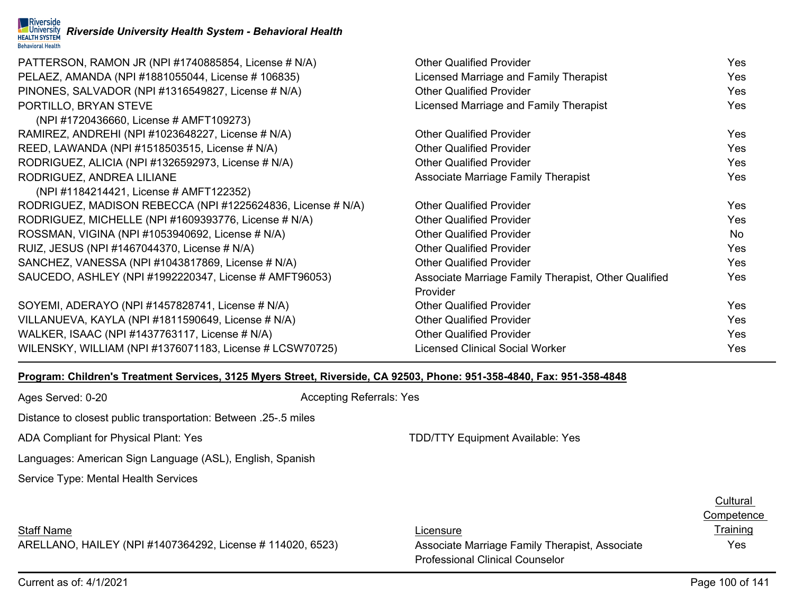| PATTERSON, RAMON JR (NPI #1740885854, License # N/A)        | <b>Other Qualified Provider</b>                      | <b>Yes</b> |
|-------------------------------------------------------------|------------------------------------------------------|------------|
| PELAEZ, AMANDA (NPI #1881055044, License # 106835)          | Licensed Marriage and Family Therapist               | Yes        |
| PINONES, SALVADOR (NPI #1316549827, License # N/A)          | <b>Other Qualified Provider</b>                      | Yes        |
| PORTILLO, BRYAN STEVE                                       | Licensed Marriage and Family Therapist               | <b>Yes</b> |
| (NPI #1720436660, License # AMFT109273)                     |                                                      |            |
| RAMIREZ, ANDREHI (NPI #1023648227, License # N/A)           | <b>Other Qualified Provider</b>                      | Yes        |
| REED, LAWANDA (NPI #1518503515, License # N/A)              | <b>Other Qualified Provider</b>                      | Yes        |
| RODRIGUEZ, ALICIA (NPI #1326592973, License # N/A)          | <b>Other Qualified Provider</b>                      | Yes        |
| RODRIGUEZ, ANDREA LILIANE                                   | Associate Marriage Family Therapist                  | <b>Yes</b> |
| (NPI #1184214421, License # AMFT122352)                     |                                                      |            |
| RODRIGUEZ, MADISON REBECCA (NPI #1225624836, License # N/A) | <b>Other Qualified Provider</b>                      | Yes        |
| RODRIGUEZ, MICHELLE (NPI #1609393776, License # N/A)        | <b>Other Qualified Provider</b>                      | Yes        |
| ROSSMAN, VIGINA (NPI #1053940692, License # N/A)            | <b>Other Qualified Provider</b>                      | No.        |
| RUIZ, JESUS (NPI #1467044370, License # N/A)                | <b>Other Qualified Provider</b>                      | Yes        |
| SANCHEZ, VANESSA (NPI #1043817869, License # N/A)           | <b>Other Qualified Provider</b>                      | Yes        |
| SAUCEDO, ASHLEY (NPI #1992220347, License # AMFT96053)      | Associate Marriage Family Therapist, Other Qualified | Yes        |
|                                                             | Provider                                             |            |
| SOYEMI, ADERAYO (NPI #1457828741, License # N/A)            | <b>Other Qualified Provider</b>                      | Yes        |
| VILLANUEVA, KAYLA (NPI #1811590649, License # N/A)          | <b>Other Qualified Provider</b>                      | Yes        |
| WALKER, ISAAC (NPI #1437763117, License # N/A)              | <b>Other Qualified Provider</b>                      | Yes        |
| WILENSKY, WILLIAM (NPI #1376071183, License # LCSW70725)    | <b>Licensed Clinical Social Worker</b>               | <b>Yes</b> |

#### **Program: Children's Treatment Services, 3125 Myers Street, Riverside, CA 92503, Phone: 951-358-4840, Fax: 951-358-4848**

Ages Served: 0-20 **Accepting Referrals: Yes** Accepting Referrals: Yes

Distance to closest public transportation: Between .25-.5 miles

ADA Compliant for Physical Plant: Yes TDD/TTY Equipment Available: Yes

Languages: American Sign Language (ASL), English, Spanish

Service Type: Mental Health Services

**Staff Name** 

ARELLANO, HAILEY (NPI #1407364292, License # 114020, 6523) Associate Marriage Family Therapist, Associate Yes

Professional Clinical Counselor

**Cultural Competence** Licensure **Training**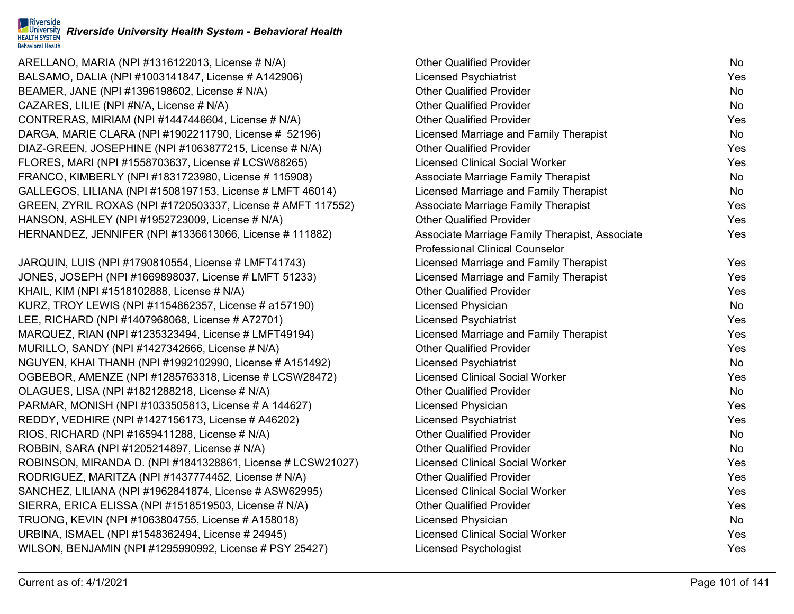

ARELLANO, MARIA (NPI #1316122013, License #  $N/A$ ) BALSAMO, DALIA (NPI #1003141847, License # A142906) BEAMER, JANE (NPI #1396198602, License # N/A) CAZARES, LILIE (NPI #N/A, License # N/A) CONTRERAS, MIRIAM (NPI  $#1447446604$ , License  $# N/A$ ) DARGA, MARIE CLARA (NPI #1902211790, License # 52196) DIAZ-GREEN, JOSEPHINE (NPI  $#1063877215$ , License  $#N/A$ ) FLORES, MARI (NPI #1558703637, License # LCSW88265) FRANCO, KIMBERLY (NPI #1831723980, License # 115908) GALLEGOS, LILIANA (NPI #1508197153, License # LMFT 46014) GREEN, ZYRIL ROXAS (NPI #1720503337, License # AMFT 117552) HANSON, ASHLEY (NPI #1952723009, License # N/A) HERNANDEZ, JENNIFER (NPI #1336613066, License # 111882)

JARQUIN, LUIS (NPI #1790810554, License # LMFT41743) JONES, JOSEPH (NPI #1669898037, License # LMFT 51233) KHAIL, KIM (NPI #1518102888, License # N/A) KURZ, TROY LEWIS (NPI #1154862357, License # a157190) LEE, RICHARD (NPI #1407968068, License # A72701) MARQUEZ, RIAN (NPI #1235323494, License # LMFT49194) MURILLO, SANDY (NPI  $#1427342666$ , License  $# N/A$ ) NGUYEN, KHAI THANH (NPI #1992102990, License # A151492) OGBEBOR, AMENZE (NPI #1285763318, License # LCSW28472) OLAGUES, LISA (NPI #1821288218, License # N/A) PARMAR, MONISH (NPI #1033505813, License # A 144627) REDDY, VEDHIRE (NPI #1427156173, License # A46202) RIOS, RICHARD (NPI  $#1659411288$ , License  $#N/A$ ) ROBBIN, SARA (NPI #1205214897, License # N/A) ROBINSON, MIRANDA D. (NPI #1841328861, License # LCSW21027) RODRIGUEZ, MARITZA (NPI #1437774452, License # N/A) SANCHEZ, LILIANA (NPI #1962841874, License # ASW62995) SIERRA, ERICA ELISSA (NPI #1518519503, License # N/A) TRUONG, KEVIN (NPI #1063804755, License # A158018) URBINA, ISMAEL (NPI #1548362494, License # 24945) WILSON, BENJAMIN (NPI #1295990992, License # PSY 25427)

| <b>Other Qualified Provider</b>                | No         |
|------------------------------------------------|------------|
| <b>Licensed Psychiatrist</b>                   | Yes        |
| <b>Other Qualified Provider</b>                | <b>No</b>  |
| <b>Other Qualified Provider</b>                | <b>No</b>  |
| <b>Other Qualified Provider</b>                | Yes        |
| Licensed Marriage and Family Therapist         | <b>No</b>  |
| <b>Other Qualified Provider</b>                | Yes        |
| <b>Licensed Clinical Social Worker</b>         | Yes        |
| <b>Associate Marriage Family Therapist</b>     | <b>No</b>  |
| Licensed Marriage and Family Therapist         | <b>No</b>  |
| <b>Associate Marriage Family Therapist</b>     | <b>Yes</b> |
| <b>Other Qualified Provider</b>                | Yes        |
| Associate Marriage Family Therapist, Associate | Yes        |
| <b>Professional Clinical Counselor</b>         |            |
| Licensed Marriage and Family Therapist         | Yes        |
| Licensed Marriage and Family Therapist         | <b>Yes</b> |
| <b>Other Qualified Provider</b>                | <b>Yes</b> |
| <b>Licensed Physician</b>                      | <b>No</b>  |
| <b>Licensed Psychiatrist</b>                   | <b>Yes</b> |
| Licensed Marriage and Family Therapist         | Yes        |
| <b>Other Qualified Provider</b>                | <b>Yes</b> |
| <b>Licensed Psychiatrist</b>                   | <b>No</b>  |
| <b>Licensed Clinical Social Worker</b>         | Yes        |
| <b>Other Qualified Provider</b>                | <b>No</b>  |
| <b>Licensed Physician</b>                      | Yes        |
| <b>Licensed Psychiatrist</b>                   | Yes        |
| <b>Other Qualified Provider</b>                | <b>No</b>  |
| <b>Other Qualified Provider</b>                | <b>No</b>  |
| <b>Licensed Clinical Social Worker</b>         | Yes        |
| <b>Other Qualified Provider</b>                | Yes        |
| <b>Licensed Clinical Social Worker</b>         | Yes        |
| <b>Other Qualified Provider</b>                | <b>Yes</b> |
| <b>Licensed Physician</b>                      | <b>No</b>  |
| <b>Licensed Clinical Social Worker</b>         | Yes        |
| <b>Licensed Psychologist</b>                   | Yes        |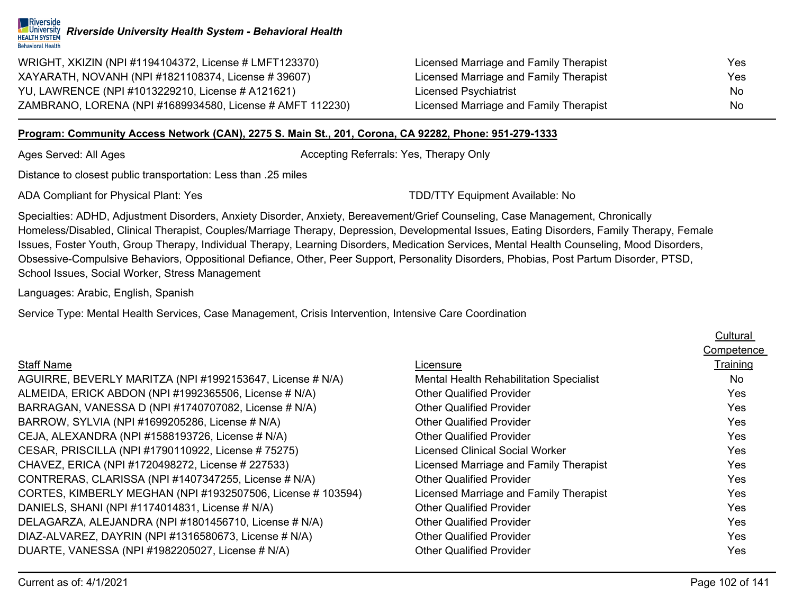

| WRIGHT, XKIZIN (NPI #1194104372, License # LMFT123370)    | Licensed Marriage and Family Therapist | Yes. |
|-----------------------------------------------------------|----------------------------------------|------|
| XAYARATH, NOVANH (NPI #1821108374, License # 39607)       | Licensed Marriage and Family Therapist | Yes  |
| YU, LAWRENCE (NPI #1013229210, License # A121621)         | Licensed Psychiatrist                  | No.  |
| ZAMBRANO, LORENA (NPI #1689934580, License # AMFT 112230) | Licensed Marriage and Family Therapist | No.  |

#### **Program: Community Access Network (CAN), 2275 S. Main St., 201, Corona, CA 92282, Phone: 951-279-1333**

Ages Served: All Ages Accepting Referrals: Yes, Therapy Only

Distance to closest public transportation: Less than .25 miles

ADA Compliant for Physical Plant: Yes TEER TO AND ADA Compliant Available: No

Specialties: ADHD, Adjustment Disorders, Anxiety Disorder, Anxiety, Bereavement/Grief Counseling, Case Management, Chronically Homeless/Disabled, Clinical Therapist, Couples/Marriage Therapy, Depression, Developmental Issues, Eating Disorders, Family Therapy, Female Issues, Foster Youth, Group Therapy, Individual Therapy, Learning Disorders, Medication Services, Mental Health Counseling, Mood Disorders, Obsessive-Compulsive Behaviors, Oppositional Defiance, Other, Peer Support, Personality Disorders, Phobias, Post Partum Disorder, PTSD, School Issues, Social Worker, Stress Management

Languages: Arabic, English, Spanish

Service Type: Mental Health Services, Case Management, Crisis Intervention, Intensive Care Coordination

|                                                             |                                         | Cultural        |
|-------------------------------------------------------------|-----------------------------------------|-----------------|
|                                                             |                                         | Competence      |
| <b>Staff Name</b>                                           | Licensure                               | <b>Training</b> |
| AGUIRRE, BEVERLY MARITZA (NPI #1992153647, License # N/A)   | Mental Health Rehabilitation Specialist | <b>No</b>       |
| ALMEIDA, ERICK ABDON (NPI #1992365506, License # N/A)       | <b>Other Qualified Provider</b>         | Yes             |
| BARRAGAN, VANESSA D (NPI #1740707082, License # N/A)        | <b>Other Qualified Provider</b>         | Yes             |
| BARROW, SYLVIA (NPI #1699205286, License # N/A)             | <b>Other Qualified Provider</b>         | <b>Yes</b>      |
| CEJA, ALEXANDRA (NPI #1588193726, License # N/A)            | <b>Other Qualified Provider</b>         | <b>Yes</b>      |
| CESAR, PRISCILLA (NPI #1790110922, License # 75275)         | Licensed Clinical Social Worker         | <b>Yes</b>      |
| CHAVEZ, ERICA (NPI #1720498272, License # 227533)           | Licensed Marriage and Family Therapist  | Yes             |
| CONTRERAS, CLARISSA (NPI #1407347255, License # N/A)        | <b>Other Qualified Provider</b>         | <b>Yes</b>      |
| CORTES, KIMBERLY MEGHAN (NPI #1932507506, License # 103594) | Licensed Marriage and Family Therapist  | <b>Yes</b>      |
| DANIELS, SHANI (NPI #1174014831, License # N/A)             | <b>Other Qualified Provider</b>         | Yes             |
| DELAGARZA, ALEJANDRA (NPI #1801456710, License # N/A)       | <b>Other Qualified Provider</b>         | <b>Yes</b>      |
| DIAZ-ALVAREZ, DAYRIN (NPI #1316580673, License # N/A)       | <b>Other Qualified Provider</b>         | <b>Yes</b>      |
| DUARTE, VANESSA (NPI #1982205027, License # N/A)            | <b>Other Qualified Provider</b>         | Yes             |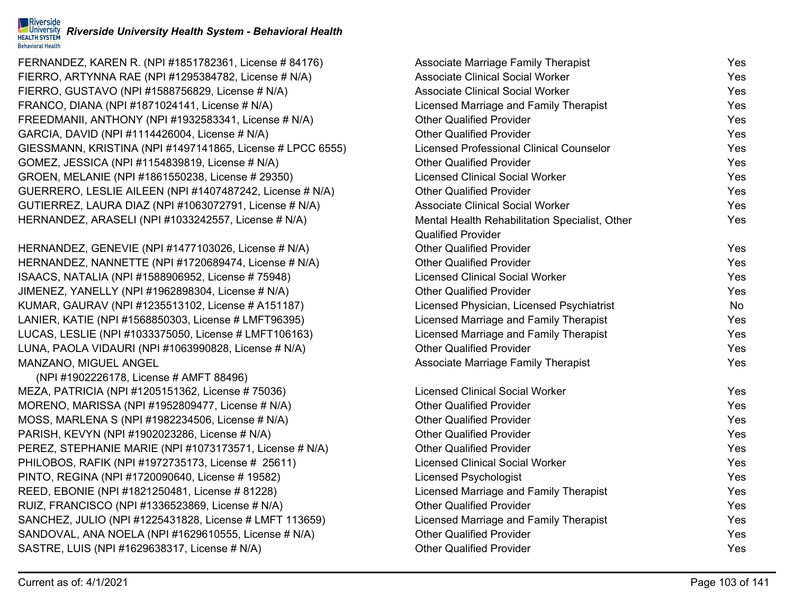FERNANDEZ, KAREN R. (NPI #1851782361, License # 84176) FIERRO, ARTYNNA RAE (NPI #1295384782, License # N/A) FIERRO, GUSTAVO (NPI #1588756829, License #  $N/A$ ) FRANCO, DIANA (NPI #1871024141, License # N/A) FREEDMANII, ANTHONY (NPI #1932583341, License # N/A) GARCIA, DAVID (NPI #1114426004, License # N/A) GIESSMANN, KRISTINA (NPI #1497141865, License # LPCC 6555) GOMEZ, JESSICA (NPI #1154839819, License # N/A) GROEN, MELANIE (NPI #1861550238, License # 29350) GUERRERO, LESLIE AILEEN (NPI #1407487242, License # N/A) GUTIERREZ, LAURA DIAZ (NPI #1063072791, License # N/A) HERNANDEZ, ARASELI (NPI #1033242557, License # N/A)

HERNANDEZ, GENEVIE (NPI  $#1477103026$ , License  $#N/A$ ) HERNANDEZ, NANNETTE (NPI #1720689474, License #  $N/A$ ) ISAACS, NATALIA (NPI #1588906952, License # 75948) JIMENEZ, YANELLY (NPI  $\#1962898304$ , License  $\# N/A$ ) KUMAR, GAURAV (NPI #1235513102, License # A151187) LANIER, KATIE (NPI #1568850303, License # LMFT96395) LUCAS, LESLIE (NPI #1033375050, License # LMFT106163) LUNA, PAOLA VIDAURI (NPI #1063990828, License # N/A) MANZANO, MIGUEL ANGEL

(NPI #1902226178, License # AMFT 88496) MEZA, PATRICIA (NPI #1205151362, License # 75036) MORENO, MARISSA (NPI #1952809477, License # N/A) MOSS, MARLENA S (NPI  $\#1982234506$ , License  $\# N/A$ ) PARISH, KEVYN (NPI #1902023286, License # N/A) PEREZ, STEPHANIE MARIE (NPI #1073173571, License # N/A) PHILOBOS, RAFIK (NPI #1972735173, License # 25611) PINTO, REGINA (NPI #1720090640, License # 19582) REED, EBONIE (NPI #1821250481, License # 81228) RUIZ, FRANCISCO (NPI #1336523869, License #  $N/A$ ) SANCHEZ, JULIO (NPI #1225431828, License # LMFT 113659) SANDOVAL, ANA NOELA (NPI  $#1629610555$ , License  $# N/A$ ) SASTRE, LUIS (NPI #1629638317, License # N/A)

| <b>Associate Marriage Family Therapist</b>      | Yes       |
|-------------------------------------------------|-----------|
| <b>Associate Clinical Social Worker</b>         | Yes       |
| <b>Associate Clinical Social Worker</b>         | Yes       |
| Licensed Marriage and Family Therapist          | Yes       |
| <b>Other Qualified Provider</b>                 | Yes       |
| <b>Other Qualified Provider</b>                 | Yes       |
| <b>Licensed Professional Clinical Counselor</b> | Yes       |
| <b>Other Qualified Provider</b>                 | Yes       |
| <b>Licensed Clinical Social Worker</b>          | Yes       |
| <b>Other Qualified Provider</b>                 | Yes       |
| <b>Associate Clinical Social Worker</b>         | Yes       |
| Mental Health Rehabilitation Specialist, Other  | Yes       |
| <b>Qualified Provider</b>                       |           |
| <b>Other Qualified Provider</b>                 | Yes       |
| <b>Other Qualified Provider</b>                 | Yes       |
| <b>Licensed Clinical Social Worker</b>          | Yes       |
| <b>Other Qualified Provider</b>                 | Yes       |
| Licensed Physician, Licensed Psychiatrist       | <b>No</b> |
| Licensed Marriage and Family Therapist          | Yes       |
| Licensed Marriage and Family Therapist          | Yes       |
| <b>Other Qualified Provider</b>                 | Yes       |
| <b>Associate Marriage Family Therapist</b>      | Yes       |
| <b>Licensed Clinical Social Worker</b>          | Yes       |
| <b>Other Qualified Provider</b>                 | Yes       |
| <b>Other Qualified Provider</b>                 | Yes       |
| <b>Other Qualified Provider</b>                 | Yes       |
| <b>Other Qualified Provider</b>                 | Yes       |
| <b>Licensed Clinical Social Worker</b>          | Yes       |
| <b>Licensed Psychologist</b>                    | Yes       |
| Licensed Marriage and Family Therapist          | Yes       |
| <b>Other Qualified Provider</b>                 | Yes       |
| Licensed Marriage and Family Therapist          | Yes       |
| <b>Other Qualified Provider</b>                 | Yes       |
| <b>Other Qualified Provider</b>                 | Yes       |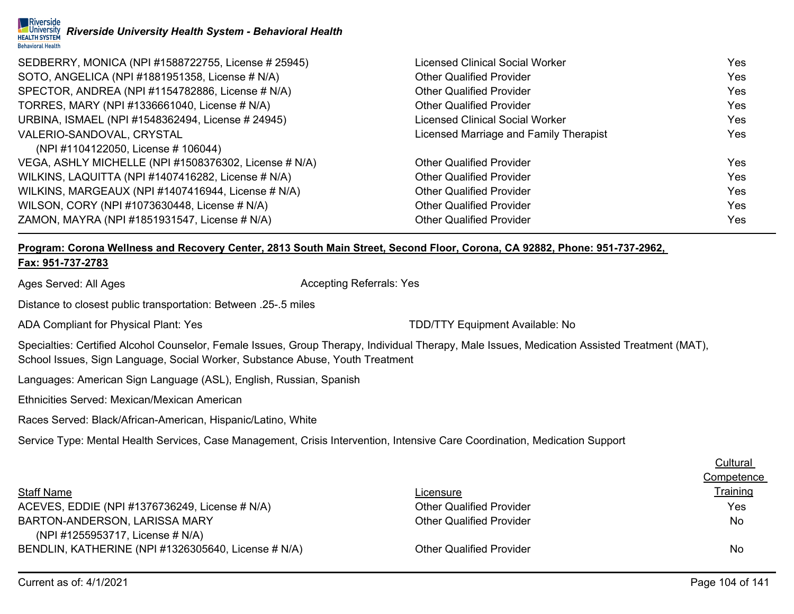| SEDBERRY, MONICA (NPI #1588722755, License # 25945)   | <b>Licensed Clinical Social Worker</b> | Yes        |
|-------------------------------------------------------|----------------------------------------|------------|
| SOTO, ANGELICA (NPI #1881951358, License # N/A)       | <b>Other Qualified Provider</b>        | <b>Yes</b> |
| SPECTOR, ANDREA (NPI #1154782886, License # N/A)      | <b>Other Qualified Provider</b>        | Yes        |
| TORRES, MARY (NPI #1336661040, License # N/A)         | <b>Other Qualified Provider</b>        | Yes        |
| URBINA, ISMAEL (NPI #1548362494, License # 24945)     | <b>Licensed Clinical Social Worker</b> | Yes        |
| VALERIO-SANDOVAL, CRYSTAL                             | Licensed Marriage and Family Therapist | Yes        |
| (NPI #1104122050, License # 106044)                   |                                        |            |
| VEGA, ASHLY MICHELLE (NPI #1508376302, License # N/A) | <b>Other Qualified Provider</b>        | Yes        |
| WILKINS, LAQUITTA (NPI #1407416282, License # N/A)    | <b>Other Qualified Provider</b>        | Yes        |
| WILKINS, MARGEAUX (NPI #1407416944, License # N/A)    | <b>Other Qualified Provider</b>        | Yes        |
| WILSON, CORY (NPI #1073630448, License # N/A)         | <b>Other Qualified Provider</b>        | Yes        |
| ZAMON, MAYRA (NPI #1851931547, License # N/A)         | <b>Other Qualified Provider</b>        | Yes        |

## **Program: Corona Wellness and Recovery Center, 2813 South Main Street, Second Floor, Corona, CA 92882, Phone: 951-737-2962,**

## **Fax: 951-737-2783**

Ages Served: All Ages Accepting Referrals: Yes

Distance to closest public transportation: Between .25-.5 miles

ADA Compliant for Physical Plant: Yes TDD/TTY Equipment Available: No

Specialties: Certified Alcohol Counselor, Female Issues, Group Therapy, Individual Therapy, Male Issues, Medication Assisted Treatment (MAT), School Issues, Sign Language, Social Worker, Substance Abuse, Youth Treatment

Languages: American Sign Language (ASL), English, Russian, Spanish

Ethnicities Served: Mexican/Mexican American

Races Served: Black/African-American, Hispanic/Latino, White

Service Type: Mental Health Services, Case Management, Crisis Intervention, Intensive Care Coordination, Medication Support

|                                                     |                                 | <b>Cultural</b> |
|-----------------------------------------------------|---------------------------------|-----------------|
|                                                     |                                 | Competence      |
| <b>Staff Name</b>                                   | Licensure                       | <b>Training</b> |
| ACEVES, EDDIE (NPI #1376736249, License # N/A)      | <b>Other Qualified Provider</b> | Yes             |
| BARTON-ANDERSON, LARISSA MARY                       | <b>Other Qualified Provider</b> | No              |
| (NPI #1255953717, License # N/A)                    |                                 |                 |
| BENDLIN, KATHERINE (NPI #1326305640, License # N/A) | <b>Other Qualified Provider</b> | No              |
|                                                     |                                 |                 |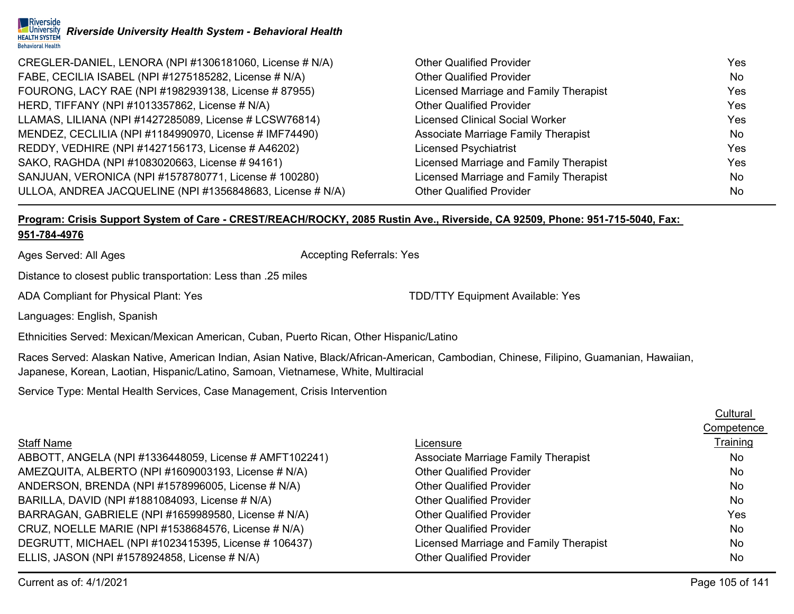

| CREGLER-DANIEL, LENORA (NPI #1306181060, License # N/A)   | <b>Other Qualified Provider</b>            | Yes. |
|-----------------------------------------------------------|--------------------------------------------|------|
| FABE, CECILIA ISABEL (NPI #1275185282, License # N/A)     | <b>Other Qualified Provider</b>            | No.  |
| FOURONG, LACY RAE (NPI #1982939138, License #87955)       | Licensed Marriage and Family Therapist     | Yes  |
| HERD, TIFFANY (NPI #1013357862, License # N/A)            | <b>Other Qualified Provider</b>            | Yes  |
| LLAMAS, LILIANA (NPI #1427285089, License # LCSW76814)    | Licensed Clinical Social Worker            | Yes  |
| MENDEZ, CECLILIA (NPI #1184990970, License # IMF74490)    | <b>Associate Marriage Family Therapist</b> | No.  |
| REDDY, VEDHIRE (NPI #1427156173, License # A46202)        | <b>Licensed Psychiatrist</b>               | Yes  |
| SAKO, RAGHDA (NPI #1083020663, License #94161)            | Licensed Marriage and Family Therapist     | Yes. |
| SANJUAN, VERONICA (NPI #1578780771, License # 100280)     | Licensed Marriage and Family Therapist     | No.  |
| ULLOA, ANDREA JACQUELINE (NPI #1356848683, License # N/A) | <b>Other Qualified Provider</b>            | No.  |

#### **Program: Crisis Support System of Care - CREST/REACH/ROCKY, 2085 Rustin Ave., Riverside, CA 92509, Phone: 951-715-5040, Fax: 951-784-4976**

Ages Served: All Ages **Accepting Referrals: Yes** Accepting Referrals: Yes

Distance to closest public transportation: Less than .25 miles

ADA Compliant for Physical Plant: Yes TDD/TTY Equipment Available: Yes

Languages: English, Spanish

Ethnicities Served: Mexican/Mexican American, Cuban, Puerto Rican, Other Hispanic/Latino

Races Served: Alaskan Native, American Indian, Asian Native, Black/African-American, Cambodian, Chinese, Filipino, Guamanian, Hawaiian, Japanese, Korean, Laotian, Hispanic/Latino, Samoan, Vietnamese, White, Multiracial

Service Type: Mental Health Services, Case Management, Crisis Intervention

|                                                        |                                        | Competence |
|--------------------------------------------------------|----------------------------------------|------------|
| <b>Staff Name</b>                                      | Licensure                              | Training   |
| ABBOTT, ANGELA (NPI #1336448059, License # AMFT102241) | Associate Marriage Family Therapist    | No         |
| AMEZQUITA, ALBERTO (NPI #1609003193, License # N/A)    | <b>Other Qualified Provider</b>        | <b>No</b>  |
| ANDERSON, BRENDA (NPI #1578996005, License # N/A)      | <b>Other Qualified Provider</b>        | No         |
| BARILLA, DAVID (NPI #1881084093, License # N/A)        | <b>Other Qualified Provider</b>        | No         |
| BARRAGAN, GABRIELE (NPI #1659989580, License # N/A)    | <b>Other Qualified Provider</b>        | Yes        |
| CRUZ, NOELLE MARIE (NPI #1538684576, License # N/A)    | <b>Other Qualified Provider</b>        | No         |
| DEGRUTT, MICHAEL (NPI #1023415395, License # 106437)   | Licensed Marriage and Family Therapist | No         |
| ELLIS, JASON (NPI #1578924858, License # N/A)          | <b>Other Qualified Provider</b>        | <b>No</b>  |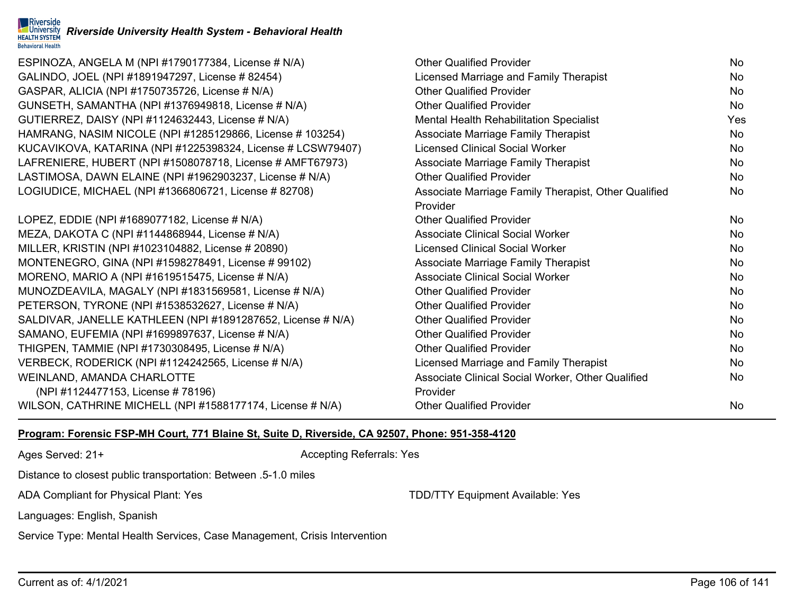

| ESPINOZA, ANGELA M (NPI #1790177384, License # N/A)         | <b>Other Qualified Provider</b>                      | No         |
|-------------------------------------------------------------|------------------------------------------------------|------------|
| GALINDO, JOEL (NPI #1891947297, License #82454)             | Licensed Marriage and Family Therapist               | No         |
| GASPAR, ALICIA (NPI #1750735726, License # N/A)             | <b>Other Qualified Provider</b>                      | No.        |
| GUNSETH, SAMANTHA (NPI #1376949818, License # N/A)          | <b>Other Qualified Provider</b>                      | No.        |
| GUTIERREZ, DAISY (NPI #1124632443, License # N/A)           | Mental Health Rehabilitation Specialist              | <b>Yes</b> |
| HAMRANG, NASIM NICOLE (NPI #1285129866, License # 103254)   | <b>Associate Marriage Family Therapist</b>           | No.        |
| KUCAVIKOVA, KATARINA (NPI #1225398324, License # LCSW79407) | <b>Licensed Clinical Social Worker</b>               | No         |
| LAFRENIERE, HUBERT (NPI #1508078718, License # AMFT67973)   | <b>Associate Marriage Family Therapist</b>           | No.        |
| LASTIMOSA, DAWN ELAINE (NPI #1962903237, License # N/A)     | <b>Other Qualified Provider</b>                      | No         |
| LOGIUDICE, MICHAEL (NPI #1366806721, License # 82708)       | Associate Marriage Family Therapist, Other Qualified | No         |
|                                                             | Provider                                             |            |
| LOPEZ, EDDIE (NPI #1689077182, License # N/A)               | <b>Other Qualified Provider</b>                      | No.        |
| MEZA, DAKOTA C (NPI #1144868944, License # N/A)             | <b>Associate Clinical Social Worker</b>              | No         |
| MILLER, KRISTIN (NPI #1023104882, License # 20890)          | <b>Licensed Clinical Social Worker</b>               | No.        |
| MONTENEGRO, GINA (NPI #1598278491, License # 99102)         | <b>Associate Marriage Family Therapist</b>           | No.        |
| MORENO, MARIO A (NPI #1619515475, License # N/A)            | <b>Associate Clinical Social Worker</b>              | <b>No</b>  |
| MUNOZDEAVILA, MAGALY (NPI #1831569581, License # N/A)       | <b>Other Qualified Provider</b>                      | No.        |
| PETERSON, TYRONE (NPI #1538532627, License # N/A)           | <b>Other Qualified Provider</b>                      | No.        |
| SALDIVAR, JANELLE KATHLEEN (NPI #1891287652, License # N/A) | <b>Other Qualified Provider</b>                      | No.        |
| SAMANO, EUFEMIA (NPI #1699897637, License # N/A)            | <b>Other Qualified Provider</b>                      | No.        |
| THIGPEN, TAMMIE (NPI #1730308495, License # N/A)            | <b>Other Qualified Provider</b>                      | No.        |
| VERBECK, RODERICK (NPI #1124242565, License # N/A)          | Licensed Marriage and Family Therapist               | No.        |
| WEINLAND, AMANDA CHARLOTTE                                  | Associate Clinical Social Worker, Other Qualified    | No.        |
| (NPI #1124477153, License # 78196)                          | Provider                                             |            |
| WILSON, CATHRINE MICHELL (NPI #1588177174, License # N/A)   | <b>Other Qualified Provider</b>                      | No.        |

## **Program: Forensic FSP-MH Court, 771 Blaine St, Suite D, Riverside, CA 92507, Phone: 951-358-4120**

Ages Served: 21+ Accepting Referrals: Yes

Distance to closest public transportation: Between .5-1.0 miles

ADA Compliant for Physical Plant: Yes TDD/TTY Equipment Available: Yes

Languages: English, Spanish

Service Type: Mental Health Services, Case Management, Crisis Intervention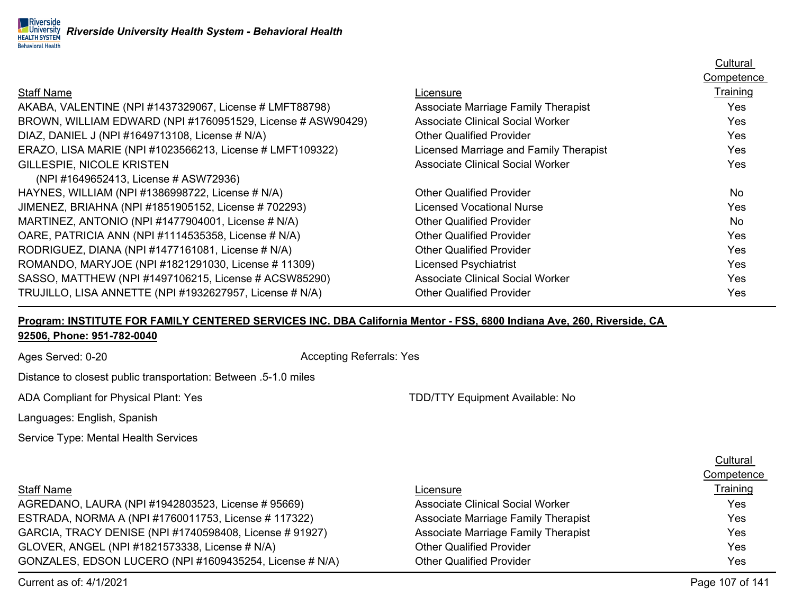|                                                             |                                            | Cultural   |
|-------------------------------------------------------------|--------------------------------------------|------------|
|                                                             |                                            | Competence |
| <b>Staff Name</b>                                           | Licensure                                  | Training   |
| AKABA, VALENTINE (NPI #1437329067, License # LMFT88798)     | <b>Associate Marriage Family Therapist</b> | Yes        |
| BROWN, WILLIAM EDWARD (NPI #1760951529, License # ASW90429) | Associate Clinical Social Worker           | Yes        |
| DIAZ, DANIEL J (NPI #1649713108, License # N/A)             | <b>Other Qualified Provider</b>            | Yes        |
| ERAZO, LISA MARIE (NPI #1023566213, License # LMFT109322)   | Licensed Marriage and Family Therapist     | Yes        |
| <b>GILLESPIE, NICOLE KRISTEN</b>                            | <b>Associate Clinical Social Worker</b>    | <b>Yes</b> |
| (NPI #1649652413, License # ASW72936)                       |                                            |            |
| HAYNES, WILLIAM (NPI #1386998722, License # N/A)            | <b>Other Qualified Provider</b>            | <b>No</b>  |
| JIMENEZ, BRIAHNA (NPI #1851905152, License # 702293)        | Licensed Vocational Nurse                  | Yes        |
| MARTINEZ, ANTONIO (NPI #1477904001, License # N/A)          | <b>Other Qualified Provider</b>            | <b>No</b>  |
| OARE, PATRICIA ANN (NPI #1114535358, License # N/A)         | <b>Other Qualified Provider</b>            | <b>Yes</b> |
| RODRIGUEZ, DIANA (NPI #1477161081, License # N/A)           | <b>Other Qualified Provider</b>            | <b>Yes</b> |
| ROMANDO, MARYJOE (NPI #1821291030, License # 11309)         | <b>Licensed Psychiatrist</b>               | Yes        |
| SASSO, MATTHEW (NPI #1497106215, License # ACSW85290)       | Associate Clinical Social Worker           | <b>Yes</b> |
| TRUJILLO, LISA ANNETTE (NPI #1932627957, License # N/A)     | <b>Other Qualified Provider</b>            | Yes        |

## **Program: INSTITUTE FOR FAMILY CENTERED SERVICES INC. DBA California Mentor - FSS, 6800 Indiana Ave, 260, Riverside, CA 92506, Phone: 951-782-0040**

Ages Served: 0-20 **Accepting Referrals: Yes** Accepting Referrals: Yes

Distance to closest public transportation: Between .5-1.0 miles

ADA Compliant for Physical Plant: Yes TDD/TTY Equipment Available: No

Languages: English, Spanish

Service Type: Mental Health Services

|                                                         |                                         | <b>Competence</b> |
|---------------------------------------------------------|-----------------------------------------|-------------------|
| <b>Staff Name</b>                                       | Licensure                               | Training          |
| AGREDANO, LAURA (NPI #1942803523, License # 95669)      | <b>Associate Clinical Social Worker</b> | Yes               |
| ESTRADA, NORMA A (NPI #1760011753, License # 117322)    | Associate Marriage Family Therapist     | Yes               |
| GARCIA, TRACY DENISE (NPI #1740598408, License # 91927) | Associate Marriage Family Therapist     | Yes               |
| GLOVER, ANGEL (NPI #1821573338, License # N/A)          | <b>Other Qualified Provider</b>         | Yes               |
| GONZALES, EDSON LUCERO (NPI #1609435254, License # N/A) | <b>Other Qualified Provider</b>         | Yes               |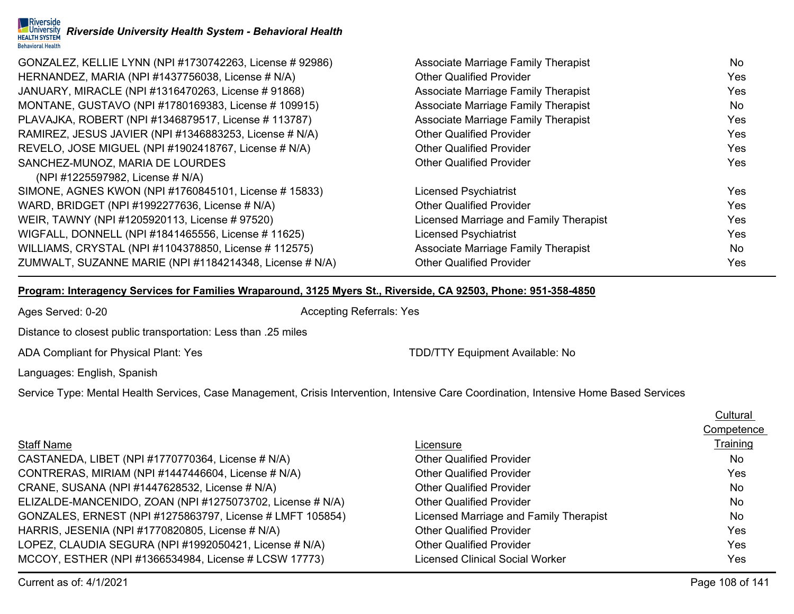

GONZALEZ, KELLIE LYNN (NPI #1730742263, License # 92986) Associate Marriage Family Therapist Associate Marriage Family Therapist HERNANDEZ, MARIA (NPI #1437756038, License # N/A) Cher Qualified Provider The Communication of the Yes JANUARY, MIRACLE (NPI #1316470263, License # 91868) Associate Marriage Family Therapist Marriage Family Therapist MONTANE, GUSTAVO (NPI #1780169383, License # 109915) Associate Marriage Family Therapist No PLAVAJKA, ROBERT (NPI #1346879517, License # 113787) Associate Marriage Family Therapist Marriage Family Therapist RAMIREZ, JESUS JAVIER (NPI #1346883253, License # N/A) Other Qualified Provider Ves REVELO, JOSE MIGUEL (NPI #1902418767, License # N/A) Other Qualified Provider Yes SANCHEZ-MUNOZ, MARIA DE LOURDES (NPI #1225597982, License # N/A) Other Qualified Provider New Yes SIMONE, AGNES KWON (NPI #1760845101, License # 15833) Licensed Psychiatrist Yes WARD, BRIDGET (NPI #1992277636, License # N/A) Cher Qualified Provider Construction of the Ves WEIR, TAWNY (NPI #1205920113, License # 97520) License And Tamily Therapist Marriage and Family Therapist Marriage and Family Therapist WIGFALL, DONNELL (NPI #1841465556, License # 11625) Licensed Psychiatrist Christian Muslem Christian Muslem Muslem Muslem Muslem Muslem Muslem Muslem Muslem Muslem Muslem Muslem Muslem Muslem Muslem Muslem Muslem Muslem Mu WILLIAMS, CRYSTAL (NPI #1104378850, License # 112575) Associate Marriage Family Therapist Marriage Family Therapist ZUMWALT, SUZANNE MARIE (NPI #1184214348, License # N/A) Other Qualified Provider Ves

#### **Program: Interagency Services for Families Wraparound, 3125 Myers St., Riverside, CA 92503, Phone: 951-358-4850**

Ages Served: 0-20 **Accepting Referrals: Yes** Accepting Referrals: Yes

Distance to closest public transportation: Less than .25 miles

ADA Compliant for Physical Plant: Yes TCON TO AND TO THE TO THE TOPOS TO THE REGISTION OF THE TO A CONTROLLER

Languages: English, Spanish

Service Type: Mental Health Services, Case Management, Crisis Intervention, Intensive Care Coordination, Intensive Home Based Services

|                                        | Cultural   |
|----------------------------------------|------------|
|                                        | Competence |
| Licensure                              | Training   |
| <b>Other Qualified Provider</b>        | No.        |
| <b>Other Qualified Provider</b>        | Yes        |
| <b>Other Qualified Provider</b>        | No.        |
| <b>Other Qualified Provider</b>        | No.        |
| Licensed Marriage and Family Therapist | No.        |
| <b>Other Qualified Provider</b>        | Yes        |
| <b>Other Qualified Provider</b>        | Yes        |
| <b>Licensed Clinical Social Worker</b> | Yes.       |
|                                        |            |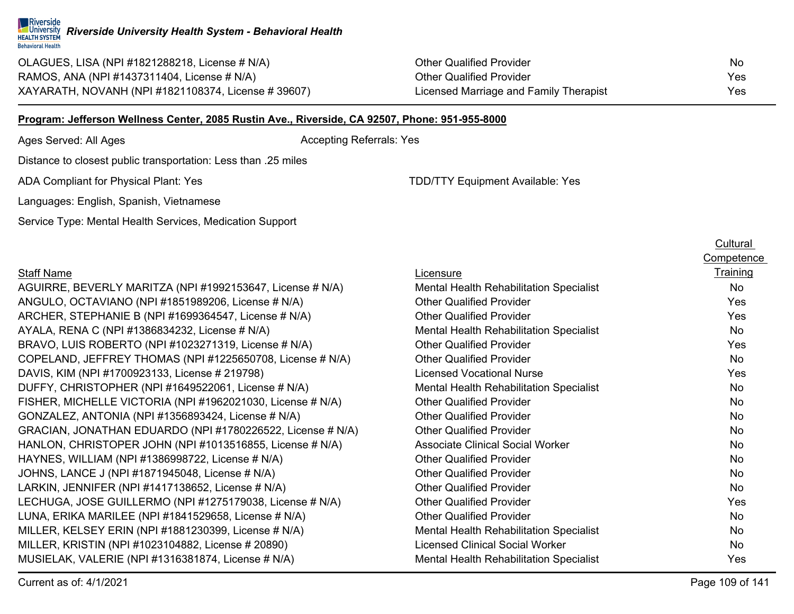#### **Riverside** *Riverside University Health System - Behavioral Health* **HEALTH SYSTEM**

#### **Program: Jefferson Wellness Center, 2085 Rustin Ave., Riverside, CA 92507, Phone: 951-955-8000**

Ages Served: All Ages Accepting Referrals: Yes

Distance to closest public transportation: Less than .25 miles

ADA Compliant for Physical Plant: Yes TELL THE SECTION COMPLETED TO THE TOP THAT TO THE YES

Languages: English, Spanish, Vietnamese

Service Type: Mental Health Services, Medication Support

#### Staff Name

**Behavioral Health** 

AGUIRRE, BEVERLY MARITZA (NPI #1992153647, License # N/A) Mental Health Rehabilitation N  $ANGULO, OCTAVIANO (NPI #1851989206, License # N/A)$   $($ ARCHER, STEPHANIE B (NPI #1699364547, License # N/A) AYALA, RENA C (NPI #1386834232, License # N/A) BRAVO, LUIS ROBERTO (NPI #1023271319, License # N/A)  $\qquad \qquad \qquad$ COPELAND, JEFFREY THOMAS (NPI #1225650708, License # N/A) C DAVIS, KIM (NPI #1700923133, License # 219798) DUFFY, CHRISTOPHER (NPI #1649522061, License # N/A) FISHER, MICHELLE VICTORIA (NPI #1962021030, License # N/A) Other Australians C GONZALEZ, ANTONIA (NPI #1356893424, License # N/A) Other Anti-GRACIAN, JONATHAN EDUARDO (NPI #1780226522, License # N/A) C HANLON, CHRISTOPER JOHN (NPI #1013516855, License # N/A)  $\beta$ HAYNES, WILLIAM (NPI #1386998722, License # N/A)  $\qquad \qquad \qquad \qquad$   $\qquad \qquad \qquad$ JOHNS, LANCE J (NPI #1871945048, License # N/A) OHNS, LANCE J LARKIN, JENNIFER (NPI #1417138652, License # N/A)  $\qquad \qquad \qquad \qquad$ LECHUGA, JOSE GUILLERMO (NPI #1275179038, License # N/A) C LUNA, ERIKA MARILEE (NPI #1841529658, License # N/A) O MILLER, KELSEY ERIN (NPI #1881230399, License # N/A)  $\blacksquare$ MILLER, KRISTIN (NPI #1023104882, License # 20890) MUSIELAK, VALERIE (NPI #1316381874, License # N/A)  $\blacksquare$ 

| Licensure                                      | <b>Training</b> |
|------------------------------------------------|-----------------|
| <b>Mental Health Rehabilitation Specialist</b> | No              |
| <b>Other Qualified Provider</b>                | Yes             |
| <b>Other Qualified Provider</b>                | Yes             |
| <b>Mental Health Rehabilitation Specialist</b> | No.             |
| <b>Other Qualified Provider</b>                | Yes             |
| <b>Other Qualified Provider</b>                | <b>No</b>       |
| <b>Licensed Vocational Nurse</b>               | Yes             |
| <b>Mental Health Rehabilitation Specialist</b> | No.             |
| <b>Other Qualified Provider</b>                | No              |
| <b>Other Qualified Provider</b>                | No              |
| <b>Other Qualified Provider</b>                | <b>No</b>       |
| <b>Associate Clinical Social Worker</b>        | No.             |
| <b>Other Qualified Provider</b>                | No.             |
| <b>Other Qualified Provider</b>                | No              |
| <b>Other Qualified Provider</b>                | <b>No</b>       |
| <b>Other Qualified Provider</b>                | Yes             |
| <b>Other Qualified Provider</b>                | No.             |
| Mental Health Rehabilitation Specialist        | No.             |
| Licensed Clinical Social Worker                | No              |
| Mental Health Rehabilitation Specialist        | Yes             |
|                                                |                 |

**Cultural Competence** 

OLAGUES, LISA (NPI #1821288218, License # N/A) Qther Qualified Provider No No RAMOS, ANA (NPI #1437311404, License # N/A)  $\overline{a}$  Other Qualified Provider Ves XAYARATH, NOVANH (NPI #1821108374, License # 39607) Licensed Marriage and Family Therapist Yes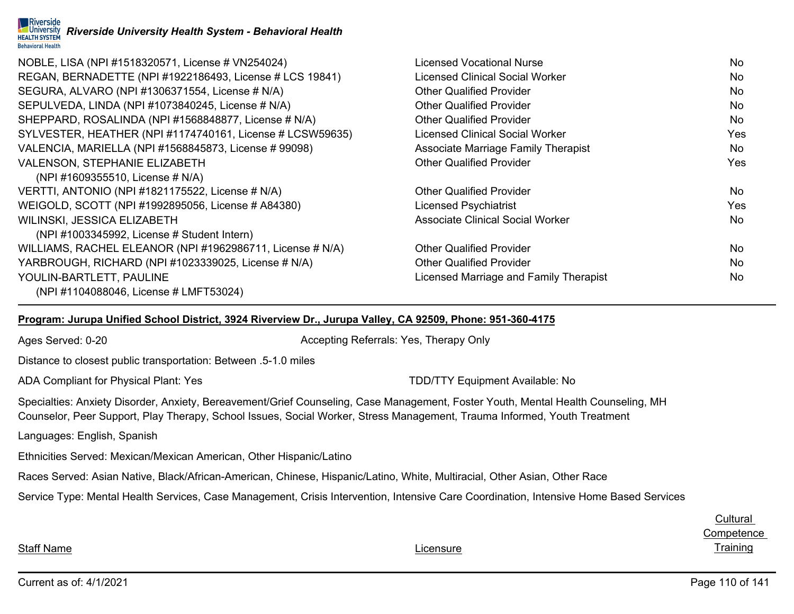

| NOBLE, LISA (NPI #1518320571, License # VN254024)         | Licensed Vocational Nurse               | No         |
|-----------------------------------------------------------|-----------------------------------------|------------|
| REGAN, BERNADETTE (NPI #1922186493, License # LCS 19841)  | <b>Licensed Clinical Social Worker</b>  | No         |
| SEGURA, ALVARO (NPI #1306371554, License # N/A)           | <b>Other Qualified Provider</b>         | No         |
| SEPULVEDA, LINDA (NPI #1073840245, License # N/A)         | <b>Other Qualified Provider</b>         | No         |
| SHEPPARD, ROSALINDA (NPI #1568848877, License # N/A)      | <b>Other Qualified Provider</b>         | No         |
| SYLVESTER, HEATHER (NPI #1174740161, License # LCSW59635) | <b>Licensed Clinical Social Worker</b>  | Yes        |
| VALENCIA, MARIELLA (NPI #1568845873, License # 99098)     | Associate Marriage Family Therapist     | No         |
| <b>VALENSON, STEPHANIE ELIZABETH</b>                      | <b>Other Qualified Provider</b>         | Yes        |
| (NPI#1609355510, License # N/A)                           |                                         |            |
| VERTTI, ANTONIO (NPI #1821175522, License # N/A)          | <b>Other Qualified Provider</b>         | No         |
| WEIGOLD, SCOTT (NPI #1992895056, License # A84380)        | <b>Licensed Psychiatrist</b>            | <b>Yes</b> |
| WILINSKI, JESSICA ELIZABETH                               | <b>Associate Clinical Social Worker</b> | No.        |
| $(NPI #1003345992,$ License # Student Intern)             |                                         |            |
| WILLIAMS, RACHEL ELEANOR (NPI #1962986711, License # N/A) | <b>Other Qualified Provider</b>         | No         |
| YARBROUGH, RICHARD (NPI #1023339025, License # N/A)       | <b>Other Qualified Provider</b>         | No         |
| YOULIN-BARTLETT, PAULINE                                  | Licensed Marriage and Family Therapist  | No.        |
| (NPI #1104088046, License # LMFT53024)                    |                                         |            |

#### **Program: Jurupa Unified School District, 3924 Riverview Dr., Jurupa Valley, CA 92509, Phone: 951-360-4175**

Ages Served: 0-20 **Accepting Referrals: Yes, Therapy Only** Accepting Referrals: Yes, Therapy Only

Distance to closest public transportation: Between .5-1.0 miles

ADA Compliant for Physical Plant: Yes TEER TO AND ADA Compliant Available: No

Specialties: Anxiety Disorder, Anxiety, Bereavement/Grief Counseling, Case Management, Foster Youth, Mental Health Counseling, MH Counselor, Peer Support, Play Therapy, School Issues, Social Worker, Stress Management, Trauma Informed, Youth Treatment

Languages: English, Spanish

Ethnicities Served: Mexican/Mexican American, Other Hispanic/Latino

Races Served: Asian Native, Black/African-American, Chinese, Hispanic/Latino, White, Multiracial, Other Asian, Other Race

Service Type: Mental Health Services, Case Management, Crisis Intervention, Intensive Care Coordination, Intensive Home Based Services

**Cultural Competence** Licensure **Training** 

Staff Name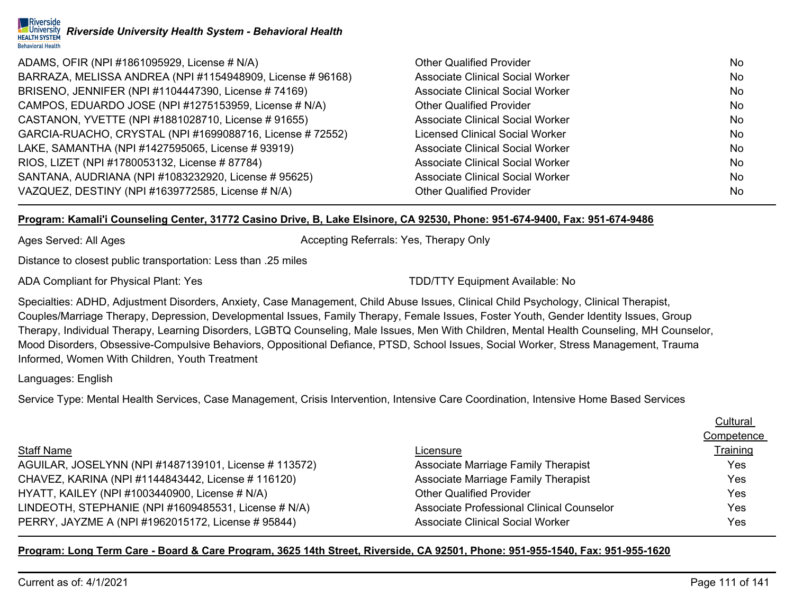

| ADAMS, OFIR (NPI #1861095929, License # N/A)               | Other Qualified Provider                | No. |
|------------------------------------------------------------|-----------------------------------------|-----|
| BARRAZA, MELISSA ANDREA (NPI #1154948909, License # 96168) | <b>Associate Clinical Social Worker</b> | No. |
| BRISENO, JENNIFER (NPI #1104447390, License # 74169)       | <b>Associate Clinical Social Worker</b> | No. |
| CAMPOS, EDUARDO JOSE (NPI #1275153959, License # N/A)      | Other Qualified Provider                | No. |
| CASTANON, YVETTE (NPI #1881028710, License #91655)         | <b>Associate Clinical Social Worker</b> | No. |
| GARCIA-RUACHO, CRYSTAL (NPI #1699088716, License # 72552)  | Licensed Clinical Social Worker         | No. |
| LAKE, SAMANTHA (NPI #1427595065, License # 93919)          | <b>Associate Clinical Social Worker</b> | No. |
| RIOS, LIZET (NPI #1780053132, License #87784)              | <b>Associate Clinical Social Worker</b> | No. |
| SANTANA, AUDRIANA (NPI #1083232920, License # 95625)       | <b>Associate Clinical Social Worker</b> | No. |
| VAZQUEZ, DESTINY (NPI #1639772585, License # N/A)          | Other Qualified Provider                | No. |

#### **Program: Kamali'i Counseling Center, 31772 Casino Drive, B, Lake Elsinore, CA 92530, Phone: 951-674-9400, Fax: 951-674-9486**

Ages Served: All Ages Accepting Referrals: Yes, Therapy Only

Distance to closest public transportation: Less than .25 miles

ADA Compliant for Physical Plant: Yes TEER TO AND ADA Compliant Available: No

Specialties: ADHD, Adjustment Disorders, Anxiety, Case Management, Child Abuse Issues, Clinical Child Psychology, Clinical Therapist, Couples/Marriage Therapy, Depression, Developmental Issues, Family Therapy, Female Issues, Foster Youth, Gender Identity Issues, Group Therapy, Individual Therapy, Learning Disorders, LGBTQ Counseling, Male Issues, Men With Children, Mental Health Counseling, MH Counselor, Mood Disorders, Obsessive-Compulsive Behaviors, Oppositional Defiance, PTSD, School Issues, Social Worker, Stress Management, Trauma Informed, Women With Children, Youth Treatment

Languages: English

Service Type: Mental Health Services, Case Management, Crisis Intervention, Intensive Care Coordination, Intensive Home Based Services

|                                                       |                                           | Cultural   |
|-------------------------------------------------------|-------------------------------------------|------------|
|                                                       |                                           | Competence |
| <b>Staff Name</b>                                     | Licensure                                 | Training   |
| AGUILAR, JOSELYNN (NPI #1487139101, License # 113572) | Associate Marriage Family Therapist       | Yes        |
| CHAVEZ, KARINA (NPI #1144843442, License # 116120)    | Associate Marriage Family Therapist       | Yes        |
| HYATT, KAILEY (NPI #1003440900, License # N/A)        | <b>Other Qualified Provider</b>           | Yes        |
| LINDEOTH, STEPHANIE (NPI #1609485531, License # N/A)  | Associate Professional Clinical Counselor | Yes        |
| PERRY, JAYZME A (NPI #1962015172, License # 95844)    | <b>Associate Clinical Social Worker</b>   | Yes.       |

#### **Program: Long Term Care - Board & Care Program, 3625 14th Street, Riverside, CA 92501, Phone: 951-955-1540, Fax: 951-955-1620**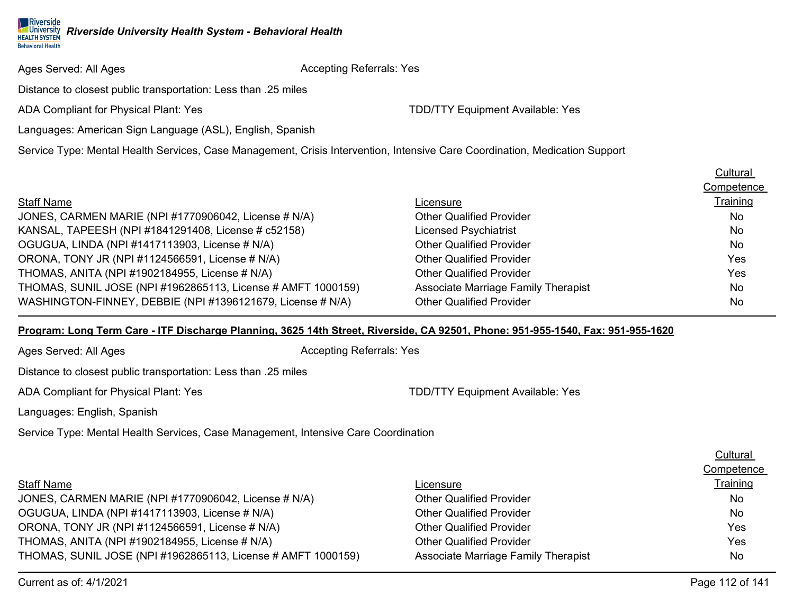#### Riverside *Riverside University Health System - Behavioral Health* **HEALTH SYSTEM Behavioral Health**

#### Ages Served: All Ages Accepting Referrals: Yes

Distance to closest public transportation: Less than .25 miles

ADA Compliant for Physical Plant: Yes TDD/TTY Equipment Available: Yes

Languages: American Sign Language (ASL), English, Spanish

Service Type: Mental Health Services, Case Management, Crisis Intervention, Intensive Care Coordination, Medication Support

|                                                              |                                     | <b>Uullul</b> di |
|--------------------------------------------------------------|-------------------------------------|------------------|
|                                                              |                                     | Competence       |
| <b>Staff Name</b>                                            | Licensure                           | Training         |
| JONES, CARMEN MARIE (NPI #1770906042, License # N/A)         | <b>Other Qualified Provider</b>     | No.              |
| KANSAL, TAPEESH (NPI #1841291408, License # c52158)          | Licensed Psychiatrist               | No.              |
| OGUGUA, LINDA (NPI #1417113903, License # N/A)               | <b>Other Qualified Provider</b>     | No.              |
| ORONA, TONY JR (NPI #1124566591, License # N/A)              | <b>Other Qualified Provider</b>     | Yes.             |
| THOMAS, ANITA (NPI #1902184955, License # N/A)               | <b>Other Qualified Provider</b>     | Yes              |
| THOMAS, SUNIL JOSE (NPI #1962865113, License # AMFT 1000159) | Associate Marriage Family Therapist | No.              |
| WASHINGTON-FINNEY, DEBBIE (NPI #1396121679, License # N/A)   | <b>Other Qualified Provider</b>     | No.              |

#### **Program: Long Term Care - ITF Discharge Planning, 3625 14th Street, Riverside, CA 92501, Phone: 951-955-1540, Fax: 951-955-1620**

Ages Served: All Ages Accepting Referrals: Yes Distance to closest public transportation: Less than .25 miles ADA Compliant for Physical Plant: Yes TDD/TTY Equipment Available: Yes Languages: English, Spanish Service Type: Mental Health Services, Case Management, Intensive Care Coordination

|                                                              |                                            | _______    |
|--------------------------------------------------------------|--------------------------------------------|------------|
|                                                              |                                            | Competence |
| <b>Staff Name</b>                                            | Licensure                                  | Training   |
| JONES, CARMEN MARIE (NPI #1770906042, License # N/A)         | <b>Other Qualified Provider</b>            | No.        |
| OGUGUA, LINDA (NPI #1417113903, License # N/A)               | <b>Other Qualified Provider</b>            | <b>No</b>  |
| ORONA, TONY JR (NPI #1124566591, License # N/A)              | <b>Other Qualified Provider</b>            | Yes        |
| THOMAS, ANITA (NPI #1902184955, License # N/A)               | <b>Other Qualified Provider</b>            | Yes        |
| THOMAS, SUNIL JOSE (NPI #1962865113, License # AMFT 1000159) | <b>Associate Marriage Family Therapist</b> | No         |
|                                                              |                                            |            |

**Cultural**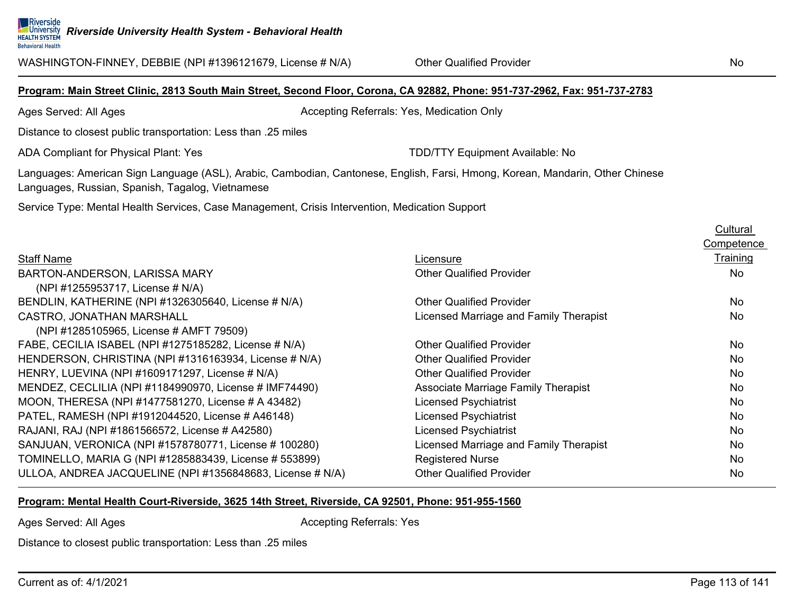#### **Program: Main Street Clinic, 2813 South Main Street, Second Floor, Corona, CA 92882, Phone: 951-737-2962, Fax: 951-737-2783**

Ages Served: All Ages **Accepting Referrals: Yes, Medication Only** 

Distance to closest public transportation: Less than .25 miles

ADA Compliant for Physical Plant: Yes TDD/TTY Equipment Available: No

Languages: American Sign Language (ASL), Arabic, Cambodian, Cantonese, English, Farsi, Hmong, Korean, Mandarin, Other Chinese Languages, Russian, Spanish, Tagalog, Vietnamese

Service Type: Mental Health Services, Case Management, Crisis Intervention, Medication Support

|                                                           |                                            | Cultural   |
|-----------------------------------------------------------|--------------------------------------------|------------|
|                                                           |                                            | Competence |
| <b>Staff Name</b>                                         | Licensure                                  | Training   |
| BARTON-ANDERSON, LARISSA MARY                             | <b>Other Qualified Provider</b>            | No         |
| (NPI #1255953717, License # N/A)                          |                                            |            |
| BENDLIN, KATHERINE (NPI #1326305640, License # N/A)       | <b>Other Qualified Provider</b>            | <b>No</b>  |
| CASTRO, JONATHAN MARSHALL                                 | Licensed Marriage and Family Therapist     | <b>No</b>  |
| (NPI #1285105965, License # AMFT 79509)                   |                                            |            |
| FABE, CECILIA ISABEL (NPI #1275185282, License # N/A)     | <b>Other Qualified Provider</b>            | <b>No</b>  |
| HENDERSON, CHRISTINA (NPI #1316163934, License # N/A)     | <b>Other Qualified Provider</b>            | <b>No</b>  |
| HENRY, LUEVINA (NPI #1609171297, License # N/A)           | <b>Other Qualified Provider</b>            | <b>No</b>  |
| MENDEZ, CECLILIA (NPI #1184990970, License # IMF74490)    | <b>Associate Marriage Family Therapist</b> | <b>No</b>  |
| MOON, THERESA (NPI #1477581270, License # A 43482)        | <b>Licensed Psychiatrist</b>               | <b>No</b>  |
| PATEL, RAMESH (NPI #1912044520, License # A46148)         | <b>Licensed Psychiatrist</b>               | <b>No</b>  |
| RAJANI, RAJ (NPI #1861566572, License # A42580)           | <b>Licensed Psychiatrist</b>               | <b>No</b>  |
| SANJUAN, VERONICA (NPI #1578780771, License # 100280)     | Licensed Marriage and Family Therapist     | <b>No</b>  |
| TOMINELLO, MARIA G (NPI #1285883439, License # 553899)    | <b>Registered Nurse</b>                    | <b>No</b>  |
| ULLOA, ANDREA JACQUELINE (NPI #1356848683, License # N/A) | <b>Other Qualified Provider</b>            | <b>No</b>  |

#### **Program: Mental Health Court-Riverside, 3625 14th Street, Riverside, CA 92501, Phone: 951-955-1560**

Ages Served: All Ages Accepting Referrals: Yes

Distance to closest public transportation: Less than .25 miles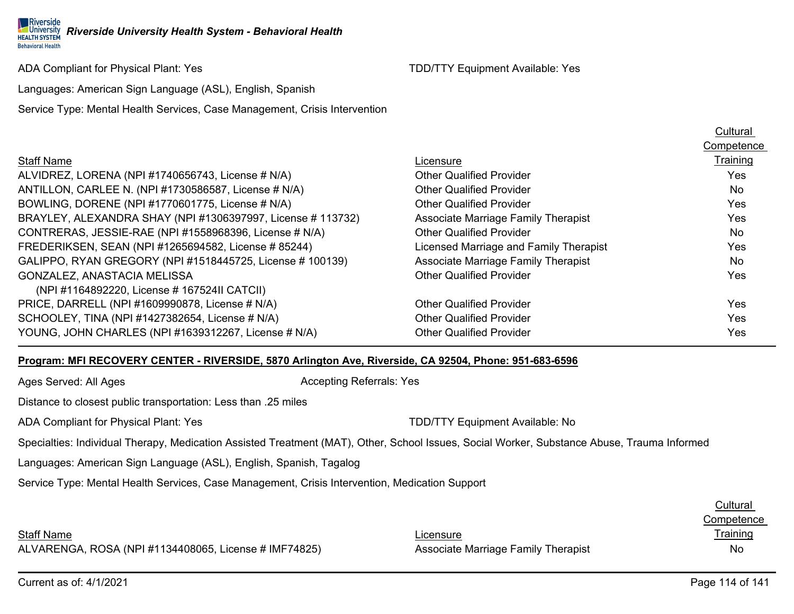Riverside *Riverside University Health System - Behavioral Health* **HEALTH SYSTEM Behavioral Health** 

ADA Compliant for Physical Plant: Yes TDD/TTY Equipment Available: Yes

Languages: American Sign Language (ASL), English, Spanish

Service Type: Mental Health Services, Case Management, Crisis Intervention

|                                                             |                                        | Cultural   |
|-------------------------------------------------------------|----------------------------------------|------------|
|                                                             |                                        | Competence |
| <b>Staff Name</b>                                           | Licensure                              | Training   |
| ALVIDREZ, LORENA (NPI #1740656743, License # N/A)           | <b>Other Qualified Provider</b>        | Yes        |
| ANTILLON, CARLEE N. (NPI #1730586587, License # N/A)        | <b>Other Qualified Provider</b>        | No.        |
| BOWLING, DORENE (NPI #1770601775, License # N/A)            | <b>Other Qualified Provider</b>        | Yes        |
| BRAYLEY, ALEXANDRA SHAY (NPI #1306397997, License # 113732) | Associate Marriage Family Therapist    | Yes        |
| CONTRERAS, JESSIE-RAE (NPI #1558968396, License # N/A)      | <b>Other Qualified Provider</b>        | No.        |
| FREDERIKSEN, SEAN (NPI #1265694582, License #85244)         | Licensed Marriage and Family Therapist | Yes        |
| GALIPPO, RYAN GREGORY (NPI #1518445725, License # 100139)   | Associate Marriage Family Therapist    | No.        |
| GONZALEZ, ANASTACIA MELISSA                                 | <b>Other Qualified Provider</b>        | Yes        |
| (NPI#1164892220, License # 167524II CATCII)                 |                                        |            |
| PRICE, DARRELL (NPI #1609990878, License # N/A)             | <b>Other Qualified Provider</b>        | Yes        |
| SCHOOLEY, TINA (NPI #1427382654, License # N/A)             | <b>Other Qualified Provider</b>        | Yes        |
| YOUNG, JOHN CHARLES (NPI #1639312267, License # N/A)        | <b>Other Qualified Provider</b>        | Yes        |

#### **Program: MFI RECOVERY CENTER - RIVERSIDE, 5870 Arlington Ave, Riverside, CA 92504, Phone: 951-683-6596**

Ages Served: All Ages Accepting Referrals: Yes

Distance to closest public transportation: Less than .25 miles

ADA Compliant for Physical Plant: Yes TELL THE SECTION TO THE TOP/TTY Equipment Available: No

Specialties: Individual Therapy, Medication Assisted Treatment (MAT), Other, School Issues, Social Worker, Substance Abuse, Trauma Informed

Languages: American Sign Language (ASL), English, Spanish, Tagalog

Service Type: Mental Health Services, Case Management, Crisis Intervention, Medication Support

Staff Name **Cultural Competence** Licensure Training ALVARENGA, ROSA (NPI #1134408065, License # IMF74825) Associate Marriage Family Therapist Australian Mo

Current as of: 4/1/2021 Page 114 of 141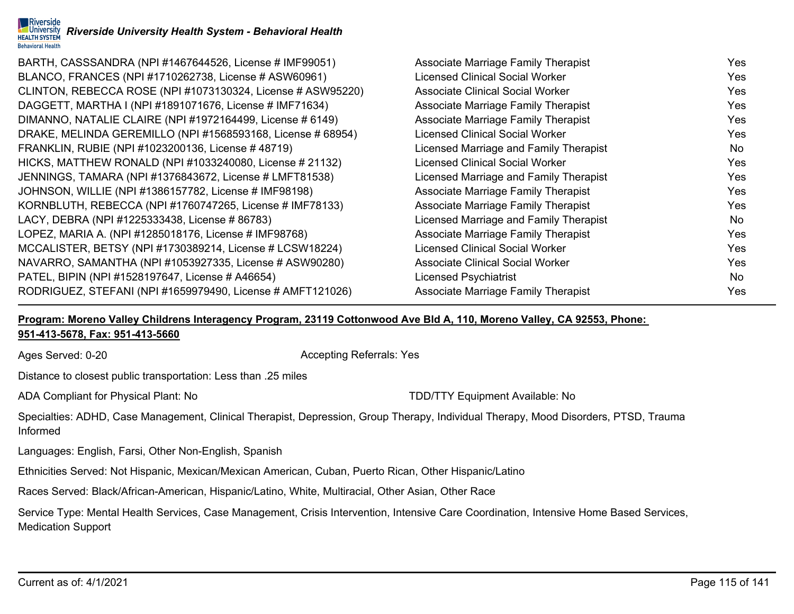

BARTH, CASSSANDRA (NPI #1467644526, License # IMF99051) Associate Marriage Family Therapist Marriage Family Therapist BLANCO, FRANCES (NPI #1710262738, License # ASW60961) Licensed Clinical Social Worker Yes CLINTON, REBECCA ROSE (NPI #1073130324, License # ASW95220) Associate Clinical Social Worker Yes DAGGETT, MARTHA I (NPI #1891071676, License # IMF71634) Associate Marriage Family Therapist Marriage Family Therapist DIMANNO, NATALIE CLAIRE (NPI #1972164499, License # 6149) Associate Marriage Family Therapist Marriage Family Therapist DRAKE, MELINDA GEREMILLO (NPI #1568593168, License # 68954) Licensed Clinical Social Worker Yes FRANKLIN, RUBIE (NPI #1023200136, License # 48719) Licensed Marriage and Family Therapist No HICKS, MATTHEW RONALD (NPI #1033240080, License # 21132) Licensed Clinical Social Worker Yes JENNINGS, TAMARA (NPI #1376843672, License # LMFT81538) Licensed Marriage and Family Therapist Yes JOHNSON, WILLIE (NPI #1386157782, License # IMF98198) Associate Marriage Family Therapist Associate Marriage Family Therapist KORNBLUTH, REBECCA (NPI #1760747265, License # IMF78133) Associate Marriage Family Therapist Marriage Family Therapist LACY, DEBRA (NPI #1225333438, License # 86783) Licensed Marriage and Family Therapist No LOPEZ, MARIA A. (NPI #1285018176, License # IMF98768) Associate Marriage Family Therapist Associate Marriage Family Therapist MCCALISTER, BETSY (NPI #1730389214, License # LCSW18224) Licensed Clinical Social Worker Yes NAVARRO, SAMANTHA (NPI #1053927335, License # ASW90280) Associate Clinical Social Worker Yes PATEL, BIPIN (NPI #1528197647, License # A46654) No Controlled a Licensed Psychiatrist No Controlled a No Controlled A RODRIGUEZ, STEFANI (NPI #1659979490, License # AMFT121026) Associate Marriage Family Therapist Marriage Family Therapist

## **Program: Moreno Valley Childrens Interagency Program, 23119 Cottonwood Ave Bld A, 110, Moreno Valley, CA 92553, Phone: 951-413-5678, Fax: 951-413-5660**

Ages Served: 0-20 **Accepting Referrals: Yes** Accepting Referrals: Yes

Distance to closest public transportation: Less than .25 miles

ADA Compliant for Physical Plant: No TOD/TTY Equipment Available: No

Specialties: ADHD, Case Management, Clinical Therapist, Depression, Group Therapy, Individual Therapy, Mood Disorders, PTSD, Trauma Informed

Languages: English, Farsi, Other Non-English, Spanish

Ethnicities Served: Not Hispanic, Mexican/Mexican American, Cuban, Puerto Rican, Other Hispanic/Latino

Races Served: Black/African-American, Hispanic/Latino, White, Multiracial, Other Asian, Other Race

Service Type: Mental Health Services, Case Management, Crisis Intervention, Intensive Care Coordination, Intensive Home Based Services, Medication Support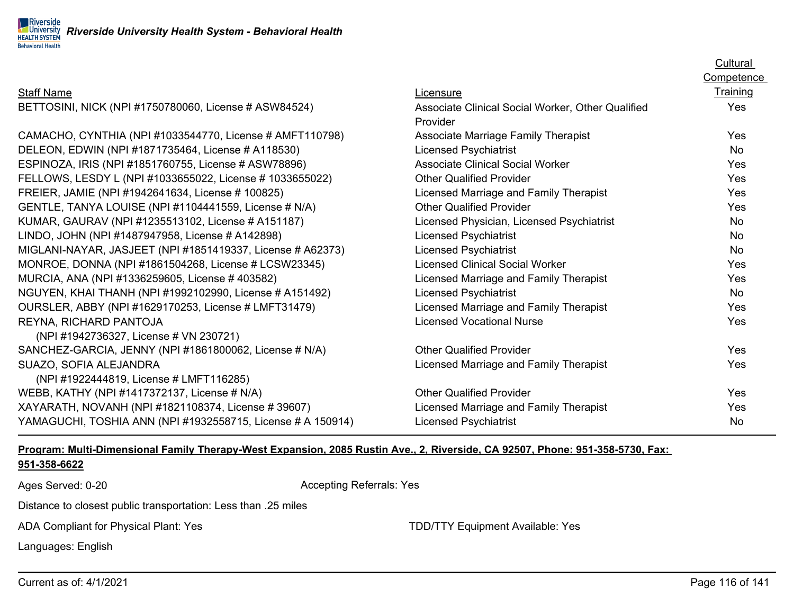#### Staff Name

BETTOSINI, NICK (NPI #1750780060, License # ASW84524) Associate Clinical Social Worker, Other Qualified Yes

CAMACHO, CYNTHIA (NPI #1033544770, License # AMFT110798) Associate Marriage Family Therapist CAMACHO, CYNTHIA DELEON, EDWIN (NPI #1871735464, License # A118530) Licensed Psychiatrist No Charles No ESPINOZA, IRIS (NPI #1851760755, License # ASW78896) Associate Clinical Social Worker Worker Yes FELLOWS, LESDY L (NPI #1033655022, License # 1033655022) Qther Qualified Provider Yes FREIER, JAMIE (NPI #1942641634, License # 100825) Licensed Marriage and Family Therapist Yes GENTLE, TANYA LOUISE (NPI #1104441559, License # N/A) Other Qualified Provider Ves REYNA, RICHARD PANTOJA (NPI #1942736327, License # VN 230721) SUAZO, SOFIA ALEJANDRA (NPI #1922444819, License # LMFT116285)

KUMAR, GAURAV (NPI #1235513102, License # A151187) Licensed Physician, Licensed Psychiatrist No LINDO, JOHN (NPI #1487947958, License # A142898) Licensed Psychiatrist No MIGLANI-NAYAR, JASJEET (NPI #1851419337, License # A62373) Licensed Psychiatrist No MONROE, DONNA (NPI #1861504268, License # LCSW23345) Licensed Clinical Social Worker Yes MURCIA, ANA (NPI #1336259605, License # 403582) Licensed Marriage and Family Therapist Yes NGUYEN, KHAI THANH (NPI #1992102990, License # A151492) Licensed Psychiatrist No OURSLER, ABBY (NPI #1629170253, License # LMFT31479) Licensed Marriage and Family Therapist Yes Licensed Vocational Nurse Yes SANCHEZ-GARCIA, JENNY (NPI #1861800062, License # N/A) Other Qualified Provider Ves Licensed Marriage and Family Therapist Yes WEBB, KATHY (NPI #1417372137, License # N/A)  $\overline{O}$  Other Qualified Provider Ves XAYARATH, NOVANH (NPI #1821108374, License # 39607) Licensed Marriage and Family Therapist Yes YAMAGUCHI, TOSHIA ANN (NPI #1932558715, License # A 150914) Licensed Psychiatrist No

Provider

Licensure Training

### **Program: Multi-Dimensional Family Therapy-West Expansion, 2085 Rustin Ave., 2, Riverside, CA 92507, Phone: 951-358-5730, Fax:**

#### **951-358-6622**

Ages Served: 0-20 **Accepting Referrals: Yes** Accepting Referrals: Yes

Distance to closest public transportation: Less than .25 miles

ADA Compliant for Physical Plant: Yes TDD/TTY Equipment Available: Yes

Languages: English

**Cultural Competence**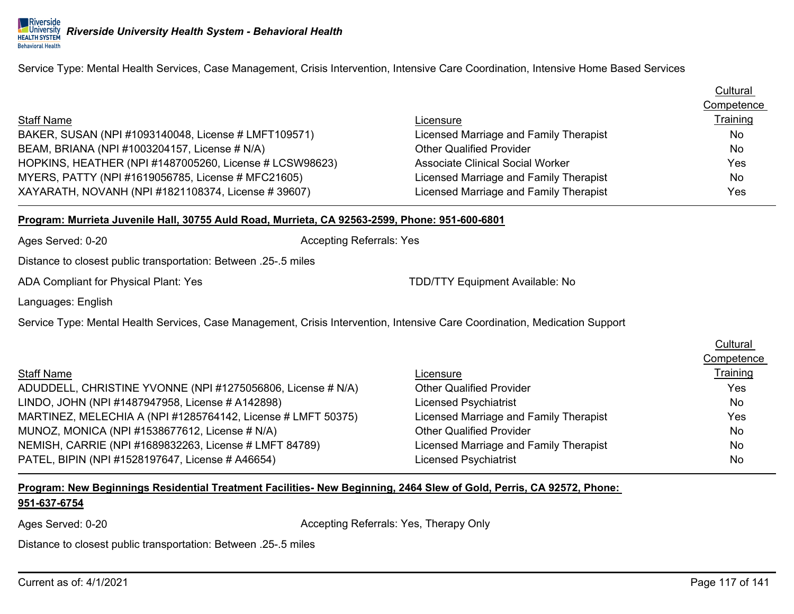Service Type: Mental Health Services, Case Management, Crisis Intervention, Intensive Care Coordination, Intensive Home Based Services

|                                                         |                                         | Competence      |
|---------------------------------------------------------|-----------------------------------------|-----------------|
| <b>Staff Name</b>                                       | Licensure                               | <b>Training</b> |
| BAKER, SUSAN (NPI #1093140048, License # LMFT109571)    | Licensed Marriage and Family Therapist  | No.             |
| BEAM, BRIANA (NPI #1003204157, License # N/A)           | <b>Other Qualified Provider</b>         | No.             |
| HOPKINS, HEATHER (NPI #1487005260, License # LCSW98623) | <b>Associate Clinical Social Worker</b> | Yes             |
| MYERS, PATTY (NPI #1619056785, License # MFC21605)      | Licensed Marriage and Family Therapist  | No.             |
| XAYARATH, NOVANH (NPI #1821108374, License #39607)      | Licensed Marriage and Family Therapist  | Yes.            |

#### **Program: Murrieta Juvenile Hall, 30755 Auld Road, Murrieta, CA 92563-2599, Phone: 951-600-6801**

Ages Served: 0-20 **Accepting Referrals: Yes** Accepting Referrals: Yes

Distance to closest public transportation: Between .25-.5 miles

ADA Compliant for Physical Plant: Yes TELL THE SECTION TO THE TOP/TTY Equipment Available: No

Languages: English

Service Type: Mental Health Services, Case Management, Crisis Intervention, Intensive Care Coordination, Medication Support

|                                                              |                                        | Cultural   |
|--------------------------------------------------------------|----------------------------------------|------------|
|                                                              |                                        | Competence |
| <b>Staff Name</b>                                            | Licensure                              | Training   |
| ADUDDELL, CHRISTINE YVONNE (NPI #1275056806, License # N/A)  | <b>Other Qualified Provider</b>        | Yes        |
| LINDO, JOHN (NPI #1487947958, License # A142898)             | <b>Licensed Psychiatrist</b>           | No.        |
| MARTINEZ, MELECHIA A (NPI #1285764142, License # LMFT 50375) | Licensed Marriage and Family Therapist | Yes        |
| MUNOZ, MONICA (NPI #1538677612, License # N/A)               | <b>Other Qualified Provider</b>        | No.        |
| NEMISH, CARRIE (NPI #1689832263, License # LMFT 84789)       | Licensed Marriage and Family Therapist | No.        |
| PATEL, BIPIN (NPI #1528197647, License # A46654)             | <b>Licensed Psychiatrist</b>           | No.        |

# **Program: New Beginnings Residential Treatment Facilities- New Beginning, 2464 Slew of Gold, Perris, CA 92572, Phone:**

## **951-637-6754**

Ages Served: 0-20 **Accepting Referrals: Yes, Therapy Only** Accepting Referrals: Yes, Therapy Only

Distance to closest public transportation: Between .25-.5 miles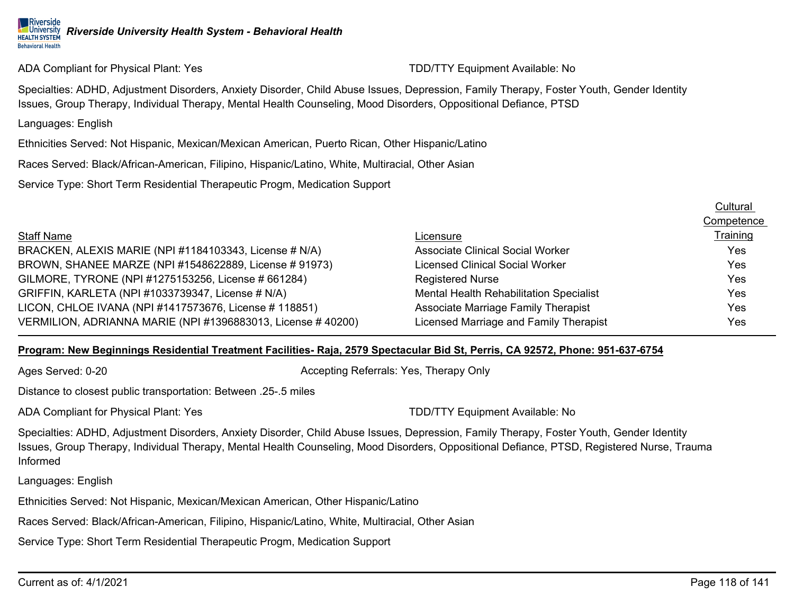ADA Compliant for Physical Plant: Yes TEER TO AND ADA Compliant Available: No

Specialties: ADHD, Adjustment Disorders, Anxiety Disorder, Child Abuse Issues, Depression, Family Therapy, Foster Youth, Gender Identity Issues, Group Therapy, Individual Therapy, Mental Health Counseling, Mood Disorders, Oppositional Defiance, PTSD

Languages: English

Ethnicities Served: Not Hispanic, Mexican/Mexican American, Puerto Rican, Other Hispanic/Latino

Races Served: Black/African-American, Filipino, Hispanic/Latino, White, Multiracial, Other Asian

Service Type: Short Term Residential Therapeutic Progm, Medication Support

|                                                             |                                         | <b>Cultural</b> |
|-------------------------------------------------------------|-----------------------------------------|-----------------|
|                                                             |                                         | Competence      |
| <b>Staff Name</b>                                           | Licensure                               | Training        |
| BRACKEN, ALEXIS MARIE (NPI #1184103343, License # N/A)      | <b>Associate Clinical Social Worker</b> | Yes             |
| BROWN, SHANEE MARZE (NPI #1548622889, License # 91973)      | <b>Licensed Clinical Social Worker</b>  | Yes             |
| GILMORE, TYRONE (NPI #1275153256, License # 661284)         | <b>Registered Nurse</b>                 | Yes             |
| GRIFFIN, KARLETA (NPI #1033739347, License # N/A)           | Mental Health Rehabilitation Specialist | Yes             |
| LICON, CHLOE IVANA (NPI #1417573676, License # 118851)      | Associate Marriage Family Therapist     | Yes             |
| VERMILION, ADRIANNA MARIE (NPI #1396883013, License #40200) | Licensed Marriage and Family Therapist  | Yes             |

#### **Program: New Beginnings Residential Treatment Facilities- Raja, 2579 Spectacular Bid St, Perris, CA 92572, Phone: 951-637-6754**

Ages Served: 0-20 **Accepting Referrals: Yes, Therapy Only** Accepting Referrals: Yes, Therapy Only

Distance to closest public transportation: Between .25-.5 miles

ADA Compliant for Physical Plant: Yes TEER TO AND ADA Compliant Available: No

Specialties: ADHD, Adjustment Disorders, Anxiety Disorder, Child Abuse Issues, Depression, Family Therapy, Foster Youth, Gender Identity Issues, Group Therapy, Individual Therapy, Mental Health Counseling, Mood Disorders, Oppositional Defiance, PTSD, Registered Nurse, Trauma Informed

Languages: English

Ethnicities Served: Not Hispanic, Mexican/Mexican American, Other Hispanic/Latino

Races Served: Black/African-American, Filipino, Hispanic/Latino, White, Multiracial, Other Asian

Service Type: Short Term Residential Therapeutic Progm, Medication Support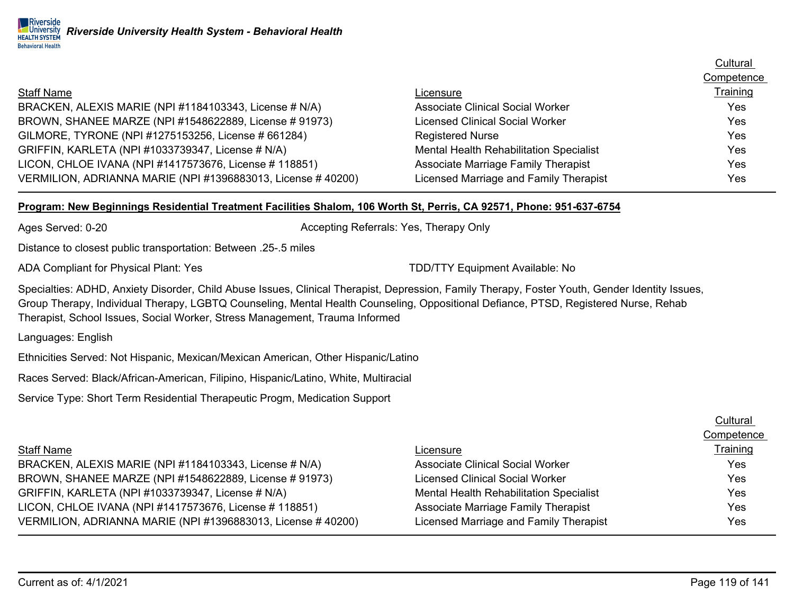|                                                             |                                         | Competence |
|-------------------------------------------------------------|-----------------------------------------|------------|
| <b>Staff Name</b>                                           | Licensure                               | Training   |
| BRACKEN, ALEXIS MARIE (NPI #1184103343, License # N/A)      | <b>Associate Clinical Social Worker</b> | Yes        |
| BROWN, SHANEE MARZE (NPI #1548622889, License # 91973)      | <b>Licensed Clinical Social Worker</b>  | Yes        |
| GILMORE, TYRONE (NPI #1275153256, License # 661284)         | <b>Registered Nurse</b>                 | Yes        |
| GRIFFIN, KARLETA (NPI #1033739347, License # N/A)           | Mental Health Rehabilitation Specialist | Yes        |
| LICON, CHLOE IVANA (NPI #1417573676, License # 118851)      | Associate Marriage Family Therapist     | Yes        |
| VERMILION, ADRIANNA MARIE (NPI #1396883013, License #40200) | Licensed Marriage and Family Therapist  | Yes        |

### **Program: New Beginnings Residential Treatment Facilities Shalom, 106 Worth St, Perris, CA 92571, Phone: 951-637-6754**

Ages Served: 0-20 **Accepting Referrals: Yes, Therapy Only** Accepting Referrals: Yes, Therapy Only

Distance to closest public transportation: Between .25-.5 miles

ADA Compliant for Physical Plant: Yes TEER TO AND ADA Compliant Available: No

Specialties: ADHD, Anxiety Disorder, Child Abuse Issues, Clinical Therapist, Depression, Family Therapy, Foster Youth, Gender Identity Issues, Group Therapy, Individual Therapy, LGBTQ Counseling, Mental Health Counseling, Oppositional Defiance, PTSD, Registered Nurse, Rehab Therapist, School Issues, Social Worker, Stress Management, Trauma Informed

Languages: English

Ethnicities Served: Not Hispanic, Mexican/Mexican American, Other Hispanic/Latino

Races Served: Black/African-American, Filipino, Hispanic/Latino, White, Multiracial

Service Type: Short Term Residential Therapeutic Progm, Medication Support

|                                                             |                                                | <b>Cultural</b> |
|-------------------------------------------------------------|------------------------------------------------|-----------------|
|                                                             |                                                | Competence      |
| <b>Staff Name</b>                                           | Licensure                                      | Training        |
| BRACKEN, ALEXIS MARIE (NPI #1184103343, License # N/A)      | <b>Associate Clinical Social Worker</b>        | Yes.            |
| BROWN, SHANEE MARZE (NPI #1548622889, License # 91973)      | <b>Licensed Clinical Social Worker</b>         | Yes             |
| GRIFFIN, KARLETA (NPI #1033739347, License # N/A)           | <b>Mental Health Rehabilitation Specialist</b> | Yes.            |
| LICON, CHLOE IVANA (NPI #1417573676, License # 118851)      | Associate Marriage Family Therapist            | Yes.            |
| VERMILION, ADRIANNA MARIE (NPI #1396883013, License #40200) | Licensed Marriage and Family Therapist         | Yes             |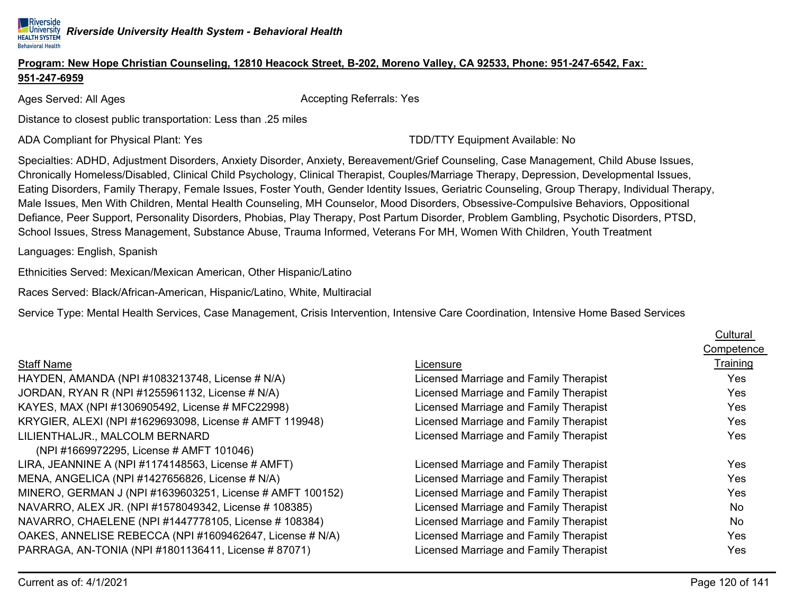### **Program: New Hope Christian Counseling, 12810 Heacock Street, B-202, Moreno Valley, CA 92533, Phone: 951-247-6542, Fax: 951-247-6959**

Ages Served: All Ages Accepting Referrals: Yes

Distance to closest public transportation: Less than .25 miles

ADA Compliant for Physical Plant: Yes TCON TO AND TO THE TO THE TOPOS TO THE REGISTION OF THE TO A CONTROLLER

Specialties: ADHD, Adjustment Disorders, Anxiety Disorder, Anxiety, Bereavement/Grief Counseling, Case Management, Child Abuse Issues, Chronically Homeless/Disabled, Clinical Child Psychology, Clinical Therapist, Couples/Marriage Therapy, Depression, Developmental Issues, Eating Disorders, Family Therapy, Female Issues, Foster Youth, Gender Identity Issues, Geriatric Counseling, Group Therapy, Individual Therapy, Male Issues, Men With Children, Mental Health Counseling, MH Counselor, Mood Disorders, Obsessive-Compulsive Behaviors, Oppositional Defiance, Peer Support, Personality Disorders, Phobias, Play Therapy, Post Partum Disorder, Problem Gambling, Psychotic Disorders, PTSD, School Issues, Stress Management, Substance Abuse, Trauma Informed, Veterans For MH, Women With Children, Youth Treatment

Languages: English, Spanish

Ethnicities Served: Mexican/Mexican American, Other Hispanic/Latino

Races Served: Black/African-American, Hispanic/Latino, White, Multiracial

Service Type: Mental Health Services, Case Management, Crisis Intervention, Intensive Care Coordination, Intensive Home Based Services

|                                                           |                                        | Cultural   |
|-----------------------------------------------------------|----------------------------------------|------------|
|                                                           |                                        | Competence |
| <b>Staff Name</b>                                         | Licensure                              | Training   |
| HAYDEN, AMANDA (NPI #1083213748, License # N/A)           | Licensed Marriage and Family Therapist | Yes        |
| JORDAN, RYAN R (NPI #1255961132, License # N/A)           | Licensed Marriage and Family Therapist | Yes        |
| KAYES, MAX (NPI #1306905492, License # MFC22998)          | Licensed Marriage and Family Therapist | <b>Yes</b> |
| KRYGIER, ALEXI (NPI #1629693098, License # AMFT 119948)   | Licensed Marriage and Family Therapist | <b>Yes</b> |
| LILIENTHALJR., MALCOLM BERNARD                            | Licensed Marriage and Family Therapist | Yes        |
| (NPI #1669972295, License # AMFT 101046)                  |                                        |            |
| LIRA, JEANNINE A (NPI #1174148563, License # AMFT)        | Licensed Marriage and Family Therapist | Yes        |
| MENA, ANGELICA (NPI #1427656826, License # N/A)           | Licensed Marriage and Family Therapist | <b>Yes</b> |
| MINERO, GERMAN J (NPI #1639603251, License # AMFT 100152) | Licensed Marriage and Family Therapist | Yes        |
| NAVARRO, ALEX JR. (NPI #1578049342, License # 108385)     | Licensed Marriage and Family Therapist | <b>No</b>  |
| NAVARRO, CHAELENE (NPI #1447778105, License # 108384)     | Licensed Marriage and Family Therapist | <b>No</b>  |
| OAKES, ANNELISE REBECCA (NPI #1609462647, License # N/A)  | Licensed Marriage and Family Therapist | Yes        |
| PARRAGA, AN-TONIA (NPI #1801136411, License #87071)       | Licensed Marriage and Family Therapist | Yes        |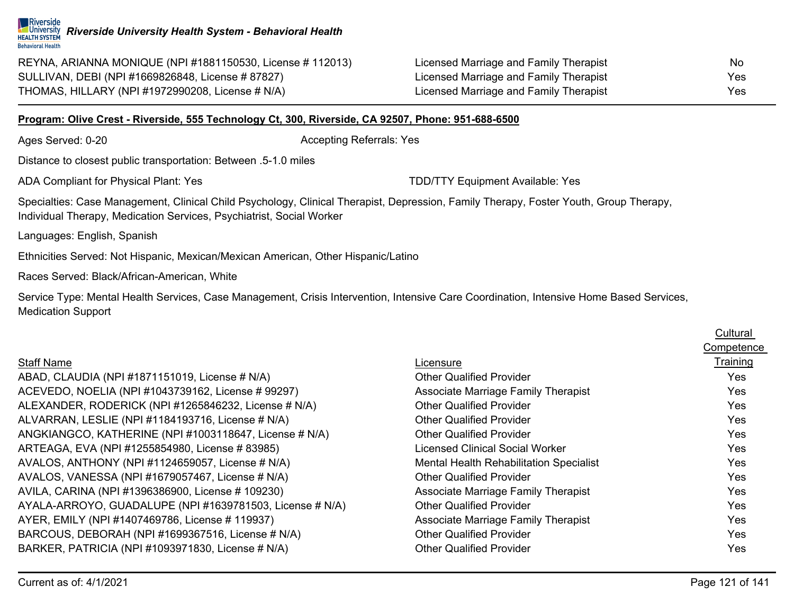#### **Program: Olive Crest - Riverside, 555 Technology Ct, 300, Riverside, CA 92507, Phone: 951-688-6500**

**Behavioral Health** 

Ages Served: 0-20 **Accepting Referrals: Yes** Accepting Referrals: Yes

Distance to closest public transportation: Between .5-1.0 miles

ADA Compliant for Physical Plant: Yes TDD/TTY Equipment Available: Yes

Specialties: Case Management, Clinical Child Psychology, Clinical Therapist, Depression, Family Therapy, Foster Youth, Group Therapy, Individual Therapy, Medication Services, Psychiatrist, Social Worker

Languages: English, Spanish

Ethnicities Served: Not Hispanic, Mexican/Mexican American, Other Hispanic/Latino

Races Served: Black/African-American, White

Service Type: Mental Health Services, Case Management, Crisis Intervention, Intensive Care Coordination, Intensive Home Based Services, Medication Support

|                                                          |                                            | 00111p0101100 |
|----------------------------------------------------------|--------------------------------------------|---------------|
| <b>Staff Name</b>                                        | Licensure                                  | Training      |
| ABAD, CLAUDIA (NPI #1871151019, License # N/A)           | <b>Other Qualified Provider</b>            | Yes           |
| ACEVEDO, NOELIA (NPI #1043739162, License # 99297)       | <b>Associate Marriage Family Therapist</b> | <b>Yes</b>    |
| ALEXANDER, RODERICK (NPI #1265846232, License # N/A)     | <b>Other Qualified Provider</b>            | Yes           |
| ALVARRAN, LESLIE (NPI #1184193716, License # N/A)        | <b>Other Qualified Provider</b>            | Yes           |
| ANGKIANGCO, KATHERINE (NPI #1003118647, License # N/A)   | <b>Other Qualified Provider</b>            | Yes           |
| ARTEAGA, EVA (NPI #1255854980, License # 83985)          | <b>Licensed Clinical Social Worker</b>     | <b>Yes</b>    |
| AVALOS, ANTHONY (NPI #1124659057, License # N/A)         | Mental Health Rehabilitation Specialist    | Yes           |
| AVALOS, VANESSA (NPI #1679057467, License # N/A)         | <b>Other Qualified Provider</b>            | Yes           |
| AVILA, CARINA (NPI #1396386900, License # 109230)        | Associate Marriage Family Therapist        | Yes           |
| AYALA-ARROYO, GUADALUPE (NPI #1639781503, License # N/A) | <b>Other Qualified Provider</b>            | Yes           |
| AYER, EMILY (NPI #1407469786, License #119937)           | Associate Marriage Family Therapist        | Yes           |
| BARCOUS, DEBORAH (NPI #1699367516, License # N/A)        | <b>Other Qualified Provider</b>            | Yes           |
| BARKER, PATRICIA (NPI #1093971830, License # N/A)        | <b>Other Qualified Provider</b>            | Yes           |
|                                                          |                                            |               |

**Cultural** 

|                                         | Competence      |
|-----------------------------------------|-----------------|
| censure                                 | <b>Training</b> |
| ther Qualified Provider                 | Yes             |
| ssociate Marriage Family Therapist      | Yes             |
| ther Qualified Provider                 | Yes             |
| ther Qualified Provider                 | Yes             |
| ther Qualified Provider                 | Yes             |
| censed Clinical Social Worker           | Yes             |
| lental Health Rehabilitation Specialist | Yes             |
| ther Qualified Provider                 | Yes             |
| ssociate Marriage Family Therapist      | Yes             |
| ther Qualified Provider                 | Yes             |
| ssociate Marriage Family Therapist      | Yes             |
| ther Qualified Provider                 | Yes             |
| ther Qualified Provider                 | Yes             |
|                                         |                 |

REYNA, ARIANNA MONIQUE (NPI #1881150530, License # 112013) Licensed Marriage and Family Therapist No SULLIVAN, DEBI (NPI #1669826848, License # 87827) Licensed Marriage and Family Therapist Yes THOMAS, HILLARY (NPI #1972990208, License # N/A) Licensed Marriage and Family Therapist Yes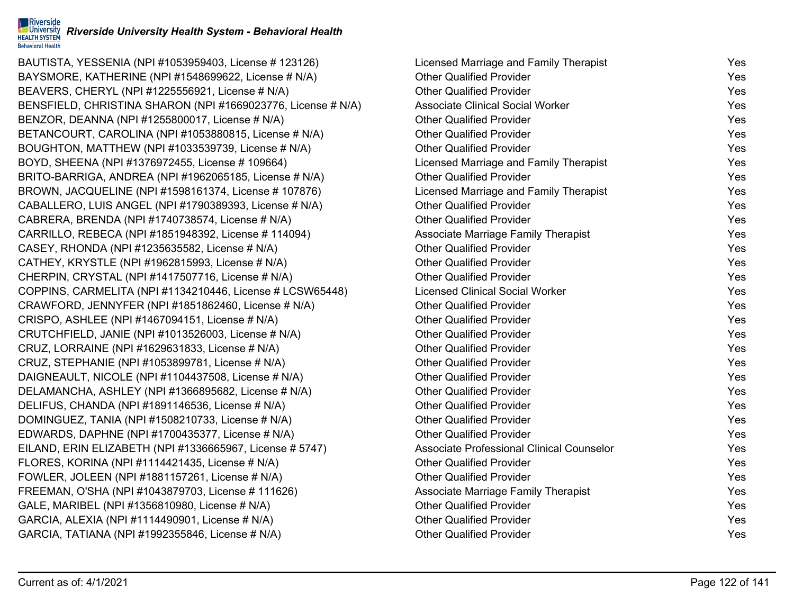#### $\blacksquare$ Riverside *Riverside University Health System - Behavioral Health* **HEALTH SYSTEM Behavioral Health**

BAUTISTA, YESSENIA (NPI #1053959403, License # 123126) BAYSMORE, KATHERINE (NPI #1548699622, License # N/A) BEAVERS, CHERYL (NPI #1225556921, License # N/A) BENSFIELD, CHRISTINA SHARON (NPI #1669023776, License # N/A) BENZOR, DEANNA (NPI #1255800017, License # N/A) BETANCOURT, CAROLINA (NPI #1053880815, License # N/A) BOUGHTON, MATTHEW (NPI #1033539739, License # N/A) BOYD, SHEENA (NPI #1376972455, License # 109664) BRITO-BARRIGA, ANDREA (NPI #1962065185, License # N/A) BROWN, JACQUELINE (NPI #1598161374, License # 107876) CABALLERO, LUIS ANGEL (NPI  $#1790389393$ , License  $# N/A$ ) CABRERA, BRENDA (NPI #1740738574, License # N/A) CARRILLO, REBECA (NPI #1851948392, License # 114094) CASEY, RHONDA (NPI  $#1235635582$ , License  $# N/A$ ) CATHEY, KRYSTLE (NPI  $#1962815993$ , License  $# N/A$ ) CHERPIN, CRYSTAL (NPI  $#1417507716$ , License  $# N/A$ ) COPPINS, CARMELITA (NPI #1134210446, License # LCSW65448) CRAWFORD, JENNYFER (NPI #1851862460, License # N/A) CRISPO, ASHLEE (NPI  $#1467094151$ , License  $# N/A$ ) CRUTCHFIELD, JANIE (NPI #1013526003, License #  $N/A$ ) CRUZ, LORRAINE (NPI  $#1629631833$ , License  $# N/A$ ) CRUZ, STEPHANIE (NPI  $#1053899781$ , License  $#N/A$ ) DAIGNEAULT, NICOLE (NPI  $#1104437508$ , License  $# N/A$ ) DELAMANCHA, ASHLEY (NPI  $#1366895682$ , License  $# N/A$ ) DELIFUS, CHANDA (NPI  $#1891146536$ , License  $# N/A$ ) DOMINGUEZ, TANIA (NPI #1508210733, License # N/A) EDWARDS, DAPHNE (NPI  $#1700435377$ , License  $# N/A$ ) EILAND, ERIN ELIZABETH (NPI #1336665967, License # 5747) FLORES, KORINA (NPI  $#1114421435$ , License  $# N/A$ ) FOWLER, JOLEEN (NPI #1881157261, License # N/A) FREEMAN, O'SHA (NPI #1043879703, License # 111626) GALE, MARIBEL (NPI #1356810980, License # N/A) GARCIA, ALEXIA (NPI  $\#1114490901$ , License  $\# N/A$ ) GARCIA, TATIANA (NPI #1992355846, License # N/A)

| Licensed Marriage and Family Therapist           | Yes        |
|--------------------------------------------------|------------|
| <b>Other Qualified Provider</b>                  | Yes        |
| <b>Other Qualified Provider</b>                  | Yes        |
| <b>Associate Clinical Social Worker</b>          | Yes        |
| <b>Other Qualified Provider</b>                  | Yes        |
| <b>Other Qualified Provider</b>                  | Yes        |
| <b>Other Qualified Provider</b>                  | Yes        |
| Licensed Marriage and Family Therapist           | Yes        |
| <b>Other Qualified Provider</b>                  | <b>Yes</b> |
| Licensed Marriage and Family Therapist           | Yes        |
| <b>Other Qualified Provider</b>                  | Yes        |
| <b>Other Qualified Provider</b>                  | Yes        |
| <b>Associate Marriage Family Therapist</b>       | Yes        |
| <b>Other Qualified Provider</b>                  | Yes        |
| <b>Other Qualified Provider</b>                  | Yes        |
| <b>Other Qualified Provider</b>                  | Yes        |
| <b>Licensed Clinical Social Worker</b>           | Yes        |
| <b>Other Qualified Provider</b>                  | Yes        |
| <b>Other Qualified Provider</b>                  | Yes        |
| <b>Other Qualified Provider</b>                  | Yes        |
| <b>Other Qualified Provider</b>                  | Yes        |
| <b>Other Qualified Provider</b>                  | Yes        |
| <b>Other Qualified Provider</b>                  | Yes        |
| <b>Other Qualified Provider</b>                  | Yes        |
| <b>Other Qualified Provider</b>                  | Yes        |
| <b>Other Qualified Provider</b>                  | Yes        |
| <b>Other Qualified Provider</b>                  | Yes        |
| <b>Associate Professional Clinical Counselor</b> | Yes        |
| <b>Other Qualified Provider</b>                  | Yes        |
| <b>Other Qualified Provider</b>                  | Yes        |
| <b>Associate Marriage Family Therapist</b>       | Yes        |
| <b>Other Qualified Provider</b>                  | Yes        |
| <b>Other Qualified Provider</b>                  | Yes        |
| <b>Other Qualified Provider</b>                  | Yes        |
|                                                  |            |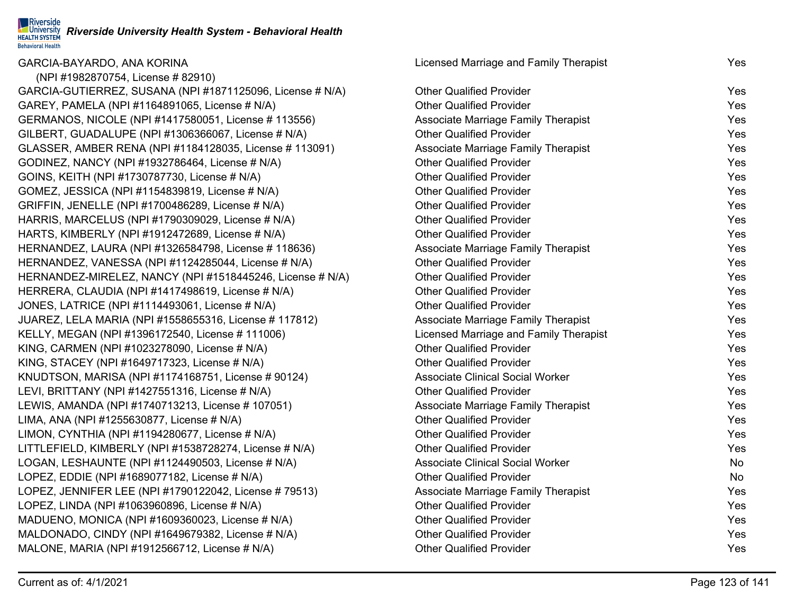## **Riverside**<br>**Riversity Riverside University Health System - Behavioral Health**<br>HEALTH SYSTEM **Behavioral Health**

| GARCIA-BAYARDO, ANA KORINA                                | Licensed Marriage and Family Therapist     | Yes |
|-----------------------------------------------------------|--------------------------------------------|-----|
| (NPI #1982870754, License #82910)                         |                                            |     |
| GARCIA-GUTIERREZ, SUSANA (NPI #1871125096, License # N/A) | <b>Other Qualified Provider</b>            | Yes |
| GAREY, PAMELA (NPI #1164891065, License # N/A)            | <b>Other Qualified Provider</b>            | Yes |
| GERMANOS, NICOLE (NPI #1417580051, License # 113556)      | Associate Marriage Family Therapist        | Yes |
| GILBERT, GUADALUPE (NPI #1306366067, License # N/A)       | <b>Other Qualified Provider</b>            | Yes |
| GLASSER, AMBER RENA (NPI #1184128035, License # 113091)   | Associate Marriage Family Therapist        | Yes |
| GODINEZ, NANCY (NPI #1932786464, License # N/A)           | <b>Other Qualified Provider</b>            | Yes |
| GOINS, KEITH (NPI #1730787730, License # N/A)             | <b>Other Qualified Provider</b>            | Yes |
| GOMEZ, JESSICA (NPI #1154839819, License # N/A)           | <b>Other Qualified Provider</b>            | Yes |
| GRIFFIN, JENELLE (NPI #1700486289, License # N/A)         | <b>Other Qualified Provider</b>            | Yes |
| HARRIS, MARCELUS (NPI #1790309029, License # N/A)         | <b>Other Qualified Provider</b>            | Yes |
| HARTS, KIMBERLY (NPI #1912472689, License # N/A)          | <b>Other Qualified Provider</b>            | Yes |
| HERNANDEZ, LAURA (NPI #1326584798, License # 118636)      | <b>Associate Marriage Family Therapist</b> | Yes |
| HERNANDEZ, VANESSA (NPI #1124285044, License # N/A)       | <b>Other Qualified Provider</b>            | Yes |
| HERNANDEZ-MIRELEZ, NANCY (NPI #1518445246, License # N/A) | <b>Other Qualified Provider</b>            | Yes |
| HERRERA, CLAUDIA (NPI #1417498619, License # N/A)         | <b>Other Qualified Provider</b>            | Yes |
| JONES, LATRICE (NPI #1114493061, License # N/A)           | <b>Other Qualified Provider</b>            | Yes |
| JUAREZ, LELA MARIA (NPI #1558655316, License # 117812)    | <b>Associate Marriage Family Therapist</b> | Yes |
| KELLY, MEGAN (NPI #1396172540, License #111006)           | Licensed Marriage and Family Therapist     | Yes |
| KING, CARMEN (NPI #1023278090, License # N/A)             | <b>Other Qualified Provider</b>            | Yes |
| KING, STACEY (NPI #1649717323, License # N/A)             | <b>Other Qualified Provider</b>            | Yes |
| KNUDTSON, MARISA (NPI #1174168751, License # 90124)       | <b>Associate Clinical Social Worker</b>    | Yes |
| LEVI, BRITTANY (NPI #1427551316, License # N/A)           | <b>Other Qualified Provider</b>            | Yes |
| LEWIS, AMANDA (NPI #1740713213, License # 107051)         | <b>Associate Marriage Family Therapist</b> | Yes |
| LIMA, ANA (NPI #1255630877, License # N/A)                | <b>Other Qualified Provider</b>            | Yes |
| LIMON, CYNTHIA (NPI #1194280677, License # N/A)           | <b>Other Qualified Provider</b>            | Yes |
| LITTLEFIELD, KIMBERLY (NPI #1538728274, License # N/A)    | <b>Other Qualified Provider</b>            | Yes |
| LOGAN, LESHAUNTE (NPI #1124490503, License # N/A)         | <b>Associate Clinical Social Worker</b>    | No  |
| LOPEZ, EDDIE (NPI #1689077182, License # N/A)             | <b>Other Qualified Provider</b>            | No  |
| LOPEZ, JENNIFER LEE (NPI #1790122042, License # 79513)    | <b>Associate Marriage Family Therapist</b> | Yes |
| LOPEZ, LINDA (NPI #1063960896, License # N/A)             | <b>Other Qualified Provider</b>            | Yes |
| MADUENO, MONICA (NPI #1609360023, License # N/A)          | <b>Other Qualified Provider</b>            | Yes |
| MALDONADO, CINDY (NPI #1649679382, License # N/A)         | <b>Other Qualified Provider</b>            | Yes |
| MALONE, MARIA (NPI #1912566712, License # N/A)            | <b>Other Qualified Provider</b>            | Yes |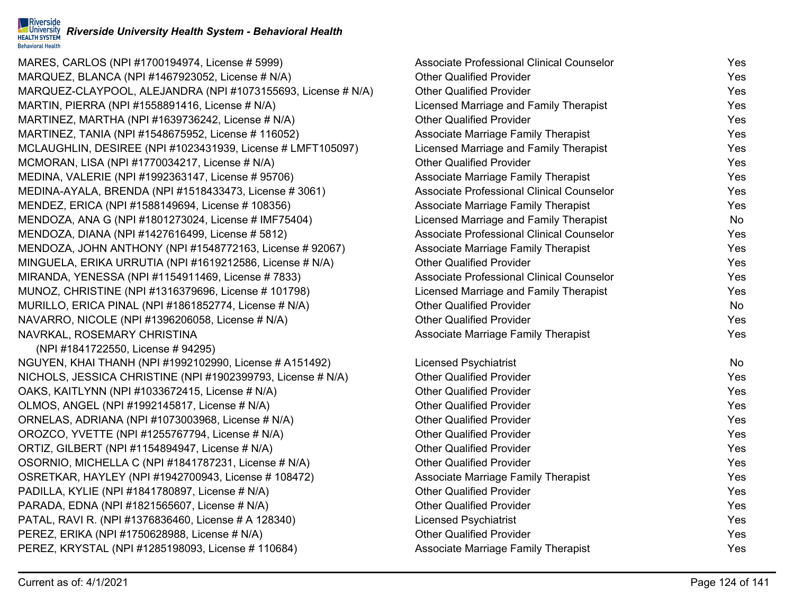

MARES, CARLOS (NPI #1700194974, License # 5999) MARQUEZ, BLANCA (NPI  $#1467923052$ , License  $# N/A$ ) MARQUEZ-CLAYPOOL, ALEJANDRA (NPI #1073155693, License # N/A) MARTIN, PIERRA (NPI #1558891416, License # N/A) MARTINEZ, MARTHA (NPI  $#1639736242$ , License  $# N/A$ ) MARTINEZ, TANIA (NPI #1548675952, License # 116052) MCLAUGHLIN, DESIREE (NPI #1023431939, License # LMFT105097) MCMORAN, LISA (NPI #1770034217, License # N/A) MEDINA, VALERIE (NPI #1992363147, License # 95706) MEDINA-AYALA, BRENDA (NPI #1518433473, License # 3061) MENDEZ, ERICA (NPI #1588149694, License # 108356) MENDOZA, ANA G (NPI #1801273024, License # IMF75404) MENDOZA, DIANA (NPI #1427616499, License # 5812) MENDOZA, JOHN ANTHONY (NPI #1548772163, License # 92067) MINGUELA, ERIKA URRUTIA (NPI #1619212586, License # N/A) MIRANDA, YENESSA (NPI #1154911469, License # 7833) MUNOZ, CHRISTINE (NPI #1316379696, License # 101798) MURILLO, ERICA PINAL (NPI #1861852774, License # N/A)  $NAVARRO$ , NICOLE (NPI #1396206058, License #  $N/A$ ) NAVRKAL, ROSEMARY CHRISTINA (NPI #1841722550, License # 94295)

NGUYEN, KHAI THANH (NPI #1992102990, License # A151492) NICHOLS, JESSICA CHRISTINE (NPI #1902399793, License # N/A) OAKS, KAITLYNN (NPI  $#1033672415$ , License  $#N/A$ ) OLMOS, ANGEL (NPI #1992145817, License # N/A) ORNELAS, ADRIANA (NPI #1073003968, License # N/A) OROZCO, YVETTE (NPI #1255767794, License # N/A) ORTIZ, GILBERT (NPI  $#1154894947$ , License  $# N/A$ ) OSORNIO, MICHELLA C (NPI #1841787231, License # N/A) OSRETKAR, HAYLEY (NPI #1942700943, License # 108472) PADILLA, KYLIE (NPI #1841780897, License # N/A) PARADA, EDNA (NPI #1821565607, License # N/A) PATAL, RAVI R. (NPI #1376836460, License # A 128340) PEREZ, ERIKA (NPI #1750628988, License # N/A) PEREZ, KRYSTAL (NPI #1285198093, License # 110684)

| <b>Associate Professional Clinical Counselor</b> | Yes        |
|--------------------------------------------------|------------|
| <b>Other Qualified Provider</b>                  | <b>Yes</b> |
| <b>Other Qualified Provider</b>                  | Yes        |
| Licensed Marriage and Family Therapist           | <b>Yes</b> |
| <b>Other Qualified Provider</b>                  | <b>Yes</b> |
| <b>Associate Marriage Family Therapist</b>       | Yes        |
| Licensed Marriage and Family Therapist           | <b>Yes</b> |
| <b>Other Qualified Provider</b>                  | Yes        |
| <b>Associate Marriage Family Therapist</b>       | Yes        |
| <b>Associate Professional Clinical Counselor</b> | <b>Yes</b> |
| <b>Associate Marriage Family Therapist</b>       | Yes        |
| Licensed Marriage and Family Therapist           | <b>No</b>  |
| <b>Associate Professional Clinical Counselor</b> | <b>Yes</b> |
| <b>Associate Marriage Family Therapist</b>       | <b>Yes</b> |
| <b>Other Qualified Provider</b>                  | Yes        |
| <b>Associate Professional Clinical Counselor</b> | Yes        |
| Licensed Marriage and Family Therapist           | <b>Yes</b> |
| <b>Other Qualified Provider</b>                  | <b>No</b>  |
| <b>Other Qualified Provider</b>                  | <b>Yes</b> |
| <b>Associate Marriage Family Therapist</b>       | <b>Yes</b> |
| <b>Licensed Psychiatrist</b>                     | <b>No</b>  |
| <b>Other Qualified Provider</b>                  | Yes        |
| <b>Other Qualified Provider</b>                  | Yes        |
| <b>Other Qualified Provider</b>                  | <b>Yes</b> |
| <b>Other Qualified Provider</b>                  | Yes        |
| <b>Other Qualified Provider</b>                  | Yes        |
| <b>Other Qualified Provider</b>                  | <b>Yes</b> |
| <b>Other Qualified Provider</b>                  | <b>Yes</b> |
| <b>Associate Marriage Family Therapist</b>       | Yes        |
| <b>Other Qualified Provider</b>                  | <b>Yes</b> |
| <b>Other Qualified Provider</b>                  | Yes        |
| <b>Licensed Psychiatrist</b>                     | <b>Yes</b> |
| <b>Other Qualified Provider</b>                  | Yes        |
| <b>Associate Marriage Family Therapist</b>       | Yes        |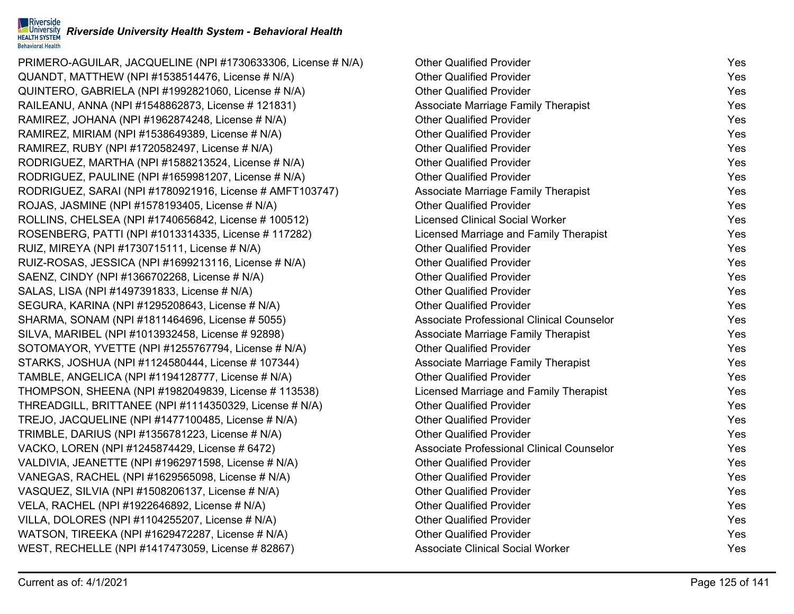#### $\blacksquare$ Riverside *Riverside University Health System - Behavioral Health* **HEALTH SYSTEM Behavioral Health**

PRIMERO-AGUILAR, JACQUELINE (NPI #1730633306, License # N/A) QUANDT, MATTHEW (NPI  $#1538514476$ , License  $# N/A$ ) QUINTERO, GABRIELA (NPI  $\#1992821060$ , License  $\# N/A$ ) RAILEANU, ANNA (NPI #1548862873, License # 121831) RAMIREZ, JOHANA (NPI #1962874248, License # N/A) RAMIREZ, MIRIAM (NPI #1538649389, License # N/A) RAMIREZ, RUBY (NPI #1720582497, License # N/A) RODRIGUEZ, MARTHA (NPI #1588213524, License # N/A) RODRIGUEZ, PAULINE (NPI #1659981207, License # N/A) RODRIGUEZ, SARAI (NPI #1780921916, License # AMFT103747) ROJAS, JASMINE (NPI #1578193405, License # N/A) ROLLINS, CHELSEA (NPI #1740656842, License # 100512) ROSENBERG, PATTI (NPI #1013314335, License # 117282) RUIZ, MIREYA (NPI #1730715111, License # N/A) RUIZ-ROSAS, JESSICA (NPI  $#1699213116$ , License  $# N/A$ ) SAENZ, CINDY (NPI #1366702268, License # N/A) SALAS, LISA (NPI #1497391833, License # N/A) SEGURA, KARINA (NPI #1295208643, License # N/A) SHARMA, SONAM (NPI #1811464696, License # 5055) SILVA, MARIBEL (NPI #1013932458, License # 92898) SOTOMAYOR, YVETTE (NPI #1255767794, License # N/A) STARKS, JOSHUA (NPI #1124580444, License # 107344) TAMBLE, ANGELICA (NPI #1194128777, License # N/A) THOMPSON, SHEENA (NPI #1982049839, License # 113538) THREADGILL, BRITTANEE (NPI #1114350329, License # N/A) TREJO, JACQUELINE (NPI  $#1477100485$ , License  $# N/A$ ) TRIMBLE, DARIUS (NPI #1356781223, License #  $N/A$ ) VACKO, LOREN (NPI #1245874429, License # 6472) VALDIVIA, JEANETTE (NPI #1962971598, License # N/A) VANEGAS, RACHEL (NPI  $#1629565098$ , License  $# N/A$ ) VASQUEZ, SILVIA (NPI  $#1508206137$ , License  $# N/A$ ) VELA, RACHEL (NPI #1922646892, License # N/A) VILLA, DOLORES (NPI #1104255207, License # N/A) WATSON, TIREEKA (NPI #1629472287, License # N/A) WEST, RECHELLE (NPI #1417473059, License # 82867)

| <b>Other Qualified Provider</b>                  | Yes        |
|--------------------------------------------------|------------|
| <b>Other Qualified Provider</b>                  | Yes        |
| <b>Other Qualified Provider</b>                  | <b>Yes</b> |
| <b>Associate Marriage Family Therapist</b>       | Yes        |
| <b>Other Qualified Provider</b>                  | <b>Yes</b> |
| <b>Other Qualified Provider</b>                  | Yes        |
| <b>Other Qualified Provider</b>                  | <b>Yes</b> |
| <b>Other Qualified Provider</b>                  | Yes        |
| <b>Other Qualified Provider</b>                  | Yes        |
| <b>Associate Marriage Family Therapist</b>       | Yes        |
| <b>Other Qualified Provider</b>                  | Yes        |
| <b>Licensed Clinical Social Worker</b>           | Yes        |
| Licensed Marriage and Family Therapist           | Yes        |
| <b>Other Qualified Provider</b>                  | <b>Yes</b> |
| <b>Other Qualified Provider</b>                  | <b>Yes</b> |
| <b>Other Qualified Provider</b>                  | Yes        |
| <b>Other Qualified Provider</b>                  | Yes        |
| <b>Other Qualified Provider</b>                  | Yes        |
| <b>Associate Professional Clinical Counselor</b> | <b>Yes</b> |
| <b>Associate Marriage Family Therapist</b>       | Yes        |
| <b>Other Qualified Provider</b>                  | Yes        |
| <b>Associate Marriage Family Therapist</b>       | Yes        |
| <b>Other Qualified Provider</b>                  | Yes        |
| Licensed Marriage and Family Therapist           | Yes        |
| <b>Other Qualified Provider</b>                  | Yes        |
| <b>Other Qualified Provider</b>                  | <b>Yes</b> |
| <b>Other Qualified Provider</b>                  | Yes        |
| <b>Associate Professional Clinical Counselor</b> | Yes        |
| <b>Other Qualified Provider</b>                  | Yes        |
| <b>Other Qualified Provider</b>                  | Yes        |
| <b>Other Qualified Provider</b>                  | Yes        |
| <b>Other Qualified Provider</b>                  | Yes        |
| <b>Other Qualified Provider</b>                  | Yes        |
| <b>Other Qualified Provider</b>                  | Yes        |
| <b>Associate Clinical Social Worker</b>          | Yes        |
|                                                  |            |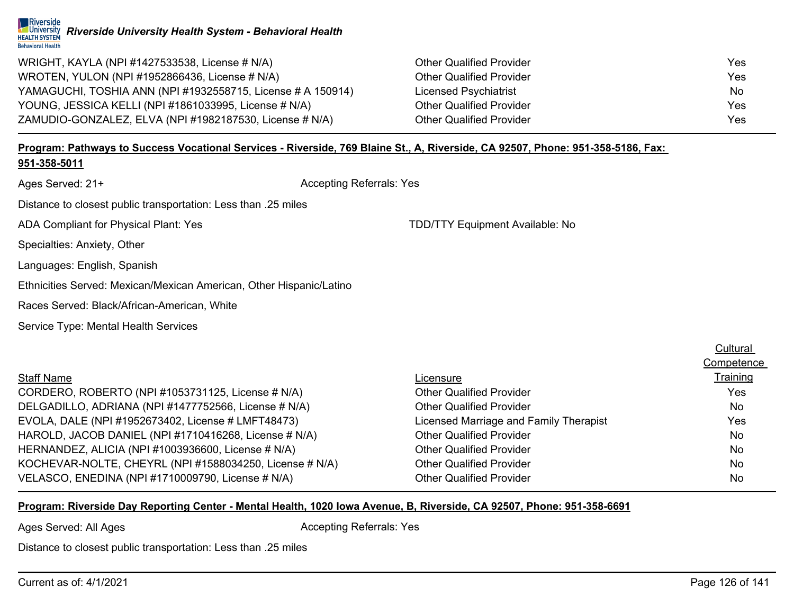

| WRIGHT, KAYLA (NPI #1427533538, License # N/A)              | <b>Other Qualified Provider</b> | Yes        |
|-------------------------------------------------------------|---------------------------------|------------|
| WROTEN, YULON (NPI #1952866436, License # N/A)              | <b>Other Qualified Provider</b> | Yes        |
| YAMAGUCHI, TOSHIA ANN (NPI #1932558715, License # A 150914) | Licensed Psychiatrist           | No.        |
| YOUNG, JESSICA KELLI (NPI #1861033995, License # N/A)       | <b>Other Qualified Provider</b> | Yes        |
| ZAMUDIO-GONZALEZ, ELVA (NPI #1982187530, License # N/A)     | <b>Other Qualified Provider</b> | <b>Yes</b> |

# **Program: Pathways to Success Vocational Services - Riverside, 769 Blaine St., A, Riverside, CA 92507, Phone: 951-358-5186, Fax:**

#### **951-358-5011**

| Ages Served: 21+                                                    | <b>Accepting Referrals: Yes</b>        |                |
|---------------------------------------------------------------------|----------------------------------------|----------------|
| Distance to closest public transportation: Less than .25 miles      |                                        |                |
| ADA Compliant for Physical Plant: Yes                               | <b>TDD/TTY Equipment Available: No</b> |                |
| Specialties: Anxiety, Other                                         |                                        |                |
| Languages: English, Spanish                                         |                                        |                |
| Ethnicities Served: Mexican/Mexican American, Other Hispanic/Latino |                                        |                |
| Races Served: Black/African-American, White                         |                                        |                |
| Service Type: Mental Health Services                                |                                        |                |
|                                                                     |                                        | <u>Cultura</u> |
|                                                                     |                                        | <b>Compete</b> |
| <b>Staff Name</b>                                                   | Licensure                              | Trainin        |
| CORDERO, ROBERTO (NPI #1053731125, License # N/A)                   | <b>Other Qualified Provider</b>        | Yes            |
| DELGADILLO, ADRIANA (NPI #1477752566, License # N/A)                | <b>Other Qualified Provider</b>        | No.            |
| EVOLA, DALE (NPI #1952673402, License # LMFT48473)                  | Licensed Marriage and Family Therapist | Yes            |
| HAROLD, JACOB DANIEL (NPI #1710416268, License # N/A)               | <b>Other Qualified Provider</b>        | <b>No</b>      |
| HERNANDEZ, ALICIA (NPI #1003936600, License # N/A)                  | <b>Other Qualified Provider</b>        | No             |
| KOCHEVAR-NOLTE, CHEYRL (NPI #1588034250, License # N/A)             | <b>Other Qualified Provider</b>        | <b>No</b>      |

#### **Program: Riverside Day Reporting Center - Mental Health, 1020 Iowa Avenue, B, Riverside, CA 92507, Phone: 951-358-6691**

Ages Served: All Ages **Accepting Referrals: Yes** Accepting Referrals: Yes

VELASCO, ENEDINA (NPI #1710009790, License # N/A) Other Qualified Provider No Communications of No

Distance to closest public transportation: Less than .25 miles

**Cultural Competence** Training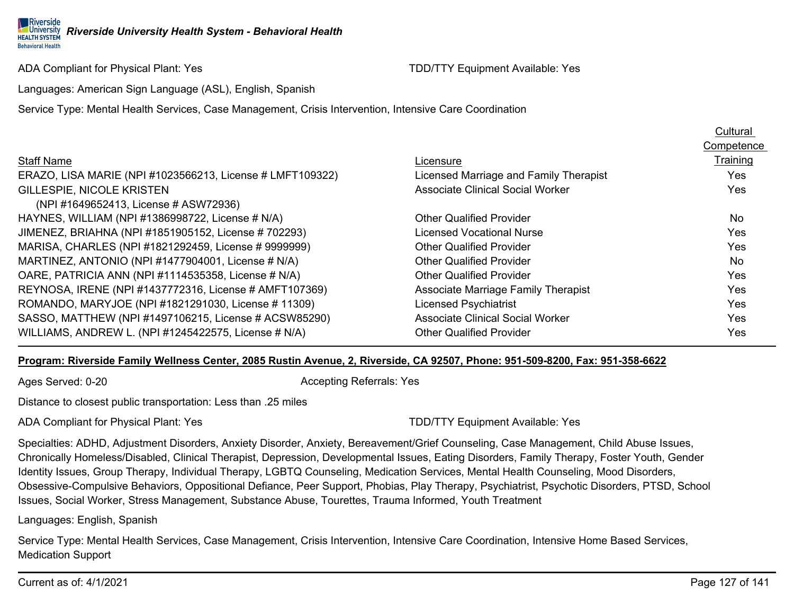Riverside *Riverside University Health System - Behavioral Health* **HEALTH SYSTEM Behavioral Health** 

ADA Compliant for Physical Plant: Yes TDD/TTY Equipment Available: Yes

Languages: American Sign Language (ASL), English, Spanish

Service Type: Mental Health Services, Case Management, Crisis Intervention, Intensive Care Coordination

|                                                           |                                         | Cultural   |
|-----------------------------------------------------------|-----------------------------------------|------------|
|                                                           |                                         | Competence |
| <b>Staff Name</b>                                         | Licensure                               | Training   |
| ERAZO, LISA MARIE (NPI #1023566213, License # LMFT109322) | Licensed Marriage and Family Therapist  | Yes        |
| <b>GILLESPIE, NICOLE KRISTEN</b>                          | <b>Associate Clinical Social Worker</b> | Yes        |
| (NPI #1649652413, License # ASW72936)                     |                                         |            |
| HAYNES, WILLIAM (NPI #1386998722, License # N/A)          | <b>Other Qualified Provider</b>         | <b>No</b>  |
| JIMENEZ, BRIAHNA (NPI #1851905152, License # 702293)      | <b>Licensed Vocational Nurse</b>        | Yes        |
| MARISA, CHARLES (NPI #1821292459, License # 9999999)      | <b>Other Qualified Provider</b>         | Yes        |
| MARTINEZ, ANTONIO (NPI #1477904001, License # N/A)        | <b>Other Qualified Provider</b>         | No         |
| OARE, PATRICIA ANN (NPI #1114535358, License # N/A)       | <b>Other Qualified Provider</b>         | Yes        |
| REYNOSA, IRENE (NPI #1437772316, License # AMFT107369)    | Associate Marriage Family Therapist     | Yes        |
| ROMANDO, MARYJOE (NPI #1821291030, License # 11309)       | <b>Licensed Psychiatrist</b>            | Yes        |
| SASSO, MATTHEW (NPI #1497106215, License # ACSW85290)     | <b>Associate Clinical Social Worker</b> | Yes        |
| WILLIAMS, ANDREW L. (NPI #1245422575, License # N/A)      | <b>Other Qualified Provider</b>         | Yes        |

#### **Program: Riverside Family Wellness Center, 2085 Rustin Avenue, 2, Riverside, CA 92507, Phone: 951-509-8200, Fax: 951-358-6622**

Ages Served: 0-20 **Accepting Referrals: Yes** Accepting Referrals: Yes

Distance to closest public transportation: Less than .25 miles

ADA Compliant for Physical Plant: Yes TELL THE SECTION COMPLETED TO THE TOP/TTY Equipment Available: Yes

Specialties: ADHD, Adjustment Disorders, Anxiety Disorder, Anxiety, Bereavement/Grief Counseling, Case Management, Child Abuse Issues, Chronically Homeless/Disabled, Clinical Therapist, Depression, Developmental Issues, Eating Disorders, Family Therapy, Foster Youth, Gender Identity Issues, Group Therapy, Individual Therapy, LGBTQ Counseling, Medication Services, Mental Health Counseling, Mood Disorders, Obsessive-Compulsive Behaviors, Oppositional Defiance, Peer Support, Phobias, Play Therapy, Psychiatrist, Psychotic Disorders, PTSD, School Issues, Social Worker, Stress Management, Substance Abuse, Tourettes, Trauma Informed, Youth Treatment

Languages: English, Spanish

Service Type: Mental Health Services, Case Management, Crisis Intervention, Intensive Care Coordination, Intensive Home Based Services, Medication Support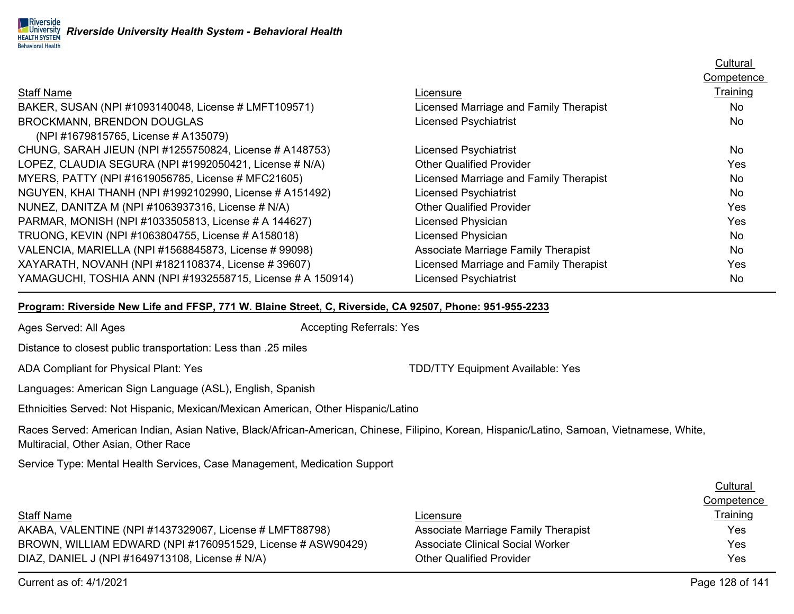|                                                             |                                        | Competence |
|-------------------------------------------------------------|----------------------------------------|------------|
| <b>Staff Name</b>                                           | Licensure                              | Training   |
| BAKER, SUSAN (NPI #1093140048, License # LMFT109571)        | Licensed Marriage and Family Therapist | No.        |
| <b>BROCKMANN, BRENDON DOUGLAS</b>                           | <b>Licensed Psychiatrist</b>           | <b>No</b>  |
| (NPI #1679815765, License # A135079)                        |                                        |            |
| CHUNG, SARAH JIEUN (NPI #1255750824, License # A148753)     | <b>Licensed Psychiatrist</b>           | No.        |
| LOPEZ, CLAUDIA SEGURA (NPI #1992050421, License # N/A)      | <b>Other Qualified Provider</b>        | Yes        |
| MYERS, PATTY (NPI #1619056785, License # MFC21605)          | Licensed Marriage and Family Therapist | <b>No</b>  |
| NGUYEN, KHAI THANH (NPI #1992102990, License # A151492)     | <b>Licensed Psychiatrist</b>           | No         |
| NUNEZ, DANITZA M (NPI #1063937316, License # N/A)           | <b>Other Qualified Provider</b>        | Yes        |
| PARMAR, MONISH (NPI #1033505813, License # A 144627)        | Licensed Physician                     | Yes        |
| TRUONG, KEVIN (NPI #1063804755, License # A158018)          | <b>Licensed Physician</b>              | No.        |
| VALENCIA, MARIELLA (NPI #1568845873, License # 99098)       | Associate Marriage Family Therapist    | No         |
| XAYARATH, NOVANH (NPI #1821108374, License #39607)          | Licensed Marriage and Family Therapist | Yes        |
| YAMAGUCHI, TOSHIA ANN (NPI #1932558715, License # A 150914) | <b>Licensed Psychiatrist</b>           | No         |

#### **Program: Riverside New Life and FFSP, 771 W. Blaine Street, C, Riverside, CA 92507, Phone: 951-955-2233**

Ages Served: All Ages **Accepting Referrals: Yes** Accepting Referrals: Yes

Distance to closest public transportation: Less than .25 miles

ADA Compliant for Physical Plant: Yes TDD/TTY Equipment Available: Yes

Languages: American Sign Language (ASL), English, Spanish

Ethnicities Served: Not Hispanic, Mexican/Mexican American, Other Hispanic/Latino

Races Served: American Indian, Asian Native, Black/African-American, Chinese, Filipino, Korean, Hispanic/Latino, Samoan, Vietnamese, White, Multiracial, Other Asian, Other Race

Service Type: Mental Health Services, Case Management, Medication Support

|                                                             |                                     | <b>OUTTPOLUTIOU</b> |
|-------------------------------------------------------------|-------------------------------------|---------------------|
| <b>Staff Name</b>                                           | Licensure                           | <b>Training</b>     |
| AKABA, VALENTINE (NPI #1437329067, License # LMFT88798)     | Associate Marriage Family Therapist | Yes                 |
| BROWN, WILLIAM EDWARD (NPI #1760951529, License # ASW90429) | Associate Clinical Social Worker    | Yes                 |
| DIAZ, DANIEL J (NPI #1649713108, License # N/A)             | <b>Other Qualified Provider</b>     | Yes                 |

Current as of: 4/1/2021 Page 128 of 141

**Cultural** Competence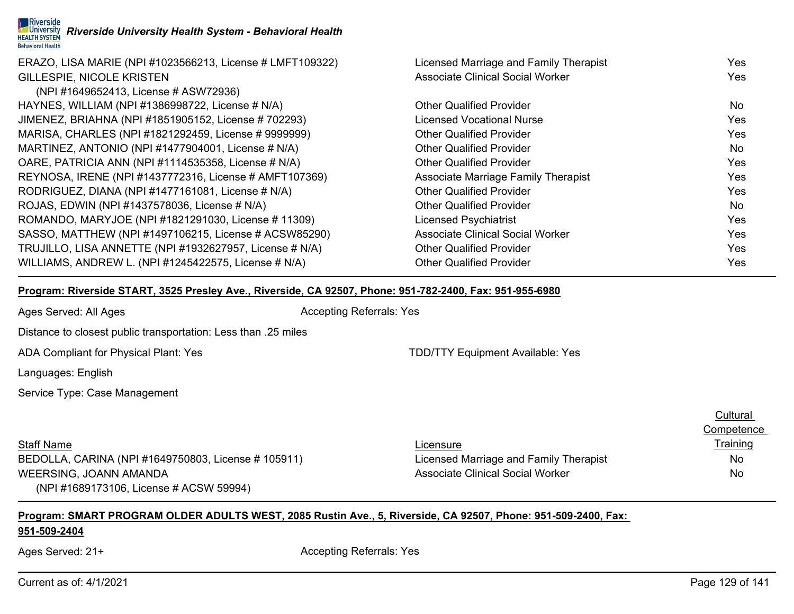| Behavioral Health                                         |                                         |     |
|-----------------------------------------------------------|-----------------------------------------|-----|
| ERAZO, LISA MARIE (NPI #1023566213, License # LMFT109322) | Licensed Marriage and Family Therapist  | Yes |
| <b>GILLESPIE, NICOLE KRISTEN</b>                          | <b>Associate Clinical Social Worker</b> | Yes |
| (NPI#1649652413, License # ASW72936)                      |                                         |     |
| HAYNES, WILLIAM (NPI #1386998722, License # N/A)          | <b>Other Qualified Provider</b>         | No. |
| JIMENEZ, BRIAHNA (NPI #1851905152, License # 702293)      | <b>Licensed Vocational Nurse</b>        | Yes |
| MARISA, CHARLES (NPI #1821292459, License # 9999999)      | <b>Other Qualified Provider</b>         | Yes |
| MARTINEZ, ANTONIO (NPI #1477904001, License # N/A)        | <b>Other Qualified Provider</b>         | No  |
| OARE, PATRICIA ANN (NPI #1114535358, License # N/A)       | <b>Other Qualified Provider</b>         | Yes |
| REYNOSA, IRENE (NPI #1437772316, License # AMFT107369)    | Associate Marriage Family Therapist     | Yes |
| RODRIGUEZ, DIANA (NPI #1477161081, License # N/A)         | <b>Other Qualified Provider</b>         | Yes |
| ROJAS, EDWIN (NPI #1437578036, License # N/A)             | <b>Other Qualified Provider</b>         | No  |
| ROMANDO, MARYJOE (NPI #1821291030, License # 11309)       | Licensed Psychiatrist                   | Yes |
| SASSO, MATTHEW (NPI #1497106215, License # ACSW85290)     | <b>Associate Clinical Social Worker</b> | Yes |
| TRUJILLO, LISA ANNETTE (NPI #1932627957, License # N/A)   | <b>Other Qualified Provider</b>         | Yes |
| WILLIAMS, ANDREW L. (NPI #1245422575, License # N/A)      | <b>Other Qualified Provider</b>         | Yes |

#### **Program: Riverside START, 3525 Presley Ave., Riverside, CA 92507, Phone: 951-782-2400, Fax: 951-955-6980**

Riverside **HEALTH SYSTEM** 

Ages Served: All Ages Accepting Referrals: Yes

Distance to closest public transportation: Less than .25 miles

*Riverside University Health System - Behavioral Health*

ADA Compliant for Physical Plant: Yes TDD/TTY Equipment Available: Yes

Languages: English

Service Type: Case Management

Staff Name BEDOLLA, CARINA (NPI #1649750803, License # 105911) WEERSING, JOANN AMANDA (NPI #1689173106, License # ACSW 59994)

|                                        | Cultural   |
|----------------------------------------|------------|
|                                        | Competence |
| Licensure                              | Training   |
| Licensed Marriage and Family Therapist | No.        |
| Associate Clinical Social Worker       | No         |
|                                        |            |

#### **Program: SMART PROGRAM OLDER ADULTS WEST, 2085 Rustin Ave., 5, Riverside, CA 92507, Phone: 951-509-2400, Fax:**

#### **951-509-2404**

Ages Served: 21+ Accepting Referrals: Yes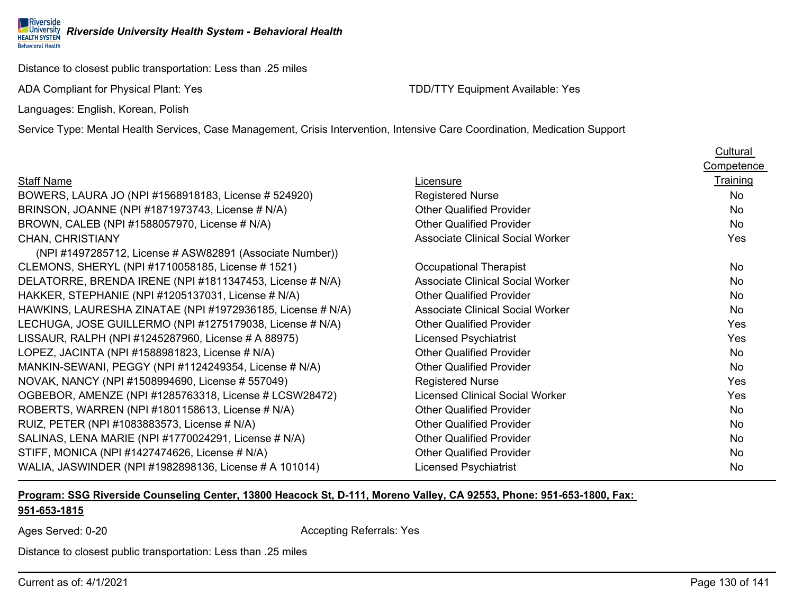**Riverside Riverside University Health System - Behavioral Health**<br>HEALTH SYSTEM RIVerside University Health System - Behavioral Health **Behavioral Health** 

Distance to closest public transportation: Less than .25 miles

ADA Compliant for Physical Plant: Yes TDD/TTY Equipment Available: Yes

Languages: English, Korean, Polish

Service Type: Mental Health Services, Case Management, Crisis Intervention, Intensive Care Coordination, Medication Support

|                                                            |                                         | <b>Cultural</b> |
|------------------------------------------------------------|-----------------------------------------|-----------------|
|                                                            |                                         | Competence      |
| <b>Staff Name</b>                                          | Licensure                               | Training        |
| BOWERS, LAURA JO (NPI #1568918183, License # 524920)       | <b>Registered Nurse</b>                 | <b>No</b>       |
| BRINSON, JOANNE (NPI #1871973743, License # N/A)           | <b>Other Qualified Provider</b>         | <b>No</b>       |
| BROWN, CALEB (NPI #1588057970, License # N/A)              | <b>Other Qualified Provider</b>         | <b>No</b>       |
| <b>CHAN, CHRISTIANY</b>                                    | <b>Associate Clinical Social Worker</b> | Yes             |
| (NPI #1497285712, License # ASW82891 (Associate Number))   |                                         |                 |
| CLEMONS, SHERYL (NPI #1710058185, License #1521)           | Occupational Therapist                  | <b>No</b>       |
| DELATORRE, BRENDA IRENE (NPI #1811347453, License # N/A)   | <b>Associate Clinical Social Worker</b> | No              |
| HAKKER, STEPHANIE (NPI #1205137031, License # N/A)         | <b>Other Qualified Provider</b>         | No              |
| HAWKINS, LAURESHA ZINATAE (NPI #1972936185, License # N/A) | <b>Associate Clinical Social Worker</b> | No              |
| LECHUGA, JOSE GUILLERMO (NPI #1275179038, License # N/A)   | <b>Other Qualified Provider</b>         | Yes             |
| LISSAUR, RALPH (NPI #1245287960, License # A 88975)        | <b>Licensed Psychiatrist</b>            | Yes             |
| LOPEZ, JACINTA (NPI #1588981823, License # N/A)            | <b>Other Qualified Provider</b>         | No              |
| MANKIN-SEWANI, PEGGY (NPI #1124249354, License # N/A)      | <b>Other Qualified Provider</b>         | No              |
| NOVAK, NANCY (NPI #1508994690, License # 557049)           | <b>Registered Nurse</b>                 | Yes             |
| OGBEBOR, AMENZE (NPI #1285763318, License # LCSW28472)     | <b>Licensed Clinical Social Worker</b>  | Yes             |
| ROBERTS, WARREN (NPI #1801158613, License # N/A)           | <b>Other Qualified Provider</b>         | No              |
| RUIZ, PETER (NPI #1083883573, License # N/A)               | <b>Other Qualified Provider</b>         | No              |
| SALINAS, LENA MARIE (NPI #1770024291, License # N/A)       | <b>Other Qualified Provider</b>         | No              |
| STIFF, MONICA (NPI #1427474626, License # N/A)             | <b>Other Qualified Provider</b>         | No              |
| WALIA, JASWINDER (NPI #1982898136, License # A 101014)     | <b>Licensed Psychiatrist</b>            | No              |

#### **Program: SSG Riverside Counseling Center, 13800 Heacock St, D-111, Moreno Valley, CA 92553, Phone: 951-653-1800, Fax:**

#### **951-653-1815**

Ages Served: 0-20 **Accepting Referrals: Yes** Accepting Referrals: Yes

Distance to closest public transportation: Less than .25 miles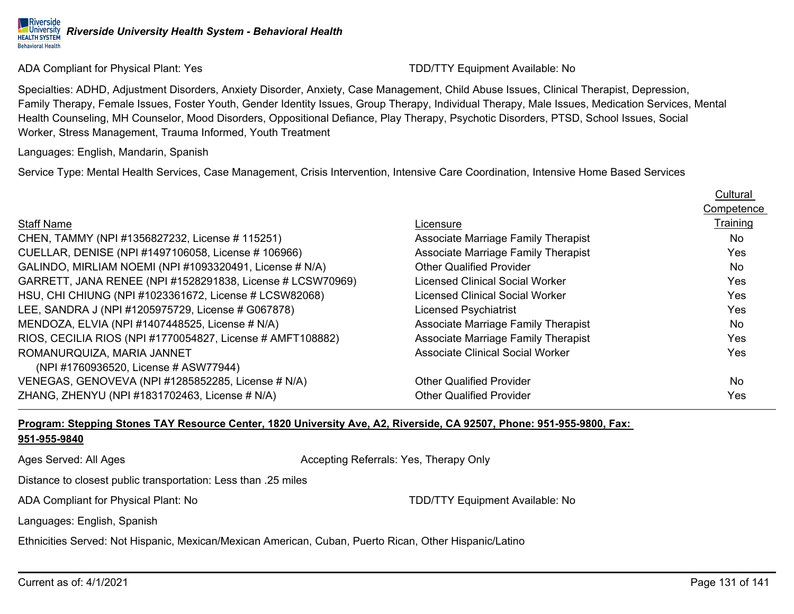ADA Compliant for Physical Plant: Yes TDD/TTY Equipment Available: No

Specialties: ADHD, Adjustment Disorders, Anxiety Disorder, Anxiety, Case Management, Child Abuse Issues, Clinical Therapist, Depression, Family Therapy, Female Issues, Foster Youth, Gender Identity Issues, Group Therapy, Individual Therapy, Male Issues, Medication Services, Mental Health Counseling, MH Counselor, Mood Disorders, Oppositional Defiance, Play Therapy, Psychotic Disorders, PTSD, School Issues, Social Worker, Stress Management, Trauma Informed, Youth Treatment

Languages: English, Mandarin, Spanish

Service Type: Mental Health Services, Case Management, Crisis Intervention, Intensive Care Coordination, Intensive Home Based Services

|                                            | Cultural   |
|--------------------------------------------|------------|
|                                            | Competence |
| Licensure                                  | Training   |
| Associate Marriage Family Therapist        | <b>No</b>  |
| <b>Associate Marriage Family Therapist</b> | Yes        |
| <b>Other Qualified Provider</b>            | <b>No</b>  |
| <b>Licensed Clinical Social Worker</b>     | Yes        |
| <b>Licensed Clinical Social Worker</b>     | <b>Yes</b> |
| <b>Licensed Psychiatrist</b>               | Yes        |
| <b>Associate Marriage Family Therapist</b> | <b>No</b>  |
| <b>Associate Marriage Family Therapist</b> | Yes        |
| <b>Associate Clinical Social Worker</b>    | Yes        |
|                                            |            |
| <b>Other Qualified Provider</b>            | <b>No</b>  |
| <b>Other Qualified Provider</b>            | Yes        |
|                                            |            |

### **Program: Stepping Stones TAY Resource Center, 1820 University Ave, A2, Riverside, CA 92507, Phone: 951-955-9800, Fax: 951-955-9840**

Ages Served: All Ages Accepting Referrals: Yes, Therapy Only

Distance to closest public transportation: Less than .25 miles

ADA Compliant for Physical Plant: No TDD/TTY Equipment Available: No

Languages: English, Spanish

Ethnicities Served: Not Hispanic, Mexican/Mexican American, Cuban, Puerto Rican, Other Hispanic/Latino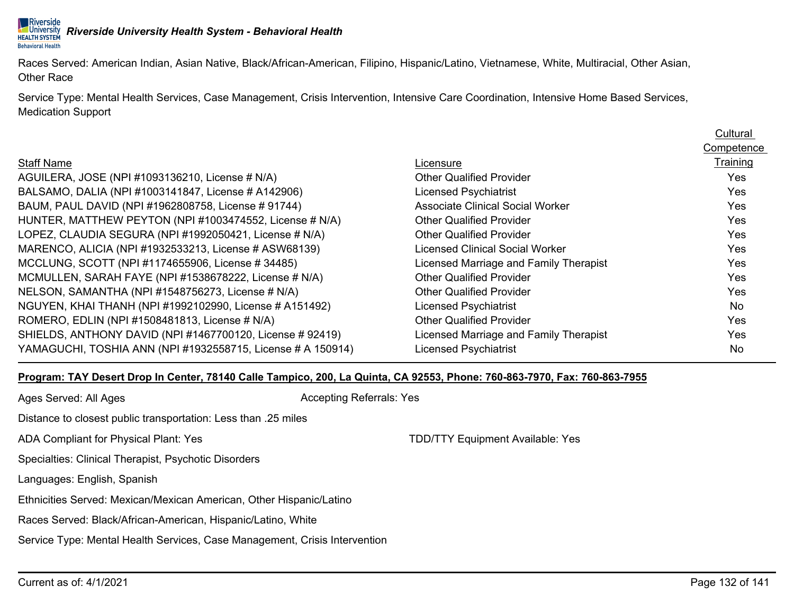#### Riverside **RIPUNIVERSITY AND READTER UNIVERSITY HEALTH SYSTEM - Behavioral Health Behavioral Health**

Races Served: American Indian, Asian Native, Black/African-American, Filipino, Hispanic/Latino, Vietnamese, White, Multiracial, Other Asian, Other Race

Service Type: Mental Health Services, Case Management, Crisis Intervention, Intensive Care Coordination, Intensive Home Based Services, Medication Support

|                                                             |                                         | Cultural   |
|-------------------------------------------------------------|-----------------------------------------|------------|
|                                                             |                                         | Competence |
| <b>Staff Name</b>                                           | Licensure                               | Training   |
| AGUILERA, JOSE (NPI #1093136210, License # N/A)             | <b>Other Qualified Provider</b>         | Yes        |
| BALSAMO, DALIA (NPI #1003141847, License # A142906)         | <b>Licensed Psychiatrist</b>            | Yes        |
| BAUM, PAUL DAVID (NPI #1962808758, License # 91744)         | <b>Associate Clinical Social Worker</b> | Yes        |
| HUNTER, MATTHEW PEYTON (NPI #1003474552, License # N/A)     | <b>Other Qualified Provider</b>         | Yes        |
| LOPEZ, CLAUDIA SEGURA (NPI #1992050421, License # N/A)      | <b>Other Qualified Provider</b>         | Yes        |
| MARENCO, ALICIA (NPI #1932533213, License # ASW68139)       | <b>Licensed Clinical Social Worker</b>  | Yes        |
| MCCLUNG, SCOTT (NPI #1174655906, License #34485)            | Licensed Marriage and Family Therapist  | Yes        |
| MCMULLEN, SARAH FAYE (NPI#1538678222, License # N/A)        | <b>Other Qualified Provider</b>         | Yes        |
| NELSON, SAMANTHA (NPI #1548756273, License # N/A)           | <b>Other Qualified Provider</b>         | Yes        |
| NGUYEN, KHAI THANH (NPI #1992102990, License # A151492)     | <b>Licensed Psychiatrist</b>            | No.        |
| ROMERO, EDLIN (NPI #1508481813, License # N/A)              | <b>Other Qualified Provider</b>         | Yes        |
| SHIELDS, ANTHONY DAVID (NPI #1467700120, License # 92419)   | Licensed Marriage and Family Therapist  | Yes        |
| YAMAGUCHI, TOSHIA ANN (NPI #1932558715, License # A 150914) | <b>Licensed Psychiatrist</b>            | <b>No</b>  |

#### **Program: TAY Desert Drop In Center, 78140 Calle Tampico, 200, La Quinta, CA 92553, Phone: 760-863-7970, Fax: 760-863-7955**

Ages Served: All Ages Accepting Referrals: Yes

Distance to closest public transportation: Less than .25 miles

ADA Compliant for Physical Plant: Yes TELL THE SECTION COMPLETED TO THE TOP/TTY Equipment Available: Yes

Specialties: Clinical Therapist, Psychotic Disorders

Languages: English, Spanish

Ethnicities Served: Mexican/Mexican American, Other Hispanic/Latino

Races Served: Black/African-American, Hispanic/Latino, White

Service Type: Mental Health Services, Case Management, Crisis Intervention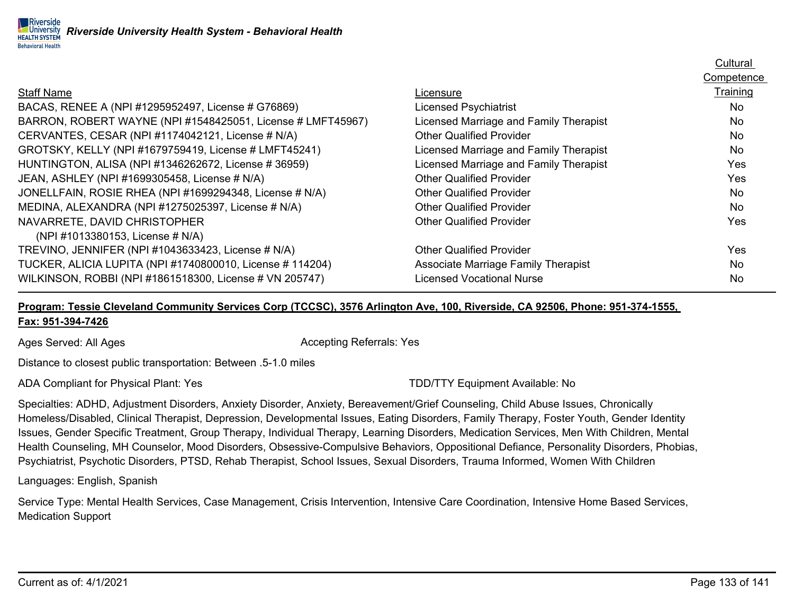|                                                             |                                        | <b>UUILUI di</b> |
|-------------------------------------------------------------|----------------------------------------|------------------|
|                                                             |                                        | Competence       |
| <b>Staff Name</b>                                           | Licensure                              | Training         |
| BACAS, RENEE A (NPI #1295952497, License # G76869)          | <b>Licensed Psychiatrist</b>           | No.              |
| BARRON, ROBERT WAYNE (NPI #1548425051, License # LMFT45967) | Licensed Marriage and Family Therapist | <b>No</b>        |
| CERVANTES, CESAR (NPI #1174042121, License # N/A)           | <b>Other Qualified Provider</b>        | No.              |
| GROTSKY, KELLY (NPI #1679759419, License # LMFT45241)       | Licensed Marriage and Family Therapist | No.              |
| HUNTINGTON, ALISA (NPI #1346262672, License #36959)         | Licensed Marriage and Family Therapist | <b>Yes</b>       |
| JEAN, ASHLEY (NPI #1699305458, License # N/A)               | <b>Other Qualified Provider</b>        | Yes              |
| JONELLFAIN, ROSIE RHEA (NPI #1699294348, License # N/A)     | <b>Other Qualified Provider</b>        | <b>No</b>        |
| MEDINA, ALEXANDRA (NPI #1275025397, License # N/A)          | <b>Other Qualified Provider</b>        | No.              |
| NAVARRETE, DAVID CHRISTOPHER                                | <b>Other Qualified Provider</b>        | Yes              |
| (NPI#1013380153, License # N/A)                             |                                        |                  |
| TREVINO, JENNIFER (NPI #1043633423, License # N/A)          | <b>Other Qualified Provider</b>        | Yes              |
| TUCKER, ALICIA LUPITA (NPI #1740800010, License # 114204)   | Associate Marriage Family Therapist    | <b>No</b>        |
| WILKINSON, ROBBI (NPI #1861518300, License # VN 205747)     | <b>Licensed Vocational Nurse</b>       | No.              |
|                                                             |                                        |                  |

### **Program: Tessie Cleveland Community Services Corp (TCCSC), 3576 Arlington Ave, 100, Riverside, CA 92506, Phone: 951-374-1555, Fax: 951-394-7426**

Ages Served: All Ages Accepting Referrals: Yes

Distance to closest public transportation: Between .5-1.0 miles

ADA Compliant for Physical Plant: Yes TEER TO AND ADA Compliant Available: No

Specialties: ADHD, Adjustment Disorders, Anxiety Disorder, Anxiety, Bereavement/Grief Counseling, Child Abuse Issues, Chronically Homeless/Disabled, Clinical Therapist, Depression, Developmental Issues, Eating Disorders, Family Therapy, Foster Youth, Gender Identity Issues, Gender Specific Treatment, Group Therapy, Individual Therapy, Learning Disorders, Medication Services, Men With Children, Mental Health Counseling, MH Counselor, Mood Disorders, Obsessive-Compulsive Behaviors, Oppositional Defiance, Personality Disorders, Phobias, Psychiatrist, Psychotic Disorders, PTSD, Rehab Therapist, School Issues, Sexual Disorders, Trauma Informed, Women With Children

Languages: English, Spanish

Service Type: Mental Health Services, Case Management, Crisis Intervention, Intensive Care Coordination, Intensive Home Based Services, Medication Support

 $C<sub>1</sub>$  (14)  $(1 + 2)$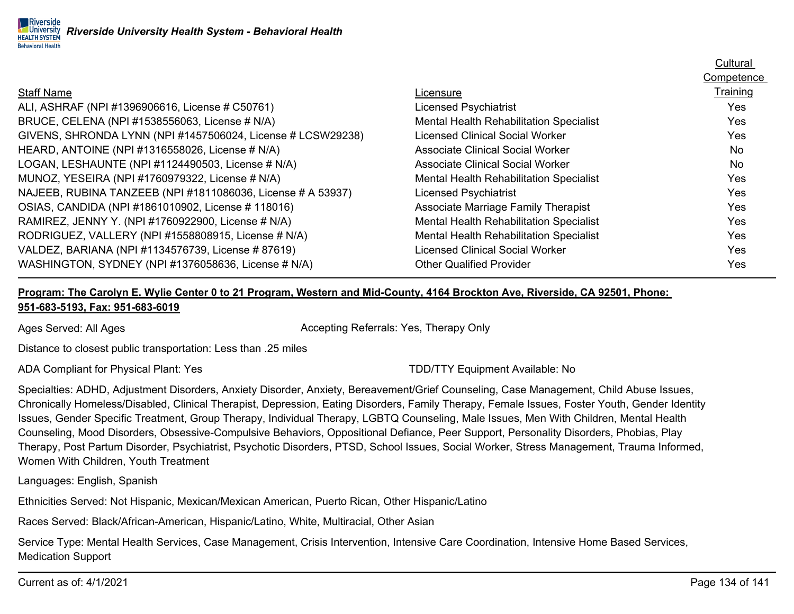|                                                             |                                         | Competence |
|-------------------------------------------------------------|-----------------------------------------|------------|
| <b>Staff Name</b>                                           | Licensure                               | Training   |
| ALI, ASHRAF (NPI #1396906616, License # C50761)             | <b>Licensed Psychiatrist</b>            | Yes        |
| BRUCE, CELENA (NPI #1538556063, License # N/A)              | Mental Health Rehabilitation Specialist | <b>Yes</b> |
| GIVENS, SHRONDA LYNN (NPI#1457506024, License # LCSW29238)  | <b>Licensed Clinical Social Worker</b>  | <b>Yes</b> |
| HEARD, ANTOINE (NPI #1316558026, License # N/A)             | <b>Associate Clinical Social Worker</b> | No         |
| LOGAN, LESHAUNTE (NPI #1124490503, License # N/A)           | <b>Associate Clinical Social Worker</b> | <b>No</b>  |
| MUNOZ, YESEIRA (NPI #1760979322, License # N/A)             | Mental Health Rehabilitation Specialist | Yes        |
| NAJEEB, RUBINA TANZEEB (NPI #1811086036, License # A 53937) | <b>Licensed Psychiatrist</b>            | Yes        |
| OSIAS, CANDIDA (NPI #1861010902, License # 118016)          | Associate Marriage Family Therapist     | <b>Yes</b> |
| RAMIREZ, JENNY Y. (NPI #1760922900, License # N/A)          | Mental Health Rehabilitation Specialist | Yes        |
| RODRIGUEZ, VALLERY (NPI #1558808915, License # N/A)         | Mental Health Rehabilitation Specialist | Yes        |
| VALDEZ, BARIANA (NPI #1134576739, License # 87619)          | <b>Licensed Clinical Social Worker</b>  | Yes        |
| WASHINGTON, SYDNEY (NPI #1376058636, License # N/A)         | <b>Other Qualified Provider</b>         | Yes        |

### **Program: The Carolyn E. Wylie Center 0 to 21 Program, Western and Mid-County, 4164 Brockton Ave, Riverside, CA 92501, Phone: 951-683-5193, Fax: 951-683-6019**

Ages Served: All Ages Accepting Referrals: Yes, Therapy Only

Distance to closest public transportation: Less than .25 miles

ADA Compliant for Physical Plant: Yes TEER TO AND ADA Compliant Available: No

Specialties: ADHD, Adjustment Disorders, Anxiety Disorder, Anxiety, Bereavement/Grief Counseling, Case Management, Child Abuse Issues, Chronically Homeless/Disabled, Clinical Therapist, Depression, Eating Disorders, Family Therapy, Female Issues, Foster Youth, Gender Identity Issues, Gender Specific Treatment, Group Therapy, Individual Therapy, LGBTQ Counseling, Male Issues, Men With Children, Mental Health Counseling, Mood Disorders, Obsessive-Compulsive Behaviors, Oppositional Defiance, Peer Support, Personality Disorders, Phobias, Play Therapy, Post Partum Disorder, Psychiatrist, Psychotic Disorders, PTSD, School Issues, Social Worker, Stress Management, Trauma Informed, Women With Children, Youth Treatment

Languages: English, Spanish

Ethnicities Served: Not Hispanic, Mexican/Mexican American, Puerto Rican, Other Hispanic/Latino

Races Served: Black/African-American, Hispanic/Latino, White, Multiracial, Other Asian

Service Type: Mental Health Services, Case Management, Crisis Intervention, Intensive Care Coordination, Intensive Home Based Services, Medication Support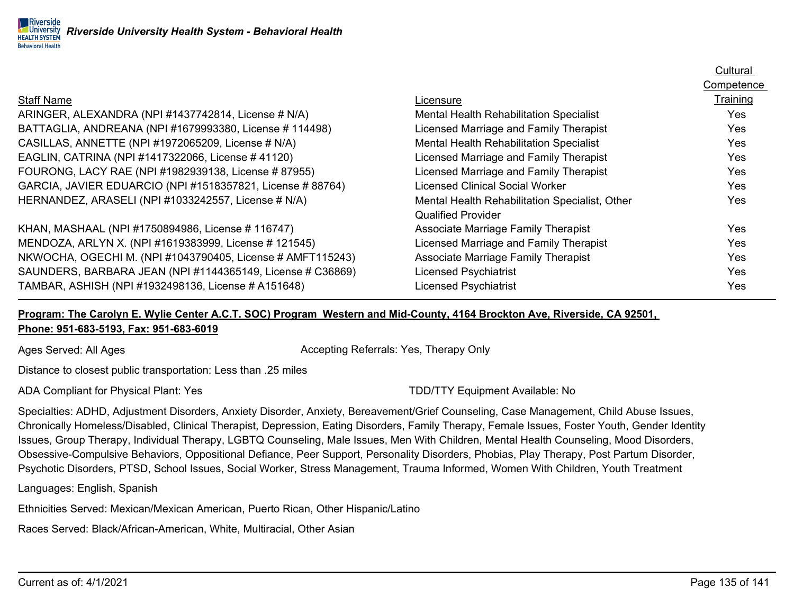|                                                            |                                                | <b>Cultural</b> |
|------------------------------------------------------------|------------------------------------------------|-----------------|
|                                                            |                                                | Competence      |
| <b>Staff Name</b>                                          | Licensure                                      | Training        |
| ARINGER, ALEXANDRA (NPI #1437742814, License # N/A)        | Mental Health Rehabilitation Specialist        | Yes             |
| BATTAGLIA, ANDREANA (NPI #1679993380, License # 114498)    | Licensed Marriage and Family Therapist         | Yes             |
| CASILLAS, ANNETTE (NPI #1972065209, License # N/A)         | Mental Health Rehabilitation Specialist        | Yes             |
| EAGLIN, CATRINA (NPI #1417322066, License #41120)          | Licensed Marriage and Family Therapist         | Yes             |
| FOURONG, LACY RAE (NPI #1982939138, License #87955)        | Licensed Marriage and Family Therapist         | Yes             |
| GARCIA, JAVIER EDUARCIO (NPI #1518357821, License # 88764) | Licensed Clinical Social Worker                | Yes             |
| HERNANDEZ, ARASELI (NPI #1033242557, License # N/A)        | Mental Health Rehabilitation Specialist, Other | Yes             |
|                                                            | <b>Qualified Provider</b>                      |                 |
| KHAN, MASHAAL (NPI #1750894986, License # 116747)          | Associate Marriage Family Therapist            | Yes             |
| MENDOZA, ARLYN X. (NPI #1619383999, License # 121545)      | Licensed Marriage and Family Therapist         | Yes             |
| NKWOCHA, OGECHI M. (NPI #1043790405, License # AMFT115243) | Associate Marriage Family Therapist            | Yes             |
| SAUNDERS, BARBARA JEAN (NPI #1144365149, License # C36869) | <b>Licensed Psychiatrist</b>                   | Yes             |
| TAMBAR, ASHISH (NPI #1932498136, License # A151648)        | <b>Licensed Psychiatrist</b>                   | Yes             |

### **Program: The Carolyn E. Wylie Center A.C.T. SOC) Program Western and Mid-County, 4164 Brockton Ave, Riverside, CA 92501, Phone: 951-683-5193, Fax: 951-683-6019**

Ages Served: All Ages Accepting Referrals: Yes, Therapy Only

Distance to closest public transportation: Less than .25 miles

ADA Compliant for Physical Plant: Yes TDD/TTY Equipment Available: No

Specialties: ADHD, Adjustment Disorders, Anxiety Disorder, Anxiety, Bereavement/Grief Counseling, Case Management, Child Abuse Issues, Chronically Homeless/Disabled, Clinical Therapist, Depression, Eating Disorders, Family Therapy, Female Issues, Foster Youth, Gender Identity Issues, Group Therapy, Individual Therapy, LGBTQ Counseling, Male Issues, Men With Children, Mental Health Counseling, Mood Disorders, Obsessive-Compulsive Behaviors, Oppositional Defiance, Peer Support, Personality Disorders, Phobias, Play Therapy, Post Partum Disorder, Psychotic Disorders, PTSD, School Issues, Social Worker, Stress Management, Trauma Informed, Women With Children, Youth Treatment

Languages: English, Spanish

Ethnicities Served: Mexican/Mexican American, Puerto Rican, Other Hispanic/Latino

Races Served: Black/African-American, White, Multiracial, Other Asian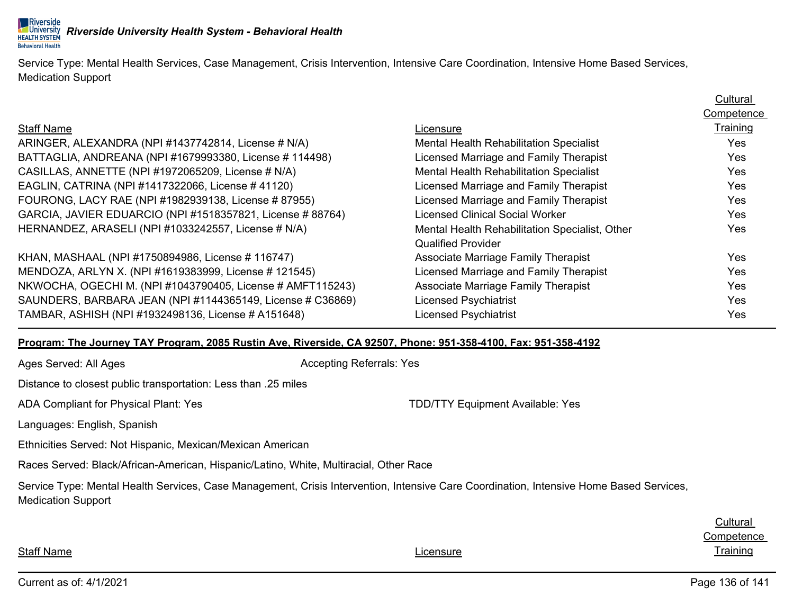Service Type: Mental Health Services, Case Management, Crisis Intervention, Intensive Care Coordination, Intensive Home Based Services, Medication Support

|                                                            |                                                | Cultural   |
|------------------------------------------------------------|------------------------------------------------|------------|
|                                                            |                                                | Competence |
| <b>Staff Name</b>                                          | Licensure                                      | Training   |
| ARINGER, ALEXANDRA (NPI #1437742814, License # N/A)        | Mental Health Rehabilitation Specialist        | <b>Yes</b> |
| BATTAGLIA, ANDREANA (NPI #1679993380, License # 114498)    | Licensed Marriage and Family Therapist         | Yes        |
| CASILLAS, ANNETTE (NPI #1972065209, License # N/A)         | Mental Health Rehabilitation Specialist        | Yes        |
| EAGLIN, CATRINA (NPI #1417322066, License #41120)          | Licensed Marriage and Family Therapist         | Yes        |
| FOURONG, LACY RAE (NPI #1982939138, License #87955)        | Licensed Marriage and Family Therapist         | Yes        |
| GARCIA, JAVIER EDUARCIO (NPI #1518357821, License # 88764) | <b>Licensed Clinical Social Worker</b>         | Yes        |
| HERNANDEZ, ARASELI (NPI #1033242557, License # N/A)        | Mental Health Rehabilitation Specialist, Other | Yes        |
|                                                            | <b>Qualified Provider</b>                      |            |
| KHAN, MASHAAL (NPI #1750894986, License # 116747)          | Associate Marriage Family Therapist            | Yes.       |
| MENDOZA, ARLYN X. (NPI #1619383999, License # 121545)      | Licensed Marriage and Family Therapist         | Yes        |
| NKWOCHA, OGECHI M. (NPI #1043790405, License # AMFT115243) | Associate Marriage Family Therapist            | Yes        |
| SAUNDERS, BARBARA JEAN (NPI #1144365149, License # C36869) | <b>Licensed Psychiatrist</b>                   | <b>Yes</b> |
| TAMBAR, ASHISH (NPI #1932498136, License # A151648)        | <b>Licensed Psychiatrist</b>                   | Yes        |

#### **Program: The Journey TAY Program, 2085 Rustin Ave, Riverside, CA 92507, Phone: 951-358-4100, Fax: 951-358-4192**

| Ages Served: All Ages                                                                 | <b>Accepting Referrals: Yes</b>                                                                                                         |
|---------------------------------------------------------------------------------------|-----------------------------------------------------------------------------------------------------------------------------------------|
| Distance to closest public transportation: Less than .25 miles                        |                                                                                                                                         |
| ADA Compliant for Physical Plant: Yes                                                 | <b>TDD/TTY Equipment Available: Yes</b>                                                                                                 |
| Languages: English, Spanish                                                           |                                                                                                                                         |
| Ethnicities Served: Not Hispanic, Mexican/Mexican American                            |                                                                                                                                         |
| Races Served: Black/African-American, Hispanic/Latino, White, Multiracial, Other Race |                                                                                                                                         |
| <b>Medication Support</b>                                                             | Service Type: Mental Health Services, Case Management, Crisis Intervention, Intensive Care Coordination, Intensive Home Based Services, |
|                                                                                       |                                                                                                                                         |

**Cultural Competence** Licensure **Licensure Training** 

**Staff Name**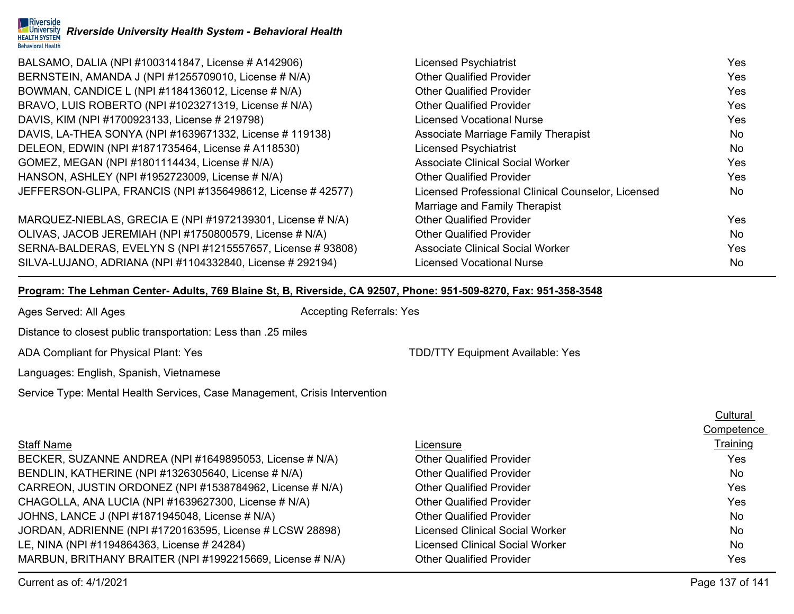#### **Riverside** *Riverside University Health System - Behavioral Health* **HEALTH SYSTEM Behavioral Health**

| BALSAMO, DALIA (NPI #1003141847, License # A142906)         | <b>Licensed Psychiatrist</b>                       | <b>Yes</b> |
|-------------------------------------------------------------|----------------------------------------------------|------------|
| BERNSTEIN, AMANDA J (NPI #1255709010, License # N/A)        | <b>Other Qualified Provider</b>                    | <b>Yes</b> |
| BOWMAN, CANDICE L (NPI #1184136012, License # N/A)          | <b>Other Qualified Provider</b>                    | Yes        |
| BRAVO, LUIS ROBERTO (NPI #1023271319, License # N/A)        | <b>Other Qualified Provider</b>                    | <b>Yes</b> |
| DAVIS, KIM (NPI #1700923133, License # 219798)              | <b>Licensed Vocational Nurse</b>                   | Yes        |
| DAVIS, LA-THEA SONYA (NPI #1639671332, License # 119138)    | Associate Marriage Family Therapist                | No.        |
| DELEON, EDWIN (NPI #1871735464, License # A118530)          | <b>Licensed Psychiatrist</b>                       | No         |
| GOMEZ, MEGAN (NPI #1801114434, License # N/A)               | <b>Associate Clinical Social Worker</b>            | Yes        |
| HANSON, ASHLEY (NPI #1952723009, License # N/A)             | <b>Other Qualified Provider</b>                    | <b>Yes</b> |
| JEFFERSON-GLIPA, FRANCIS (NPI #1356498612, License #42577)  | Licensed Professional Clinical Counselor, Licensed | No.        |
|                                                             | Marriage and Family Therapist                      |            |
| MARQUEZ-NIEBLAS, GRECIA E (NPI #1972139301, License # N/A)  | <b>Other Qualified Provider</b>                    | <b>Yes</b> |
| OLIVAS, JACOB JEREMIAH (NPI #1750800579, License # N/A)     | <b>Other Qualified Provider</b>                    | No.        |
| SERNA-BALDERAS, EVELYN S (NPI #1215557657, License # 93808) | <b>Associate Clinical Social Worker</b>            | <b>Yes</b> |
| SILVA-LUJANO, ADRIANA (NPI #1104332840, License # 292194)   | Licensed Vocational Nurse                          | No.        |

### **Program: The Lehman Center- Adults, 769 Blaine St, B, Riverside, CA 92507, Phone: 951-509-8270, Fax: 951-358-3548**

Ages Served: All Ages **Accepting Referrals: Yes** Accepting Referrals: Yes

Distance to closest public transportation: Less than .25 miles

ADA Compliant for Physical Plant: Yes TDD/TTY Equipment Available: Yes

Languages: English, Spanish, Vietnamese

Service Type: Mental Health Services, Case Management, Crisis Intervention

|                                                           |                                        | Competence |
|-----------------------------------------------------------|----------------------------------------|------------|
| <b>Staff Name</b>                                         | Licensure                              | Training   |
| BECKER, SUZANNE ANDREA (NPI #1649895053, License # N/A)   | <b>Other Qualified Provider</b>        | Yes        |
| BENDLIN, KATHERINE (NPI #1326305640, License # N/A)       | <b>Other Qualified Provider</b>        | No.        |
| CARREON, JUSTIN ORDONEZ (NPI #1538784962, License # N/A)  | <b>Other Qualified Provider</b>        | <b>Yes</b> |
| CHAGOLLA, ANA LUCIA (NPI #1639627300, License # N/A)      | <b>Other Qualified Provider</b>        | Yes        |
| JOHNS, LANCE J (NPI #1871945048, License # N/A)           | <b>Other Qualified Provider</b>        | No         |
| JORDAN, ADRIENNE (NPI #1720163595, License # LCSW 28898)  | <b>Licensed Clinical Social Worker</b> | No.        |
| LE, NINA (NPI #1194864363, License # 24284)               | Licensed Clinical Social Worker        | No.        |
| MARBUN, BRITHANY BRAITER (NPI #1992215669, License # N/A) | <b>Other Qualified Provider</b>        | Yes        |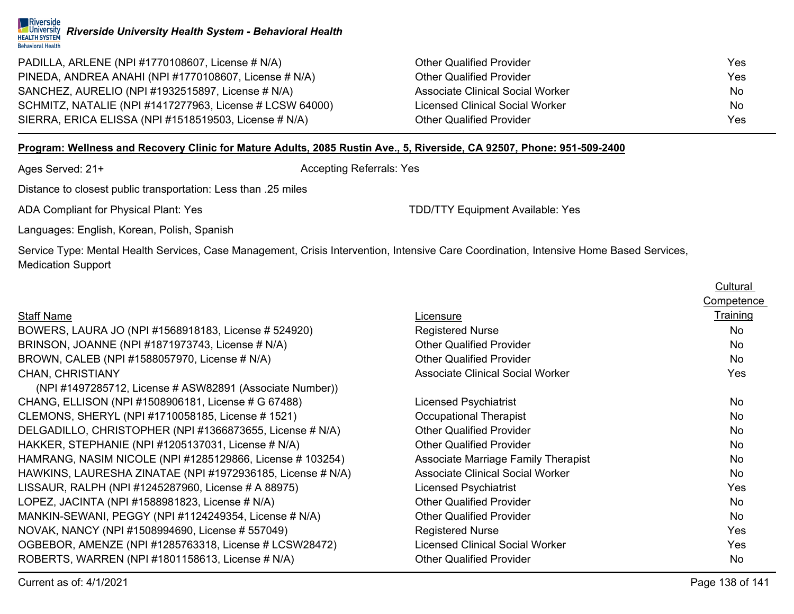| PADILLA, ARLENE (NPI #1770108607, License # N/A)         | <b>Other Qualified Provider</b>         | Yes |
|----------------------------------------------------------|-----------------------------------------|-----|
| PINEDA, ANDREA ANAHI (NPI #1770108607, License # N/A)    | <b>Other Qualified Provider</b>         | Yes |
| SANCHEZ, AURELIO (NPI #1932515897, License # N/A)        | <b>Associate Clinical Social Worker</b> | No  |
| SCHMITZ, NATALIE (NPI #1417277963, License # LCSW 64000) | <b>Licensed Clinical Social Worker</b>  | No  |
| SIERRA, ERICA ELISSA (NPI #1518519503, License # N/A)    | <b>Other Qualified Provider</b>         | Yes |

#### **Program: Wellness and Recovery Clinic for Mature Adults, 2085 Rustin Ave., 5, Riverside, CA 92507, Phone: 951-509-2400**

Ages Served: 21+ Accepting Referrals: Yes

Distance to closest public transportation: Less than .25 miles

ADA Compliant for Physical Plant: Yes TDD/TTY Equipment Available: Yes

Languages: English, Korean, Polish, Spanish

Service Type: Mental Health Services, Case Management, Crisis Intervention, Intensive Care Coordination, Intensive Home Based Services, Medication Support

|                                                            |                                         | <b>Competence</b> |
|------------------------------------------------------------|-----------------------------------------|-------------------|
| Staff Name                                                 | Lic <u>ensure</u>                       | Training          |
| BOWERS, LAURA JO (NPI #1568918183, License # 524920)       | <b>Registered Nurse</b>                 | No.               |
| BRINSON, JOANNE (NPI #1871973743, License # N/A)           | <b>Other Qualified Provider</b>         | No                |
| BROWN, CALEB (NPI #1588057970, License # N/A)              | <b>Other Qualified Provider</b>         | <b>No</b>         |
| <b>CHAN, CHRISTIANY</b>                                    | <b>Associate Clinical Social Worker</b> | <b>Yes</b>        |
| (NPI#1497285712, License # ASW82891 (Associate Number))    |                                         |                   |
| CHANG, ELLISON (NPI #1508906181, License # G 67488)        | <b>Licensed Psychiatrist</b>            | <b>No</b>         |
| CLEMONS, SHERYL (NPI #1710058185, License #1521)           | <b>Occupational Therapist</b>           | <b>No</b>         |
| DELGADILLO, CHRISTOPHER (NPI #1366873655, License # N/A)   | <b>Other Qualified Provider</b>         | <b>No</b>         |
| HAKKER, STEPHANIE (NPI #1205137031, License # N/A)         | <b>Other Qualified Provider</b>         | <b>No</b>         |
| HAMRANG, NASIM NICOLE (NPI #1285129866, License # 103254)  | Associate Marriage Family Therapist     | <b>No</b>         |
| HAWKINS, LAURESHA ZINATAE (NPI #1972936185, License # N/A) | Associate Clinical Social Worker        | <b>No</b>         |
| LISSAUR, RALPH (NPI #1245287960, License # A 88975)        | <b>Licensed Psychiatrist</b>            | Yes               |
| LOPEZ, JACINTA (NPI #1588981823, License # N/A)            | <b>Other Qualified Provider</b>         | <b>No</b>         |
| MANKIN-SEWANI, PEGGY (NPI #1124249354, License # N/A)      | <b>Other Qualified Provider</b>         | No                |
| NOVAK, NANCY (NPI #1508994690, License # 557049)           | <b>Registered Nurse</b>                 | Yes               |
| OGBEBOR, AMENZE (NPI #1285763318, License # LCSW28472)     | <b>Licensed Clinical Social Worker</b>  | Yes               |
| ROBERTS, WARREN (NPI #1801158613, License # N/A)           | <b>Other Qualified Provider</b>         | <b>No</b>         |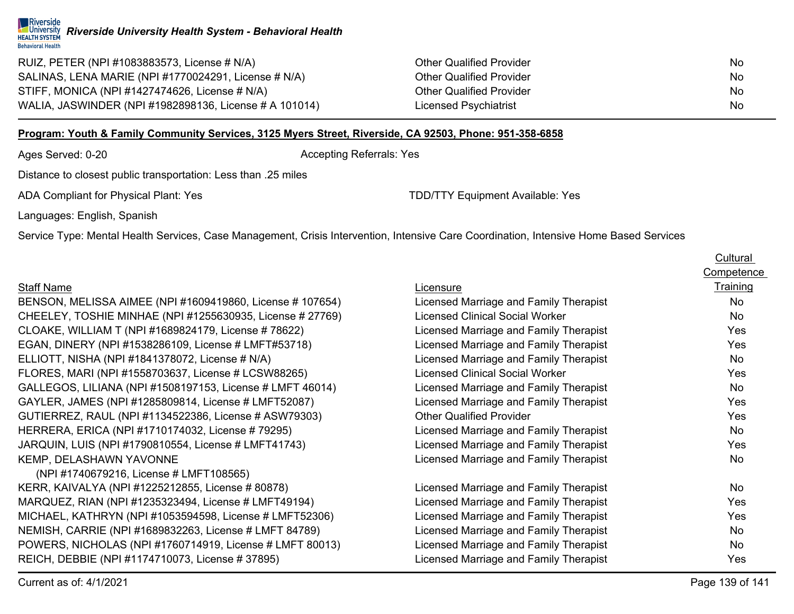#### |Riverside *Riverside University Health System - Behavioral Health* **HEALTH SYSTEM Behavioral Health**

| RUIZ, PETER (NPI #1083883573, License # N/A)           | <b>Other Qualified Provider</b> | No. |
|--------------------------------------------------------|---------------------------------|-----|
| SALINAS, LENA MARIE (NPI #1770024291, License # N/A)   | <b>Other Qualified Provider</b> | No. |
| STIFF, MONICA (NPI #1427474626, License # N/A)         | <b>Other Qualified Provider</b> | No. |
| WALIA, JASWINDER (NPI #1982898136, License # A 101014) | Licensed Psychiatrist           | No. |

#### **Program: Youth & Family Community Services, 3125 Myers Street, Riverside, CA 92503, Phone: 951-358-6858**

Ages Served: 0-20 **Accepting Referrals: Yes** Accepting Referrals: Yes

Distance to closest public transportation: Less than .25 miles

ADA Compliant for Physical Plant: Yes TDD/TTY Equipment Available: Yes

Languages: English, Spanish

Service Type: Mental Health Services, Case Management, Crisis Intervention, Intensive Care Coordination, Intensive Home Based Services

|                                                           |                                        | Cultural   |
|-----------------------------------------------------------|----------------------------------------|------------|
|                                                           |                                        | Competence |
| <b>Staff Name</b>                                         | Licensure                              | Training   |
| BENSON, MELISSA AIMEE (NPI #1609419860, License #107654)  | Licensed Marriage and Family Therapist | No         |
| CHEELEY, TOSHIE MINHAE (NPI #1255630935, License # 27769) | <b>Licensed Clinical Social Worker</b> | No.        |
| CLOAKE, WILLIAM T (NPI #1689824179, License # 78622)      | Licensed Marriage and Family Therapist | Yes        |
| EGAN, DINERY (NPI #1538286109, License # LMFT#53718)      | Licensed Marriage and Family Therapist | Yes        |
| ELLIOTT, NISHA (NPI #1841378072, License # N/A)           | Licensed Marriage and Family Therapist | No.        |
| FLORES, MARI (NPI #1558703637, License # LCSW88265)       | <b>Licensed Clinical Social Worker</b> | Yes        |
| GALLEGOS, LILIANA (NPI #1508197153, License # LMFT 46014) | Licensed Marriage and Family Therapist | <b>No</b>  |
| GAYLER, JAMES (NPI #1285809814, License # LMFT52087)      | Licensed Marriage and Family Therapist | <b>Yes</b> |
| GUTIERREZ, RAUL (NPI #1134522386, License # ASW79303)     | <b>Other Qualified Provider</b>        | Yes        |
| HERRERA, ERICA (NPI #1710174032, License # 79295)         | Licensed Marriage and Family Therapist | <b>No</b>  |
| JARQUIN, LUIS (NPI #1790810554, License # LMFT41743)      | Licensed Marriage and Family Therapist | Yes        |
| KEMP, DELASHAWN YAVONNE                                   | Licensed Marriage and Family Therapist | <b>No</b>  |
| (NPI #1740679216, License # LMFT108565)                   |                                        |            |
| KERR, KAIVALYA (NPI #1225212855, License # 80878)         | Licensed Marriage and Family Therapist | No.        |
| MARQUEZ, RIAN (NPI #1235323494, License # LMFT49194)      | Licensed Marriage and Family Therapist | <b>Yes</b> |
| MICHAEL, KATHRYN (NPI #1053594598, License # LMFT52306)   | Licensed Marriage and Family Therapist | Yes        |
| NEMISH, CARRIE (NPI #1689832263, License # LMFT 84789)    | Licensed Marriage and Family Therapist | <b>No</b>  |
| POWERS, NICHOLAS (NPI #1760714919, License # LMFT 80013)  | Licensed Marriage and Family Therapist | No.        |
| REICH, DEBBIE (NPI #1174710073, License #37895)           | Licensed Marriage and Family Therapist | Yes        |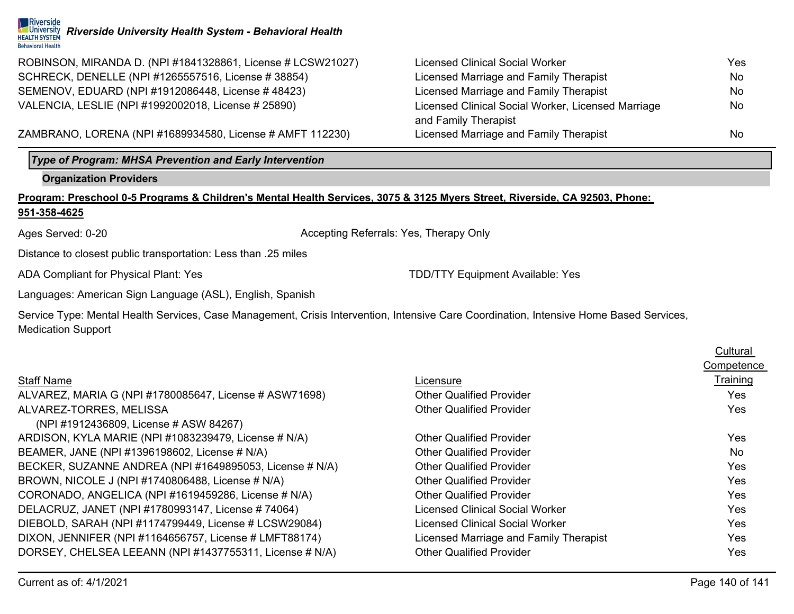#### Riverside *Riverside University Health System - Behavioral Health* **HEALTH SYSTEM Behavioral Health**

ROBINSON, MIRANDA D. (NPI #1841328861, License # LCSW21027) SCHRECK, DENELLE (NPI #1265557516, License # 38854) SEMENOV, EDUARD (NPI #1912086448, License # 48423) VALENCIA, LESLIE (NPI #1992002018, License # 25890)

ZAMBRANO, LORENA (NPI #1689934580, License # AMFT 112230) Licensed Marriag

## *Type of Program: MHSA Prevention and Early Intervention*

### **Organization Providers**

**Program: Preschool 0-5 Programs & Children's Mental Health Services, 3075 & 3125 Myers Street, Riverside, CA 92503, Phone:** 

#### **951-358-4625**

Ages Served: 0-20 **Accepting Referrals: Yes, Therapy Only** Accepting Referrals: Yes, Therapy Only

Distance to closest public transportation: Less than .25 miles

ADA Compliant for Physical Plant: Yes TDD/TTY Equipment Available: Yes

Languages: American Sign Language (ASL), English, Spanish

Service Type: Mental Health Services, Case Management, Crisis Intervention, Intensive Care Coordination, Intensive Home Based Services, Medication Support

|                                                         |                                        | Competence |
|---------------------------------------------------------|----------------------------------------|------------|
| <b>Staff Name</b>                                       | Licensure                              | Training   |
| ALVAREZ, MARIA G (NPI #1780085647, License # ASW71698)  | <b>Other Qualified Provider</b>        | <b>Yes</b> |
| ALVAREZ-TORRES, MELISSA                                 | <b>Other Qualified Provider</b>        | <b>Yes</b> |
| (NPI #1912436809, License # ASW 84267)                  |                                        |            |
| ARDISON, KYLA MARIE (NPI #1083239479, License # N/A)    | <b>Other Qualified Provider</b>        | Yes.       |
| BEAMER, JANE (NPI #1396198602, License # N/A)           | <b>Other Qualified Provider</b>        | No         |
| BECKER, SUZANNE ANDREA (NPI #1649895053, License # N/A) | <b>Other Qualified Provider</b>        | <b>Yes</b> |
| BROWN, NICOLE J (NPI #1740806488, License # N/A)        | <b>Other Qualified Provider</b>        | <b>Yes</b> |
| CORONADO, ANGELICA (NPI #1619459286, License # N/A)     | <b>Other Qualified Provider</b>        | <b>Yes</b> |
| DELACRUZ, JANET (NPI #1780993147, License # 74064)      | <b>Licensed Clinical Social Worker</b> | <b>Yes</b> |
| DIEBOLD, SARAH (NPI #1174799449, License # LCSW29084)   | <b>Licensed Clinical Social Worker</b> | <b>Yes</b> |
| DIXON, JENNIFER (NPI #1164656757, License # LMFT88174)  | Licensed Marriage and Family Therapist | Yes        |
| DORSEY, CHELSEA LEEANN (NPI #1437755311, License # N/A) | <b>Other Qualified Provider</b>        | Yes        |
|                                                         |                                        |            |

| <b>Licensed Clinical Social Worker</b>             | Yes |
|----------------------------------------------------|-----|
| Licensed Marriage and Family Therapist             | No  |
| Licensed Marriage and Family Therapist             | No. |
| Licensed Clinical Social Worker, Licensed Marriage | Nο  |
| and Family Therapist                               |     |
| Licensed Marriage and Family Therapist             | No  |